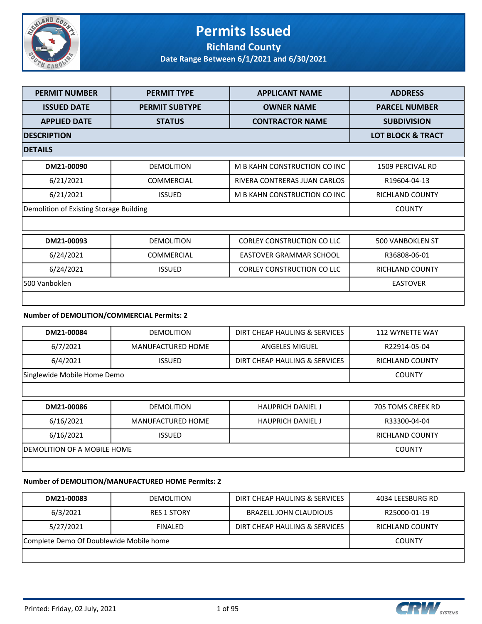

#### **Permits Issued Richland County**

**Date Range Between 6/1/2021 and 6/30/2021**

| <b>PERMIT NUMBER</b>                       | <b>PERMIT TYPE</b>       | <b>APPLICANT NAME</b>             | <b>ADDRESS</b>               |
|--------------------------------------------|--------------------------|-----------------------------------|------------------------------|
| <b>ISSUED DATE</b>                         | <b>PERMIT SUBTYPE</b>    | <b>OWNER NAME</b>                 | <b>PARCEL NUMBER</b>         |
| <b>APPLIED DATE</b>                        | <b>STATUS</b>            | <b>CONTRACTOR NAME</b>            | <b>SUBDIVISION</b>           |
| <b>DESCRIPTION</b>                         |                          |                                   | <b>LOT BLOCK &amp; TRACT</b> |
| <b>DETAILS</b>                             |                          |                                   |                              |
| DM21-00090                                 | <b>DEMOLITION</b>        | M B KAHN CONSTRUCTION CO INC      | 1509 PERCIVAL RD             |
| 6/21/2021                                  | COMMERCIAL               | RIVERA CONTRERAS JUAN CARLOS      | R19604-04-13                 |
| 6/21/2021                                  | <b>ISSUED</b>            | M B KAHN CONSTRUCTION CO INC      | <b>RICHLAND COUNTY</b>       |
| Demolition of Existing Storage Building    |                          |                                   | <b>COUNTY</b>                |
|                                            |                          |                                   |                              |
| DM21-00093                                 | <b>DEMOLITION</b>        | <b>CORLEY CONSTRUCTION CO LLC</b> | 500 VANBOKLEN ST             |
| 6/24/2021                                  | <b>COMMERCIAL</b>        | <b>EASTOVER GRAMMAR SCHOOL</b>    | R36808-06-01                 |
| 6/24/2021                                  | <b>ISSUED</b>            | <b>CORLEY CONSTRUCTION CO LLC</b> | <b>RICHLAND COUNTY</b>       |
| 500 Vanboklen                              |                          |                                   | <b>EASTOVER</b>              |
|                                            |                          |                                   |                              |
| Number of DEMOLITION/COMMERCIAL Permits: 2 |                          |                                   |                              |
| DM21-00084                                 | <b>DEMOLITION</b>        | DIRT CHEAP HAULING & SERVICES     | 112 WYNETTE WAY              |
| 6/7/2021                                   | <b>MANUFACTURED HOME</b> | <b>ANGELES MIGUEL</b>             | R22914-05-04                 |
| 6/4/2021                                   | <b>ISSUED</b>            | DIRT CHEAP HAULING & SERVICES     | <b>RICHLAND COUNTY</b>       |
| Singlewide Mobile Home Demo                |                          |                                   | <b>COUNTY</b>                |
|                                            |                          |                                   |                              |

| DM21-00086                   | <b>DEMOLITION</b> | <b>HAUPRICH DANIEL J</b> | 705 TOMS CREEK RD |
|------------------------------|-------------------|--------------------------|-------------------|
| 6/16/2021                    | MANUFACTURED HOME | <b>HAUPRICH DANIEL J</b> | R33300-04-04      |
| 6/16/2021                    | <b>ISSUED</b>     |                          | RICHLAND COUNTY   |
| IDEMOLITION OF A MOBILE HOME |                   |                          | <b>COUNTY</b>     |
|                              |                   |                          |                   |

#### **Number of DEMOLITION/MANUFACTURED HOME Permits: 2**

| DM21-00083                              | <b>DEMOLITION</b>  | DIRT CHEAP HAULING & SERVICES | 4034 LEESBURG RD |
|-----------------------------------------|--------------------|-------------------------------|------------------|
| 6/3/2021                                | <b>RES 1 STORY</b> | BRAZELL JOHN CLAUDIOUS        | R25000-01-19     |
| 5/27/2021                               | <b>FINALED</b>     | DIRT CHEAP HAULING & SERVICES | RICHLAND COUNTY  |
| Complete Demo Of Doublewide Mobile home |                    |                               | <b>COUNTY</b>    |
|                                         |                    |                               |                  |

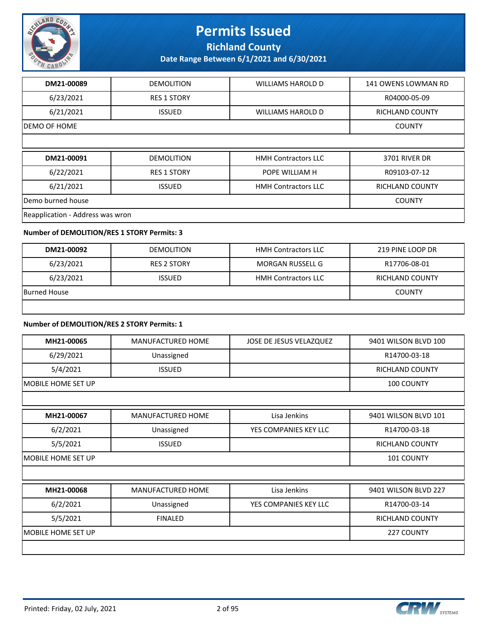

**Richland County**

**Date Range Between 6/1/2021 and 6/30/2021**

| DM21-00089        | <b>DEMOLITION</b>  | <b>WILLIAMS HAROLD D</b>   | 141 OWENS LOWMAN RD    |  |  |
|-------------------|--------------------|----------------------------|------------------------|--|--|
| 6/23/2021         | <b>RES 1 STORY</b> |                            | R04000-05-09           |  |  |
| 6/21/2021         | <b>ISSUED</b>      | <b>WILLIAMS HAROLD D</b>   | <b>RICHLAND COUNTY</b> |  |  |
| IDEMO OF HOME     |                    |                            |                        |  |  |
|                   |                    |                            |                        |  |  |
|                   |                    |                            |                        |  |  |
| DM21-00091        | <b>DEMOLITION</b>  | <b>HMH Contractors LLC</b> | <b>3701 RIVER DR</b>   |  |  |
| 6/22/2021         | <b>RES 1 STORY</b> | POPE WILLIAM H             | R09103-07-12           |  |  |
| 6/21/2021         | <b>ISSUED</b>      | <b>HMH Contractors LLC</b> | <b>RICHLAND COUNTY</b> |  |  |
| Demo burned house |                    |                            | <b>COUNTY</b>          |  |  |

#### **Number of DEMOLITION/RES 1 STORY Permits: 3**

| DM21-00092   | <b>DEMOLITION</b>  | <b>HMH Contractors LLC</b> | 219 PINE LOOP DR       |
|--------------|--------------------|----------------------------|------------------------|
| 6/23/2021    | <b>RES 2 STORY</b> | MORGAN RUSSELL G           | R17706-08-01           |
| 6/23/2021    | <b>ISSUED</b>      | <b>HMH Contractors LLC</b> | <b>RICHLAND COUNTY</b> |
| Burned House | <b>COUNTY</b>      |                            |                        |
|              |                    |                            |                        |

#### **Number of DEMOLITION/RES 2 STORY Permits: 1**

| MH21-00065          | <b>MANUFACTURED HOME</b> | JOSE DE JESUS VELAZQUEZ | 9401 WILSON BLVD 100   |
|---------------------|--------------------------|-------------------------|------------------------|
| 6/29/2021           | Unassigned               |                         | R14700-03-18           |
| 5/4/2021            | <b>ISSUED</b>            |                         | RICHLAND COUNTY        |
| IMOBILE HOME SET UP |                          |                         | 100 COUNTY             |
|                     |                          |                         |                        |
| MH21-00067          | <b>MANUFACTURED HOME</b> | Lisa Jenkins            | 9401 WILSON BLVD 101   |
| 6/2/2021            | Unassigned               | YES COMPANIES KEY LLC   | R14700-03-18           |
| 5/5/2021            | <b>ISSUED</b>            |                         | <b>RICHLAND COUNTY</b> |
| MOBILE HOME SET UP  |                          |                         | 101 COUNTY             |
|                     |                          |                         |                        |
| MH21-00068          | <b>MANUFACTURED HOME</b> | Lisa Jenkins            | 9401 WILSON BLVD 227   |
| 6/2/2021            | Unassigned               | YES COMPANIES KEY LLC   | R14700-03-14           |
| 5/5/2021            | <b>FINALED</b>           |                         | <b>RICHLAND COUNTY</b> |
| MOBILE HOME SET UP  |                          |                         | 227 COUNTY             |
|                     |                          |                         |                        |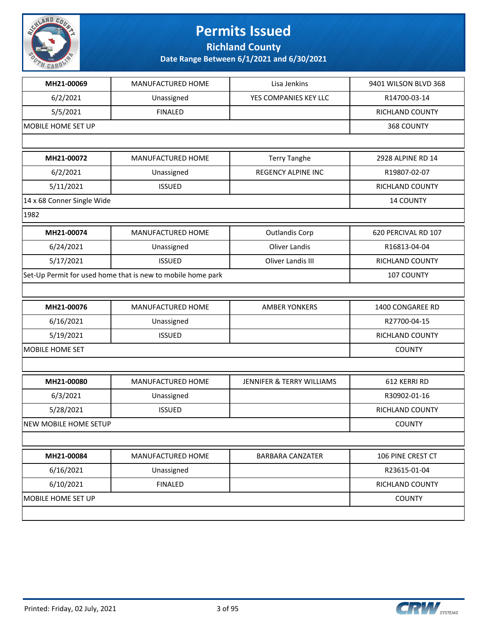

**Richland County**

| MH21-00069                   | MANUFACTURED HOME                                           | Lisa Jenkins              | 9401 WILSON BLVD 368   |
|------------------------------|-------------------------------------------------------------|---------------------------|------------------------|
| 6/2/2021                     | Unassigned                                                  | YES COMPANIES KEY LLC     | R14700-03-14           |
| 5/5/2021                     | <b>FINALED</b>                                              |                           | <b>RICHLAND COUNTY</b> |
| MOBILE HOME SET UP           |                                                             | 368 COUNTY                |                        |
|                              |                                                             |                           |                        |
| MH21-00072                   | MANUFACTURED HOME                                           | <b>Terry Tanghe</b>       | 2928 ALPINE RD 14      |
| 6/2/2021                     | Unassigned                                                  | <b>REGENCY ALPINE INC</b> | R19807-02-07           |
| 5/11/2021                    | <b>ISSUED</b>                                               |                           | <b>RICHLAND COUNTY</b> |
| 14 x 68 Conner Single Wide   |                                                             |                           | <b>14 COUNTY</b>       |
| 1982                         |                                                             |                           |                        |
| MH21-00074                   | MANUFACTURED HOME                                           | <b>Outlandis Corp</b>     | 620 PERCIVAL RD 107    |
| 6/24/2021                    | Unassigned                                                  | Oliver Landis             | R16813-04-04           |
| 5/17/2021                    | <b>ISSUED</b>                                               | Oliver Landis III         | <b>RICHLAND COUNTY</b> |
|                              | Set-Up Permit for used home that is new to mobile home park |                           | 107 COUNTY             |
|                              |                                                             |                           |                        |
| MH21-00076                   | MANUFACTURED HOME                                           | <b>AMBER YONKERS</b>      | 1400 CONGAREE RD       |
| 6/16/2021                    | Unassigned                                                  |                           | R27700-04-15           |
| 5/19/2021                    | <b>ISSUED</b>                                               |                           | RICHLAND COUNTY        |
| <b>MOBILE HOME SET</b>       | <b>COUNTY</b>                                               |                           |                        |
|                              |                                                             |                           |                        |
| MH21-00080                   | MANUFACTURED HOME                                           | JENNIFER & TERRY WILLIAMS | 612 KERRI RD           |
| 6/3/2021                     | Unassigned                                                  |                           | R30902-01-16           |
| 5/28/2021                    | <b>ISSUED</b>                                               |                           | RICHLAND COUNTY        |
| <b>NEW MOBILE HOME SETUP</b> |                                                             |                           | <b>COUNTY</b>          |
|                              |                                                             |                           |                        |
| MH21-00084                   | MANUFACTURED HOME                                           | <b>BARBARA CANZATER</b>   | 106 PINE CREST CT      |
| 6/16/2021                    | Unassigned                                                  |                           | R23615-01-04           |
| 6/10/2021                    | <b>FINALED</b>                                              |                           | RICHLAND COUNTY        |
| MOBILE HOME SET UP           |                                                             |                           | <b>COUNTY</b>          |
|                              |                                                             |                           |                        |
|                              |                                                             |                           |                        |

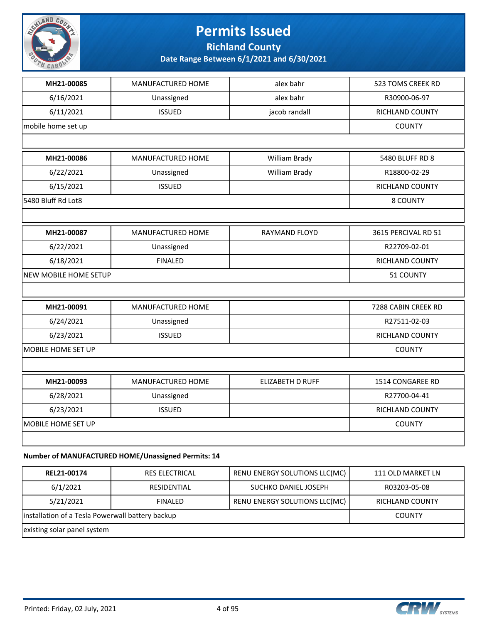

**Richland County**

**Date Range Between 6/1/2021 and 6/30/2021**

| MH21-00085                   | MANUFACTURED HOME                                    | alex bahr               | 523 TOMS CREEK RD   |
|------------------------------|------------------------------------------------------|-------------------------|---------------------|
| 6/16/2021                    | Unassigned                                           | alex bahr               | R30900-06-97        |
| 6/11/2021                    | <b>ISSUED</b>                                        | jacob randall           | RICHLAND COUNTY     |
| mobile home set up           |                                                      |                         | <b>COUNTY</b>       |
|                              |                                                      |                         |                     |
| MH21-00086                   | MANUFACTURED HOME                                    | William Brady           | 5480 BLUFF RD 8     |
| 6/22/2021                    | Unassigned                                           | William Brady           | R18800-02-29        |
| 6/15/2021                    | <b>ISSUED</b>                                        |                         | RICHLAND COUNTY     |
| 5480 Bluff Rd Lot8           |                                                      |                         | 8 COUNTY            |
|                              |                                                      |                         |                     |
| MH21-00087                   | MANUFACTURED HOME                                    | <b>RAYMAND FLOYD</b>    | 3615 PERCIVAL RD 51 |
| 6/22/2021                    | Unassigned                                           |                         | R22709-02-01        |
| 6/18/2021                    | <b>FINALED</b>                                       |                         | RICHLAND COUNTY     |
| <b>NEW MOBILE HOME SETUP</b> |                                                      |                         | 51 COUNTY           |
|                              |                                                      |                         |                     |
| MH21-00091                   | MANUFACTURED HOME                                    |                         | 7288 CABIN CREEK RD |
| 6/24/2021                    | Unassigned                                           |                         | R27511-02-03        |
| 6/23/2021                    | <b>ISSUED</b>                                        |                         | RICHLAND COUNTY     |
| MOBILE HOME SET UP           |                                                      |                         | <b>COUNTY</b>       |
|                              |                                                      |                         |                     |
| MH21-00093                   | MANUFACTURED HOME                                    | <b>ELIZABETH D RUFF</b> | 1514 CONGAREE RD    |
| 6/28/2021                    | Unassigned                                           |                         | R27700-04-41        |
| 6/23/2021                    | <b>ISSUED</b>                                        |                         | RICHLAND COUNTY     |
| MOBILE HOME SET UP           |                                                      |                         | <b>COUNTY</b>       |
|                              |                                                      |                         |                     |
|                              | Number of MANUIFACTURED HOME (Unassigned Permits: 14 |                         |                     |

#### **Number of MANUFACTURED HOME/Unassigned Permits: 14**

| REL21-00174                                      | <b>RES ELECTRICAL</b> | RENU ENERGY SOLUTIONS LLC(MC) | 111 OLD MARKET LN |
|--------------------------------------------------|-----------------------|-------------------------------|-------------------|
| 6/1/2021                                         | RESIDENTIAL           | SUCHKO DANIEL JOSEPH          | R03203-05-08      |
| 5/21/2021                                        | <b>FINALED</b>        | RENU ENERGY SOLUTIONS LLC(MC) | RICHLAND COUNTY   |
| installation of a Tesla Powerwall battery backup |                       |                               | <b>COUNTY</b>     |
| existing solar panel system                      |                       |                               |                   |

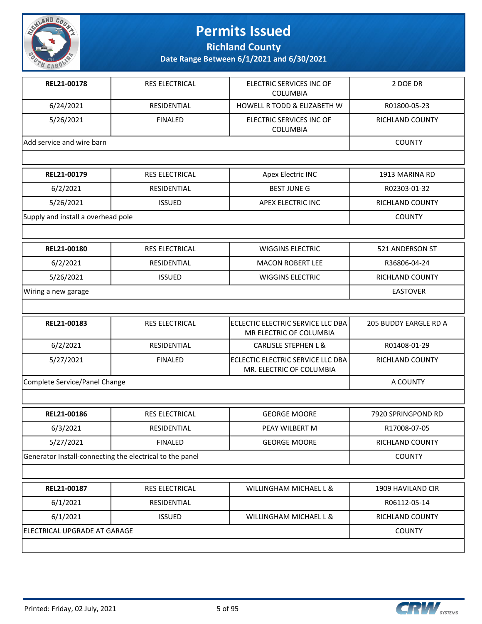

**Richland County**

| REL21-00178                                              | RES ELECTRICAL        | ELECTRIC SERVICES INC OF<br><b>COLUMBIA</b>                   | 2 DOE DR              |
|----------------------------------------------------------|-----------------------|---------------------------------------------------------------|-----------------------|
| 6/24/2021                                                | RESIDENTIAL           | <b>HOWELL R TODD &amp; ELIZABETH W</b>                        | R01800-05-23          |
| 5/26/2021                                                | <b>FINALED</b>        | ELECTRIC SERVICES INC OF<br>COLUMBIA                          | RICHLAND COUNTY       |
| Add service and wire barn                                |                       |                                                               | <b>COUNTY</b>         |
|                                                          |                       |                                                               |                       |
| REL21-00179                                              | RES ELECTRICAL        | Apex Electric INC                                             | 1913 MARINA RD        |
| 6/2/2021                                                 | RESIDENTIAL           | <b>BEST JUNE G</b>                                            | R02303-01-32          |
| 5/26/2021                                                | <b>ISSUED</b>         | APEX ELECTRIC INC                                             | RICHLAND COUNTY       |
| Supply and install a overhead pole                       |                       |                                                               | <b>COUNTY</b>         |
|                                                          |                       |                                                               |                       |
| REL21-00180                                              | RES ELECTRICAL        | <b>WIGGINS ELECTRIC</b>                                       | 521 ANDERSON ST       |
| 6/2/2021                                                 | RESIDENTIAL           | <b>MACON ROBERT LEE</b>                                       | R36806-04-24          |
| 5/26/2021                                                | <b>ISSUED</b>         | <b>WIGGINS ELECTRIC</b>                                       | RICHLAND COUNTY       |
| Wiring a new garage                                      |                       |                                                               | <b>EASTOVER</b>       |
|                                                          |                       |                                                               |                       |
|                                                          |                       |                                                               |                       |
| REL21-00183                                              | RES ELECTRICAL        | ECLECTIC ELECTRIC SERVICE LLC DBA<br>MR ELECTRIC OF COLUMBIA  | 205 BUDDY EARGLE RD A |
| 6/2/2021                                                 | RESIDENTIAL           | <b>CARLISLE STEPHEN L &amp;</b>                               | R01408-01-29          |
| 5/27/2021                                                | <b>FINALED</b>        | ECLECTIC ELECTRIC SERVICE LLC DBA<br>MR. ELECTRIC OF COLUMBIA | RICHLAND COUNTY       |
| Complete Service/Panel Change                            |                       |                                                               | A COUNTY              |
|                                                          |                       |                                                               |                       |
| REL21-00186                                              | <b>RES ELECTRICAL</b> | <b>GEORGE MOORE</b>                                           | 7920 SPRINGPOND RD    |
| 6/3/2021                                                 | RESIDENTIAL           | PEAY WILBERT M                                                | R17008-07-05          |
| 5/27/2021                                                | <b>FINALED</b>        | <b>GEORGE MOORE</b>                                           | RICHLAND COUNTY       |
| Generator Install-connecting the electrical to the panel |                       |                                                               | <b>COUNTY</b>         |
|                                                          |                       |                                                               |                       |
| REL21-00187                                              | RES ELECTRICAL        | WILLINGHAM MICHAEL L &                                        | 1909 HAVILAND CIR     |
| 6/1/2021                                                 | RESIDENTIAL           |                                                               | R06112-05-14          |
| 6/1/2021                                                 | <b>ISSUED</b>         | WILLINGHAM MICHAEL L &                                        | RICHLAND COUNTY       |
| ELECTRICAL UPGRADE AT GARAGE                             |                       |                                                               | <b>COUNTY</b>         |

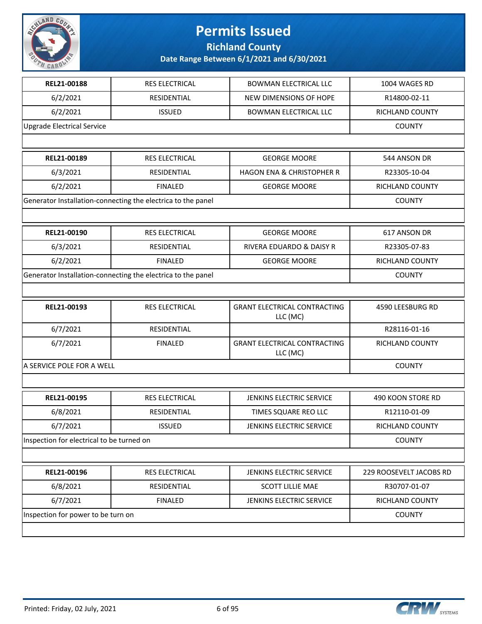

**Richland County**

| REL21-00188                               | RES ELECTRICAL                                               | <b>BOWMAN ELECTRICAL LLC</b>                    | 1004 WAGES RD           |
|-------------------------------------------|--------------------------------------------------------------|-------------------------------------------------|-------------------------|
| 6/2/2021                                  | RESIDENTIAL                                                  | NEW DIMENSIONS OF HOPE                          | R14800-02-11            |
| 6/2/2021                                  | <b>ISSUED</b>                                                | <b>BOWMAN ELECTRICAL LLC</b>                    | RICHLAND COUNTY         |
| <b>Upgrade Electrical Service</b>         |                                                              |                                                 | <b>COUNTY</b>           |
|                                           |                                                              |                                                 |                         |
| REL21-00189                               | RES ELECTRICAL                                               | <b>GEORGE MOORE</b>                             | 544 ANSON DR            |
| 6/3/2021                                  | RESIDENTIAL                                                  | <b>HAGON ENA &amp; CHRISTOPHER R</b>            | R23305-10-04            |
| 6/2/2021                                  | <b>FINALED</b>                                               | <b>GEORGE MOORE</b>                             | RICHLAND COUNTY         |
|                                           | Generator Installation-connecting the electrica to the panel |                                                 | <b>COUNTY</b>           |
|                                           |                                                              |                                                 |                         |
| REL21-00190                               | RES ELECTRICAL                                               | <b>GEORGE MOORE</b>                             | 617 ANSON DR            |
| 6/3/2021                                  | RESIDENTIAL                                                  | RIVERA EDUARDO & DAISY R                        | R23305-07-83            |
| 6/2/2021                                  | <b>FINALED</b>                                               | <b>GEORGE MOORE</b>                             | RICHLAND COUNTY         |
|                                           | Generator Installation-connecting the electrica to the panel |                                                 | <b>COUNTY</b>           |
|                                           |                                                              |                                                 |                         |
| REL21-00193                               | <b>RES ELECTRICAL</b>                                        | <b>GRANT ELECTRICAL CONTRACTING</b><br>LLC (MC) | 4590 LEESBURG RD        |
| 6/7/2021                                  | RESIDENTIAL                                                  |                                                 | R28116-01-16            |
| 6/7/2021                                  | <b>FINALED</b>                                               | <b>GRANT ELECTRICAL CONTRACTING</b><br>LLC (MC) | RICHLAND COUNTY         |
| A SERVICE POLE FOR A WELL                 | <b>COUNTY</b>                                                |                                                 |                         |
|                                           |                                                              |                                                 |                         |
| REL21-00195                               | <b>RES ELECTRICAL</b>                                        | JENKINS ELECTRIC SERVICE                        | 490 KOON STORE RD       |
| 6/8/2021                                  | RESIDENTIAL                                                  | TIMES SQUARE REO LLC                            | R12110-01-09            |
| 6/7/2021                                  | <b>ISSUED</b>                                                | <b>JENKINS ELECTRIC SERVICE</b>                 | RICHLAND COUNTY         |
| Inspection for electrical to be turned on |                                                              |                                                 | <b>COUNTY</b>           |
|                                           |                                                              |                                                 |                         |
| REL21-00196                               | RES ELECTRICAL                                               | JENKINS ELECTRIC SERVICE                        | 229 ROOSEVELT JACOBS RD |
| 6/8/2021                                  | RESIDENTIAL                                                  | <b>SCOTT LILLIE MAE</b>                         | R30707-01-07            |
| 6/7/2021                                  | <b>FINALED</b>                                               | JENKINS ELECTRIC SERVICE                        | RICHLAND COUNTY         |
| Inspection for power to be turn on        |                                                              |                                                 | <b>COUNTY</b>           |
|                                           |                                                              |                                                 |                         |

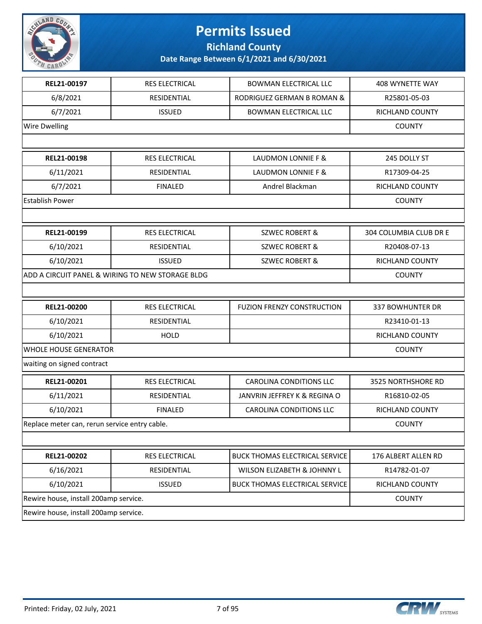

**Richland County**

| REL21-00197                                   | RES ELECTRICAL                                   | <b>BOWMAN ELECTRICAL LLC</b>          | 408 WYNETTE WAY        |
|-----------------------------------------------|--------------------------------------------------|---------------------------------------|------------------------|
| 6/8/2021                                      | RESIDENTIAL                                      | RODRIGUEZ GERMAN B ROMAN &            | R25801-05-03           |
| 6/7/2021                                      | <b>ISSUED</b>                                    | <b>BOWMAN ELECTRICAL LLC</b>          | RICHLAND COUNTY        |
| <b>Wire Dwelling</b>                          |                                                  |                                       | <b>COUNTY</b>          |
|                                               |                                                  |                                       |                        |
| REL21-00198                                   | RES ELECTRICAL                                   | LAUDMON LONNIE F &                    | 245 DOLLY ST           |
| 6/11/2021                                     | RESIDENTIAL                                      | LAUDMON LONNIE F &                    | R17309-04-25           |
| 6/7/2021                                      | <b>FINALED</b>                                   | Andrel Blackman                       | RICHLAND COUNTY        |
| <b>Establish Power</b>                        |                                                  |                                       | <b>COUNTY</b>          |
|                                               |                                                  |                                       |                        |
| REL21-00199                                   | RES ELECTRICAL                                   | <b>SZWEC ROBERT &amp;</b>             | 304 COLUMBIA CLUB DR E |
| 6/10/2021                                     | RESIDENTIAL                                      | <b>SZWEC ROBERT &amp;</b>             | R20408-07-13           |
| 6/10/2021                                     | <b>ISSUED</b>                                    | <b>SZWEC ROBERT &amp;</b>             | <b>RICHLAND COUNTY</b> |
|                                               | ADD A CIRCUIT PANEL & WIRING TO NEW STORAGE BLDG |                                       | <b>COUNTY</b>          |
|                                               |                                                  |                                       |                        |
| REL21-00200                                   | RES ELECTRICAL                                   | <b>FUZION FRENZY CONSTRUCTION</b>     | 337 BOWHUNTER DR       |
| 6/10/2021                                     | RESIDENTIAL                                      |                                       | R23410-01-13           |
| 6/10/2021                                     | <b>HOLD</b>                                      |                                       | RICHLAND COUNTY        |
| WHOLE HOUSE GENERATOR                         |                                                  |                                       | <b>COUNTY</b>          |
| waiting on signed contract                    |                                                  |                                       |                        |
| REL21-00201                                   | RES ELECTRICAL                                   | <b>CAROLINA CONDITIONS LLC</b>        | 3525 NORTHSHORE RD     |
| 6/11/2021                                     | RESIDENTIAL                                      | JANVRIN JEFFREY K & REGINA O          | R16810-02-05           |
| 6/10/2021                                     | <b>FINALED</b>                                   | <b>CAROLINA CONDITIONS LLC</b>        | RICHLAND COUNTY        |
| Replace meter can, rerun service entry cable. |                                                  |                                       | <b>COUNTY</b>          |
|                                               |                                                  |                                       |                        |
| REL21-00202                                   | RES ELECTRICAL                                   | BUCK THOMAS ELECTRICAL SERVICE        | 176 ALBERT ALLEN RD    |
| 6/16/2021                                     | RESIDENTIAL                                      | WILSON ELIZABETH & JOHNNY L           | R14782-01-07           |
| 6/10/2021                                     | <b>ISSUED</b>                                    | <b>BUCK THOMAS ELECTRICAL SERVICE</b> | RICHLAND COUNTY        |
| Rewire house, install 200amp service.         |                                                  | <b>COUNTY</b>                         |                        |
| Rewire house, install 200amp service.         |                                                  |                                       |                        |
|                                               |                                                  |                                       |                        |

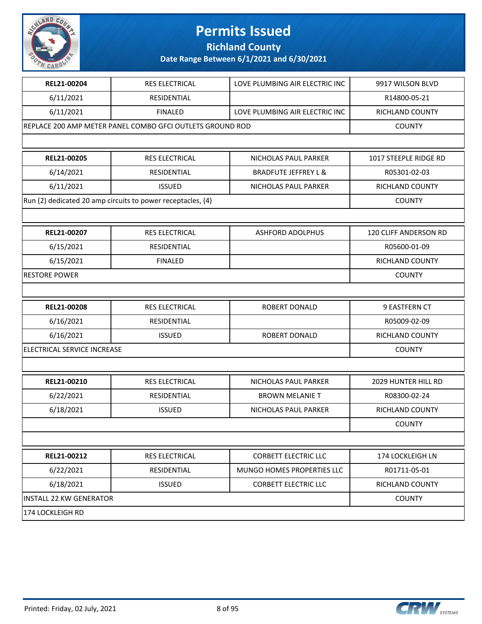

**Richland County**

| REL21-00204                    | <b>RES ELECTRICAL</b>                                       | LOVE PLUMBING AIR ELECTRIC INC  | 9917 WILSON BLVD       |
|--------------------------------|-------------------------------------------------------------|---------------------------------|------------------------|
| 6/11/2021                      | RESIDENTIAL                                                 |                                 | R14800-05-21           |
| 6/11/2021                      | <b>FINALED</b>                                              | LOVE PLUMBING AIR ELECTRIC INC  | RICHLAND COUNTY        |
|                                | REPLACE 200 AMP METER PANEL COMBO GFCI OUTLETS GROUND ROD   |                                 | <b>COUNTY</b>          |
|                                |                                                             |                                 |                        |
| REL21-00205                    | <b>RES ELECTRICAL</b>                                       | NICHOLAS PAUL PARKER            | 1017 STEEPLE RIDGE RD  |
| 6/14/2021                      | RESIDENTIAL                                                 | <b>BRADFUTE JEFFREY L &amp;</b> | R05301-02-03           |
| 6/11/2021                      | <b>ISSUED</b>                                               | NICHOLAS PAUL PARKER            | <b>RICHLAND COUNTY</b> |
|                                | Run (2) dedicated 20 amp circuits to power receptacles, (4) |                                 | <b>COUNTY</b>          |
|                                |                                                             |                                 |                        |
| REL21-00207                    | RES ELECTRICAL                                              | <b>ASHFORD ADOLPHUS</b>         | 120 CLIFF ANDERSON RD  |
| 6/15/2021                      | RESIDENTIAL                                                 |                                 | R05600-01-09           |
| 6/15/2021                      | <b>FINALED</b>                                              |                                 | RICHLAND COUNTY        |
| <b>RESTORE POWER</b>           |                                                             |                                 | <b>COUNTY</b>          |
|                                |                                                             |                                 |                        |
| REL21-00208                    | RES ELECTRICAL                                              | ROBERT DONALD                   | 9 EASTFERN CT          |
| 6/16/2021                      | RESIDENTIAL                                                 |                                 | R05009-02-09           |
| 6/16/2021                      | <b>ISSUED</b>                                               | ROBERT DONALD                   | RICHLAND COUNTY        |
| ELECTRICAL SERVICE INCREASE    |                                                             |                                 | <b>COUNTY</b>          |
|                                |                                                             |                                 |                        |
| REL21-00210                    | <b>RES ELECTRICAL</b>                                       | NICHOLAS PAUL PARKER            | 2029 HUNTER HILL RD    |
| 6/22/2021                      | RESIDENTIAL                                                 | <b>BROWN MELANIE T</b>          | R08300-02-24           |
| 6/18/2021                      | <b>ISSUED</b>                                               | NICHOLAS PAUL PARKER            | RICHLAND COUNTY        |
|                                |                                                             |                                 | <b>COUNTY</b>          |
|                                |                                                             |                                 |                        |
| REL21-00212                    | RES ELECTRICAL                                              | <b>CORBETT ELECTRIC LLC</b>     | 174 LOCKLEIGH LN       |
| 6/22/2021                      | RESIDENTIAL                                                 | MUNGO HOMES PROPERTIES LLC      | R01711-05-01           |
| 6/18/2021                      | <b>ISSUED</b>                                               | <b>CORBETT ELECTRIC LLC</b>     | RICHLAND COUNTY        |
| <b>INSTALL 22 KW GENERATOR</b> |                                                             |                                 | <b>COUNTY</b>          |
| 174 LOCKLEIGH RD               |                                                             |                                 |                        |

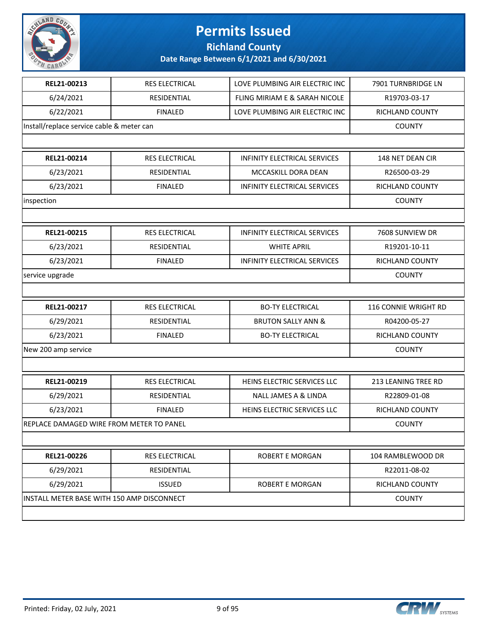

**Richland County**

| REL21-00213                                | RES ELECTRICAL        | LOVE PLUMBING AIR ELECTRIC INC      | 7901 TURNBRIDGE LN     |
|--------------------------------------------|-----------------------|-------------------------------------|------------------------|
| 6/24/2021                                  | RESIDENTIAL           | FLING MIRIAM E & SARAH NICOLE       | R19703-03-17           |
| 6/22/2021                                  | <b>FINALED</b>        | LOVE PLUMBING AIR ELECTRIC INC      | RICHLAND COUNTY        |
| Install/replace service cable & meter can  |                       |                                     | <b>COUNTY</b>          |
|                                            |                       |                                     |                        |
| REL21-00214                                | <b>RES ELECTRICAL</b> | <b>INFINITY ELECTRICAL SERVICES</b> | 148 NET DEAN CIR       |
| 6/23/2021                                  | RESIDENTIAL           | MCCASKILL DORA DEAN                 | R26500-03-29           |
| 6/23/2021                                  | <b>FINALED</b>        | <b>INFINITY ELECTRICAL SERVICES</b> | RICHLAND COUNTY        |
| inspection                                 |                       |                                     | <b>COUNTY</b>          |
|                                            |                       |                                     |                        |
| REL21-00215                                | <b>RES ELECTRICAL</b> | INFINITY ELECTRICAL SERVICES        | 7608 SUNVIEW DR        |
| 6/23/2021                                  | <b>RESIDENTIAL</b>    | <b>WHITE APRIL</b>                  | R19201-10-11           |
| 6/23/2021                                  | <b>FINALED</b>        | INFINITY ELECTRICAL SERVICES        | <b>RICHLAND COUNTY</b> |
| service upgrade                            |                       |                                     | <b>COUNTY</b>          |
|                                            |                       |                                     |                        |
| REL21-00217                                | RES ELECTRICAL        | <b>BO-TY ELECTRICAL</b>             | 116 CONNIE WRIGHT RD   |
| 6/29/2021                                  | RESIDENTIAL           | <b>BRUTON SALLY ANN &amp;</b>       | R04200-05-27           |
| 6/23/2021                                  | <b>FINALED</b>        | <b>BO-TY ELECTRICAL</b>             | RICHLAND COUNTY        |
| New 200 amp service                        |                       |                                     | <b>COUNTY</b>          |
|                                            |                       |                                     |                        |
| REL21-00219                                | RES ELECTRICAL        | HEINS ELECTRIC SERVICES LLC         | 213 LEANING TREE RD    |
| 6/29/2021                                  | RESIDENTIAL           | NALL JAMES A & LINDA                | R22809-01-08           |
| 6/23/2021                                  | <b>FINALED</b>        | HEINS ELECTRIC SERVICES LLC         | RICHLAND COUNTY        |
| REPLACE DAMAGED WIRE FROM METER TO PANEL   |                       |                                     | <b>COUNTY</b>          |
|                                            |                       |                                     |                        |
| REL21-00226                                | RES ELECTRICAL        | ROBERT E MORGAN                     | 104 RAMBLEWOOD DR      |
| 6/29/2021                                  | RESIDENTIAL           |                                     | R22011-08-02           |
| 6/29/2021                                  | <b>ISSUED</b>         | ROBERT E MORGAN                     | RICHLAND COUNTY        |
| INSTALL METER BASE WITH 150 AMP DISCONNECT |                       |                                     | <b>COUNTY</b>          |
|                                            |                       |                                     |                        |

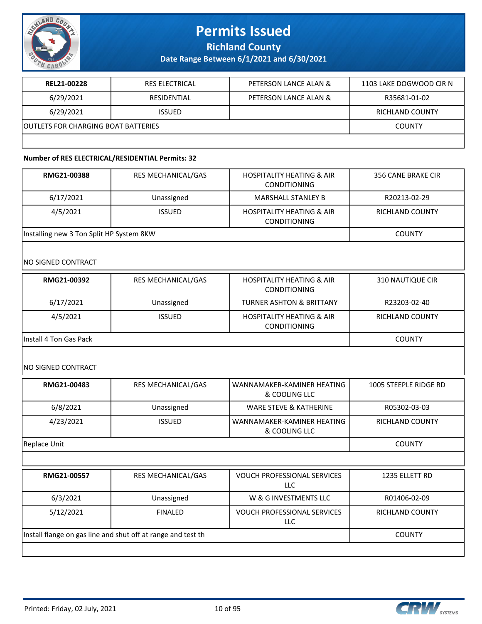

**Richland County**

**Date Range Between 6/1/2021 and 6/30/2021**

| REL21-00228                                | <b>RES ELECTRICAL</b> | PETERSON LANCE ALAN & | 1103 LAKE DOGWOOD CIR N |
|--------------------------------------------|-----------------------|-----------------------|-------------------------|
| 6/29/2021                                  | RESIDENTIAL           | PETERSON LANCE ALAN & | R35681-01-02            |
| 6/29/2021                                  | <b>ISSUED</b>         |                       | <b>RICHLAND COUNTY</b>  |
| <b>OUTLETS FOR CHARGING BOAT BATTERIES</b> |                       |                       | <b>COUNTY</b>           |
|                                            |                       |                       |                         |

#### **Number of RES ELECTRICAL/RESIDENTIAL Permits: 32**

| RMG21-00388                              | <b>RES MECHANICAL/GAS</b> | <b>HOSPITALITY HEATING &amp; AIR</b><br><b>CONDITIONING</b> | 356 CANE BRAKE CIR     |
|------------------------------------------|---------------------------|-------------------------------------------------------------|------------------------|
| 6/17/2021                                | Unassigned                | <b>MARSHALL STANLEY B</b>                                   | R20213-02-29           |
| 4/5/2021                                 | <b>ISSUED</b>             | <b>HOSPITALITY HEATING &amp; AIR</b><br><b>CONDITIONING</b> | <b>RICHLAND COUNTY</b> |
| Installing new 3 Ton Split HP System 8KW |                           |                                                             | <b>COUNTY</b>          |

#### NO SIGNED CONTRACT

| RMG21-00392             | <b>RES MECHANICAL/GAS</b> | <b>HOSPITALITY HEATING &amp; AIR</b><br><b>CONDITIONING</b> | 310 NAUTIQUE CIR       |
|-------------------------|---------------------------|-------------------------------------------------------------|------------------------|
| 6/17/2021               | Unassigned                | <b>TURNER ASHTON &amp; BRITTANY</b>                         | R23203-02-40           |
| 4/5/2021                | <b>ISSUED</b>             | <b>HOSPITALITY HEATING &amp; AIR</b><br><b>CONDITIONING</b> | <b>RICHLAND COUNTY</b> |
| lInstall 4 Ton Gas Pack |                           |                                                             | <b>COUNTY</b>          |

NO SIGNED CONTRACT

| RMG21-00483                                                  | RES MECHANICAL/GAS | WANNAMAKER-KAMINER HEATING<br>& COOLING LLC | 1005 STEEPLE RIDGE RD  |
|--------------------------------------------------------------|--------------------|---------------------------------------------|------------------------|
| 6/8/2021                                                     | Unassigned         | WARE STEVE & KATHERINE                      | R05302-03-03           |
| 4/23/2021                                                    | <b>ISSUED</b>      | WANNAMAKER-KAMINER HEATING<br>& COOLING LLC | <b>RICHLAND COUNTY</b> |
| Replace Unit                                                 |                    |                                             | <b>COUNTY</b>          |
|                                                              |                    |                                             |                        |
| RMG21-00557                                                  | RES MECHANICAL/GAS | <b>VOUCH PROFESSIONAL SERVICES</b><br>LLC.  | 1235 ELLETT RD         |
| 6/3/2021                                                     | Unassigned         | W & G INVESTMENTS LLC                       | R01406-02-09           |
| 5/12/2021                                                    | <b>FINALED</b>     | VOUCH PROFESSIONAL SERVICES<br>LLC          | <b>RICHLAND COUNTY</b> |
| Install flange on gas line and shut off at range and test th |                    |                                             | <b>COUNTY</b>          |
|                                                              |                    |                                             |                        |

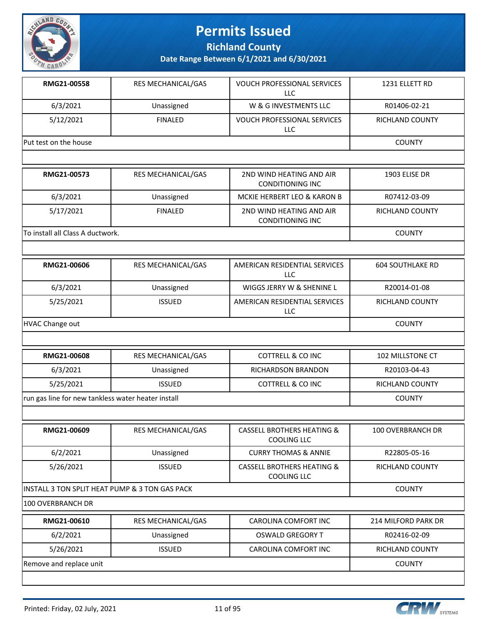

**Richland County**

| RMG21-00558                                        | RES MECHANICAL/GAS | <b>VOUCH PROFESSIONAL SERVICES</b><br><b>LLC</b>            | 1231 ELLETT RD          |
|----------------------------------------------------|--------------------|-------------------------------------------------------------|-------------------------|
| 6/3/2021                                           | Unassigned         | W & G INVESTMENTS LLC                                       | R01406-02-21            |
| 5/12/2021                                          | <b>FINALED</b>     | VOUCH PROFESSIONAL SERVICES<br>LLC                          | RICHLAND COUNTY         |
| Put test on the house                              |                    |                                                             | <b>COUNTY</b>           |
|                                                    |                    |                                                             |                         |
| RMG21-00573                                        | RES MECHANICAL/GAS | 2ND WIND HEATING AND AIR<br><b>CONDITIONING INC</b>         | 1903 ELISE DR           |
| 6/3/2021                                           | Unassigned         | MCKIE HERBERT LEO & KARON B                                 | R07412-03-09            |
| 5/17/2021                                          | <b>FINALED</b>     | 2ND WIND HEATING AND AIR<br><b>CONDITIONING INC</b>         | <b>RICHLAND COUNTY</b>  |
| To install all Class A ductwork.                   |                    |                                                             | <b>COUNTY</b>           |
|                                                    |                    |                                                             |                         |
| RMG21-00606                                        | RES MECHANICAL/GAS | AMERICAN RESIDENTIAL SERVICES<br><b>LLC</b>                 | <b>604 SOUTHLAKE RD</b> |
| 6/3/2021                                           | Unassigned         | WIGGS JERRY W & SHENINE L                                   | R20014-01-08            |
| 5/25/2021                                          | <b>ISSUED</b>      | AMERICAN RESIDENTIAL SERVICES<br>LLC                        | RICHLAND COUNTY         |
| <b>HVAC Change out</b>                             |                    |                                                             | <b>COUNTY</b>           |
|                                                    |                    |                                                             |                         |
| RMG21-00608                                        | RES MECHANICAL/GAS | <b>COTTRELL &amp; CO INC</b>                                | 102 MILLSTONE CT        |
| 6/3/2021                                           | Unassigned         | RICHARDSON BRANDON                                          | R20103-04-43            |
| 5/25/2021                                          | <b>ISSUED</b>      | <b>COTTRELL &amp; CO INC</b>                                | <b>RICHLAND COUNTY</b>  |
| run gas line for new tankless water heater install |                    |                                                             | <b>COUNTY</b>           |
|                                                    |                    |                                                             |                         |
| RMG21-00609                                        | RES MECHANICAL/GAS | <b>CASSELL BROTHERS HEATING &amp;</b><br><b>COOLING LLC</b> | 100 OVERBRANCH DR       |
| 6/2/2021                                           | Unassigned         | <b>CURRY THOMAS &amp; ANNIE</b>                             | R22805-05-16            |
| 5/26/2021                                          | <b>ISSUED</b>      | <b>CASSELL BROTHERS HEATING &amp;</b><br><b>COOLING LLC</b> | RICHLAND COUNTY         |
| INSTALL 3 TON SPLIT HEAT PUMP & 3 TON GAS PACK     |                    |                                                             | <b>COUNTY</b>           |
| 100 OVERBRANCH DR                                  |                    |                                                             |                         |
| RMG21-00610                                        | RES MECHANICAL/GAS | CAROLINA COMFORT INC                                        | 214 MILFORD PARK DR     |
| 6/2/2021                                           | Unassigned         | <b>OSWALD GREGORY T</b>                                     | R02416-02-09            |
| 5/26/2021                                          | <b>ISSUED</b>      | CAROLINA COMFORT INC                                        | RICHLAND COUNTY         |
| Remove and replace unit                            |                    |                                                             | <b>COUNTY</b>           |

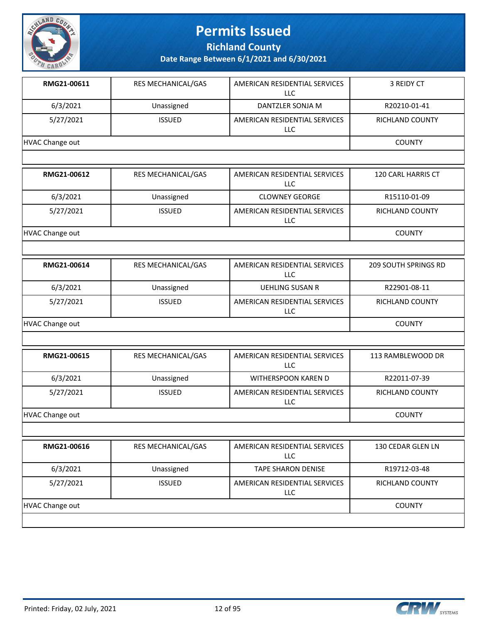

**Richland County**

| RMG21-00611            | RES MECHANICAL/GAS | AMERICAN RESIDENTIAL SERVICES<br><b>LLC</b> | 3 REIDY CT             |  |  |
|------------------------|--------------------|---------------------------------------------|------------------------|--|--|
| 6/3/2021               | Unassigned         | DANTZLER SONJA M                            | R20210-01-41           |  |  |
| 5/27/2021              | <b>ISSUED</b>      | AMERICAN RESIDENTIAL SERVICES<br>LLC        | <b>RICHLAND COUNTY</b> |  |  |
| <b>HVAC Change out</b> |                    |                                             | <b>COUNTY</b>          |  |  |
|                        |                    |                                             |                        |  |  |
| RMG21-00612            | RES MECHANICAL/GAS | AMERICAN RESIDENTIAL SERVICES<br>LLC        | 120 CARL HARRIS CT     |  |  |
| 6/3/2021               | Unassigned         | <b>CLOWNEY GEORGE</b>                       | R15110-01-09           |  |  |
| 5/27/2021              | <b>ISSUED</b>      | AMERICAN RESIDENTIAL SERVICES<br>LLC        | RICHLAND COUNTY        |  |  |
| <b>HVAC Change out</b> |                    |                                             | <b>COUNTY</b>          |  |  |
|                        |                    |                                             |                        |  |  |
| RMG21-00614            | RES MECHANICAL/GAS | AMERICAN RESIDENTIAL SERVICES<br><b>LLC</b> | 209 SOUTH SPRINGS RD   |  |  |
| 6/3/2021               | Unassigned         | <b>UEHLING SUSAN R</b>                      | R22901-08-11           |  |  |
| 5/27/2021              | <b>ISSUED</b>      | AMERICAN RESIDENTIAL SERVICES<br>LLC        | RICHLAND COUNTY        |  |  |
| <b>HVAC Change out</b> | <b>COUNTY</b>      |                                             |                        |  |  |
|                        |                    |                                             |                        |  |  |
| RMG21-00615            | RES MECHANICAL/GAS | AMERICAN RESIDENTIAL SERVICES<br><b>LLC</b> | 113 RAMBLEWOOD DR      |  |  |
| 6/3/2021               | Unassigned         | WITHERSPOON KAREN D                         | R22011-07-39           |  |  |
| 5/27/2021              | <b>ISSUED</b>      | AMERICAN RESIDENTIAL SERVICES<br>LLC        | RICHLAND COUNTY        |  |  |
| <b>HVAC Change out</b> |                    |                                             | <b>COUNTY</b>          |  |  |
|                        |                    |                                             |                        |  |  |
| RMG21-00616            | RES MECHANICAL/GAS | AMERICAN RESIDENTIAL SERVICES<br><b>LLC</b> | 130 CEDAR GLEN LN      |  |  |
| 6/3/2021               | Unassigned         | <b>TAPE SHARON DENISE</b>                   | R19712-03-48           |  |  |
| 5/27/2021              | <b>ISSUED</b>      | AMERICAN RESIDENTIAL SERVICES<br><b>LLC</b> | <b>RICHLAND COUNTY</b> |  |  |
| <b>HVAC Change out</b> |                    |                                             |                        |  |  |

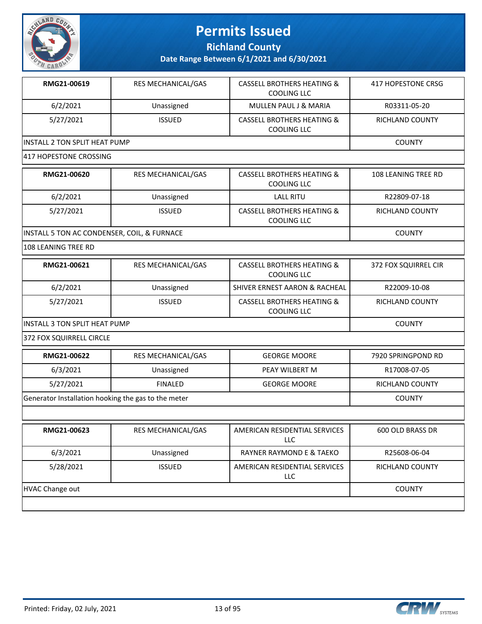

**Richland County**

**Date Range Between 6/1/2021 and 6/30/2021**

| RMG21-00619                           | <b>RES MECHANICAL/GAS</b> | CASSELL BROTHERS HEATING &<br>COOLING LLC            | 417 HOPESTONE CRSG     |
|---------------------------------------|---------------------------|------------------------------------------------------|------------------------|
| 6/2/2021                              | Unassigned                | <b>MULLEN PAUL J &amp; MARIA</b>                     | R03311-05-20           |
| 5/27/2021                             | <b>ISSUED</b>             | <b>CASSELL BROTHERS HEATING &amp;</b><br>COOLING LLC | <b>RICHLAND COUNTY</b> |
| <b>IINSTALL 2 TON SPLIT HEAT PUMP</b> | <b>COUNTY</b>             |                                                      |                        |
| 417 HOPESTONE CROSSING                |                           |                                                      |                        |

| RMG21-00620                                 | <b>RES MECHANICAL/GAS</b> | CASSELL BROTHERS HEATING &<br>COOLING LLC            | 108 LEANING TREE RD    |
|---------------------------------------------|---------------------------|------------------------------------------------------|------------------------|
| 6/2/2021                                    | Unassigned                | <b>LALL RITU</b>                                     | R22809-07-18           |
| 5/27/2021                                   | <b>ISSUED</b>             | <b>CASSELL BROTHERS HEATING &amp;</b><br>COOLING LLC | <b>RICHLAND COUNTY</b> |
| INSTALL 5 TON AC CONDENSER, COIL, & FURNACE |                           |                                                      | <b>COUNTY</b>          |

108 LEANING TREE RD

| RMG21-00621                    | RES MECHANICAL/GAS | <b>CASSELL BROTHERS HEATING &amp;</b><br>COOLING LLC | <b>372 FOX SQUIRREL CIR</b> |
|--------------------------------|--------------------|------------------------------------------------------|-----------------------------|
| 6/2/2021                       | Unassigned         | SHIVER ERNEST AARON & RACHEAL                        | R22009-10-08                |
| 5/27/2021                      | <b>ISSUED</b>      | <b>CASSELL BROTHERS HEATING &amp;</b><br>COOLING LLC | <b>RICHLAND COUNTY</b>      |
| IINSTALL 3 TON SPLIT HEAT PUMP |                    |                                                      | <b>COUNTY</b>               |

372 FOX SQUIRRELL CIRCLE

| RMG21-00622                                         | <b>RES MECHANICAL/GAS</b> | <b>GEORGE MOORE</b>                   | 7920 SPRINGPOND RD     |
|-----------------------------------------------------|---------------------------|---------------------------------------|------------------------|
| 6/3/2021                                            | Unassigned                | PEAY WILBERT M                        | R17008-07-05           |
| 5/27/2021                                           | <b>FINALED</b>            | <b>GEORGE MOORE</b>                   | <b>RICHLAND COUNTY</b> |
| Generator Installation hooking the gas to the meter |                           |                                       | <b>COUNTY</b>          |
|                                                     |                           |                                       |                        |
| RMG21-00623                                         | <b>RES MECHANICAL/GAS</b> | AMERICAN RESIDENTIAL SERVICES<br>LLC. | 600 OLD BRASS DR       |
| 6/3/2021                                            | Unassigned                | <b>RAYNER RAYMOND E &amp; TAEKO</b>   | R25608-06-04           |
| 5/28/2021                                           | <b>ISSUED</b>             | AMERICAN RESIDENTIAL SERVICES<br>LLC  | <b>RICHLAND COUNTY</b> |
| <b>HVAC Change out</b>                              | <b>COUNTY</b>             |                                       |                        |

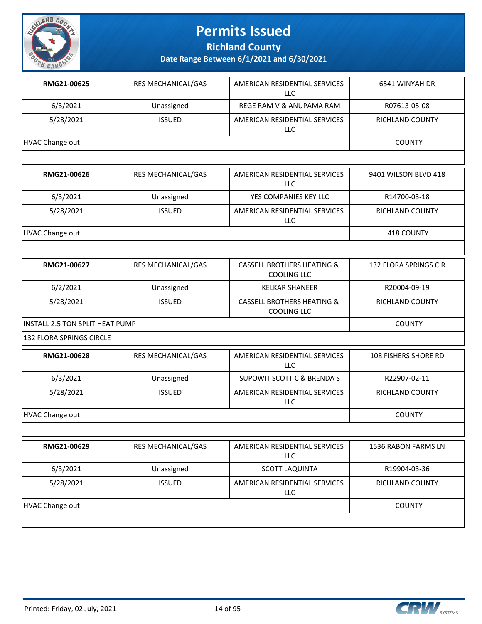

**Richland County**

| RMG21-00625                            | RES MECHANICAL/GAS | AMERICAN RESIDENTIAL SERVICES<br><b>LLC</b>                 | 6541 WINYAH DR        |
|----------------------------------------|--------------------|-------------------------------------------------------------|-----------------------|
| 6/3/2021                               | Unassigned         | REGE RAM V & ANUPAMA RAM                                    | R07613-05-08          |
| 5/28/2021                              | <b>ISSUED</b>      | AMERICAN RESIDENTIAL SERVICES<br><b>LLC</b>                 | RICHLAND COUNTY       |
| <b>HVAC Change out</b>                 |                    |                                                             | <b>COUNTY</b>         |
|                                        |                    |                                                             |                       |
| RMG21-00626                            | RES MECHANICAL/GAS | AMERICAN RESIDENTIAL SERVICES<br><b>LLC</b>                 | 9401 WILSON BLVD 418  |
| 6/3/2021                               | Unassigned         | YES COMPANIES KEY LLC                                       | R14700-03-18          |
| 5/28/2021                              | <b>ISSUED</b>      | AMERICAN RESIDENTIAL SERVICES<br>LLC                        | RICHLAND COUNTY       |
| <b>HVAC Change out</b>                 |                    |                                                             | 418 COUNTY            |
|                                        |                    |                                                             |                       |
| RMG21-00627                            | RES MECHANICAL/GAS | <b>CASSELL BROTHERS HEATING &amp;</b><br><b>COOLING LLC</b> | 132 FLORA SPRINGS CIR |
| 6/2/2021                               | Unassigned         | <b>KELKAR SHANEER</b>                                       | R20004-09-19          |
| 5/28/2021                              | <b>ISSUED</b>      | <b>CASSELL BROTHERS HEATING &amp;</b><br><b>COOLING LLC</b> | RICHLAND COUNTY       |
| <b>INSTALL 2.5 TON SPLIT HEAT PUMP</b> |                    |                                                             | <b>COUNTY</b>         |
| 132 FLORA SPRINGS CIRCLE               |                    |                                                             |                       |
| RMG21-00628                            | RES MECHANICAL/GAS | AMERICAN RESIDENTIAL SERVICES<br><b>LLC</b>                 | 108 FISHERS SHORE RD  |
| 6/3/2021                               | Unassigned         | <b>SUPOWIT SCOTT C &amp; BRENDA S</b>                       | R22907-02-11          |
| 5/28/2021                              | <b>ISSUED</b>      | AMERICAN RESIDENTIAL SERVICES<br>LLC                        | RICHLAND COUNTY       |
| <b>HVAC Change out</b>                 |                    |                                                             | <b>COUNTY</b>         |
|                                        |                    |                                                             |                       |
| RMG21-00629                            | RES MECHANICAL/GAS | AMERICAN RESIDENTIAL SERVICES<br><b>LLC</b>                 | 1536 RABON FARMS LN   |
| 6/3/2021                               | Unassigned         | <b>SCOTT LAQUINTA</b>                                       | R19904-03-36          |
| 5/28/2021                              | <b>ISSUED</b>      | AMERICAN RESIDENTIAL SERVICES<br>LLC                        | RICHLAND COUNTY       |
| <b>HVAC Change out</b>                 |                    |                                                             | <b>COUNTY</b>         |

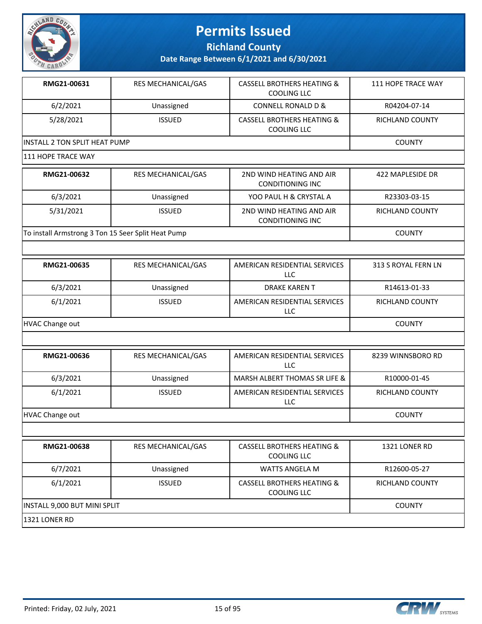

**Richland County**

| RMG21-00631                          | <b>RES MECHANICAL/GAS</b> | <b>CASSELL BROTHERS HEATING &amp;</b><br>COOLING LLC | 111 HOPE TRACE WAY |  |
|--------------------------------------|---------------------------|------------------------------------------------------|--------------------|--|
| 6/2/2021                             | Unassigned                | CONNELL RONALD D &                                   | R04204-07-14       |  |
| 5/28/2021                            | <b>ISSUED</b>             | <b>CASSELL BROTHERS HEATING &amp;</b><br>COOLING LLC | RICHLAND COUNTY    |  |
| <b>INSTALL 2 TON SPLIT HEAT PUMP</b> |                           |                                                      | <b>COUNTY</b>      |  |
| 1111 HOPE TRACE WAY                  |                           |                                                      |                    |  |

| RMG21-00632                                        | <b>RES MECHANICAL/GAS</b> | 2ND WIND HEATING AND AIR<br>CONDITIONING INC | 422 MAPLESIDE DR |
|----------------------------------------------------|---------------------------|----------------------------------------------|------------------|
| 6/3/2021                                           | Unassigned                | YOO PAUL H & CRYSTAL A                       | R23303-03-15     |
| 5/31/2021                                          | <b>ISSUED</b>             | 2ND WIND HEATING AND AIR<br>CONDITIONING INC | RICHLAND COUNTY  |
| To install Armstrong 3 Ton 15 Seer Split Heat Pump |                           |                                              | <b>COUNTY</b>    |

| RMG21-00635     | <b>RES MECHANICAL/GAS</b> | AMERICAN RESIDENTIAL SERVICES<br><b>LLC</b> | 313 S ROYAL FERN LN    |
|-----------------|---------------------------|---------------------------------------------|------------------------|
| 6/3/2021        | Unassigned                | <b>DRAKE KAREN T</b>                        | R14613-01-33           |
| 6/1/2021        | <b>ISSUED</b>             | AMERICAN RESIDENTIAL SERVICES<br>LLC        | <b>RICHLAND COUNTY</b> |
| HVAC Change out |                           |                                             | <b>COUNTY</b>          |

| RMG21-00636     | <b>RES MECHANICAL/GAS</b> | AMERICAN RESIDENTIAL SERVICES<br>LLC | 8239 WINNSBORO RD |
|-----------------|---------------------------|--------------------------------------|-------------------|
| 6/3/2021        | Unassigned                | MARSH ALBERT THOMAS SR LIFE &        | R10000-01-45      |
| 6/1/2021        | <b>ISSUED</b>             | AMERICAN RESIDENTIAL SERVICES<br>LLC | RICHLAND COUNTY   |
| HVAC Change out |                           |                                      | <b>COUNTY</b>     |

| RMG21-00638                  | <b>RES MECHANICAL/GAS</b> | <b>CASSELL BROTHERS HEATING &amp;</b><br>COOLING LLC        | 1321 LONER RD   |
|------------------------------|---------------------------|-------------------------------------------------------------|-----------------|
| 6/7/2021                     | Unassigned                | WATTS ANGELA M                                              | R12600-05-27    |
| 6/1/2021                     | <b>ISSUED</b>             | <b>CASSELL BROTHERS HEATING &amp;</b><br><b>COOLING LLC</b> | RICHLAND COUNTY |
| INSTALL 9,000 BUT MINI SPLIT |                           |                                                             | <b>COUNTY</b>   |
| 1321 LONER RD                |                           |                                                             |                 |

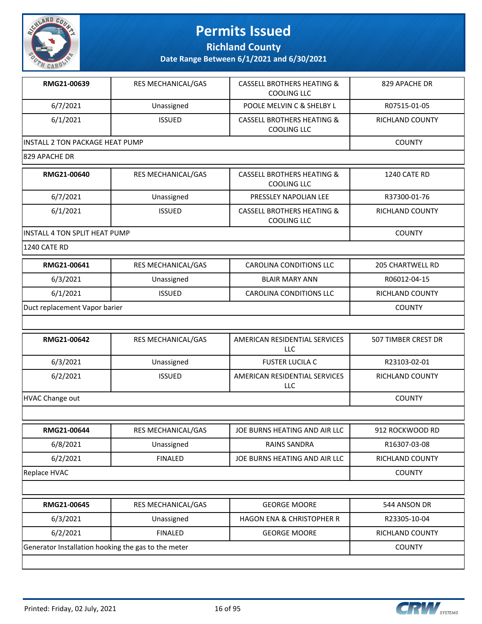

**Richland County**

| RMG21-00639                            | RES MECHANICAL/GAS | <b>CASSELL BROTHERS HEATING &amp;</b><br><b>COOLING LLC</b> | 829 APACHE DR           |
|----------------------------------------|--------------------|-------------------------------------------------------------|-------------------------|
| 6/7/2021                               | Unassigned         | POOLE MELVIN C & SHELBY L                                   | R07515-01-05            |
| 6/1/2021                               | <b>ISSUED</b>      | <b>CASSELL BROTHERS HEATING &amp;</b><br>COOLING LLC        | <b>RICHLAND COUNTY</b>  |
| <b>INSTALL 2 TON PACKAGE HEAT PUMP</b> | <b>COUNTY</b>      |                                                             |                         |
| 829 APACHE DR                          |                    |                                                             |                         |
| RMG21-00640                            | RES MECHANICAL/GAS | <b>CASSELL BROTHERS HEATING &amp;</b><br>COOLING LLC        | 1240 CATE RD            |
| 6/7/2021                               | Unassigned         | PRESSLEY NAPOLIAN LEE                                       | R37300-01-76            |
| 6/1/2021                               | <b>ISSUED</b>      | <b>CASSELL BROTHERS HEATING &amp;</b><br>COOLING LLC        | <b>RICHLAND COUNTY</b>  |
| INSTALL 4 TON SPLIT HEAT PUMP          |                    |                                                             | <b>COUNTY</b>           |
| <b>1240 CATE RD</b>                    |                    |                                                             |                         |
| RMG21-00641                            | RES MECHANICAL/GAS | <b>CAROLINA CONDITIONS LLC</b>                              | <b>205 CHARTWELL RD</b> |
| 6/3/2021                               | Unassigned         | <b>BLAIR MARY ANN</b>                                       | R06012-04-15            |
| 6/1/2021                               | <b>ISSUED</b>      | <b>CAROLINA CONDITIONS LLC</b>                              | <b>RICHLAND COUNTY</b>  |
| Duct replacement Vapor barier          | <b>COUNTY</b>      |                                                             |                         |

| RMG21-00642     | <b>RES MECHANICAL/GAS</b> | AMERICAN RESIDENTIAL SERVICES<br><b>LLC</b> | 507 TIMBER CREST DR |
|-----------------|---------------------------|---------------------------------------------|---------------------|
| 6/3/2021        | Unassigned                | <b>FUSTER LUCILA C</b>                      | R23103-02-01        |
| 6/2/2021        | <b>ISSUED</b>             | AMERICAN RESIDENTIAL SERVICES<br>LLC        | RICHLAND COUNTY     |
| HVAC Change out |                           |                                             | <b>COUNTY</b>       |

| RES MECHANICAL/GAS | JOE BURNS HEATING AND AIR LLC        | 912 ROCKWOOD RD        |
|--------------------|--------------------------------------|------------------------|
| Unassigned         | <b>RAINS SANDRA</b>                  | R16307-03-08           |
| <b>FINALED</b>     | JOE BURNS HEATING AND AIR LLC        | <b>RICHLAND COUNTY</b> |
|                    |                                      | <b>COUNTY</b>          |
|                    |                                      |                        |
| RES MECHANICAL/GAS | <b>GEORGE MOORE</b>                  | 544 ANSON DR           |
|                    | <b>HAGON ENA &amp; CHRISTOPHER R</b> |                        |
|                    |                                      | R23305-10-04           |
| <b>FINALED</b>     | <b>GEORGE MOORE</b>                  | <b>RICHLAND COUNTY</b> |
|                    | Unassigned                           |                        |

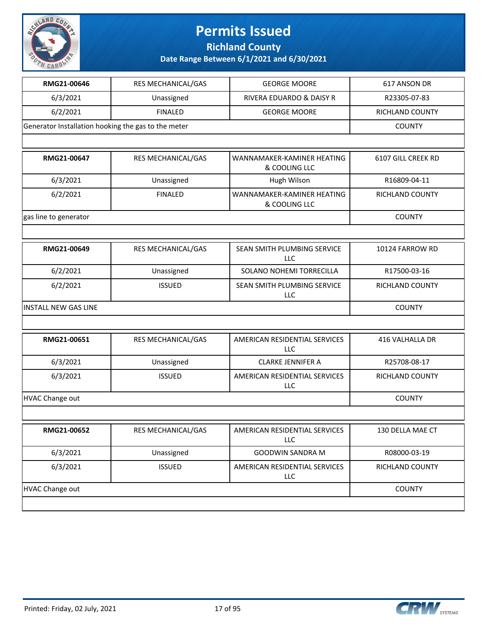

**Richland County**

| RMG21-00646                                         | RES MECHANICAL/GAS        | <b>GEORGE MOORE</b>                         | 617 ANSON DR       |  |
|-----------------------------------------------------|---------------------------|---------------------------------------------|--------------------|--|
| 6/3/2021                                            | Unassigned                | RIVERA EDUARDO & DAISY R                    | R23305-07-83       |  |
| 6/2/2021                                            | <b>FINALED</b>            | <b>GEORGE MOORE</b>                         | RICHLAND COUNTY    |  |
| Generator Installation hooking the gas to the meter | <b>COUNTY</b>             |                                             |                    |  |
|                                                     |                           |                                             |                    |  |
| RMG21-00647                                         | RES MECHANICAL/GAS        | WANNAMAKER-KAMINER HEATING<br>& COOLING LLC | 6107 GILL CREEK RD |  |
| 6/3/2021                                            | Unassigned                | Hugh Wilson                                 | R16809-04-11       |  |
| 6/2/2021                                            | <b>FINALED</b>            | WANNAMAKER-KAMINER HEATING<br>& COOLING LLC | RICHLAND COUNTY    |  |
| gas line to generator                               |                           |                                             | <b>COUNTY</b>      |  |
|                                                     |                           |                                             |                    |  |
| RMG21-00649                                         | <b>RES MECHANICAL/GAS</b> | SEAN SMITH PLUMBING SERVICE<br><b>LLC</b>   | 10124 FARROW RD    |  |
| 6/2/2021                                            | Unassigned                | SOLANO NOHEMI TORRECILLA                    | R17500-03-16       |  |
| 6/2/2021                                            | <b>ISSUED</b>             | SEAN SMITH PLUMBING SERVICE<br>LLC          | RICHLAND COUNTY    |  |
| <b>INSTALL NEW GAS LINE</b>                         | <b>COUNTY</b>             |                                             |                    |  |
|                                                     |                           |                                             |                    |  |
| RMG21-00651                                         | RES MECHANICAL/GAS        | AMERICAN RESIDENTIAL SERVICES<br>LLC        | 416 VALHALLA DR    |  |
| 6/3/2021                                            | Unassigned                | <b>CLARKE JENNIFER A</b>                    | R25708-08-17       |  |
| 6/3/2021                                            | <b>ISSUED</b>             | AMERICAN RESIDENTIAL SERVICES<br>LLC        | RICHLAND COUNTY    |  |
| <b>HVAC Change out</b>                              |                           |                                             | <b>COUNTY</b>      |  |
|                                                     |                           |                                             |                    |  |
| RMG21-00652                                         | RES MECHANICAL/GAS        | AMERICAN RESIDENTIAL SERVICES  <br>LLC      | 130 DELLA MAE CT   |  |
| 6/3/2021                                            | Unassigned                | <b>GOODWIN SANDRA M</b>                     | R08000-03-19       |  |
| 6/3/2021                                            | <b>ISSUED</b>             | AMERICAN RESIDENTIAL SERVICES<br><b>LLC</b> | RICHLAND COUNTY    |  |
| HVAC Change out                                     |                           |                                             |                    |  |
|                                                     |                           |                                             |                    |  |

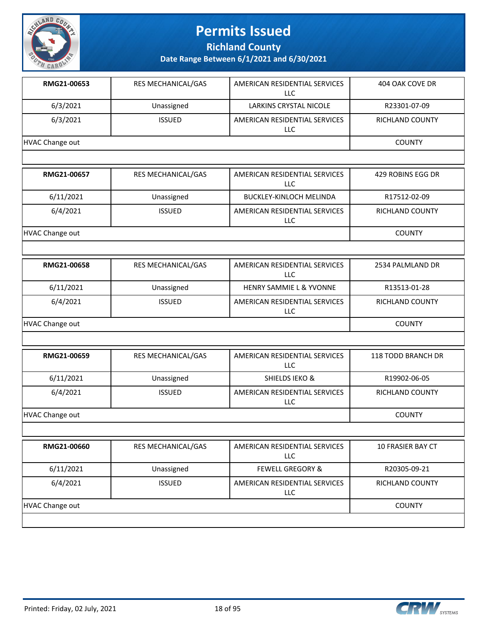

**Richland County**

| RMG21-00653            | RES MECHANICAL/GAS | AMERICAN RESIDENTIAL SERVICES<br><b>LLC</b> | 404 OAK COVE DR          |
|------------------------|--------------------|---------------------------------------------|--------------------------|
| 6/3/2021               | Unassigned         | <b>LARKINS CRYSTAL NICOLE</b>               | R23301-07-09             |
| 6/3/2021               | <b>ISSUED</b>      | AMERICAN RESIDENTIAL SERVICES<br><b>LLC</b> | <b>RICHLAND COUNTY</b>   |
| <b>HVAC Change out</b> |                    |                                             | <b>COUNTY</b>            |
|                        |                    |                                             |                          |
| RMG21-00657            | RES MECHANICAL/GAS | AMERICAN RESIDENTIAL SERVICES<br><b>LLC</b> | 429 ROBINS EGG DR        |
| 6/11/2021              | Unassigned         | <b>BUCKLEY-KINLOCH MELINDA</b>              | R17512-02-09             |
| 6/4/2021               | <b>ISSUED</b>      | AMERICAN RESIDENTIAL SERVICES<br><b>LLC</b> | RICHLAND COUNTY          |
| <b>HVAC Change out</b> |                    |                                             | <b>COUNTY</b>            |
|                        |                    |                                             |                          |
| RMG21-00658            | RES MECHANICAL/GAS | AMERICAN RESIDENTIAL SERVICES<br><b>LLC</b> | 2534 PALMLAND DR         |
| 6/11/2021              | Unassigned         | <b>HENRY SAMMIE L &amp; YVONNE</b>          | R13513-01-28             |
| 6/4/2021               | <b>ISSUED</b>      | AMERICAN RESIDENTIAL SERVICES<br>LLC        | <b>RICHLAND COUNTY</b>   |
| <b>HVAC Change out</b> |                    |                                             | <b>COUNTY</b>            |
|                        |                    |                                             |                          |
| RMG21-00659            | RES MECHANICAL/GAS | AMERICAN RESIDENTIAL SERVICES<br><b>LLC</b> | 118 TODD BRANCH DR       |
| 6/11/2021              | Unassigned         | <b>SHIELDS IEKO &amp;</b>                   | R19902-06-05             |
| 6/4/2021               | <b>ISSUED</b>      | AMERICAN RESIDENTIAL SERVICES<br>LLC        | RICHLAND COUNTY          |
| <b>HVAC Change out</b> |                    |                                             | <b>COUNTY</b>            |
|                        |                    |                                             |                          |
| RMG21-00660            | RES MECHANICAL/GAS | AMERICAN RESIDENTIAL SERVICES<br><b>LLC</b> | <b>10 FRASIER BAY CT</b> |
| 6/11/2021              | Unassigned         | <b>FEWELL GREGORY &amp;</b>                 | R20305-09-21             |
| 6/4/2021               | <b>ISSUED</b>      | AMERICAN RESIDENTIAL SERVICES<br><b>LLC</b> | RICHLAND COUNTY          |
| HVAC Change out        |                    |                                             | <b>COUNTY</b>            |

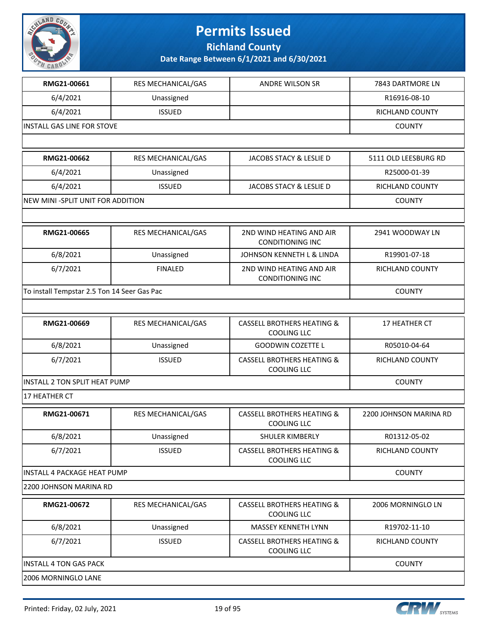

**Richland County**

| RMG21-00661                                 | RES MECHANICAL/GAS | ANDRE WILSON SR                                             | 7843 DARTMORE LN       |  |
|---------------------------------------------|--------------------|-------------------------------------------------------------|------------------------|--|
| 6/4/2021                                    | Unassigned         |                                                             | R16916-08-10           |  |
| 6/4/2021                                    | <b>ISSUED</b>      |                                                             | <b>RICHLAND COUNTY</b> |  |
| INSTALL GAS LINE FOR STOVE                  | <b>COUNTY</b>      |                                                             |                        |  |
|                                             |                    |                                                             |                        |  |
| RMG21-00662                                 | RES MECHANICAL/GAS | JACOBS STACY & LESLIE D                                     | 5111 OLD LEESBURG RD   |  |
| 6/4/2021                                    | Unassigned         |                                                             | R25000-01-39           |  |
| 6/4/2021                                    | <b>ISSUED</b>      | JACOBS STACY & LESLIE D                                     | RICHLAND COUNTY        |  |
| NEW MINI - SPLIT UNIT FOR ADDITION          |                    |                                                             | <b>COUNTY</b>          |  |
|                                             |                    |                                                             |                        |  |
| RMG21-00665                                 | RES MECHANICAL/GAS | 2ND WIND HEATING AND AIR<br><b>CONDITIONING INC</b>         | 2941 WOODWAY LN        |  |
| 6/8/2021                                    | Unassigned         | JOHNSON KENNETH L & LINDA                                   | R19901-07-18           |  |
| 6/7/2021                                    | <b>FINALED</b>     | 2ND WIND HEATING AND AIR<br><b>CONDITIONING INC</b>         | <b>RICHLAND COUNTY</b> |  |
| To install Tempstar 2.5 Ton 14 Seer Gas Pac |                    |                                                             | <b>COUNTY</b>          |  |
|                                             |                    |                                                             |                        |  |
| RMG21-00669                                 | RES MECHANICAL/GAS | <b>CASSELL BROTHERS HEATING &amp;</b><br><b>COOLING LLC</b> | 17 HEATHER CT          |  |
| 6/8/2021                                    | Unassigned         | <b>GOODWIN COZETTE L</b>                                    | R05010-04-64           |  |
| 6/7/2021                                    | <b>ISSUED</b>      | <b>CASSELL BROTHERS HEATING &amp;</b><br><b>COOLING LLC</b> | RICHLAND COUNTY        |  |
| <b>INSTALL 2 TON SPLIT HEAT PUMP</b>        |                    |                                                             | <b>COUNTY</b>          |  |
| 17 HEATHER CT                               |                    |                                                             |                        |  |
| RMG21-00671                                 | RES MECHANICAL/GAS | <b>CASSELL BROTHERS HEATING &amp;</b><br><b>COOLING LLC</b> | 2200 JOHNSON MARINA RD |  |
| 6/8/2021                                    | Unassigned         | SHULER KIMBERLY                                             | R01312-05-02           |  |
| 6/7/2021                                    | <b>ISSUED</b>      | <b>CASSELL BROTHERS HEATING &amp;</b><br><b>COOLING LLC</b> | RICHLAND COUNTY        |  |
| <b>INSTALL 4 PACKAGE HEAT PUMP</b>          |                    |                                                             | <b>COUNTY</b>          |  |
| 2200 JOHNSON MARINA RD                      |                    |                                                             |                        |  |
| RMG21-00672                                 | RES MECHANICAL/GAS | <b>CASSELL BROTHERS HEATING &amp;</b><br><b>COOLING LLC</b> | 2006 MORNINGLO LN      |  |
| 6/8/2021                                    | Unassigned         | MASSEY KENNETH LYNN                                         | R19702-11-10           |  |
| 6/7/2021                                    | <b>ISSUED</b>      | <b>CASSELL BROTHERS HEATING &amp;</b><br><b>COOLING LLC</b> | RICHLAND COUNTY        |  |
| <b>INSTALL 4 TON GAS PACK</b>               |                    |                                                             |                        |  |
| 2006 MORNINGLO LANE                         |                    |                                                             |                        |  |

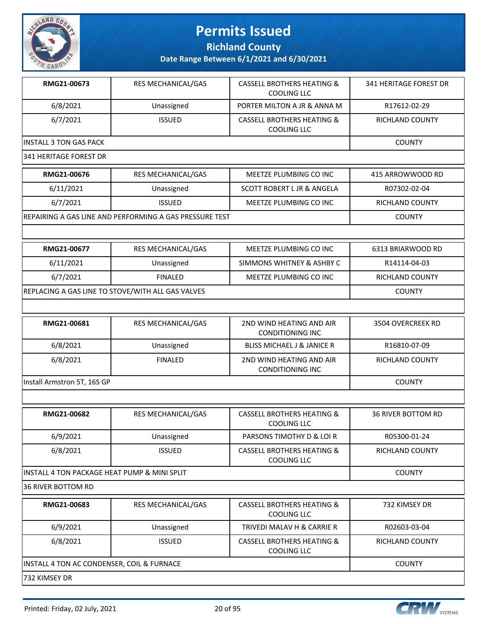

**Richland County**

| RMG21-00673                                  | <b>RES MECHANICAL/GAS</b>                               | <b>CASSELL BROTHERS HEATING &amp;</b><br><b>COOLING LLC</b> | <b>341 HERITAGE FOREST DR</b> |  |  |
|----------------------------------------------|---------------------------------------------------------|-------------------------------------------------------------|-------------------------------|--|--|
| 6/8/2021                                     | Unassigned                                              | PORTER MILTON A JR & ANNA M                                 | R17612-02-29                  |  |  |
| 6/7/2021                                     | <b>ISSUED</b>                                           | <b>CASSELL BROTHERS HEATING &amp;</b><br><b>COOLING LLC</b> | RICHLAND COUNTY               |  |  |
| <b>INSTALL 3 TON GAS PACK</b>                | <b>COUNTY</b>                                           |                                                             |                               |  |  |
| 341 HERITAGE FOREST DR                       |                                                         |                                                             |                               |  |  |
| RMG21-00676                                  | RES MECHANICAL/GAS                                      | MEETZE PLUMBING CO INC                                      | 415 ARROWWOOD RD              |  |  |
| 6/11/2021                                    | Unassigned                                              | <b>SCOTT ROBERT L JR &amp; ANGELA</b>                       | R07302-02-04                  |  |  |
| 6/7/2021                                     | <b>ISSUED</b>                                           | MEETZE PLUMBING CO INC                                      | RICHLAND COUNTY               |  |  |
|                                              | REPAIRING A GAS LINE AND PERFORMING A GAS PRESSURE TEST |                                                             | <b>COUNTY</b>                 |  |  |
|                                              |                                                         |                                                             |                               |  |  |
| RMG21-00677                                  | <b>RES MECHANICAL/GAS</b>                               | MEETZE PLUMBING CO INC                                      | 6313 BRIARWOOD RD             |  |  |
| 6/11/2021                                    | Unassigned                                              | SIMMONS WHITNEY & ASHBY C                                   | R14114-04-03                  |  |  |
| 6/7/2021                                     | <b>FINALED</b>                                          | MEETZE PLUMBING CO INC                                      | RICHLAND COUNTY               |  |  |
|                                              | REPLACING A GAS LINE TO STOVE/WITH ALL GAS VALVES       |                                                             | <b>COUNTY</b>                 |  |  |
|                                              |                                                         |                                                             |                               |  |  |
| RMG21-00681                                  | RES MECHANICAL/GAS                                      | 2ND WIND HEATING AND AIR<br><b>CONDITIONING INC</b>         | 3504 OVERCREEK RD             |  |  |
| 6/8/2021                                     | Unassigned                                              | <b>BLISS MICHAEL J &amp; JANICE R</b>                       | R16810-07-09                  |  |  |
| 6/8/2021                                     | <b>FINALED</b>                                          | 2ND WIND HEATING AND AIR<br><b>CONDITIONING INC</b>         | <b>RICHLAND COUNTY</b>        |  |  |
| Install Armstron 5T, 16S GP                  | <b>COUNTY</b>                                           |                                                             |                               |  |  |
|                                              |                                                         |                                                             |                               |  |  |
| RMG21-00682                                  | RES MECHANICAL/GAS                                      | <b>CASSELL BROTHERS HEATING &amp;</b><br><b>COOLING LLC</b> | <b>36 RIVER BOTTOM RD</b>     |  |  |
| 6/9/2021                                     | Unassigned                                              | PARSONS TIMOTHY D & LOI R                                   | R05300-01-24                  |  |  |
| 6/8/2021                                     | <b>ISSUED</b>                                           | <b>CASSELL BROTHERS HEATING &amp;</b><br><b>COOLING LLC</b> | RICHLAND COUNTY               |  |  |
| INSTALL 4 TON PACKAGE HEAT PUMP & MINI SPLIT |                                                         |                                                             | <b>COUNTY</b>                 |  |  |
| <b>36 RIVER BOTTOM RD</b>                    |                                                         |                                                             |                               |  |  |
| RMG21-00683                                  | RES MECHANICAL/GAS                                      | <b>CASSELL BROTHERS HEATING &amp;</b><br><b>COOLING LLC</b> | 732 KIMSEY DR                 |  |  |
| 6/9/2021                                     | Unassigned                                              | TRIVEDI MALAV H & CARRIE R                                  | R02603-03-04                  |  |  |
| 6/8/2021                                     | <b>ISSUED</b>                                           | <b>CASSELL BROTHERS HEATING &amp;</b><br><b>COOLING LLC</b> | RICHLAND COUNTY               |  |  |
|                                              | INSTALL 4 TON AC CONDENSER, COIL & FURNACE              |                                                             |                               |  |  |
| 732 KIMSEY DR                                |                                                         |                                                             |                               |  |  |

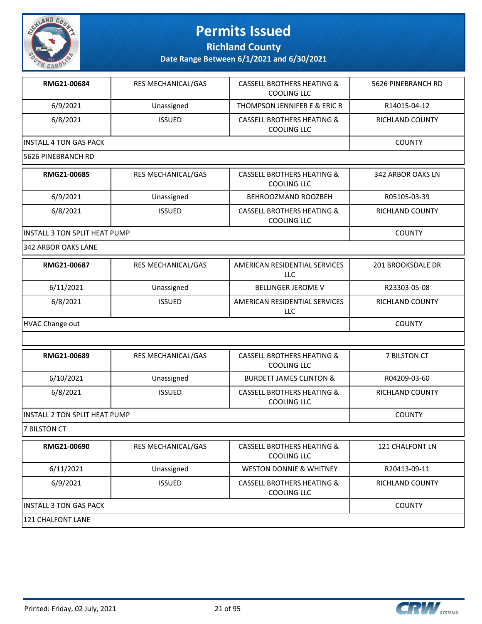

**Richland County**

**Date Range Between 6/1/2021 and 6/30/2021**

| RMG21-00684             | <b>RES MECHANICAL/GAS</b> | CASSELL BROTHERS HEATING &<br>COOLING LLC            | 5626 PINEBRANCH RD |
|-------------------------|---------------------------|------------------------------------------------------|--------------------|
| 6/9/2021                | Unassigned                | THOMPSON JENNIFER E & ERIC R                         | R14015-04-12       |
| 6/8/2021                | <b>ISSUED</b>             | <b>CASSELL BROTHERS HEATING &amp;</b><br>COOLING LLC | RICHLAND COUNTY    |
| IINSTALL 4 TON GAS PACK |                           |                                                      | <b>COUNTY</b>      |
| 5626 PINEBRANCH RD      |                           |                                                      |                    |

| RMG21-00685                    | <b>RES MECHANICAL/GAS</b> | <b>CASSELL BROTHERS HEATING &amp;</b><br>COOLING LLC | 342 ARBOR OAKS LN |
|--------------------------------|---------------------------|------------------------------------------------------|-------------------|
| 6/9/2021                       | Unassigned                | BEHROOZMAND ROOZBEH                                  | R05105-03-39      |
| 6/8/2021                       | <b>ISSUED</b>             | <b>CASSELL BROTHERS HEATING &amp;</b><br>COOLING LLC | RICHLAND COUNTY   |
| IINSTALL 3 TON SPLIT HEAT PUMP |                           |                                                      | <b>COUNTY</b>     |

342 ARBOR OAKS LANE

| RMG21-00687     | <b>RES MECHANICAL/GAS</b> | AMERICAN RESIDENTIAL SERVICES<br>LLC | 201 BROOKSDALE DR      |
|-----------------|---------------------------|--------------------------------------|------------------------|
| 6/11/2021       | Unassigned                | <b>BELLINGER JEROME V</b>            | R23303-05-08           |
| 6/8/2021        | <b>ISSUED</b>             | AMERICAN RESIDENTIAL SERVICES<br>LLC | <b>RICHLAND COUNTY</b> |
| HVAC Change out |                           |                                      | <b>COUNTY</b>          |

| RMG21-00689                    | <b>RES MECHANICAL/GAS</b> | <b>CASSELL BROTHERS HEATING &amp;</b><br>COOLING LLC | 7 BILSTON CT    |
|--------------------------------|---------------------------|------------------------------------------------------|-----------------|
| 6/10/2021                      | Unassigned                | <b>BURDETT JAMES CLINTON &amp;</b>                   | R04209-03-60    |
| 6/8/2021                       | <b>ISSUED</b>             | CASSELL BROTHERS HEATING &<br>COOLING LLC            | RICHLAND COUNTY |
| IINSTALL 2 TON SPLIT HEAT PUMP |                           |                                                      | <b>COUNTY</b>   |

**7 BILSTON CT** 

| RMG21-00690             | <b>RES MECHANICAL/GAS</b> | <b>CASSELL BROTHERS HEATING &amp;</b><br>COOLING LLC | 121 CHALFONT LN |
|-------------------------|---------------------------|------------------------------------------------------|-----------------|
| 6/11/2021               | Unassigned                | <b>WESTON DONNIE &amp; WHITNEY</b>                   | R20413-09-11    |
| 6/9/2021                | <b>ISSUED</b>             | CASSELL BROTHERS HEATING &<br>COOLING LLC            | RICHLAND COUNTY |
| IINSTALL 3 TON GAS PACK |                           |                                                      | <b>COUNTY</b>   |
| 121 CHALFONT LANE       |                           |                                                      |                 |

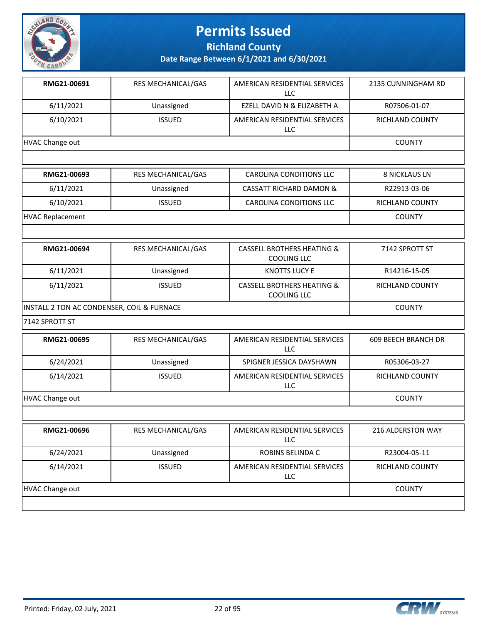

**Richland County**

**Date Range Between 6/1/2021 and 6/30/2021**

| RMG21-00691     | <b>RES MECHANICAL/GAS</b> | AMERICAN RESIDENTIAL SERVICES<br>LLC. | 2135 CUNNINGHAM RD     |
|-----------------|---------------------------|---------------------------------------|------------------------|
| 6/11/2021       | Unassigned                | EZELL DAVID N & ELIZABETH A           | R07506-01-07           |
| 6/10/2021       | <b>ISSUED</b>             | AMERICAN RESIDENTIAL SERVICES<br>LLC. | <b>RICHLAND COUNTY</b> |
| HVAC Change out |                           |                                       | <b>COUNTY</b>          |
|                 |                           |                                       |                        |
| RMG21-00693     | <b>RES MECHANICAL/GAS</b> | CAROLINA CONDITIONS LLC               | <b>8 NICKLAUS LN</b>   |
| 6/11/2021       | Unassigned                | <b>CASSATT RICHARD DAMON &amp;</b>    | R22913-03-06           |

6/10/2021 ISSUED CAROLINA CONDITIONS LLC RICHLAND COUNTY

HVAC Replacement COUNTY

| RMG21-00694                                | <b>RES MECHANICAL/GAS</b> | <b>CASSELL BROTHERS HEATING &amp;</b><br>COOLING LLC | 7142 SPROTT ST         |
|--------------------------------------------|---------------------------|------------------------------------------------------|------------------------|
| 6/11/2021                                  | Unassigned                | KNOTTS LUCY E                                        | R14216-15-05           |
| 6/11/2021                                  | <b>ISSUED</b>             | <b>CASSELL BROTHERS HEATING &amp;</b><br>COOLING LLC | <b>RICHLAND COUNTY</b> |
| INSTALL 2 TON AC CONDENSER, COIL & FURNACE |                           |                                                      | <b>COUNTY</b>          |

7142 SPROTT ST

| RMG21-00695     | <b>RES MECHANICAL/GAS</b> | AMERICAN RESIDENTIAL SERVICES<br>LLC. | <b>609 BEECH BRANCH DR</b> |  |  |
|-----------------|---------------------------|---------------------------------------|----------------------------|--|--|
| 6/24/2021       | Unassigned                | SPIGNER JESSICA DAYSHAWN              | R05306-03-27               |  |  |
| 6/14/2021       | <b>ISSUED</b>             | AMERICAN RESIDENTIAL SERVICES<br>LLC. | <b>RICHLAND COUNTY</b>     |  |  |
| HVAC Change out |                           |                                       | <b>COUNTY</b>              |  |  |
|                 |                           |                                       |                            |  |  |
| ------ -----    |                           |                                       | .                          |  |  |

| RMG21-00696     | <b>RES MECHANICAL/GAS</b> | AMERICAN RESIDENTIAL SERVICES<br>LLC. | <b>216 ALDERSTON WAY</b> |
|-----------------|---------------------------|---------------------------------------|--------------------------|
| 6/24/2021       | Unassigned                | ROBINS BELINDA C                      | R23004-05-11             |
| 6/14/2021       | <b>ISSUED</b>             | AMERICAN RESIDENTIAL SERVICES<br>LLC. | <b>RICHLAND COUNTY</b>   |
| HVAC Change out | <b>COUNTY</b>             |                                       |                          |
|                 |                           |                                       |                          |

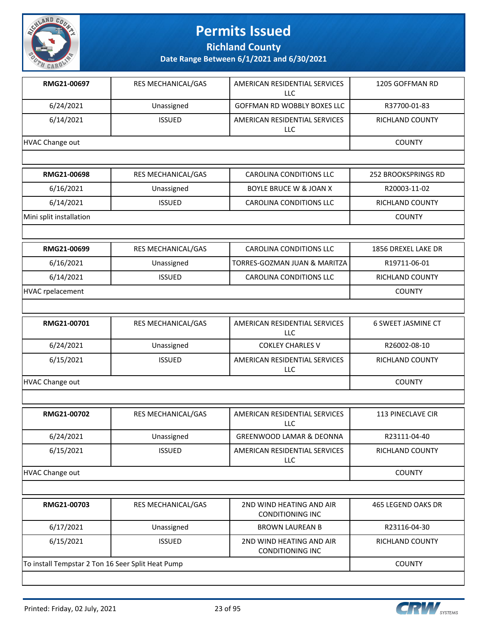

**Richland County**

| RMG21-00697                                       | RES MECHANICAL/GAS        | AMERICAN RESIDENTIAL SERVICES<br>LLC                | 1205 GOFFMAN RD           |
|---------------------------------------------------|---------------------------|-----------------------------------------------------|---------------------------|
| 6/24/2021                                         | Unassigned                | GOFFMAN RD WOBBLY BOXES LLC                         | R37700-01-83              |
| 6/14/2021                                         | <b>ISSUED</b>             | AMERICAN RESIDENTIAL SERVICES<br><b>LLC</b>         | <b>RICHLAND COUNTY</b>    |
| HVAC Change out                                   |                           |                                                     | <b>COUNTY</b>             |
|                                                   |                           |                                                     |                           |
| RMG21-00698                                       | RES MECHANICAL/GAS        | <b>CAROLINA CONDITIONS LLC</b>                      | 252 BROOKSPRINGS RD       |
| 6/16/2021                                         | Unassigned                | <b>BOYLE BRUCE W &amp; JOAN X</b>                   | R20003-11-02              |
| 6/14/2021                                         | <b>ISSUED</b>             | CAROLINA CONDITIONS LLC                             | RICHLAND COUNTY           |
| Mini split installation                           |                           |                                                     | <b>COUNTY</b>             |
|                                                   |                           |                                                     |                           |
| RMG21-00699                                       | <b>RES MECHANICAL/GAS</b> | <b>CAROLINA CONDITIONS LLC</b>                      | 1856 DREXEL LAKE DR       |
| 6/16/2021                                         | Unassigned                | TORRES-GOZMAN JUAN & MARITZA                        | R19711-06-01              |
| 6/14/2021                                         | <b>ISSUED</b>             | <b>CAROLINA CONDITIONS LLC</b>                      | RICHLAND COUNTY           |
| <b>HVAC</b> rpelacement                           |                           | <b>COUNTY</b>                                       |                           |
|                                                   |                           |                                                     |                           |
| RMG21-00701                                       | RES MECHANICAL/GAS        | AMERICAN RESIDENTIAL SERVICES<br><b>LLC</b>         | <b>6 SWEET JASMINE CT</b> |
| 6/24/2021                                         | Unassigned                | <b>COKLEY CHARLES V</b>                             | R26002-08-10              |
| 6/15/2021                                         | <b>ISSUED</b>             | AMERICAN RESIDENTIAL SERVICES<br>LLC                | RICHLAND COUNTY           |
| <b>HVAC Change out</b>                            |                           |                                                     | <b>COUNTY</b>             |
|                                                   |                           |                                                     |                           |
| RMG21-00702                                       | RES MECHANICAL/GAS        | AMERICAN RESIDENTIAL SERVICES<br>LLC                | 113 PINECLAVE CIR         |
| 6/24/2021                                         | Unassigned                | <b>GREENWOOD LAMAR &amp; DEONNA</b>                 | R23111-04-40              |
| 6/15/2021                                         | <b>ISSUED</b>             | AMERICAN RESIDENTIAL SERVICES<br>LLC                | RICHLAND COUNTY           |
| HVAC Change out                                   |                           |                                                     | <b>COUNTY</b>             |
|                                                   |                           |                                                     |                           |
| RMG21-00703                                       | RES MECHANICAL/GAS        | 2ND WIND HEATING AND AIR<br><b>CONDITIONING INC</b> | 465 LEGEND OAKS DR        |
| 6/17/2021                                         | Unassigned                | <b>BROWN LAUREAN B</b>                              | R23116-04-30              |
| 6/15/2021                                         | <b>ISSUED</b>             | 2ND WIND HEATING AND AIR<br><b>CONDITIONING INC</b> | RICHLAND COUNTY           |
| To install Tempstar 2 Ton 16 Seer Split Heat Pump |                           |                                                     | <b>COUNTY</b>             |

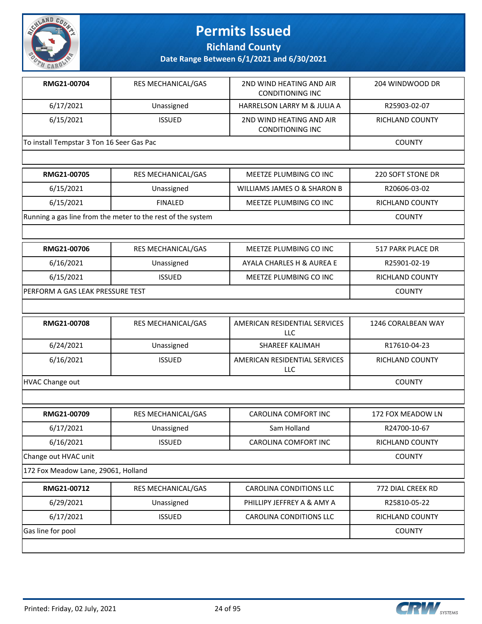

**Richland County**

**Date Range Between 6/1/2021 and 6/30/2021**

| RMG21-00704                               | <b>RES MECHANICAL/GAS</b> | 2ND WIND HEATING AND AIR<br>CONDITIONING INC        | 204 WINDWOOD DR |
|-------------------------------------------|---------------------------|-----------------------------------------------------|-----------------|
| 6/17/2021                                 | Unassigned                | <b>HARRELSON LARRY M &amp; JULIA A</b>              | R25903-02-07    |
| 6/15/2021                                 | <b>ISSUED</b>             | 2ND WIND HEATING AND AIR<br><b>CONDITIONING INC</b> | RICHLAND COUNTY |
| To install Tempstar 3 Ton 16 Seer Gas Pac |                           |                                                     | <b>COUNTY</b>   |
|                                           |                           |                                                     |                 |

| <b>RMG21-00705</b>                                          | <b>RES MECHANICAL/GAS</b> | MEETZE PLUMBING CO INC      | 220 SOFT STONE DR      |
|-------------------------------------------------------------|---------------------------|-----------------------------|------------------------|
| 6/15/2021                                                   | Unassigned                | WILLIAMS JAMES O & SHARON B | R20606-03-02           |
| 6/15/2021                                                   | <b>FINALED</b>            | MEETZE PLUMBING CO INC      | <b>RICHLAND COUNTY</b> |
| Running a gas line from the meter to the rest of the system |                           |                             | <b>COUNTY</b>          |

| <b>RMG21-00706</b>                | RES MECHANICAL/GAS | MEETZE PLUMBING CO INC    | 517 PARK PLACE DR |
|-----------------------------------|--------------------|---------------------------|-------------------|
| 6/16/2021                         | Unassigned         | AYALA CHARLES H & AUREA E | R25901-02-19      |
| 6/15/2021                         | <b>ISSUED</b>      | MEETZE PLUMBING CO INC    | RICHLAND COUNTY   |
| IPERFORM A GAS LEAK PRESSURE TEST |                    |                           | <b>COUNTY</b>     |

| <b>RMG21-00708</b> | <b>RES MECHANICAL/GAS</b> | AMERICAN RESIDENTIAL SERVICES<br>LLC | 1246 CORALBEAN WAY     |
|--------------------|---------------------------|--------------------------------------|------------------------|
| 6/24/2021          | Unassigned                | SHAREEF KALIMAH                      | R17610-04-23           |
| 6/16/2021          | <b>ISSUED</b>             | AMERICAN RESIDENTIAL SERVICES<br>LLC | <b>RICHLAND COUNTY</b> |
| HVAC Change out    |                           |                                      | COUNTY                 |

| RMG21-00709          | <b>RES MECHANICAL/GAS</b> | CAROLINA COMFORT INC | 172 FOX MEADOW LN      |
|----------------------|---------------------------|----------------------|------------------------|
| 6/17/2021            | Unassigned                | Sam Holland          | R24700-10-67           |
| 6/16/2021            | <b>ISSUED</b>             | CAROLINA COMFORT INC | <b>RICHLAND COUNTY</b> |
| Change out HVAC unit |                           |                      | <b>COUNTY</b>          |

172 Fox Meadow Lane, 29061, Holland

| 6/29/2021<br>PHILLIPY JEFFREY A & AMY A<br>R25810-05-22<br>Unassigned<br>6/17/2021<br>CAROLINA CONDITIONS LLC<br><b>ISSUED</b><br><b>RICHLAND COUNTY</b> | RMG21-00712       | <b>RES MECHANICAL/GAS</b> | CAROLINA CONDITIONS LLC | 772 DIAL CREEK RD |
|----------------------------------------------------------------------------------------------------------------------------------------------------------|-------------------|---------------------------|-------------------------|-------------------|
|                                                                                                                                                          |                   |                           |                         |                   |
|                                                                                                                                                          |                   |                           |                         |                   |
|                                                                                                                                                          | Gas line for pool |                           |                         | COUNTY            |

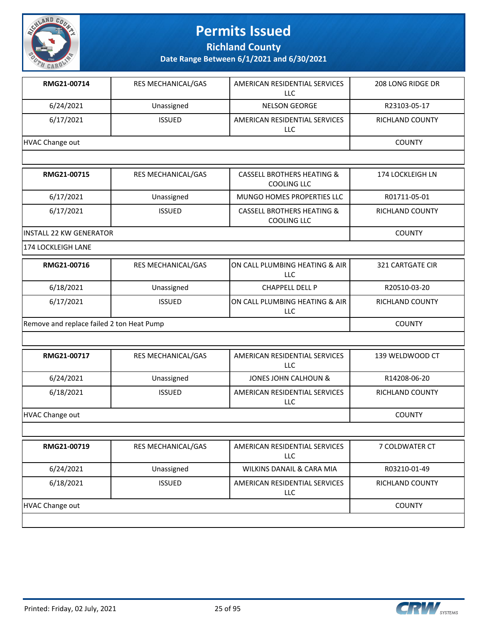

**Richland County**

**Date Range Between 6/1/2021 and 6/30/2021**

| RMG21-00714     | <b>RES MECHANICAL/GAS</b> | AMERICAN RESIDENTIAL SERVICES<br>LLC | 208 LONG RIDGE DR      |
|-----------------|---------------------------|--------------------------------------|------------------------|
| 6/24/2021       | Unassigned                | <b>NELSON GEORGE</b>                 | R23103-05-17           |
| 6/17/2021       | <b>ISSUED</b>             | AMERICAN RESIDENTIAL SERVICES<br>LLC | <b>RICHLAND COUNTY</b> |
| HVAC Change out |                           |                                      | <b>COUNTY</b>          |
|                 |                           |                                      |                        |

| <b>RMG21-00715</b>       | <b>RES MECHANICAL/GAS</b> | <b>CASSELL BROTHERS HEATING &amp;</b><br>COOLING LLC | 174 LOCKLEIGH LN |
|--------------------------|---------------------------|------------------------------------------------------|------------------|
| 6/17/2021                | Unassigned                | MUNGO HOMES PROPERTIES LLC                           | R01711-05-01     |
| 6/17/2021                | <b>ISSUED</b>             | <b>CASSELL BROTHERS HEATING &amp;</b><br>COOLING LLC | RICHLAND COUNTY  |
| IINSTALL 22 KW GENERATOR |                           |                                                      | <b>COUNTY</b>    |

174 LOCKLEIGH LANE

| RMG21-00716                               | <b>RES MECHANICAL/GAS</b> | ION CALL PLUMBING HEATING & AIR<br>LLC | 321 CARTGATE CIR |
|-------------------------------------------|---------------------------|----------------------------------------|------------------|
| 6/18/2021                                 | Unassigned                | <b>CHAPPELL DELL P</b>                 | R20510-03-20     |
| 6/17/2021                                 | <b>ISSUED</b>             | ION CALL PLUMBING HEATING & AIR<br>LLC | RICHLAND COUNTY  |
| Remove and replace failed 2 ton Heat Pump |                           |                                        | <b>COUNTY</b>    |

| RMG21-00717     | <b>RES MECHANICAL/GAS</b> | AMERICAN RESIDENTIAL SERVICES<br>LLC. | 139 WELDWOOD CT |
|-----------------|---------------------------|---------------------------------------|-----------------|
| 6/24/2021       | Unassigned                | JONES JOHN CALHOUN &                  | R14208-06-20    |
| 6/18/2021       | <b>ISSUED</b>             | AMERICAN RESIDENTIAL SERVICES<br>LLC  | RICHLAND COUNTY |
| HVAC Change out |                           |                                       | <b>COUNTY</b>   |

| RMG21-00719     | <b>RES MECHANICAL/GAS</b> | AMERICAN RESIDENTIAL SERVICES<br><b>LLC</b> | 7 COLDWATER CT         |
|-----------------|---------------------------|---------------------------------------------|------------------------|
| 6/24/2021       | Unassigned                | WILKINS DANAIL & CARA MIA                   | R03210-01-49           |
| 6/18/2021       | <b>ISSUED</b>             | AMERICAN RESIDENTIAL SERVICES<br>LLC        | <b>RICHLAND COUNTY</b> |
| HVAC Change out |                           |                                             | <b>COUNTY</b>          |
|                 |                           |                                             |                        |

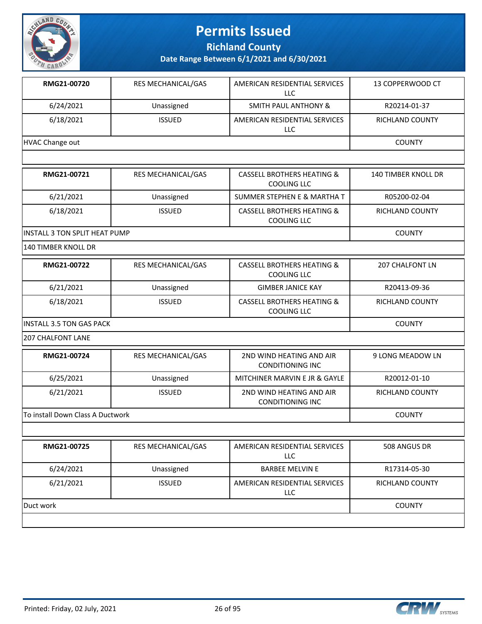

**Richland County**

**Date Range Between 6/1/2021 and 6/30/2021**

| RMG21-00720     | <b>RES MECHANICAL/GAS</b> | AMERICAN RESIDENTIAL SERVICES<br>LLC | 13 COPPERWOOD CT |
|-----------------|---------------------------|--------------------------------------|------------------|
| 6/24/2021       | Unassigned                | <b>SMITH PAUL ANTHONY &amp;</b>      | R20214-01-37     |
| 6/18/2021       | <b>ISSUED</b>             | AMERICAN RESIDENTIAL SERVICES<br>LLC | RICHLAND COUNTY  |
| HVAC Change out |                           |                                      | <b>COUNTY</b>    |

| RMG21-00721                    | RES MECHANICAL/GAS | CASSELL BROTHERS HEATING &<br>COOLING LLC            | <b>140 TIMBER KNOLL DR</b> |
|--------------------------------|--------------------|------------------------------------------------------|----------------------------|
| 6/21/2021                      | Unassigned         | SUMMER STEPHEN E & MARTHA T                          | R05200-02-04               |
| 6/18/2021                      | <b>ISSUED</b>      | <b>CASSELL BROTHERS HEATING &amp;</b><br>COOLING LLC | RICHLAND COUNTY            |
| IINSTALL 3 TON SPLIT HEAT PUMP |                    |                                                      | <b>COUNTY</b>              |

140 TIMBER KNOLL DR

| RMG21-00722                      | <b>RES MECHANICAL/GAS</b> | <b>CASSELL BROTHERS HEATING &amp;</b><br>COOLING LLC | 207 CHALFONT LN        |
|----------------------------------|---------------------------|------------------------------------------------------|------------------------|
| 6/21/2021                        | Unassigned                | <b>GIMBER JANICE KAY</b>                             | R20413-09-36           |
| 6/18/2021                        | <b>ISSUED</b>             | CASSELL BROTHERS HEATING &<br>COOLING LLC            | <b>RICHLAND COUNTY</b> |
| <b>IINSTALL 3.5 TON GAS PACK</b> |                           |                                                      | <b>COUNTY</b>          |

207 CHALFONT LANE

| RMG21-00724                      | <b>RES MECHANICAL/GAS</b> | 2ND WIND HEATING AND AIR<br>CONDITIONING INC        | 9 LONG MEADOW LN |
|----------------------------------|---------------------------|-----------------------------------------------------|------------------|
| 6/25/2021                        | Unassigned                | MITCHINER MARVIN E JR & GAYLE                       | R20012-01-10     |
| 6/21/2021                        | <b>ISSUED</b>             | 2ND WIND HEATING AND AIR<br><b>CONDITIONING INC</b> | RICHLAND COUNTY  |
| To install Down Class A Ductwork |                           |                                                     | <b>COUNTY</b>    |

| RMG21-00725 | RES MECHANICAL/GAS | AMERICAN RESIDENTIAL SERVICES<br>LLC  | 508 ANGUS DR           |
|-------------|--------------------|---------------------------------------|------------------------|
| 6/24/2021   | Unassigned         | <b>BARBEE MELVIN E</b>                | R17314-05-30           |
| 6/21/2021   | <b>ISSUED</b>      | AMERICAN RESIDENTIAL SERVICES<br>LLC. | <b>RICHLAND COUNTY</b> |
| Duct work   |                    |                                       | <b>COUNTY</b>          |
|             |                    |                                       |                        |

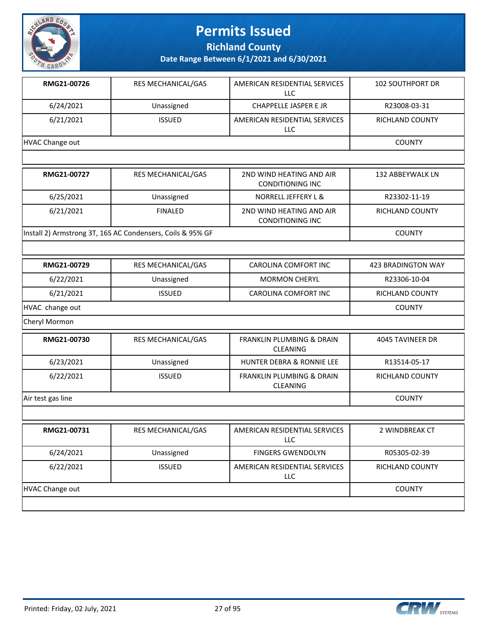

**Richland County**

**Date Range Between 6/1/2021 and 6/30/2021**

| RMG21-00726     | <b>RES MECHANICAL/GAS</b> | AMERICAN RESIDENTIAL SERVICES<br>LLC | <b>102 SOUTHPORT DR</b> |
|-----------------|---------------------------|--------------------------------------|-------------------------|
| 6/24/2021       | Unassigned                | CHAPPELLE JASPER E JR                | R23008-03-31            |
| 6/21/2021       | <b>ISSUED</b>             | AMERICAN RESIDENTIAL SERVICES<br>LLC | <b>RICHLAND COUNTY</b>  |
| HVAC Change out |                           |                                      | <b>COUNTY</b>           |
|                 |                           |                                      |                         |

| RMG21-00727                                                | <b>RES MECHANICAL/GAS</b> | 2ND WIND HEATING AND AIR<br>CONDITIONING INC | 132 ABBEYWALK LN |
|------------------------------------------------------------|---------------------------|----------------------------------------------|------------------|
| 6/25/2021                                                  | Unassigned                | NORRELL JEFFERY L &                          | R23302-11-19     |
| 6/21/2021                                                  | <b>FINALED</b>            | 2ND WIND HEATING AND AIR<br>CONDITIONING INC | RICHLAND COUNTY  |
| Install 2) Armstrong 3T, 16S AC Condensers, Coils & 95% GF |                           |                                              | <b>COUNTY</b>    |

| RMG21-00729     | RES MECHANICAL/GAS | CAROLINA COMFORT INC        | 423 BRADINGTON WAY     |
|-----------------|--------------------|-----------------------------|------------------------|
| 6/22/2021       | Unassigned         | <b>MORMON CHERYL</b>        | R23306-10-04           |
| 6/21/2021       | <b>ISSUED</b>      | <b>CAROLINA COMFORT INC</b> | <b>RICHLAND COUNTY</b> |
| HVAC change out |                    |                             | <b>COUNTY</b>          |

Cheryl Mormon

| RMG21-00730       | <b>RES MECHANICAL/GAS</b> | <b>FRANKLIN PLUMBING &amp; DRAIN</b><br><b>CLEANING</b> | 4045 TAVINEER DR       |
|-------------------|---------------------------|---------------------------------------------------------|------------------------|
| 6/23/2021         | Unassigned                | <b>HUNTER DEBRA &amp; RONNIE LEE</b>                    | R13514-05-17           |
| 6/22/2021         | <b>ISSUED</b>             | <b>FRANKLIN PLUMBING &amp; DRAIN</b><br><b>CLEANING</b> | <b>RICHLAND COUNTY</b> |
| Air test gas line |                           |                                                         | <b>COUNTY</b>          |
|                   |                           |                                                         |                        |

| RMG21-00731     | <b>RES MECHANICAL/GAS</b> | AMERICAN RESIDENTIAL SERVICES<br>LLC | 2 WINDBREAK CT         |
|-----------------|---------------------------|--------------------------------------|------------------------|
| 6/24/2021       | Unassigned                | <b>FINGERS GWENDOLYN</b>             | R05305-02-39           |
| 6/22/2021       | <b>ISSUED</b>             | AMERICAN RESIDENTIAL SERVICES<br>LLC | <b>RICHLAND COUNTY</b> |
| HVAC Change out |                           |                                      | <b>COUNTY</b>          |
|                 |                           |                                      |                        |

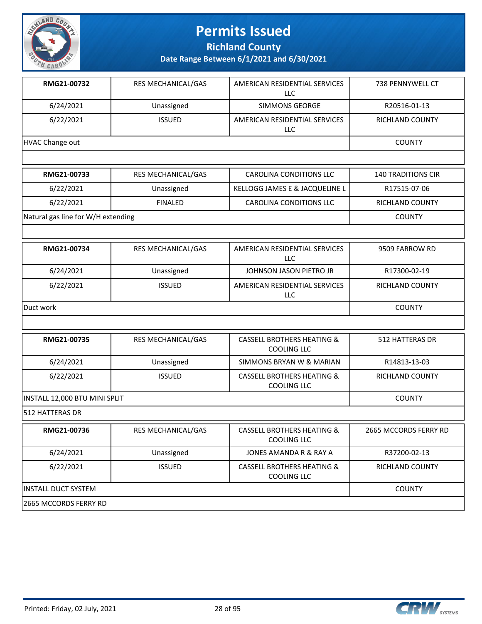

**Richland County**

**Date Range Between 6/1/2021 and 6/30/2021**

| RMG21-00732     | <b>RES MECHANICAL/GAS</b> | AMERICAN RESIDENTIAL SERVICES<br><b>LLC</b> | 738 PENNYWELL CT       |
|-----------------|---------------------------|---------------------------------------------|------------------------|
| 6/24/2021       | Unassigned                | SIMMONS GEORGE                              | R20516-01-13           |
| 6/22/2021       | <b>ISSUED</b>             | AMERICAN RESIDENTIAL SERVICES<br>LLC        | <b>RICHLAND COUNTY</b> |
| HVAC Change out |                           |                                             | <b>COUNTY</b>          |
|                 |                           |                                             |                        |

| RMG21-00733                        | RES MECHANICAL/GAS | CAROLINA CONDITIONS LLC        | <b>140 TRADITIONS CIR</b> |
|------------------------------------|--------------------|--------------------------------|---------------------------|
| 6/22/2021                          | Unassigned         | KELLOGG JAMES E & JACQUELINE L | R17515-07-06              |
| 6/22/2021                          | <b>FINALED</b>     | CAROLINA CONDITIONS LLC        | RICHLAND COUNTY           |
| Natural gas line for W/H extending |                    |                                | <b>COUNTY</b>             |

| RMG21-00734 | <b>RES MECHANICAL/GAS</b> | AMERICAN RESIDENTIAL SERVICES<br>LLC | 9509 FARROW RD         |
|-------------|---------------------------|--------------------------------------|------------------------|
| 6/24/2021   | Unassigned                | JOHNSON JASON PIETRO JR              | R17300-02-19           |
| 6/22/2021   | <b>ISSUED</b>             | AMERICAN RESIDENTIAL SERVICES<br>LLC | <b>RICHLAND COUNTY</b> |
| Duct work   |                           |                                      | <b>COUNTY</b>          |

| RES MECHANICAL/GAS            | CASSELL BROTHERS HEATING &<br>COOLING LLC            | <b>512 HATTERAS DR</b> |
|-------------------------------|------------------------------------------------------|------------------------|
| Unassigned                    | SIMMONS BRYAN W & MARIAN                             | R14813-13-03           |
| <b>ISSUED</b>                 | <b>CASSELL BROTHERS HEATING &amp;</b><br>COOLING LLC | <b>RICHLAND COUNTY</b> |
| INSTALL 12,000 BTU MINI SPLIT |                                                      |                        |
|                               |                                                      |                        |
| <b>RES MECHANICAL/GAS</b>     | <b>CASSELL BROTHERS HEATING &amp;</b><br>COOLING LLC | 2665 MCCORDS FERRY RD  |
| Unassigned                    | JONES AMANDA R & RAY A                               | R37200-02-13           |
| <b>ISSUED</b>                 | <b>CASSELL BROTHERS HEATING &amp;</b><br>COOLING LLC | <b>RICHLAND COUNTY</b> |
|                               |                                                      |                        |

#### INSTALL DUCT SYSTEM COUNTY

2665 MCCORDS FERRY RD



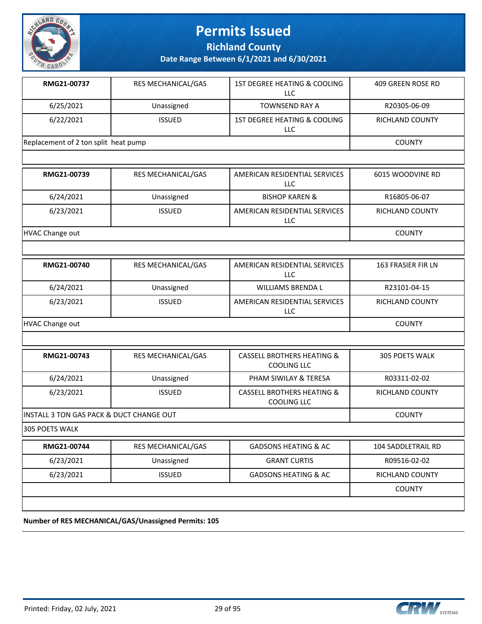

**Richland County**

**Date Range Between 6/1/2021 and 6/30/2021**

| RMG21-00737                          | <b>RES MECHANICAL/GAS</b> | 1ST DEGREE HEATING & COOLING<br>LLC | 409 GREEN ROSE RD |
|--------------------------------------|---------------------------|-------------------------------------|-------------------|
| 6/25/2021                            | Unassigned                | TOWNSEND RAY A                      | R20305-06-09      |
| 6/22/2021                            | <b>ISSUED</b>             | 1ST DEGREE HEATING & COOLING<br>LLC | RICHLAND COUNTY   |
| Replacement of 2 ton split heat pump |                           |                                     | <b>COUNTY</b>     |
|                                      |                           |                                     |                   |

| RMG21-00739     | <b>RES MECHANICAL/GAS</b> | AMERICAN RESIDENTIAL SERVICES<br>LLC | 6015 WOODVINE RD       |
|-----------------|---------------------------|--------------------------------------|------------------------|
| 6/24/2021       | Unassigned                | <b>BISHOP KAREN &amp;</b>            | R16805-06-07           |
| 6/23/2021       | <b>ISSUED</b>             | AMERICAN RESIDENTIAL SERVICES<br>LLC | <b>RICHLAND COUNTY</b> |
| HVAC Change out |                           |                                      | COUNTY                 |

| RMG21-00740     | <b>RES MECHANICAL/GAS</b> | AMERICAN RESIDENTIAL SERVICES<br>LLC | <b>163 FRASIER FIR LN</b> |
|-----------------|---------------------------|--------------------------------------|---------------------------|
| 6/24/2021       | Unassigned                | WILLIAMS BRENDA L                    | R23101-04-15              |
| 6/23/2021       | <b>ISSUED</b>             | AMERICAN RESIDENTIAL SERVICES<br>LLC | RICHLAND COUNTY           |
| HVAC Change out |                           |                                      | <b>COUNTY</b>             |

| RMG21-00743                               | RES MECHANICAL/GAS | CASSELL BROTHERS HEATING &<br>COOLING LLC            | 305 POETS WALK         |
|-------------------------------------------|--------------------|------------------------------------------------------|------------------------|
| 6/24/2021                                 | Unassigned         | PHAM SIWILAY & TERESA                                | R03311-02-02           |
| 6/23/2021                                 | <b>ISSUED</b>      | <b>CASSELL BROTHERS HEATING &amp;</b><br>COOLING LLC | <b>RICHLAND COUNTY</b> |
| IINSTALL 3 TON GAS PACK & DUCT CHANGE OUT |                    |                                                      | <b>COUNTY</b>          |

305 POETS WALK

| RMG21-00744 | RES MECHANICAL/GAS | <b>GADSONS HEATING &amp; AC</b> | 104 SADDLETRAIL RD     |
|-------------|--------------------|---------------------------------|------------------------|
| 6/23/2021   | Unassigned         | <b>GRANT CURTIS</b>             | R09516-02-02           |
| 6/23/2021   | <b>ISSUED</b>      | <b>GADSONS HEATING &amp; AC</b> | <b>RICHLAND COUNTY</b> |
|             |                    |                                 | <b>COUNTY</b>          |
|             |                    |                                 |                        |

**Number of RES MECHANICAL/GAS/Unassigned Permits: 105**



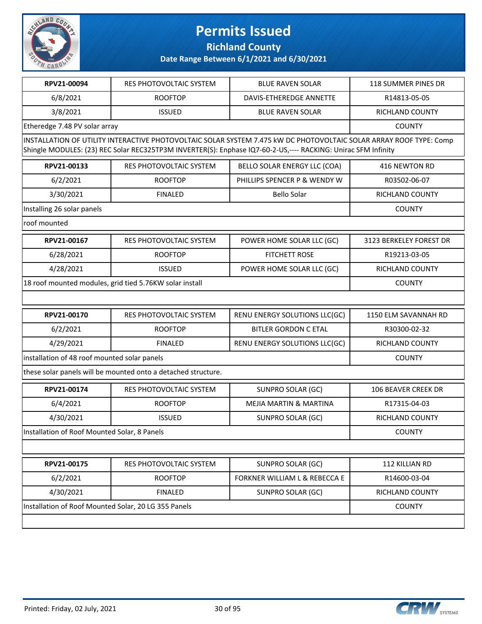

**Richland County**

| RPV21-00094                                          | <b>RES PHOTOVOLTAIC SYSTEM</b>                                | <b>BLUE RAVEN SOLAR</b>                                                                                                                                                                                                             | 118 SUMMER PINES DR        |
|------------------------------------------------------|---------------------------------------------------------------|-------------------------------------------------------------------------------------------------------------------------------------------------------------------------------------------------------------------------------------|----------------------------|
| 6/8/2021                                             | <b>ROOFTOP</b>                                                | <b>DAVIS-ETHEREDGE ANNETTE</b>                                                                                                                                                                                                      | R14813-05-05               |
| 3/8/2021                                             | <b>ISSUED</b>                                                 | <b>BLUE RAVEN SOLAR</b>                                                                                                                                                                                                             | <b>RICHLAND COUNTY</b>     |
| Etheredge 7.48 PV solar array                        |                                                               |                                                                                                                                                                                                                                     | <b>COUNTY</b>              |
|                                                      |                                                               | INSTALLATION OF UTILITY INTERACTIVE PHOTOVOLTAIC SOLAR SYSTEM 7.475 kW DC PHOTOVOLTAIC SOLAR ARRAY ROOF TYPE: Comp<br>Shingle MODULES: (23) REC Solar REC325TP3M INVERTER(S): Enphase IQ7-60-2-US,---- RACKING: Unirac SFM Infinity |                            |
| RPV21-00133                                          | RES PHOTOVOLTAIC SYSTEM                                       | BELLO SOLAR ENERGY LLC (COA)                                                                                                                                                                                                        | 416 NEWTON RD              |
| 6/2/2021                                             | <b>ROOFTOP</b>                                                | PHILLIPS SPENCER P & WENDY W                                                                                                                                                                                                        | R03502-06-07               |
| 3/30/2021                                            | <b>FINALED</b>                                                | <b>Bello Solar</b>                                                                                                                                                                                                                  | <b>RICHLAND COUNTY</b>     |
| Installing 26 solar panels                           |                                                               |                                                                                                                                                                                                                                     | <b>COUNTY</b>              |
| roof mounted                                         |                                                               |                                                                                                                                                                                                                                     |                            |
| RPV21-00167                                          | RES PHOTOVOLTAIC SYSTEM                                       | POWER HOME SOLAR LLC (GC)                                                                                                                                                                                                           | 3123 BERKELEY FOREST DR    |
| 6/28/2021                                            | <b>ROOFTOP</b>                                                | <b>FITCHETT ROSE</b>                                                                                                                                                                                                                | R19213-03-05               |
| 4/28/2021                                            | <b>ISSUED</b>                                                 | POWER HOME SOLAR LLC (GC)                                                                                                                                                                                                           | <b>RICHLAND COUNTY</b>     |
|                                                      | 18 roof mounted modules, grid tied 5.76KW solar install       |                                                                                                                                                                                                                                     | <b>COUNTY</b>              |
|                                                      |                                                               |                                                                                                                                                                                                                                     |                            |
| RPV21-00170                                          | RES PHOTOVOLTAIC SYSTEM                                       | RENU ENERGY SOLUTIONS LLC(GC)                                                                                                                                                                                                       | 1150 ELM SAVANNAH RD       |
| 6/2/2021                                             | <b>ROOFTOP</b>                                                | <b>BITLER GORDON C ETAL</b>                                                                                                                                                                                                         | R30300-02-32               |
| 4/29/2021                                            | <b>FINALED</b>                                                | RENU ENERGY SOLUTIONS LLC(GC)                                                                                                                                                                                                       | <b>RICHLAND COUNTY</b>     |
| installation of 48 roof mounted solar panels         |                                                               |                                                                                                                                                                                                                                     | <b>COUNTY</b>              |
|                                                      | these solar panels will be mounted onto a detached structure. |                                                                                                                                                                                                                                     |                            |
| RPV21-00174                                          | RES PHOTOVOLTAIC SYSTEM                                       | SUNPRO SOLAR (GC)                                                                                                                                                                                                                   | <b>106 BEAVER CREEK DR</b> |
| 6/4/2021                                             | <b>ROOFTOP</b>                                                | <b>MEJIA MARTIN &amp; MARTINA</b>                                                                                                                                                                                                   | R17315-04-03               |
| 4/30/2021                                            | <b>ISSUED</b>                                                 | <b>SUNPRO SOLAR (GC)</b>                                                                                                                                                                                                            | RICHLAND COUNTY            |
| Installation of Roof Mounted Solar, 8 Panels         |                                                               |                                                                                                                                                                                                                                     | <b>COUNTY</b>              |
|                                                      |                                                               |                                                                                                                                                                                                                                     |                            |
| RPV21-00175                                          | RES PHOTOVOLTAIC SYSTEM                                       | SUNPRO SOLAR (GC)                                                                                                                                                                                                                   | 112 KILLIAN RD             |
| 6/2/2021                                             | <b>ROOFTOP</b>                                                | FORKNER WILLIAM L & REBECCA E                                                                                                                                                                                                       | R14600-03-04               |
| 4/30/2021                                            | <b>FINALED</b>                                                | SUNPRO SOLAR (GC)                                                                                                                                                                                                                   | RICHLAND COUNTY            |
| Installation of Roof Mounted Solar, 20 LG 355 Panels |                                                               |                                                                                                                                                                                                                                     | <b>COUNTY</b>              |
|                                                      |                                                               |                                                                                                                                                                                                                                     |                            |

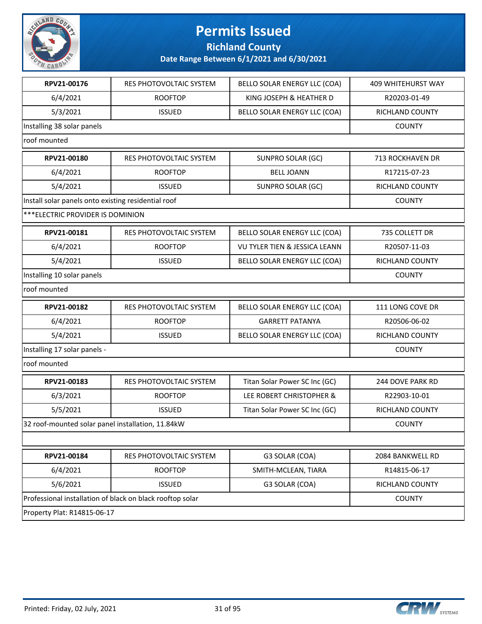

**Richland County**

| RPV21-00176                                         | RES PHOTOVOLTAIC SYSTEM                                   | BELLO SOLAR ENERGY LLC (COA)  | <b>409 WHITEHURST WAY</b> |
|-----------------------------------------------------|-----------------------------------------------------------|-------------------------------|---------------------------|
| 6/4/2021                                            | <b>ROOFTOP</b>                                            | KING JOSEPH & HEATHER D       | R20203-01-49              |
| 5/3/2021                                            | <b>ISSUED</b>                                             | BELLO SOLAR ENERGY LLC (COA)  | RICHLAND COUNTY           |
| Installing 38 solar panels                          |                                                           |                               | <b>COUNTY</b>             |
| roof mounted                                        |                                                           |                               |                           |
| RPV21-00180                                         | RES PHOTOVOLTAIC SYSTEM                                   | SUNPRO SOLAR (GC)             | 713 ROCKHAVEN DR          |
| 6/4/2021                                            | <b>ROOFTOP</b>                                            | <b>BELL JOANN</b>             | R17215-07-23              |
| 5/4/2021                                            | <b>ISSUED</b>                                             | SUNPRO SOLAR (GC)             | RICHLAND COUNTY           |
| Install solar panels onto existing residential roof |                                                           |                               | <b>COUNTY</b>             |
| *** ELECTRIC PROVIDER IS DOMINION                   |                                                           |                               |                           |
| RPV21-00181                                         | RES PHOTOVOLTAIC SYSTEM                                   | BELLO SOLAR ENERGY LLC (COA)  | 735 COLLETT DR            |
| 6/4/2021                                            | <b>ROOFTOP</b>                                            | VU TYLER TIEN & JESSICA LEANN | R20507-11-03              |
| 5/4/2021                                            | <b>ISSUED</b>                                             | BELLO SOLAR ENERGY LLC (COA)  | RICHLAND COUNTY           |
| Installing 10 solar panels                          |                                                           |                               | <b>COUNTY</b>             |
| roof mounted                                        |                                                           |                               |                           |
| RPV21-00182                                         | RES PHOTOVOLTAIC SYSTEM                                   | BELLO SOLAR ENERGY LLC (COA)  | 111 LONG COVE DR          |
| 6/4/2021                                            | <b>ROOFTOP</b>                                            | <b>GARRETT PATANYA</b>        | R20506-06-02              |
| 5/4/2021                                            | <b>ISSUED</b>                                             | BELLO SOLAR ENERGY LLC (COA)  | RICHLAND COUNTY           |
| Installing 17 solar panels -                        |                                                           |                               | <b>COUNTY</b>             |
| roof mounted                                        |                                                           |                               |                           |
| RPV21-00183                                         | RES PHOTOVOLTAIC SYSTEM                                   | Titan Solar Power SC Inc (GC) | 244 DOVE PARK RD          |
| 6/3/2021                                            | <b>ROOFTOP</b>                                            | LEE ROBERT CHRISTOPHER &      | R22903-10-01              |
| 5/5/2021                                            | <b>ISSUED</b>                                             | Titan Solar Power SC Inc (GC) | RICHLAND COUNTY           |
| 32 roof-mounted solar panel installation, 11.84kW   |                                                           |                               | <b>COUNTY</b>             |
|                                                     |                                                           |                               |                           |
| RPV21-00184                                         | RES PHOTOVOLTAIC SYSTEM                                   | G3 SOLAR (COA)                | 2084 BANKWELL RD          |
| 6/4/2021                                            | <b>ROOFTOP</b>                                            | SMITH-MCLEAN, TIARA           | R14815-06-17              |
| 5/6/2021                                            | <b>ISSUED</b>                                             | G3 SOLAR (COA)                | RICHLAND COUNTY           |
|                                                     | Professional installation of black on black rooftop solar |                               |                           |
| Property Plat: R14815-06-17                         |                                                           |                               |                           |

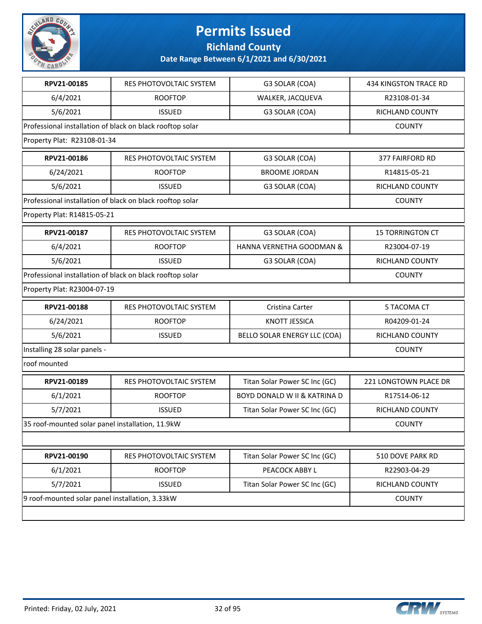

**Richland County**

| RPV21-00185                                      | RES PHOTOVOLTAIC SYSTEM                                   | G3 SOLAR (COA)                          | <b>434 KINGSTON TRACE RD</b> |
|--------------------------------------------------|-----------------------------------------------------------|-----------------------------------------|------------------------------|
| 6/4/2021                                         | <b>ROOFTOP</b>                                            | WALKER, JACQUEVA                        | R23108-01-34                 |
| 5/6/2021                                         | <b>ISSUED</b>                                             | G3 SOLAR (COA)                          | <b>RICHLAND COUNTY</b>       |
|                                                  | Professional installation of black on black rooftop solar |                                         | <b>COUNTY</b>                |
| Property Plat: R23108-01-34                      |                                                           |                                         |                              |
| RPV21-00186                                      | RES PHOTOVOLTAIC SYSTEM                                   | G3 SOLAR (COA)                          | <b>377 FAIRFORD RD</b>       |
| 6/24/2021                                        | <b>ROOFTOP</b>                                            | <b>BROOME JORDAN</b>                    | R14815-05-21                 |
| 5/6/2021                                         | <b>ISSUED</b>                                             | G3 SOLAR (COA)                          | RICHLAND COUNTY              |
|                                                  | Professional installation of black on black rooftop solar |                                         | <b>COUNTY</b>                |
| Property Plat: R14815-05-21                      |                                                           |                                         |                              |
| RPV21-00187                                      | RES PHOTOVOLTAIC SYSTEM                                   | G3 SOLAR (COA)                          | <b>15 TORRINGTON CT</b>      |
| 6/4/2021                                         | <b>ROOFTOP</b>                                            | HANNA VERNETHA GOODMAN &                | R23004-07-19                 |
| 5/6/2021                                         | <b>ISSUED</b>                                             | G3 SOLAR (COA)                          | RICHLAND COUNTY              |
|                                                  | Professional installation of black on black rooftop solar |                                         | <b>COUNTY</b>                |
| Property Plat: R23004-07-19                      |                                                           |                                         |                              |
| RPV21-00188                                      | RES PHOTOVOLTAIC SYSTEM                                   | Cristina Carter                         | 5 TACOMA CT                  |
| 6/24/2021                                        | <b>ROOFTOP</b>                                            | <b>KNOTT JESSICA</b>                    | R04209-01-24                 |
| 5/6/2021                                         | <b>ISSUED</b>                                             | BELLO SOLAR ENERGY LLC (COA)            | RICHLAND COUNTY              |
| Installing 28 solar panels -                     |                                                           |                                         | <b>COUNTY</b>                |
| roof mounted                                     |                                                           |                                         |                              |
| RPV21-00189                                      | RES PHOTOVOLTAIC SYSTEM                                   | Titan Solar Power SC Inc (GC)           | 221 LONGTOWN PLACE DR        |
| 6/1/2021                                         | <b>ROOFTOP</b>                                            | <b>BOYD DONALD W II &amp; KATRINA D</b> | R17514-06-12                 |
| 5/7/2021                                         | <b>ISSUED</b>                                             | Titan Solar Power SC Inc (GC)           | RICHLAND COUNTY              |
| 35 roof-mounted solar panel installation, 11.9kW |                                                           |                                         | <b>COUNTY</b>                |
|                                                  |                                                           |                                         |                              |
| RPV21-00190                                      | RES PHOTOVOLTAIC SYSTEM                                   | Titan Solar Power SC Inc (GC)           | 510 DOVE PARK RD             |
| 6/1/2021                                         | <b>ROOFTOP</b>                                            | PEACOCK ABBY L                          | R22903-04-29                 |
| 5/7/2021                                         | <b>ISSUED</b>                                             | Titan Solar Power SC Inc (GC)           | RICHLAND COUNTY              |
|                                                  | 9 roof-mounted solar panel installation, 3.33kW           |                                         |                              |
|                                                  |                                                           |                                         |                              |

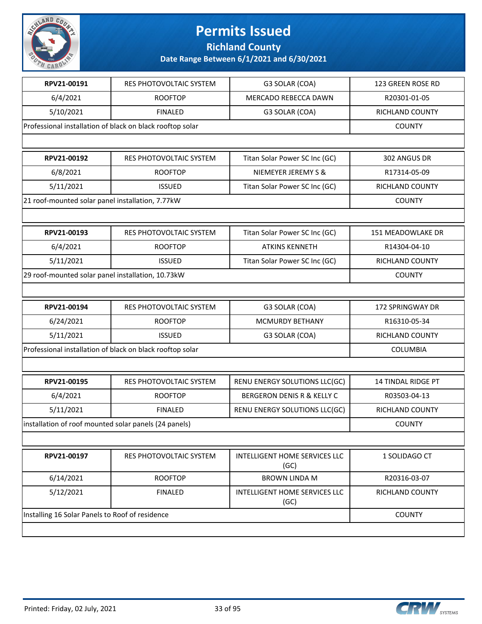

**Richland County**

| RPV21-00191                                               | RES PHOTOVOLTAIC SYSTEM                                   | G3 SOLAR (COA)                        | 123 GREEN ROSE RD         |
|-----------------------------------------------------------|-----------------------------------------------------------|---------------------------------------|---------------------------|
| 6/4/2021                                                  | <b>ROOFTOP</b>                                            | MERCADO REBECCA DAWN                  | R20301-01-05              |
| 5/10/2021                                                 | <b>FINALED</b>                                            | G3 SOLAR (COA)                        | RICHLAND COUNTY           |
|                                                           | Professional installation of black on black rooftop solar |                                       | <b>COUNTY</b>             |
|                                                           |                                                           |                                       |                           |
| RPV21-00192                                               | RES PHOTOVOLTAIC SYSTEM                                   | Titan Solar Power SC Inc (GC)         | 302 ANGUS DR              |
| 6/8/2021                                                  | <b>ROOFTOP</b>                                            | NIEMEYER JEREMY S &                   | R17314-05-09              |
| 5/11/2021                                                 | <b>ISSUED</b>                                             | Titan Solar Power SC Inc (GC)         | RICHLAND COUNTY           |
| 21 roof-mounted solar panel installation, 7.77kW          |                                                           |                                       | <b>COUNTY</b>             |
|                                                           |                                                           |                                       |                           |
| RPV21-00193                                               | RES PHOTOVOLTAIC SYSTEM                                   | Titan Solar Power SC Inc (GC)         | 151 MEADOWLAKE DR         |
| 6/4/2021                                                  | <b>ROOFTOP</b>                                            | <b>ATKINS KENNETH</b>                 | R14304-04-10              |
| 5/11/2021                                                 | <b>ISSUED</b>                                             | Titan Solar Power SC Inc (GC)         | RICHLAND COUNTY           |
| 29 roof-mounted solar panel installation, 10.73kW         |                                                           |                                       | <b>COUNTY</b>             |
|                                                           |                                                           |                                       |                           |
| RPV21-00194                                               | RES PHOTOVOLTAIC SYSTEM                                   | G3 SOLAR (COA)                        | 172 SPRINGWAY DR          |
| 6/24/2021                                                 | <b>ROOFTOP</b>                                            | <b>MCMURDY BETHANY</b>                | R16310-05-34              |
| 5/11/2021                                                 | <b>ISSUED</b>                                             | G3 SOLAR (COA)                        | RICHLAND COUNTY           |
| Professional installation of black on black rooftop solar | COLUMBIA                                                  |                                       |                           |
|                                                           |                                                           |                                       |                           |
| RPV21-00195                                               | RES PHOTOVOLTAIC SYSTEM                                   | RENU ENERGY SOLUTIONS LLC(GC)         | <b>14 TINDAL RIDGE PT</b> |
| 6/4/2021                                                  | <b>ROOFTOP</b>                                            | <b>BERGERON DENIS R &amp; KELLY C</b> | R03503-04-13              |
| 5/11/2021                                                 | <b>FINALED</b>                                            | RENU ENERGY SOLUTIONS LLC(GC)         | RICHLAND COUNTY           |
| installation of roof mounted solar panels (24 panels)     |                                                           |                                       | <b>COUNTY</b>             |
|                                                           |                                                           |                                       |                           |
| RPV21-00197                                               | RES PHOTOVOLTAIC SYSTEM                                   | INTELLIGENT HOME SERVICES LLC<br>(GC) | 1 SOLIDAGO CT             |
| 6/14/2021                                                 | <b>ROOFTOP</b>                                            | <b>BROWN LINDA M</b>                  | R20316-03-07              |
| 5/12/2021                                                 | <b>FINALED</b>                                            | INTELLIGENT HOME SERVICES LLC<br>(GC) | RICHLAND COUNTY           |
| Installing 16 Solar Panels to Roof of residence           | <b>COUNTY</b>                                             |                                       |                           |
|                                                           |                                                           |                                       |                           |

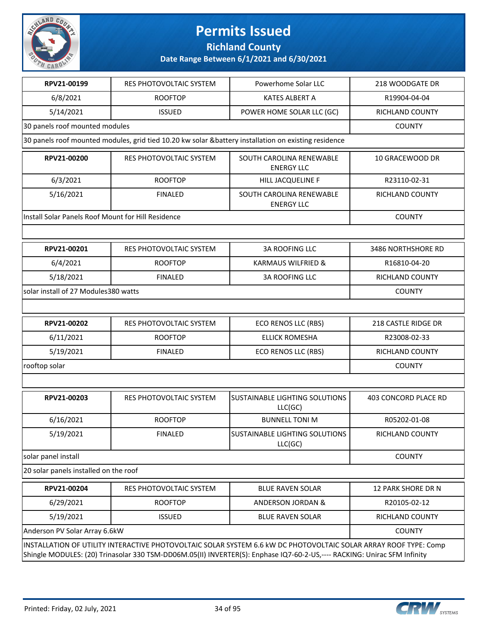

**Richland County**

| RPV21-00199                                        | RES PHOTOVOLTAIC SYSTEM | Powerhome Solar LLC                                                                                                                                                                                                                          | 218 WOODGATE DR      |
|----------------------------------------------------|-------------------------|----------------------------------------------------------------------------------------------------------------------------------------------------------------------------------------------------------------------------------------------|----------------------|
| 6/8/2021                                           | <b>ROOFTOP</b>          | <b>KATES ALBERT A</b>                                                                                                                                                                                                                        | R19904-04-04         |
| 5/14/2021                                          | <b>ISSUED</b>           | POWER HOME SOLAR LLC (GC)                                                                                                                                                                                                                    | RICHLAND COUNTY      |
| 30 panels roof mounted modules                     |                         |                                                                                                                                                                                                                                              | <b>COUNTY</b>        |
|                                                    |                         | 30 panels roof mounted modules, grid tied 10.20 kw solar &battery installation on existing residence                                                                                                                                         |                      |
| RPV21-00200                                        | RES PHOTOVOLTAIC SYSTEM | SOUTH CAROLINA RENEWABLE<br><b>ENERGY LLC</b>                                                                                                                                                                                                | 10 GRACEWOOD DR      |
| 6/3/2021                                           | <b>ROOFTOP</b>          | HILL JACQUELINE F                                                                                                                                                                                                                            | R23110-02-31         |
| 5/16/2021                                          | <b>FINALED</b>          | SOUTH CAROLINA RENEWABLE<br><b>ENERGY LLC</b>                                                                                                                                                                                                | RICHLAND COUNTY      |
| Install Solar Panels Roof Mount for Hill Residence |                         |                                                                                                                                                                                                                                              | <b>COUNTY</b>        |
|                                                    |                         |                                                                                                                                                                                                                                              |                      |
| RPV21-00201                                        | RES PHOTOVOLTAIC SYSTEM | <b>3A ROOFING LLC</b>                                                                                                                                                                                                                        | 3486 NORTHSHORE RD   |
| 6/4/2021                                           | <b>ROOFTOP</b>          | <b>KARMAUS WILFRIED &amp;</b>                                                                                                                                                                                                                | R16810-04-20         |
| 5/18/2021                                          | <b>FINALED</b>          | <b>3A ROOFING LLC</b>                                                                                                                                                                                                                        | RICHLAND COUNTY      |
| solar install of 27 Modules380 watts               |                         |                                                                                                                                                                                                                                              | <b>COUNTY</b>        |
|                                                    |                         |                                                                                                                                                                                                                                              |                      |
| RPV21-00202                                        | RES PHOTOVOLTAIC SYSTEM | ECO RENOS LLC (RBS)                                                                                                                                                                                                                          | 218 CASTLE RIDGE DR  |
| 6/11/2021                                          | <b>ROOFTOP</b>          | <b>ELLICK ROMESHA</b>                                                                                                                                                                                                                        | R23008-02-33         |
| 5/19/2021                                          | <b>FINALED</b>          | ECO RENOS LLC (RBS)                                                                                                                                                                                                                          | RICHLAND COUNTY      |
| rooftop solar                                      | <b>COUNTY</b>           |                                                                                                                                                                                                                                              |                      |
|                                                    |                         |                                                                                                                                                                                                                                              |                      |
| RPV21-00203                                        | RES PHOTOVOLTAIC SYSTEM | SUSTAINABLE LIGHTING SOLUTIONS<br>LLC(GC)                                                                                                                                                                                                    | 403 CONCORD PLACE RD |
| 6/16/2021                                          | <b>ROOFTOP</b>          | <b>BUNNELL TONI M</b>                                                                                                                                                                                                                        | R05202-01-08         |
| 5/19/2021                                          | FINALED                 | SUSTAINABLE LIGHTING SOLUTIONS<br>LLC(GC)                                                                                                                                                                                                    | RICHLAND COUNTY      |
| solar panel install                                |                         |                                                                                                                                                                                                                                              | <b>COUNTY</b>        |
| 20 solar panels installed on the roof              |                         |                                                                                                                                                                                                                                              |                      |
| RPV21-00204                                        | RES PHOTOVOLTAIC SYSTEM | <b>BLUE RAVEN SOLAR</b>                                                                                                                                                                                                                      | 12 PARK SHORE DR N   |
| 6/29/2021                                          | <b>ROOFTOP</b>          | <b>ANDERSON JORDAN &amp;</b>                                                                                                                                                                                                                 | R20105-02-12         |
| 5/19/2021                                          | <b>ISSUED</b>           | <b>BLUE RAVEN SOLAR</b>                                                                                                                                                                                                                      | RICHLAND COUNTY      |
| Anderson PV Solar Array 6.6kW                      |                         |                                                                                                                                                                                                                                              | <b>COUNTY</b>        |
|                                                    |                         | INSTALLATION OF UTILITY INTERACTIVE PHOTOVOLTAIC SOLAR SYSTEM 6.6 kW DC PHOTOVOLTAIC SOLAR ARRAY ROOF TYPE: Comp<br>Shingle MODULES: (20) Trinasolar 330 TSM-DD06M.05(II) INVERTER(S): Enphase IQ7-60-2-US,---- RACKING: Unirac SFM Infinity |                      |

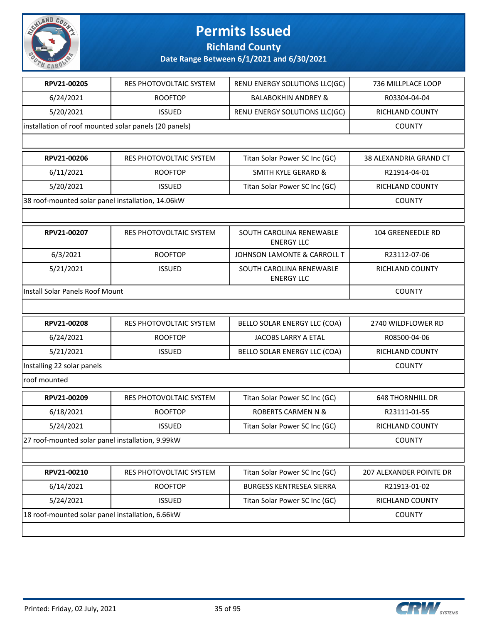

**Richland County**

| RPV21-00205                                           | RES PHOTOVOLTAIC SYSTEM                          | RENU ENERGY SOLUTIONS LLC(GC)                 | 736 MILLPLACE LOOP      |  |
|-------------------------------------------------------|--------------------------------------------------|-----------------------------------------------|-------------------------|--|
| 6/24/2021                                             | <b>ROOFTOP</b>                                   | <b>BALABOKHIN ANDREY &amp;</b>                | R03304-04-04            |  |
| 5/20/2021                                             | <b>ISSUED</b>                                    | RENU ENERGY SOLUTIONS LLC(GC)                 | <b>RICHLAND COUNTY</b>  |  |
| installation of roof mounted solar panels (20 panels) |                                                  |                                               | <b>COUNTY</b>           |  |
|                                                       |                                                  |                                               |                         |  |
| RPV21-00206                                           | RES PHOTOVOLTAIC SYSTEM                          | Titan Solar Power SC Inc (GC)                 | 38 ALEXANDRIA GRAND CT  |  |
| 6/11/2021                                             | <b>ROOFTOP</b>                                   | <b>SMITH KYLE GERARD &amp;</b>                | R21914-04-01            |  |
| 5/20/2021                                             | <b>ISSUED</b>                                    | Titan Solar Power SC Inc (GC)                 | RICHLAND COUNTY         |  |
| 38 roof-mounted solar panel installation, 14.06kW     |                                                  |                                               | <b>COUNTY</b>           |  |
|                                                       |                                                  |                                               |                         |  |
| RPV21-00207                                           | RES PHOTOVOLTAIC SYSTEM                          | SOUTH CAROLINA RENEWABLE<br><b>ENERGY LLC</b> | 104 GREENEEDLE RD       |  |
| 6/3/2021                                              | <b>ROOFTOP</b>                                   | JOHNSON LAMONTE & CARROLL T                   | R23112-07-06            |  |
| 5/21/2021                                             | <b>ISSUED</b>                                    | SOUTH CAROLINA RENEWABLE<br><b>ENERGY LLC</b> | RICHLAND COUNTY         |  |
| Install Solar Panels Roof Mount                       |                                                  |                                               | <b>COUNTY</b>           |  |
|                                                       |                                                  |                                               |                         |  |
| RPV21-00208                                           | RES PHOTOVOLTAIC SYSTEM                          | BELLO SOLAR ENERGY LLC (COA)                  | 2740 WILDFLOWER RD      |  |
| 6/24/2021                                             | <b>ROOFTOP</b>                                   | JACOBS LARRY A ETAL                           | R08500-04-06            |  |
| 5/21/2021                                             | <b>ISSUED</b>                                    | BELLO SOLAR ENERGY LLC (COA)                  | RICHLAND COUNTY         |  |
| Installing 22 solar panels                            |                                                  |                                               | <b>COUNTY</b>           |  |
| roof mounted                                          |                                                  |                                               |                         |  |
| RPV21-00209                                           | RES PHOTOVOLTAIC SYSTEM                          | Titan Solar Power SC Inc (GC)                 | <b>648 THORNHILL DR</b> |  |
| 6/18/2021                                             | <b>ROOFTOP</b>                                   | <b>ROBERTS CARMEN N &amp;</b>                 | R23111-01-55            |  |
| 5/24/2021                                             | <b>ISSUED</b>                                    | Titan Solar Power SC Inc (GC)                 | RICHLAND COUNTY         |  |
| 27 roof-mounted solar panel installation, 9.99kW      |                                                  |                                               | <b>COUNTY</b>           |  |
|                                                       |                                                  |                                               |                         |  |
| RPV21-00210                                           | RES PHOTOVOLTAIC SYSTEM                          | Titan Solar Power SC Inc (GC)                 | 207 ALEXANDER POINTE DR |  |
| 6/14/2021                                             | <b>ROOFTOP</b>                                   | <b>BURGESS KENTRESEA SIERRA</b>               | R21913-01-02            |  |
| 5/24/2021                                             | <b>ISSUED</b>                                    | Titan Solar Power SC Inc (GC)                 | RICHLAND COUNTY         |  |
|                                                       | 18 roof-mounted solar panel installation, 6.66kW |                                               |                         |  |
|                                                       |                                                  |                                               |                         |  |

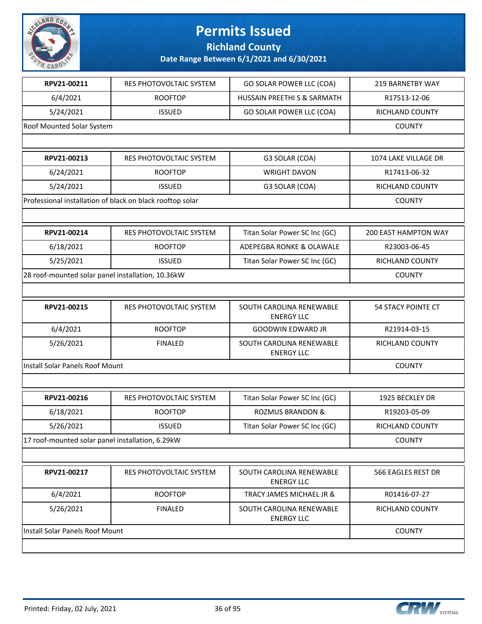

**Richland County**

| RPV21-00211                                       | RES PHOTOVOLTAIC SYSTEM                                   | GO SOLAR POWER LLC (COA)                      | 219 BARNETBY WAY          |
|---------------------------------------------------|-----------------------------------------------------------|-----------------------------------------------|---------------------------|
| 6/4/2021                                          | <b>ROOFTOP</b>                                            | HUSSAIN PREETHI S & SARMATH                   | R17513-12-06              |
| 5/24/2021                                         | <b>ISSUED</b>                                             | GO SOLAR POWER LLC (COA)                      | RICHLAND COUNTY           |
| Roof Mounted Solar System                         |                                                           |                                               | <b>COUNTY</b>             |
|                                                   |                                                           |                                               |                           |
| RPV21-00213                                       | RES PHOTOVOLTAIC SYSTEM                                   | G3 SOLAR (COA)                                | 1074 LAKE VILLAGE DR      |
| 6/24/2021                                         | <b>ROOFTOP</b>                                            | <b>WRIGHT DAVON</b>                           | R17413-06-32              |
| 5/24/2021                                         | <b>ISSUED</b>                                             | G3 SOLAR (COA)                                | RICHLAND COUNTY           |
|                                                   | Professional installation of black on black rooftop solar |                                               | <b>COUNTY</b>             |
|                                                   |                                                           |                                               |                           |
| RPV21-00214                                       | RES PHOTOVOLTAIC SYSTEM                                   | Titan Solar Power SC Inc (GC)                 | 200 EAST HAMPTON WAY      |
| 6/18/2021                                         | <b>ROOFTOP</b>                                            | <b>ADEPEGBA RONKE &amp; OLAWALE</b>           | R23003-06-45              |
| 5/25/2021                                         | <b>ISSUED</b>                                             | Titan Solar Power SC Inc (GC)                 | RICHLAND COUNTY           |
| 28 roof-mounted solar panel installation, 10.36kW |                                                           |                                               | <b>COUNTY</b>             |
|                                                   |                                                           |                                               |                           |
| RPV21-00215                                       | RES PHOTOVOLTAIC SYSTEM                                   | SOUTH CAROLINA RENEWABLE<br><b>ENERGY LLC</b> | <b>54 STACY POINTE CT</b> |
| 6/4/2021                                          | <b>ROOFTOP</b>                                            | <b>GOODWIN EDWARD JR</b>                      | R21914-03-15              |
| 5/26/2021                                         | <b>FINALED</b>                                            | SOUTH CAROLINA RENEWABLE<br><b>ENERGY LLC</b> | RICHLAND COUNTY           |
| Install Solar Panels Roof Mount                   |                                                           |                                               | <b>COUNTY</b>             |
|                                                   |                                                           |                                               |                           |
| RPV21-00216                                       | RES PHOTOVOLTAIC SYSTEM                                   | Titan Solar Power SC Inc (GC)                 | 1925 BECKLEY DR           |
| 6/18/2021                                         | <b>ROOFTOP</b>                                            | <b>ROZMUS BRANDON &amp;</b>                   | R19203-05-09              |
| 5/26/2021                                         | <b>ISSUED</b>                                             | Titan Solar Power SC Inc (GC)                 | RICHLAND COUNTY           |
| 17 roof-mounted solar panel installation, 6.29kW  |                                                           |                                               | <b>COUNTY</b>             |
|                                                   |                                                           |                                               |                           |
| RPV21-00217                                       | <b>RES PHOTOVOLTAIC SYSTEM</b>                            | SOUTH CAROLINA RENEWABLE<br><b>ENERGY LLC</b> | 566 EAGLES REST DR        |
| 6/4/2021                                          | <b>ROOFTOP</b>                                            | TRACY JAMES MICHAEL JR &                      | R01416-07-27              |
| 5/26/2021                                         | <b>FINALED</b>                                            | SOUTH CAROLINA RENEWABLE<br><b>ENERGY LLC</b> | RICHLAND COUNTY           |
| Install Solar Panels Roof Mount                   |                                                           |                                               | <b>COUNTY</b>             |
|                                                   |                                                           |                                               |                           |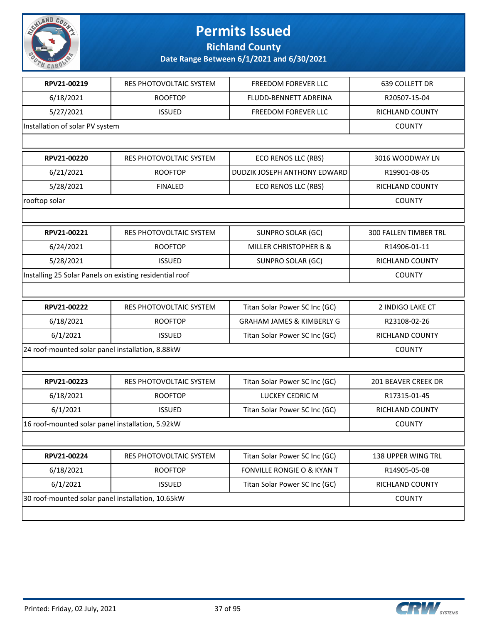

**Richland County**

| RPV21-00219                                             | RES PHOTOVOLTAIC SYSTEM | FREEDOM FOREVER LLC                   | 639 COLLETT DR         |
|---------------------------------------------------------|-------------------------|---------------------------------------|------------------------|
| 6/18/2021                                               | <b>ROOFTOP</b>          | FLUDD-BENNETT ADREINA                 | R20507-15-04           |
| 5/27/2021                                               | <b>ISSUED</b>           | FREEDOM FOREVER LLC                   | <b>RICHLAND COUNTY</b> |
| Installation of solar PV system                         |                         |                                       | <b>COUNTY</b>          |
|                                                         |                         |                                       |                        |
| RPV21-00220                                             | RES PHOTOVOLTAIC SYSTEM | ECO RENOS LLC (RBS)                   | 3016 WOODWAY LN        |
| 6/21/2021                                               | <b>ROOFTOP</b>          | DUDZIK JOSEPH ANTHONY EDWARD          | R19901-08-05           |
| 5/28/2021                                               | <b>FINALED</b>          | ECO RENOS LLC (RBS)                   | RICHLAND COUNTY        |
| rooftop solar                                           |                         |                                       | <b>COUNTY</b>          |
|                                                         |                         |                                       |                        |
| RPV21-00221                                             | RES PHOTOVOLTAIC SYSTEM | SUNPRO SOLAR (GC)                     | 300 FALLEN TIMBER TRL  |
| 6/24/2021                                               | <b>ROOFTOP</b>          | <b>MILLER CHRISTOPHER B &amp;</b>     | R14906-01-11           |
| 5/28/2021                                               | <b>ISSUED</b>           | <b>SUNPRO SOLAR (GC)</b>              | <b>RICHLAND COUNTY</b> |
| Installing 25 Solar Panels on existing residential roof |                         |                                       | <b>COUNTY</b>          |
|                                                         |                         |                                       |                        |
| RPV21-00222                                             | RES PHOTOVOLTAIC SYSTEM | Titan Solar Power SC Inc (GC)         | 2 INDIGO LAKE CT       |
| 6/18/2021                                               | <b>ROOFTOP</b>          | <b>GRAHAM JAMES &amp; KIMBERLY G</b>  | R23108-02-26           |
| 6/1/2021                                                | <b>ISSUED</b>           | Titan Solar Power SC Inc (GC)         | RICHLAND COUNTY        |
| 24 roof-mounted solar panel installation, 8.88kW        |                         |                                       | <b>COUNTY</b>          |
|                                                         |                         |                                       |                        |
| RPV21-00223                                             | RES PHOTOVOLTAIC SYSTEM | Titan Solar Power SC Inc (GC)         | 201 BEAVER CREEK DR    |
| 6/18/2021                                               | <b>ROOFTOP</b>          | LUCKEY CEDRIC M                       | R17315-01-45           |
| 6/1/2021                                                | <b>ISSUED</b>           | Titan Solar Power SC Inc (GC)         | RICHLAND COUNTY        |
| 16 roof-mounted solar panel installation, 5.92kW        |                         |                                       | <b>COUNTY</b>          |
|                                                         |                         |                                       |                        |
| RPV21-00224                                             | RES PHOTOVOLTAIC SYSTEM | Titan Solar Power SC Inc (GC)         | 138 UPPER WING TRL     |
| 6/18/2021                                               | <b>ROOFTOP</b>          | <b>FONVILLE RONGIE O &amp; KYAN T</b> | R14905-05-08           |
| 6/1/2021                                                | <b>ISSUED</b>           | Titan Solar Power SC Inc (GC)         | RICHLAND COUNTY        |
| 30 roof-mounted solar panel installation, 10.65kW       |                         |                                       | <b>COUNTY</b>          |
|                                                         |                         |                                       |                        |

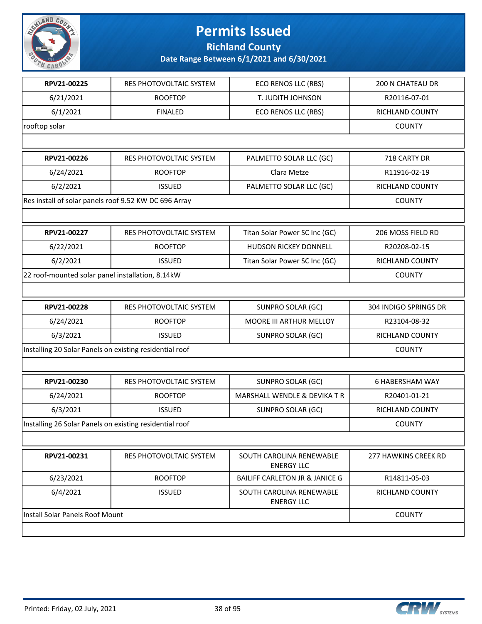

**Richland County**

| RPV21-00225                                             | RES PHOTOVOLTAIC SYSTEM        | <b>ECO RENOS LLC (RBS)</b>                    | 200 N CHATEAU DR       |
|---------------------------------------------------------|--------------------------------|-----------------------------------------------|------------------------|
| 6/21/2021                                               | <b>ROOFTOP</b>                 | T. JUDITH JOHNSON                             | R20116-07-01           |
| 6/1/2021                                                | <b>FINALED</b>                 | ECO RENOS LLC (RBS)                           | RICHLAND COUNTY        |
| rooftop solar                                           |                                |                                               | <b>COUNTY</b>          |
|                                                         |                                |                                               |                        |
| RPV21-00226                                             | RES PHOTOVOLTAIC SYSTEM        | PALMETTO SOLAR LLC (GC)                       | 718 CARTY DR           |
| 6/24/2021                                               | <b>ROOFTOP</b>                 | Clara Metze                                   | R11916-02-19           |
| 6/2/2021                                                | <b>ISSUED</b>                  | PALMETTO SOLAR LLC (GC)                       | <b>RICHLAND COUNTY</b> |
| Res install of solar panels roof 9.52 KW DC 696 Array   |                                |                                               | <b>COUNTY</b>          |
|                                                         |                                |                                               |                        |
| RPV21-00227                                             | RES PHOTOVOLTAIC SYSTEM        | Titan Solar Power SC Inc (GC)                 | 206 MOSS FIELD RD      |
| 6/22/2021                                               | <b>ROOFTOP</b>                 | HUDSON RICKEY DONNELL                         | R20208-02-15           |
| 6/2/2021                                                | <b>ISSUED</b>                  | Titan Solar Power SC Inc (GC)                 | RICHLAND COUNTY        |
| 22 roof-mounted solar panel installation, 8.14kW        |                                |                                               | <b>COUNTY</b>          |
|                                                         |                                |                                               |                        |
| RPV21-00228                                             | RES PHOTOVOLTAIC SYSTEM        | <b>SUNPRO SOLAR (GC)</b>                      | 304 INDIGO SPRINGS DR  |
| 6/24/2021                                               | <b>ROOFTOP</b>                 | MOORE III ARTHUR MELLOY                       | R23104-08-32           |
| 6/3/2021                                                | <b>ISSUED</b>                  | SUNPRO SOLAR (GC)                             | RICHLAND COUNTY        |
| Installing 20 Solar Panels on existing residential roof |                                |                                               | <b>COUNTY</b>          |
|                                                         |                                |                                               |                        |
| RPV21-00230                                             | RES PHOTOVOLTAIC SYSTEM        | SUNPRO SOLAR (GC)                             | <b>6 HABERSHAM WAY</b> |
| 6/24/2021                                               | <b>ROOFTOP</b>                 | MARSHALL WENDLE & DEVIKA T R                  | R20401-01-21           |
| 6/3/2021                                                | <b>ISSUED</b>                  | <b>SUNPRO SOLAR (GC)</b>                      | RICHLAND COUNTY        |
| Installing 26 Solar Panels on existing residential roof |                                |                                               | <b>COUNTY</b>          |
|                                                         |                                |                                               |                        |
| RPV21-00231                                             | <b>RES PHOTOVOLTAIC SYSTEM</b> | SOUTH CAROLINA RENEWABLE<br><b>ENERGY LLC</b> | 277 HAWKINS CREEK RD   |
| 6/23/2021                                               | <b>ROOFTOP</b>                 | <b>BAILIFF CARLETON JR &amp; JANICE G</b>     | R14811-05-03           |
| 6/4/2021                                                | <b>ISSUED</b>                  | SOUTH CAROLINA RENEWABLE<br><b>ENERGY LLC</b> | <b>RICHLAND COUNTY</b> |
| Install Solar Panels Roof Mount                         |                                |                                               | <b>COUNTY</b>          |
|                                                         |                                |                                               |                        |

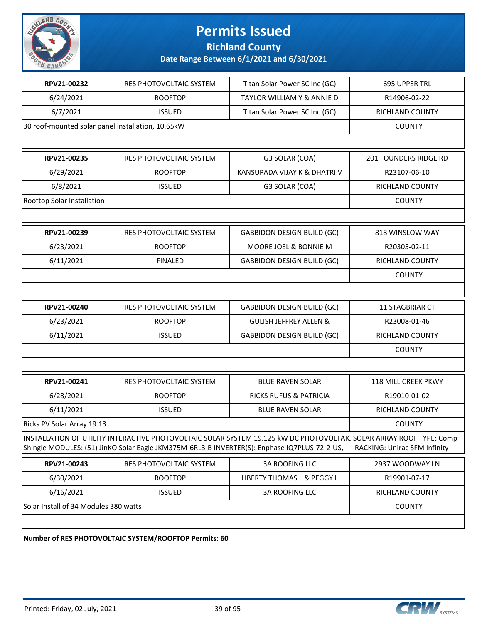

#### **Richland County**

**Date Range Between 6/1/2021 and 6/30/2021**

| RPV21-00232                                       |                                |                                                                                                                                                                                                                                                      |                            |
|---------------------------------------------------|--------------------------------|------------------------------------------------------------------------------------------------------------------------------------------------------------------------------------------------------------------------------------------------------|----------------------------|
|                                                   | RES PHOTOVOLTAIC SYSTEM        | Titan Solar Power SC Inc (GC)                                                                                                                                                                                                                        | <b>695 UPPER TRL</b>       |
| 6/24/2021                                         | <b>ROOFTOP</b>                 | <b>TAYLOR WILLIAM Y &amp; ANNIE D</b>                                                                                                                                                                                                                | R14906-02-22               |
| 6/7/2021                                          | <b>ISSUED</b>                  | Titan Solar Power SC Inc (GC)                                                                                                                                                                                                                        | <b>RICHLAND COUNTY</b>     |
| 30 roof-mounted solar panel installation, 10.65kW | <b>COUNTY</b>                  |                                                                                                                                                                                                                                                      |                            |
|                                                   |                                |                                                                                                                                                                                                                                                      |                            |
| RPV21-00235                                       | <b>RES PHOTOVOLTAIC SYSTEM</b> | G3 SOLAR (COA)                                                                                                                                                                                                                                       | 201 FOUNDERS RIDGE RD      |
| 6/29/2021                                         | <b>ROOFTOP</b>                 | KANSUPADA VIJAY K & DHATRI V                                                                                                                                                                                                                         | R23107-06-10               |
| 6/8/2021                                          | <b>ISSUED</b>                  | G3 SOLAR (COA)                                                                                                                                                                                                                                       | RICHLAND COUNTY            |
| Rooftop Solar Installation                        |                                |                                                                                                                                                                                                                                                      | <b>COUNTY</b>              |
|                                                   |                                |                                                                                                                                                                                                                                                      |                            |
| RPV21-00239                                       | RES PHOTOVOLTAIC SYSTEM        | <b>GABBIDON DESIGN BUILD (GC)</b>                                                                                                                                                                                                                    | 818 WINSLOW WAY            |
| 6/23/2021                                         | <b>ROOFTOP</b>                 | MOORE JOEL & BONNIE M                                                                                                                                                                                                                                | R20305-02-11               |
| 6/11/2021                                         | <b>FINALED</b>                 | <b>GABBIDON DESIGN BUILD (GC)</b>                                                                                                                                                                                                                    | <b>RICHLAND COUNTY</b>     |
|                                                   |                                |                                                                                                                                                                                                                                                      | <b>COUNTY</b>              |
|                                                   |                                |                                                                                                                                                                                                                                                      |                            |
| RPV21-00240                                       | RES PHOTOVOLTAIC SYSTEM        | <b>GABBIDON DESIGN BUILD (GC)</b>                                                                                                                                                                                                                    | 11 STAGBRIAR CT            |
| 6/23/2021                                         | <b>ROOFTOP</b>                 | <b>GULISH JEFFREY ALLEN &amp;</b>                                                                                                                                                                                                                    | R23008-01-46               |
| 6/11/2021                                         | <b>ISSUED</b>                  | <b>GABBIDON DESIGN BUILD (GC)</b>                                                                                                                                                                                                                    | RICHLAND COUNTY            |
|                                                   |                                |                                                                                                                                                                                                                                                      | <b>COUNTY</b>              |
|                                                   |                                |                                                                                                                                                                                                                                                      |                            |
| RPV21-00241                                       | RES PHOTOVOLTAIC SYSTEM        | <b>BLUE RAVEN SOLAR</b>                                                                                                                                                                                                                              | <b>118 MILL CREEK PKWY</b> |
| 6/28/2021                                         | <b>ROOFTOP</b>                 | <b>RICKS RUFUS &amp; PATRICIA</b>                                                                                                                                                                                                                    | R19010-01-02               |
| 6/11/2021                                         | <b>ISSUED</b>                  | <b>BLUE RAVEN SOLAR</b>                                                                                                                                                                                                                              | RICHLAND COUNTY            |
| Ricks PV Solar Array 19.13                        |                                |                                                                                                                                                                                                                                                      | <b>COUNTY</b>              |
|                                                   |                                | INSTALLATION OF UTILITY INTERACTIVE PHOTOVOLTAIC SOLAR SYSTEM 19.125 kW DC PHOTOVOLTAIC SOLAR ARRAY ROOF TYPE: Comp<br>Shingle MODULES: (51) JinKO Solar Eagle JKM375M-6RL3-B INVERTER(S): Enphase IQ7PLUS-72-2-US,---- RACKING: Unirac SFM Infinity |                            |
| RPV21-00243                                       | RES PHOTOVOLTAIC SYSTEM        | <b>3A ROOFING LLC</b>                                                                                                                                                                                                                                | 2937 WOODWAY LN            |
| 6/30/2021                                         | <b>ROOFTOP</b>                 | LIBERTY THOMAS L & PEGGY L                                                                                                                                                                                                                           | R19901-07-17               |
|                                                   |                                |                                                                                                                                                                                                                                                      |                            |
| 6/16/2021                                         | <b>ISSUED</b>                  | 3A ROOFING LLC                                                                                                                                                                                                                                       | RICHLAND COUNTY            |

#### **Number of RES PHOTOVOLTAIC SYSTEM/ROOFTOP Permits: 60**

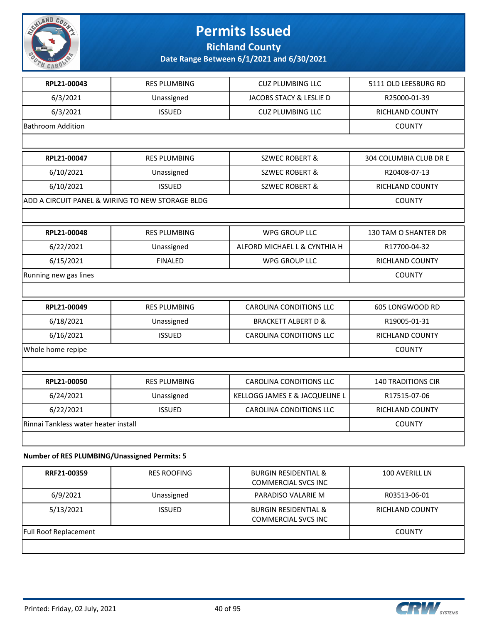

**Richland County**

**Date Range Between 6/1/2021 and 6/30/2021**

| RPL21-00043                          | <b>RES PLUMBING</b>                                 | <b>CUZ PLUMBING LLC</b>        | 5111 OLD LEESBURG RD      |
|--------------------------------------|-----------------------------------------------------|--------------------------------|---------------------------|
| 6/3/2021                             | Unassigned                                          | JACOBS STACY & LESLIE D        | R25000-01-39              |
| 6/3/2021                             | <b>ISSUED</b>                                       | <b>CUZ PLUMBING LLC</b>        | RICHLAND COUNTY           |
| <b>Bathroom Addition</b>             |                                                     |                                | <b>COUNTY</b>             |
|                                      |                                                     |                                |                           |
| RPL21-00047                          | <b>RES PLUMBING</b>                                 | <b>SZWEC ROBERT &amp;</b>      | 304 COLUMBIA CLUB DR E    |
| 6/10/2021                            | Unassigned                                          | <b>SZWEC ROBERT &amp;</b>      | R20408-07-13              |
| 6/10/2021                            | <b>ISSUED</b>                                       | <b>SZWEC ROBERT &amp;</b>      | RICHLAND COUNTY           |
|                                      | ADD A CIRCUIT PANEL & WIRING TO NEW STORAGE BLDG    |                                | <b>COUNTY</b>             |
|                                      |                                                     |                                |                           |
| RPL21-00048                          | <b>RES PLUMBING</b>                                 | <b>WPG GROUP LLC</b>           | 130 TAM O SHANTER DR      |
| 6/22/2021                            | Unassigned                                          | ALFORD MICHAEL L & CYNTHIA H   | R17700-04-32              |
| 6/15/2021                            | <b>FINALED</b>                                      | <b>WPG GROUP LLC</b>           | RICHLAND COUNTY           |
| Running new gas lines                |                                                     |                                | <b>COUNTY</b>             |
|                                      |                                                     |                                |                           |
| RPL21-00049                          | <b>RES PLUMBING</b>                                 | <b>CAROLINA CONDITIONS LLC</b> | 605 LONGWOOD RD           |
| 6/18/2021                            | Unassigned                                          | <b>BRACKETT ALBERT D &amp;</b> | R19005-01-31              |
| 6/16/2021                            | <b>ISSUED</b>                                       | CAROLINA CONDITIONS LLC        | RICHLAND COUNTY           |
| Whole home repipe                    |                                                     |                                | <b>COUNTY</b>             |
|                                      |                                                     |                                |                           |
| RPL21-00050                          | <b>RES PLUMBING</b>                                 | <b>CAROLINA CONDITIONS LLC</b> | <b>140 TRADITIONS CIR</b> |
| 6/24/2021                            | Unassigned                                          | KELLOGG JAMES E & JACQUELINE L | R17515-07-06              |
| 6/22/2021                            | <b>ISSUED</b>                                       | CAROLINA CONDITIONS LLC        | <b>RICHLAND COUNTY</b>    |
| Rinnai Tankless water heater install |                                                     |                                | <b>COUNTY</b>             |
|                                      |                                                     |                                |                           |
|                                      | $\sim$ of DEC BUILARDING (Househouse) Because the F |                                |                           |

#### **Number of RES PLUMBING/Unassigned Permits: 5**

| RRF21-00359                  | <b>RES ROOFING</b> | <b>BURGIN RESIDENTIAL &amp;</b><br><b>COMMERCIAL SVCS INC</b> | 100 AVERILL LN         |
|------------------------------|--------------------|---------------------------------------------------------------|------------------------|
| 6/9/2021                     | Unassigned         | PARADISO VALARIE M                                            | R03513-06-01           |
| 5/13/2021                    | <b>ISSUED</b>      | <b>BURGIN RESIDENTIAL &amp;</b><br><b>COMMERCIAL SVCS INC</b> | <b>RICHLAND COUNTY</b> |
| <b>Full Roof Replacement</b> |                    |                                                               | <b>COUNTY</b>          |
|                              |                    |                                                               |                        |

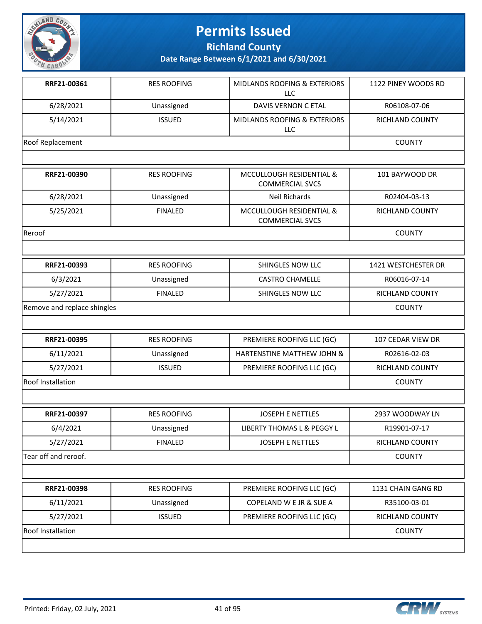

**Richland County**

| RRF21-00361                 | <b>RES ROOFING</b> | <b>MIDLANDS ROOFING &amp; EXTERIORS</b><br><b>LLC</b> | 1122 PINEY WOODS RD    |
|-----------------------------|--------------------|-------------------------------------------------------|------------------------|
| 6/28/2021                   | Unassigned         | <b>DAVIS VERNON C ETAL</b>                            | R06108-07-06           |
| 5/14/2021                   | <b>ISSUED</b>      | MIDLANDS ROOFING & EXTERIORS<br><b>LLC</b>            | <b>RICHLAND COUNTY</b> |
| <b>Roof Replacement</b>     |                    |                                                       | <b>COUNTY</b>          |
|                             |                    |                                                       |                        |
| RRF21-00390                 | <b>RES ROOFING</b> | MCCULLOUGH RESIDENTIAL &<br><b>COMMERCIAL SVCS</b>    | 101 BAYWOOD DR         |
| 6/28/2021                   | Unassigned         | Neil Richards                                         | R02404-03-13           |
| 5/25/2021                   | <b>FINALED</b>     | MCCULLOUGH RESIDENTIAL &<br><b>COMMERCIAL SVCS</b>    | RICHLAND COUNTY        |
| Reroof                      |                    |                                                       | <b>COUNTY</b>          |
|                             |                    |                                                       |                        |
| RRF21-00393                 | <b>RES ROOFING</b> | SHINGLES NOW LLC                                      | 1421 WESTCHESTER DR    |
| 6/3/2021                    | Unassigned         | <b>CASTRO CHAMELLE</b>                                | R06016-07-14           |
| 5/27/2021                   | <b>FINALED</b>     | SHINGLES NOW LLC                                      | <b>RICHLAND COUNTY</b> |
| Remove and replace shingles |                    |                                                       | <b>COUNTY</b>          |
|                             |                    |                                                       |                        |
| RRF21-00395                 | <b>RES ROOFING</b> | PREMIERE ROOFING LLC (GC)                             | 107 CEDAR VIEW DR      |
| 6/11/2021                   | Unassigned         | HARTENSTINE MATTHEW JOHN &                            | R02616-02-03           |
| 5/27/2021                   | <b>ISSUED</b>      | PREMIERE ROOFING LLC (GC)                             | <b>RICHLAND COUNTY</b> |
| <b>Roof Installation</b>    |                    |                                                       | <b>COUNTY</b>          |
|                             |                    |                                                       |                        |
| RRF21-00397                 | <b>RES ROOFING</b> | <b>JOSEPH E NETTLES</b>                               | 2937 WOODWAY LN        |
| 6/4/2021                    | Unassigned         | LIBERTY THOMAS L & PEGGY L                            | R19901-07-17           |
| 5/27/2021                   | <b>FINALED</b>     | JOSEPH E NETTLES                                      | RICHLAND COUNTY        |
| Tear off and reroof.        |                    |                                                       | <b>COUNTY</b>          |
|                             |                    |                                                       |                        |
| RRF21-00398                 | <b>RES ROOFING</b> | PREMIERE ROOFING LLC (GC)                             | 1131 CHAIN GANG RD     |
| 6/11/2021                   | Unassigned         | COPELAND W E JR & SUE A                               | R35100-03-01           |
| 5/27/2021                   | <b>ISSUED</b>      | PREMIERE ROOFING LLC (GC)                             | RICHLAND COUNTY        |
| <b>Roof Installation</b>    |                    |                                                       | <b>COUNTY</b>          |
|                             |                    |                                                       |                        |

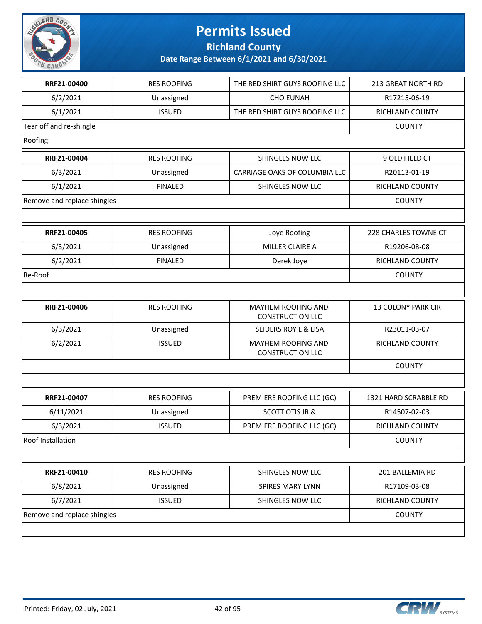

**Richland County**

| RRF21-00400                 | <b>RES ROOFING</b> | THE RED SHIRT GUYS ROOFING LLC                | 213 GREAT NORTH RD     |
|-----------------------------|--------------------|-----------------------------------------------|------------------------|
| 6/2/2021                    | Unassigned         | <b>CHO EUNAH</b>                              | R17215-06-19           |
| 6/1/2021                    | <b>ISSUED</b>      | THE RED SHIRT GUYS ROOFING LLC                | <b>RICHLAND COUNTY</b> |
| Tear off and re-shingle     |                    |                                               | <b>COUNTY</b>          |
| Roofing                     |                    |                                               |                        |
| RRF21-00404                 | <b>RES ROOFING</b> | SHINGLES NOW LLC                              | 9 OLD FIELD CT         |
| 6/3/2021                    | Unassigned         | CARRIAGE OAKS OF COLUMBIA LLC                 | R20113-01-19           |
| 6/1/2021                    | <b>FINALED</b>     | SHINGLES NOW LLC                              | RICHLAND COUNTY        |
| Remove and replace shingles |                    |                                               | <b>COUNTY</b>          |
|                             |                    |                                               |                        |
| RRF21-00405                 | <b>RES ROOFING</b> | Joye Roofing                                  | 228 CHARLES TOWNE CT   |
| 6/3/2021                    | Unassigned         | MILLER CLAIRE A                               | R19206-08-08           |
| 6/2/2021                    | <b>FINALED</b>     | Derek Joye                                    | <b>RICHLAND COUNTY</b> |
| Re-Roof                     |                    |                                               | <b>COUNTY</b>          |
|                             |                    |                                               |                        |
| RRF21-00406                 | <b>RES ROOFING</b> | MAYHEM ROOFING AND<br><b>CONSTRUCTION LLC</b> | 13 COLONY PARK CIR     |
| 6/3/2021                    | Unassigned         | SEIDERS ROY L & LISA                          | R23011-03-07           |
| 6/2/2021                    | <b>ISSUED</b>      | MAYHEM ROOFING AND<br><b>CONSTRUCTION LLC</b> | RICHLAND COUNTY        |
|                             |                    |                                               | <b>COUNTY</b>          |
|                             |                    |                                               |                        |
| RRF21-00407                 | <b>RES ROOFING</b> | PREMIERE ROOFING LLC (GC)                     | 1321 HARD SCRABBLE RD  |
| 6/11/2021                   | Unassigned         | <b>SCOTT OTIS JR &amp;</b>                    | R14507-02-03           |
| 6/3/2021                    | <b>ISSUED</b>      | PREMIERE ROOFING LLC (GC)                     | RICHLAND COUNTY        |
| Roof Installation           |                    |                                               | <b>COUNTY</b>          |
|                             |                    |                                               |                        |
| RRF21-00410                 | <b>RES ROOFING</b> | SHINGLES NOW LLC                              | 201 BALLEMIA RD        |
| 6/8/2021                    | Unassigned         | SPIRES MARY LYNN                              | R17109-03-08           |
| 6/7/2021                    | <b>ISSUED</b>      | SHINGLES NOW LLC                              | RICHLAND COUNTY        |
| Remove and replace shingles |                    |                                               | <b>COUNTY</b>          |
|                             |                    |                                               |                        |

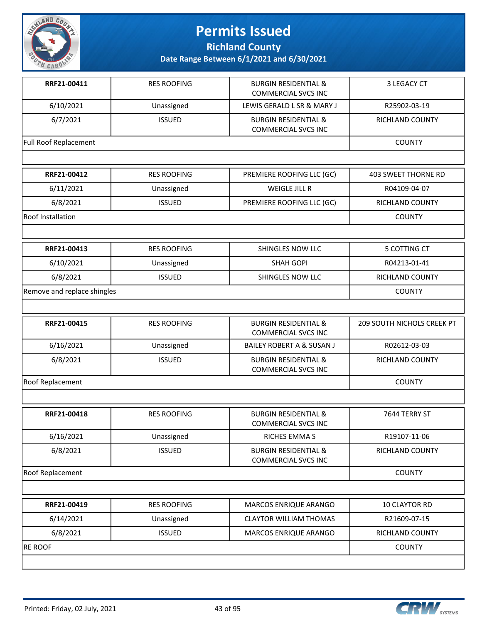

**Richland County**

| RRF21-00411                  | <b>RES ROOFING</b> | <b>BURGIN RESIDENTIAL &amp;</b><br><b>COMMERCIAL SVCS INC</b> | 3 LEGACY CT                |
|------------------------------|--------------------|---------------------------------------------------------------|----------------------------|
| 6/10/2021                    | Unassigned         | LEWIS GERALD L SR & MARY J                                    | R25902-03-19               |
| 6/7/2021                     | <b>ISSUED</b>      | <b>BURGIN RESIDENTIAL &amp;</b><br><b>COMMERCIAL SVCS INC</b> | RICHLAND COUNTY            |
| <b>Full Roof Replacement</b> |                    |                                                               | <b>COUNTY</b>              |
|                              |                    |                                                               |                            |
| RRF21-00412                  | <b>RES ROOFING</b> | PREMIERE ROOFING LLC (GC)                                     | <b>403 SWEET THORNE RD</b> |
| 6/11/2021                    | Unassigned         | WEIGLE JILL R                                                 | R04109-04-07               |
| 6/8/2021                     | <b>ISSUED</b>      | PREMIERE ROOFING LLC (GC)                                     | RICHLAND COUNTY            |
| Roof Installation            |                    |                                                               | <b>COUNTY</b>              |
|                              |                    |                                                               |                            |
| RRF21-00413                  | <b>RES ROOFING</b> | SHINGLES NOW LLC                                              | 5 COTTING CT               |
| 6/10/2021                    | Unassigned         | <b>SHAH GOPI</b>                                              | R04213-01-41               |
| 6/8/2021                     | <b>ISSUED</b>      | SHINGLES NOW LLC                                              | RICHLAND COUNTY            |
| Remove and replace shingles  |                    |                                                               | <b>COUNTY</b>              |
|                              |                    |                                                               |                            |
| RRF21-00415                  | <b>RES ROOFING</b> | <b>BURGIN RESIDENTIAL &amp;</b><br><b>COMMERCIAL SVCS INC</b> | 209 SOUTH NICHOLS CREEK PT |
| 6/16/2021                    | Unassigned         | BAILEY ROBERT A & SUSAN J                                     | R02612-03-03               |
| 6/8/2021                     | <b>ISSUED</b>      | <b>BURGIN RESIDENTIAL &amp;</b><br><b>COMMERCIAL SVCS INC</b> | RICHLAND COUNTY            |
| Roof Replacement             |                    |                                                               | <b>COUNTY</b>              |
|                              |                    |                                                               |                            |
| RRF21-00418                  | <b>RES ROOFING</b> | <b>BURGIN RESIDENTIAL &amp;</b><br><b>COMMERCIAL SVCS INC</b> | 7644 TERRY ST              |
| 6/16/2021                    | Unassigned         | RICHES EMMA S                                                 | R19107-11-06               |
| 6/8/2021                     | <b>ISSUED</b>      | <b>BURGIN RESIDENTIAL &amp;</b><br><b>COMMERCIAL SVCS INC</b> | <b>RICHLAND COUNTY</b>     |
| Roof Replacement             |                    |                                                               | COUNTY                     |
|                              |                    |                                                               |                            |
| RRF21-00419                  | <b>RES ROOFING</b> | MARCOS ENRIQUE ARANGO                                         | 10 CLAYTOR RD              |
| 6/14/2021                    | Unassigned         | <b>CLAYTOR WILLIAM THOMAS</b>                                 | R21609-07-15               |
| 6/8/2021                     | <b>ISSUED</b>      | MARCOS ENRIQUE ARANGO                                         | RICHLAND COUNTY            |
| <b>RE ROOF</b>               |                    |                                                               | <b>COUNTY</b>              |
|                              |                    |                                                               |                            |

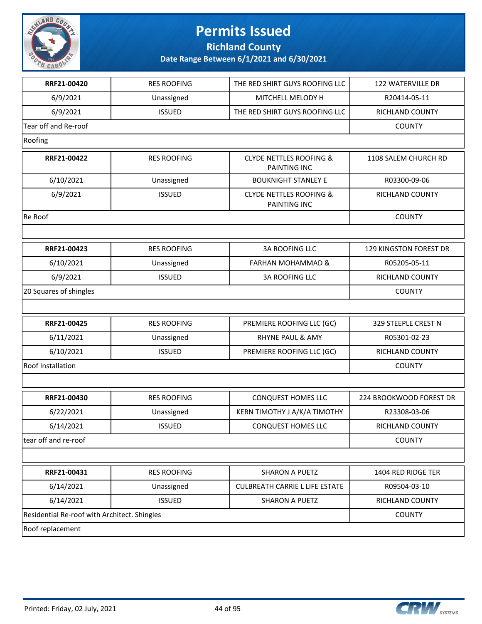

**Richland County**

| RRF21-00420                                  | <b>RES ROOFING</b> | THE RED SHIRT GUYS ROOFING LLC                            | 122 WATERVILLE DR       |
|----------------------------------------------|--------------------|-----------------------------------------------------------|-------------------------|
| 6/9/2021                                     | Unassigned         | MITCHELL MELODY H                                         | R20414-05-11            |
| 6/9/2021                                     | <b>ISSUED</b>      | THE RED SHIRT GUYS ROOFING LLC                            | <b>RICHLAND COUNTY</b>  |
| Tear off and Re-roof                         |                    |                                                           | <b>COUNTY</b>           |
| Roofing                                      |                    |                                                           |                         |
| RRF21-00422                                  | <b>RES ROOFING</b> | <b>CLYDE NETTLES ROOFING &amp;</b><br><b>PAINTING INC</b> | 1108 SALEM CHURCH RD    |
| 6/10/2021                                    | Unassigned         | <b>BOUKNIGHT STANLEY E</b>                                | R03300-09-06            |
| 6/9/2021                                     | <b>ISSUED</b>      | <b>CLYDE NETTLES ROOFING &amp;</b><br>PAINTING INC        | RICHLAND COUNTY         |
| Re Roof                                      |                    |                                                           | <b>COUNTY</b>           |
|                                              |                    |                                                           |                         |
| RRF21-00423                                  | <b>RES ROOFING</b> | <b>3A ROOFING LLC</b>                                     | 129 KINGSTON FOREST DR  |
| 6/10/2021                                    | Unassigned         | <b>FARHAN MOHAMMAD &amp;</b>                              | R05205-05-11            |
| 6/9/2021                                     | <b>ISSUED</b>      | <b>3A ROOFING LLC</b>                                     | <b>RICHLAND COUNTY</b>  |
| 20 Squares of shingles                       |                    |                                                           | <b>COUNTY</b>           |
|                                              |                    |                                                           |                         |
| RRF21-00425                                  | <b>RES ROOFING</b> | PREMIERE ROOFING LLC (GC)                                 | 329 STEEPLE CREST N     |
| 6/11/2021                                    | Unassigned         | <b>RHYNE PAUL &amp; AMY</b>                               | R05301-02-23            |
| 6/10/2021                                    | <b>ISSUED</b>      | PREMIERE ROOFING LLC (GC)                                 | RICHLAND COUNTY         |
| Roof Installation                            |                    |                                                           | <b>COUNTY</b>           |
|                                              |                    |                                                           |                         |
| RRF21-00430                                  | <b>RES ROOFING</b> | CONQUEST HOMES LLC                                        | 224 BROOKWOOD FOREST DR |
| 6/22/2021                                    | Unassigned         | KERN TIMOTHY J A/K/A TIMOTHY                              | R23308-03-06            |
| 6/14/2021                                    | <b>ISSUED</b>      | CONQUEST HOMES LLC                                        | RICHLAND COUNTY         |
| tear off and re-roof                         |                    |                                                           | <b>COUNTY</b>           |
|                                              |                    |                                                           |                         |
| RRF21-00431                                  | <b>RES ROOFING</b> | <b>SHARON A PUETZ</b>                                     | 1404 RED RIDGE TER      |
| 6/14/2021                                    | Unassigned         | <b>CULBREATH CARRIE L LIFE ESTATE</b>                     | R09504-03-10            |
| 6/14/2021                                    | <b>ISSUED</b>      | <b>SHARON A PUETZ</b>                                     | RICHLAND COUNTY         |
| Residential Re-roof with Architect. Shingles |                    |                                                           | <b>COUNTY</b>           |
| Roof replacement                             |                    |                                                           |                         |

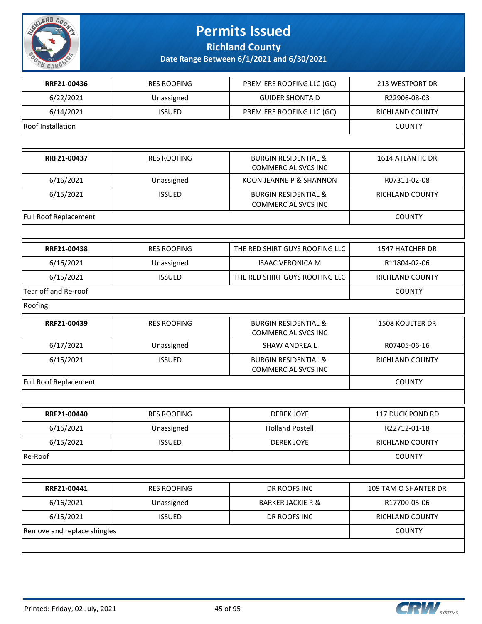

**Richland County**

| RRF21-00436                 | <b>RES ROOFING</b> | PREMIERE ROOFING LLC (GC)                                     | 213 WESTPORT DR        |
|-----------------------------|--------------------|---------------------------------------------------------------|------------------------|
| 6/22/2021                   | Unassigned         | <b>GUIDER SHONTA D</b>                                        | R22906-08-03           |
| 6/14/2021                   | <b>ISSUED</b>      | PREMIERE ROOFING LLC (GC)                                     | RICHLAND COUNTY        |
| Roof Installation           |                    |                                                               | <b>COUNTY</b>          |
|                             |                    |                                                               |                        |
| RRF21-00437                 | <b>RES ROOFING</b> | <b>BURGIN RESIDENTIAL &amp;</b><br><b>COMMERCIAL SVCS INC</b> | 1614 ATLANTIC DR       |
| 6/16/2021                   | Unassigned         | KOON JEANNE P & SHANNON                                       | R07311-02-08           |
| 6/15/2021                   | <b>ISSUED</b>      | <b>BURGIN RESIDENTIAL &amp;</b><br><b>COMMERCIAL SVCS INC</b> | RICHLAND COUNTY        |
| Full Roof Replacement       |                    |                                                               | <b>COUNTY</b>          |
|                             |                    |                                                               |                        |
| RRF21-00438                 | <b>RES ROOFING</b> | THE RED SHIRT GUYS ROOFING LLC                                | <b>1547 HATCHER DR</b> |
| 6/16/2021                   | Unassigned         | <b>ISAAC VERONICA M</b>                                       | R11804-02-06           |
| 6/15/2021                   | <b>ISSUED</b>      | THE RED SHIRT GUYS ROOFING LLC                                | RICHLAND COUNTY        |
| Tear off and Re-roof        |                    |                                                               | <b>COUNTY</b>          |
| Roofing                     |                    |                                                               |                        |
| RRF21-00439                 | <b>RES ROOFING</b> | <b>BURGIN RESIDENTIAL &amp;</b><br><b>COMMERCIAL SVCS INC</b> | <b>1508 KOULTER DR</b> |
| 6/17/2021                   | Unassigned         | SHAW ANDREA L                                                 | R07405-06-16           |
| 6/15/2021                   | <b>ISSUED</b>      | <b>BURGIN RESIDENTIAL &amp;</b><br>COMMERCIAL SVCS INC        | RICHLAND COUNTY        |
| Full Roof Replacement       |                    |                                                               | <b>COUNTY</b>          |
|                             |                    |                                                               |                        |
| RRF21-00440                 | <b>RES ROOFING</b> | <b>DEREK JOYE</b>                                             | 117 DUCK POND RD       |
| 6/16/2021                   | Unassigned         | <b>Holland Postell</b>                                        | R22712-01-18           |
| 6/15/2021                   | <b>ISSUED</b>      | <b>DEREK JOYE</b>                                             | RICHLAND COUNTY        |
| Re-Roof                     |                    |                                                               | <b>COUNTY</b>          |
|                             |                    |                                                               |                        |
| RRF21-00441                 | <b>RES ROOFING</b> | DR ROOFS INC                                                  | 109 TAM O SHANTER DR   |
| 6/16/2021                   | Unassigned         | <b>BARKER JACKIE R &amp;</b>                                  | R17700-05-06           |
| 6/15/2021                   | <b>ISSUED</b>      | DR ROOFS INC                                                  | RICHLAND COUNTY        |
| Remove and replace shingles |                    |                                                               | <b>COUNTY</b>          |
|                             |                    |                                                               |                        |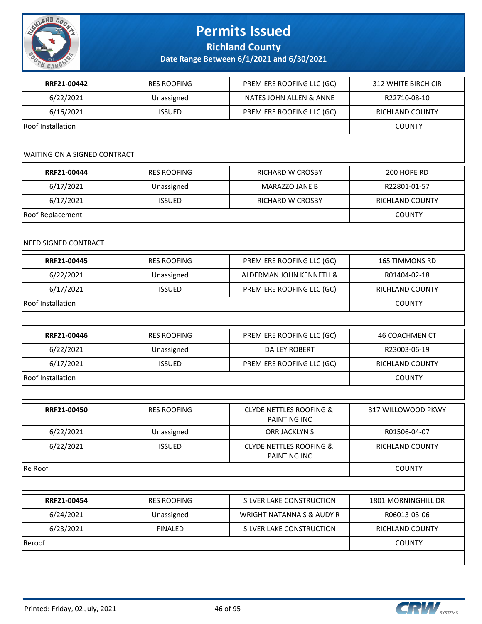

**Richland County**

| RRF21-00442                         | <b>RES ROOFING</b> | PREMIERE ROOFING LLC (GC)                          | 312 WHITE BIRCH CIR    |
|-------------------------------------|--------------------|----------------------------------------------------|------------------------|
| 6/22/2021                           | Unassigned         | NATES JOHN ALLEN & ANNE                            | R22710-08-10           |
| 6/16/2021                           | <b>ISSUED</b>      | PREMIERE ROOFING LLC (GC)                          | RICHLAND COUNTY        |
| <b>Roof Installation</b>            |                    |                                                    | <b>COUNTY</b>          |
| <b>WAITING ON A SIGNED CONTRACT</b> |                    |                                                    |                        |
| RRF21-00444                         | <b>RES ROOFING</b> | RICHARD W CROSBY                                   | 200 HOPE RD            |
| 6/17/2021                           | Unassigned         | MARAZZO JANE B                                     | R22801-01-57           |
| 6/17/2021                           | <b>ISSUED</b>      | RICHARD W CROSBY                                   | RICHLAND COUNTY        |
| Roof Replacement                    |                    |                                                    | <b>COUNTY</b>          |
| NEED SIGNED CONTRACT.               |                    |                                                    |                        |
| RRF21-00445                         | <b>RES ROOFING</b> | PREMIERE ROOFING LLC (GC)                          | 165 TIMMONS RD         |
| 6/22/2021                           | Unassigned         | ALDERMAN JOHN KENNETH &                            | R01404-02-18           |
| 6/17/2021                           | <b>ISSUED</b>      | PREMIERE ROOFING LLC (GC)                          | RICHLAND COUNTY        |
| <b>Roof Installation</b>            |                    |                                                    | <b>COUNTY</b>          |
|                                     |                    |                                                    |                        |
| RRF21-00446                         | <b>RES ROOFING</b> | PREMIERE ROOFING LLC (GC)                          | <b>46 COACHMEN CT</b>  |
| 6/22/2021                           | Unassigned         | <b>DAILEY ROBERT</b>                               | R23003-06-19           |
| 6/17/2021                           | <b>ISSUED</b>      | PREMIERE ROOFING LLC (GC)                          | RICHLAND COUNTY        |
| <b>Roof Installation</b>            |                    |                                                    | <b>COUNTY</b>          |
|                                     |                    |                                                    |                        |
| RRF21-00450                         | <b>RES ROOFING</b> | <b>CLYDE NETTLES ROOFING &amp;</b><br>PAINTING INC | 317 WILLOWOOD PKWY     |
| 6/22/2021                           | Unassigned         | ORR JACKLYN S                                      | R01506-04-07           |
| 6/22/2021                           | <b>ISSUED</b>      | <b>CLYDE NETTLES ROOFING &amp;</b><br>PAINTING INC | RICHLAND COUNTY        |
| Re Roof                             |                    |                                                    | <b>COUNTY</b>          |
|                                     |                    |                                                    |                        |
| RRF21-00454                         | <b>RES ROOFING</b> | SILVER LAKE CONSTRUCTION                           | 1801 MORNINGHILL DR    |
| 6/24/2021                           | Unassigned         | WRIGHT NATANNA S & AUDY R                          | R06013-03-06           |
| 6/23/2021                           | <b>FINALED</b>     | SILVER LAKE CONSTRUCTION                           | <b>RICHLAND COUNTY</b> |
| Reroof                              |                    |                                                    | <b>COUNTY</b>          |
|                                     |                    |                                                    |                        |

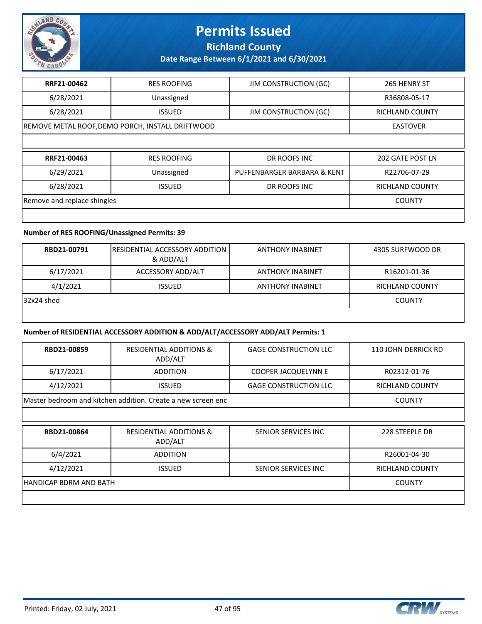

**Richland County**

**Date Range Between 6/1/2021 and 6/30/2021**

| RRF21-00462                 | <b>RES ROOFING</b>                               | <b>JIM CONSTRUCTION (GC)</b> | 265 HENRY ST           |
|-----------------------------|--------------------------------------------------|------------------------------|------------------------|
| 6/28/2021                   | Unassigned                                       |                              | R36808-05-17           |
| 6/28/2021                   | <b>ISSUED</b>                                    | <b>JIM CONSTRUCTION (GC)</b> | <b>RICHLAND COUNTY</b> |
|                             | REMOVE METAL ROOF, DEMO PORCH, INSTALL DRIFTWOOD |                              | <b>EASTOVER</b>        |
|                             |                                                  |                              |                        |
|                             |                                                  |                              |                        |
| RRF21-00463                 | <b>RES ROOFING</b>                               | DR ROOFS INC                 | 202 GATE POST LN       |
| 6/29/2021                   | Unassigned                                       | PUFFENBARGER BARBARA & KENT  | R22706-07-29           |
| 6/28/2021                   | <b>ISSUED</b>                                    | DR ROOFS INC                 | RICHLAND COUNTY        |
| Remove and replace shingles |                                                  |                              | <b>COUNTY</b>          |

#### **Number of RES ROOFING/Unassigned Permits: 39**

| RBD21-00791 | <b>IRESIDENTIAL ACCESSORY ADDITION</b><br>& ADD/ALT | <b>ANTHONY INABINET</b> | 4305 SURFWOOD DR |
|-------------|-----------------------------------------------------|-------------------------|------------------|
| 6/17/2021   | ACCESSORY ADD/ALT                                   | <b>ANTHONY INABINET</b> | R16201-01-36     |
| 4/1/2021    | <b>ISSUED</b>                                       | <b>ANTHONY INABINET</b> | RICHLAND COUNTY  |
| 32x24 shed  |                                                     |                         | <b>COUNTY</b>    |
|             |                                                     |                         |                  |

#### **Number of RESIDENTIAL ACCESSORY ADDITION & ADD/ALT/ACCESSORY ADD/ALT Permits: 1**

| RBD21-00859            | <b>RESIDENTIAL ADDITIONS &amp;</b><br>ADD/ALT                | <b>GAGE CONSTRUCTION LLC</b> | 110 JOHN DERRICK RD |
|------------------------|--------------------------------------------------------------|------------------------------|---------------------|
| 6/17/2021              | <b>ADDITION</b>                                              | <b>COOPER JACQUELYNN E</b>   | R02312-01-76        |
| 4/12/2021              | <b>ISSUED</b>                                                | <b>GAGE CONSTRUCTION LLC</b> | RICHLAND COUNTY     |
|                        | Master bedroom and kitchen addition. Create a new screen enc |                              | <b>COUNTY</b>       |
|                        |                                                              |                              |                     |
| RBD21-00864            | RESIDENTIAL ADDITIONS &<br>ADD/ALT                           | SENIOR SERVICES INC          | 228 STEEPLE DR      |
| 6/4/2021               | <b>ADDITION</b>                                              |                              | R26001-04-30        |
| 4/12/2021              | <b>ISSUED</b>                                                | SENIOR SERVICES INC          | RICHLAND COUNTY     |
| HANDICAP BDRM AND BATH |                                                              |                              | <b>COUNTY</b>       |
|                        |                                                              |                              |                     |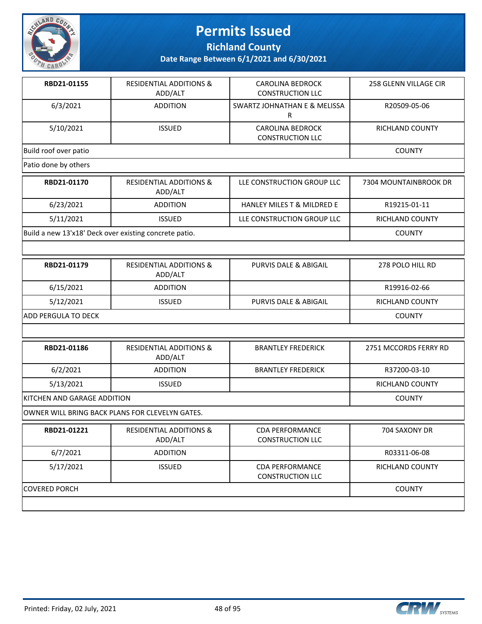

**Richland County**

| RBD21-01155                                            | <b>RESIDENTIAL ADDITIONS &amp;</b><br>ADD/ALT   | <b>CAROLINA BEDROCK</b><br><b>CONSTRUCTION LLC</b> | 258 GLENN VILLAGE CIR  |
|--------------------------------------------------------|-------------------------------------------------|----------------------------------------------------|------------------------|
| 6/3/2021                                               | <b>ADDITION</b>                                 | SWARTZ JOHNATHAN E & MELISSA<br>$\mathsf{R}$       | R20509-05-06           |
| 5/10/2021                                              | <b>ISSUED</b>                                   | <b>CAROLINA BEDROCK</b><br><b>CONSTRUCTION LLC</b> | RICHLAND COUNTY        |
| Build roof over patio                                  |                                                 |                                                    | <b>COUNTY</b>          |
| Patio done by others                                   |                                                 |                                                    |                        |
| RBD21-01170                                            | <b>RESIDENTIAL ADDITIONS &amp;</b><br>ADD/ALT   | LLE CONSTRUCTION GROUP LLC                         | 7304 MOUNTAINBROOK DR  |
| 6/23/2021                                              | <b>ADDITION</b>                                 | HANLEY MILES T & MILDRED E                         | R19215-01-11           |
| 5/11/2021                                              | <b>ISSUED</b>                                   | LLE CONSTRUCTION GROUP LLC                         | RICHLAND COUNTY        |
| Build a new 13'x18' Deck over existing concrete patio. |                                                 |                                                    | <b>COUNTY</b>          |
|                                                        |                                                 |                                                    |                        |
| RBD21-01179                                            | <b>RESIDENTIAL ADDITIONS &amp;</b><br>ADD/ALT   | <b>PURVIS DALE &amp; ABIGAIL</b>                   | 278 POLO HILL RD       |
| 6/15/2021                                              | <b>ADDITION</b>                                 |                                                    | R19916-02-66           |
| 5/12/2021                                              | <b>ISSUED</b>                                   | PURVIS DALE & ABIGAIL                              | RICHLAND COUNTY        |
| <b>ADD PERGULA TO DECK</b>                             | <b>COUNTY</b>                                   |                                                    |                        |
|                                                        |                                                 |                                                    |                        |
| RBD21-01186                                            | <b>RESIDENTIAL ADDITIONS &amp;</b><br>ADD/ALT   | <b>BRANTLEY FREDERICK</b>                          | 2751 MCCORDS FERRY RD  |
| 6/2/2021                                               | <b>ADDITION</b>                                 | <b>BRANTLEY FREDERICK</b>                          | R37200-03-10           |
| 5/13/2021                                              | <b>ISSUED</b>                                   |                                                    | <b>RICHLAND COUNTY</b> |
| KITCHEN AND GARAGE ADDITION                            |                                                 |                                                    | <b>COUNTY</b>          |
|                                                        | OWNER WILL BRING BACK PLANS FOR CLEVELYN GATES. |                                                    |                        |
| RBD21-01221                                            | <b>RESIDENTIAL ADDITIONS &amp;</b><br>ADD/ALT   | <b>CDA PERFORMANCE</b><br><b>CONSTRUCTION LLC</b>  | 704 SAXONY DR          |
| 6/7/2021                                               | <b>ADDITION</b>                                 |                                                    | R03311-06-08           |
| 5/17/2021                                              | <b>ISSUED</b>                                   | <b>CDA PERFORMANCE</b><br><b>CONSTRUCTION LLC</b>  | RICHLAND COUNTY        |
| COVERED PORCH                                          |                                                 |                                                    | <b>COUNTY</b>          |
|                                                        |                                                 |                                                    |                        |

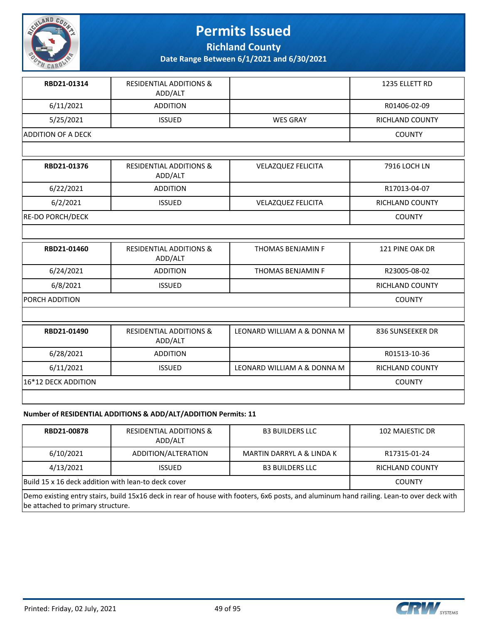

**Richland County**

**Date Range Between 6/1/2021 and 6/30/2021**

| RBD21-01314               | <b>RESIDENTIAL ADDITIONS &amp;</b><br>ADD/ALT |                             | 1235 ELLETT RD         |
|---------------------------|-----------------------------------------------|-----------------------------|------------------------|
| 6/11/2021                 | <b>ADDITION</b>                               |                             | R01406-02-09           |
| 5/25/2021                 | <b>ISSUED</b>                                 | <b>WES GRAY</b>             | <b>RICHLAND COUNTY</b> |
| <b>ADDITION OF A DECK</b> |                                               |                             | <b>COUNTY</b>          |
|                           |                                               |                             |                        |
| RBD21-01376               | <b>RESIDENTIAL ADDITIONS &amp;</b><br>ADD/ALT | <b>VELAZQUEZ FELICITA</b>   | 7916 LOCH LN           |
| 6/22/2021                 | <b>ADDITION</b>                               |                             | R17013-04-07           |
| 6/2/2021                  | <b>ISSUED</b>                                 | <b>VELAZQUEZ FELICITA</b>   | <b>RICHLAND COUNTY</b> |
| <b>RE-DO PORCH/DECK</b>   |                                               |                             | <b>COUNTY</b>          |
|                           |                                               |                             |                        |
| RBD21-01460               | <b>RESIDENTIAL ADDITIONS &amp;</b><br>ADD/ALT | <b>THOMAS BENJAMIN F</b>    | 121 PINE OAK DR        |
| 6/24/2021                 | <b>ADDITION</b>                               | THOMAS BENJAMIN F           | R23005-08-02           |
| 6/8/2021                  | <b>ISSUED</b>                                 |                             | <b>RICHLAND COUNTY</b> |
| PORCH ADDITION            |                                               |                             | <b>COUNTY</b>          |
|                           |                                               |                             |                        |
| RBD21-01490               | <b>RESIDENTIAL ADDITIONS &amp;</b><br>ADD/ALT | LEONARD WILLIAM A & DONNA M | 836 SUNSEEKER DR       |
| 6/28/2021                 | <b>ADDITION</b>                               |                             | R01513-10-36           |
| 6/11/2021                 | <b>ISSUED</b>                                 | LEONARD WILLIAM A & DONNA M | <b>RICHLAND COUNTY</b> |
| 16*12 DECK ADDITION       |                                               |                             | <b>COUNTY</b>          |
|                           |                                               |                             |                        |

#### **Number of RESIDENTIAL ADDITIONS & ADD/ALT/ADDITION Permits: 11**

| RBD21-00878                                         | <b>RESIDENTIAL ADDITIONS &amp;</b><br>ADD/ALT | <b>B3 BUILDERS LLC</b>    | 102 MAJESTIC DR |
|-----------------------------------------------------|-----------------------------------------------|---------------------------|-----------------|
| 6/10/2021                                           | ADDITION/ALTERATION                           | MARTIN DARRYL A & LINDA K | R17315-01-24    |
| 4/13/2021                                           | <b>ISSUED</b>                                 | <b>B3 BUILDERS LLC</b>    | RICHLAND COUNTY |
| Build 15 x 16 deck addition with lean-to deck cover |                                               |                           | <b>COUNTY</b>   |

Demo existing entry stairs, build 15x16 deck in rear of house with footers, 6x6 posts, and aluminum hand railing. Lean-to over deck with be attached to primary structure.

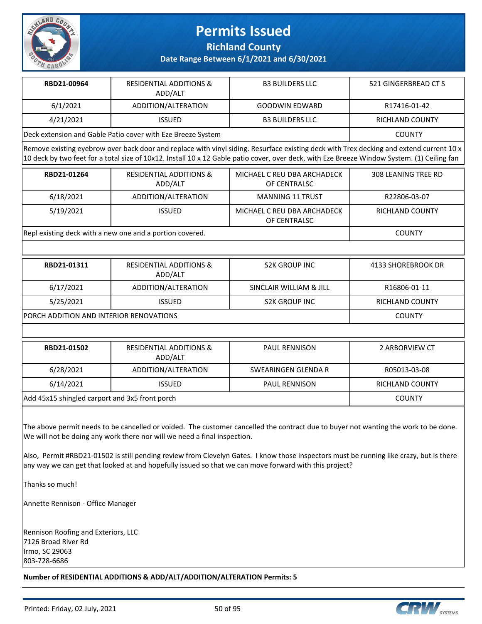

**Richland County**

**Date Range Between 6/1/2021 and 6/30/2021**

| RBD21-00964                                                 | <b>RESIDENTIAL ADDITIONS &amp;</b><br>ADD/ALT | <b>B3 BUILDERS LLC</b> | 521 GINGERBREAD CT S |
|-------------------------------------------------------------|-----------------------------------------------|------------------------|----------------------|
| 6/1/2021                                                    | ADDITION/ALTERATION                           | GOODWIN EDWARD         | R17416-01-42         |
| 4/21/2021                                                   | <b>ISSUED</b>                                 | <b>B3 BUILDERS LLC</b> | RICHLAND COUNTY      |
| Deck extension and Gable Patio cover with Eze Breeze System |                                               |                        | <b>COUNTY</b>        |

Remove existing eyebrow over back door and replace with vinyl siding. Resurface existing deck with Trex decking and extend current 10 x 10 deck by two feet for a total size of 10x12. Install 10 x 12 Gable patio cover, over deck, with Eze Breeze Window System. (1) Ceiling fan

| RBD21-01264                                              | <b>RESIDENTIAL ADDITIONS &amp;</b><br>ADD/ALT | MICHAEL C REU DBA ARCHADECK<br>OF CENTRALSC | 308 LEANING TREE RD |
|----------------------------------------------------------|-----------------------------------------------|---------------------------------------------|---------------------|
| 6/18/2021                                                | ADDITION/ALTERATION                           | <b>MANNING 11 TRUST</b>                     | R22806-03-07        |
| 5/19/2021                                                | <b>ISSUED</b>                                 | MICHAEL C REU DBA ARCHADECK<br>OF CENTRALSC | RICHLAND COUNTY     |
| Repl existing deck with a new one and a portion covered. |                                               |                                             | <b>COUNTY</b>       |

| RBD21-01311                                    | <b>RESIDENTIAL ADDITIONS &amp;</b><br>ADD/ALT | <b>S2K GROUP INC</b>    | 4133 SHOREBROOK DR |
|------------------------------------------------|-----------------------------------------------|-------------------------|--------------------|
| 6/17/2021                                      | ADDITION/ALTERATION                           | SINCLAIR WILLIAM & JILL | R16806-01-11       |
| 5/25/2021                                      | <b>ISSUED</b>                                 | <b>S2K GROUP INC</b>    | RICHLAND COUNTY    |
| <b>PORCH ADDITION AND INTERIOR RENOVATIONS</b> |                                               |                         | <b>COUNTY</b>      |

| RBD21-01502                                    | <b>RESIDENTIAL ADDITIONS &amp;</b><br>ADD/ALT | <b>PAUL RENNISON</b> | 2 ARBORVIEW CT  |
|------------------------------------------------|-----------------------------------------------|----------------------|-----------------|
| 6/28/2021                                      | ADDITION/ALTERATION                           | SWEARINGEN GLENDA R  | R05013-03-08    |
| 6/14/2021                                      | <b>ISSUED</b>                                 | <b>PAUL RENNISON</b> | RICHLAND COUNTY |
| Add 45x15 shingled carport and 3x5 front porch |                                               |                      | <b>COUNTY</b>   |

The above permit needs to be cancelled or voided. The customer cancelled the contract due to buyer not wanting the work to be done. We will not be doing any work there nor will we need a final inspection.

Also, Permit #RBD21-01502 is still pending review from Clevelyn Gates. I know those inspectors must be running like crazy, but is there any way we can get that looked at and hopefully issued so that we can move forward with this project?

Thanks so much!

Annette Rennison - Office Manager

Rennison Roofing and Exteriors, LLC 7126 Broad River Rd Irmo, SC 29063 803-728-6686

**Number of RESIDENTIAL ADDITIONS & ADD/ALT/ADDITION/ALTERATION Permits: 5**

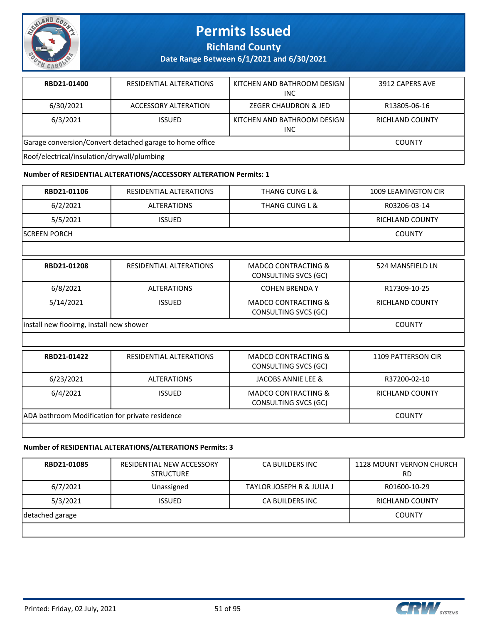

**Richland County**

**Date Range Between 6/1/2021 and 6/30/2021**

| RBD21-01400                                              | RESIDENTIAL ALTERATIONS | KITCHEN AND BATHROOM DESIGN<br><b>INC</b> | 3912 CAPERS AVE        |
|----------------------------------------------------------|-------------------------|-------------------------------------------|------------------------|
| 6/30/2021                                                | ACCESSORY ALTERATION    | <b>ZEGER CHAUDRON &amp; JED</b>           | R13805-06-16           |
| 6/3/2021                                                 | <b>ISSUED</b>           | KITCHEN AND BATHROOM DESIGN<br>INC.       | <b>RICHLAND COUNTY</b> |
| Garage conversion/Convert detached garage to home office | <b>COUNTY</b>           |                                           |                        |
| Roof/electrical/insulation/drywall/plumbing              |                         |                                           |                        |

#### **Number of RESIDENTIAL ALTERATIONS/ACCESSORY ALTERATION Permits: 1**

| RBD21-01106                              | RESIDENTIAL ALTERATIONS                         | <b>THANG CUNG L &amp;</b>                              | <b>1009 LEAMINGTON CIR</b> |
|------------------------------------------|-------------------------------------------------|--------------------------------------------------------|----------------------------|
| 6/2/2021                                 | <b>ALTERATIONS</b>                              | <b>THANG CUNG L &amp;</b>                              | R03206-03-14               |
| 5/5/2021                                 | <b>ISSUED</b>                                   |                                                        | <b>RICHLAND COUNTY</b>     |
| <b>SCREEN PORCH</b>                      |                                                 |                                                        | <b>COUNTY</b>              |
|                                          |                                                 |                                                        |                            |
| RBD21-01208                              | <b>RESIDENTIAL ALTERATIONS</b>                  | <b>MADCO CONTRACTING &amp;</b><br>CONSULTING SVCS (GC) | 524 MANSFIELD LN           |
| 6/8/2021                                 | <b>ALTERATIONS</b>                              | <b>COHEN BRENDA Y</b>                                  | R17309-10-25               |
| 5/14/2021                                | <b>ISSUED</b>                                   | <b>MADCO CONTRACTING &amp;</b><br>CONSULTING SVCS (GC) | <b>RICHLAND COUNTY</b>     |
| install new flooirng, install new shower |                                                 |                                                        | <b>COUNTY</b>              |
|                                          |                                                 |                                                        |                            |
| RBD21-01422                              | RESIDENTIAL ALTERATIONS                         | <b>MADCO CONTRACTING &amp;</b><br>CONSULTING SVCS (GC) | 1109 PATTERSON CIR         |
| 6/23/2021                                | <b>ALTERATIONS</b>                              | <b>JACOBS ANNIE LEE &amp;</b>                          | R37200-02-10               |
| 6/4/2021                                 | <b>ISSUED</b>                                   | <b>MADCO CONTRACTING &amp;</b><br>CONSULTING SVCS (GC) | <b>RICHLAND COUNTY</b>     |
|                                          | ADA bathroom Modification for private residence |                                                        |                            |
|                                          |                                                 |                                                        |                            |

#### **Number of RESIDENTIAL ALTERATIONS/ALTERATIONS Permits: 3**

| RBD21-01085     | RESIDENTIAL NEW ACCESSORY<br><b>STRUCTURE</b> | CA BUILDERS INC                      | 1128 MOUNT VERNON CHURCH<br>RD |
|-----------------|-----------------------------------------------|--------------------------------------|--------------------------------|
| 6/7/2021        | Unassigned                                    | <b>TAYLOR JOSEPH R &amp; JULIA J</b> | R01600-10-29                   |
| 5/3/2021        | <b>ISSUED</b>                                 | CA BUILDERS INC                      | <b>RICHLAND COUNTY</b>         |
| detached garage |                                               |                                      | <b>COUNTY</b>                  |
|                 |                                               |                                      |                                |

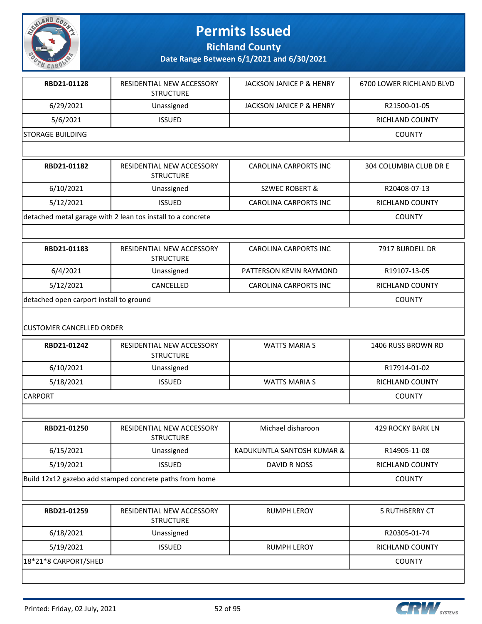

**Richland County**

**Date Range Between 6/1/2021 and 6/30/2021**

| RBD21-01128              | <b>RESIDENTIAL NEW ACCESSORY</b><br><b>STRUCTURE</b> | JACKSON JANICE P & HENRY            | 6700 LOWER RICHLAND BLVD |
|--------------------------|------------------------------------------------------|-------------------------------------|--------------------------|
| 6/29/2021                | Unassigned                                           | <b>JACKSON JANICE P &amp; HENRY</b> | R21500-01-05             |
| 5/6/2021                 | <b>ISSUED</b>                                        |                                     | <b>RICHLAND COUNTY</b>   |
| <b>ISTORAGE BUILDING</b> |                                                      |                                     | <b>COUNTY</b>            |
|                          |                                                      |                                     |                          |

| RBD21-01182                                                 | RESIDENTIAL NEW ACCESSORY<br><b>STRUCTURE</b> | CAROLINA CARPORTS INC | 304 COLUMBIA CLUB DR E |
|-------------------------------------------------------------|-----------------------------------------------|-----------------------|------------------------|
| 6/10/2021                                                   | Unassigned                                    | SZWEC ROBERT &        | R20408-07-13           |
| 5/12/2021                                                   | <b>ISSUED</b>                                 | CAROLINA CARPORTS INC | RICHLAND COUNTY        |
| detached metal garage with 2 lean tos install to a concrete |                                               |                       | <b>COUNTY</b>          |

| RBD21-01183                             | RESIDENTIAL NEW ACCESSORY<br><b>STRUCTURE</b> | CAROLINA CARPORTS INC        | 7917 BURDELL DR |
|-----------------------------------------|-----------------------------------------------|------------------------------|-----------------|
| 6/4/2021                                | Unassigned                                    | PATTERSON KEVIN RAYMOND      | R19107-13-05    |
| 5/12/2021                               | CANCELLED                                     | <b>CAROLINA CARPORTS INC</b> | RICHLAND COUNTY |
| detached open carport install to ground |                                               |                              | <b>COUNTY</b>   |

#### CUSTOMER CANCELLED ORDER

| RBD21-01242     | RESIDENTIAL NEW ACCESSORY<br><b>STRUCTURE</b> | WATTS MARIA S | 1406 RUSS BROWN RD |
|-----------------|-----------------------------------------------|---------------|--------------------|
| 6/10/2021       | Unassigned                                    |               | R17914-01-02       |
| 5/18/2021       | <b>ISSUED</b>                                 | WATTS MARIA S | RICHLAND COUNTY    |
| <b>ICARPORT</b> |                                               |               | <b>COUNTY</b>      |

**RBD21-01250** RESIDENTIAL NEW ACCESSORY **STRUCTURE** Michael disharoon 1999 429 ROCKY BARK LN 6/15/2021 Unassigned | KADUKUNTLA SANTOSH KUMAR & R14905-11-08 5/19/2021 | ISSUED | DAVID R NOSS | RICHLAND COUNTY Build 12x12 gazebo add stamped concrete paths from home COUNTY

| RBD21-01259          | <b>RESIDENTIAL NEW ACCESSORY</b><br><b>STRUCTURE</b> | <b>RUMPH LEROY</b> | <b>5 RUTHBERRY CT</b>  |
|----------------------|------------------------------------------------------|--------------------|------------------------|
| 6/18/2021            | Unassigned                                           |                    | R20305-01-74           |
| 5/19/2021            | <b>ISSUED</b>                                        | RUMPH LEROY        | <b>RICHLAND COUNTY</b> |
| 18*21*8 CARPORT/SHED |                                                      |                    | <b>COUNTY</b>          |
|                      |                                                      |                    |                        |

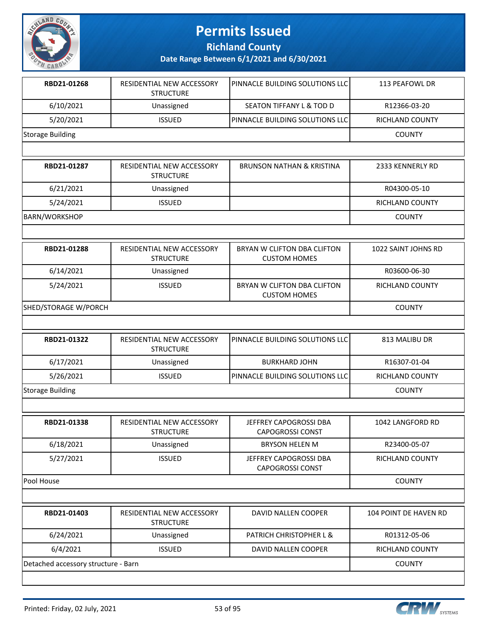

**Richland County**

| RBD21-01268                         | RESIDENTIAL NEW ACCESSORY<br><b>STRUCTURE</b> | PINNACLE BUILDING SOLUTIONS LLC                    | 113 PEAFOWL DR               |
|-------------------------------------|-----------------------------------------------|----------------------------------------------------|------------------------------|
| 6/10/2021                           | Unassigned                                    | SEATON TIFFANY L & TOD D                           | R12366-03-20                 |
| 5/20/2021                           | <b>ISSUED</b>                                 | PINNACLE BUILDING SOLUTIONS LLC                    | <b>RICHLAND COUNTY</b>       |
| Storage Building                    |                                               |                                                    | <b>COUNTY</b>                |
|                                     |                                               |                                                    |                              |
| RBD21-01287                         | RESIDENTIAL NEW ACCESSORY<br><b>STRUCTURE</b> | <b>BRUNSON NATHAN &amp; KRISTINA</b>               | 2333 KENNERLY RD             |
| 6/21/2021                           | Unassigned                                    |                                                    | R04300-05-10                 |
| 5/24/2021                           | <b>ISSUED</b>                                 |                                                    | RICHLAND COUNTY              |
| <b>BARN/WORKSHOP</b>                |                                               |                                                    | <b>COUNTY</b>                |
|                                     |                                               |                                                    |                              |
| RBD21-01288                         | RESIDENTIAL NEW ACCESSORY<br><b>STRUCTURE</b> | BRYAN W CLIFTON DBA CLIFTON<br><b>CUSTOM HOMES</b> | 1022 SAINT JOHNS RD          |
| 6/14/2021                           | Unassigned                                    |                                                    | R03600-06-30                 |
| 5/24/2021                           | <b>ISSUED</b>                                 | BRYAN W CLIFTON DBA CLIFTON<br><b>CUSTOM HOMES</b> | RICHLAND COUNTY              |
| SHED/STORAGE W/PORCH                |                                               |                                                    | <b>COUNTY</b>                |
|                                     |                                               |                                                    |                              |
| RBD21-01322                         | RESIDENTIAL NEW ACCESSORY<br><b>STRUCTURE</b> | PINNACLE BUILDING SOLUTIONS LLC                    | 813 MALIBU DR                |
| 6/17/2021                           | Unassigned                                    | <b>BURKHARD JOHN</b>                               | R16307-01-04                 |
| 5/26/2021                           | <b>ISSUED</b>                                 | PINNACLE BUILDING SOLUTIONS LLC                    | <b>RICHLAND COUNTY</b>       |
| Storage Building                    |                                               |                                                    | <b>COUNTY</b>                |
|                                     |                                               |                                                    |                              |
| RBD21-01338                         | RESIDENTIAL NEW ACCESSORY<br><b>STRUCTURE</b> | JEFFREY CAPOGROSSI DBA<br><b>CAPOGROSSI CONST</b>  | 1042 LANGFORD RD             |
| 6/18/2021                           | Unassigned                                    | <b>BRYSON HELEN M</b>                              | R23400-05-07                 |
| 5/27/2021                           | <b>ISSUED</b>                                 | JEFFREY CAPOGROSSI DBA<br><b>CAPOGROSSI CONST</b>  | RICHLAND COUNTY              |
| Pool House                          |                                               |                                                    | <b>COUNTY</b>                |
|                                     |                                               |                                                    |                              |
| RBD21-01403                         | RESIDENTIAL NEW ACCESSORY<br><b>STRUCTURE</b> | DAVID NALLEN COOPER                                | <b>104 POINT DE HAVEN RD</b> |
| 6/24/2021                           | Unassigned                                    | PATRICH CHRISTOPHER L &                            | R01312-05-06                 |
| 6/4/2021                            | <b>ISSUED</b>                                 | DAVID NALLEN COOPER                                | RICHLAND COUNTY              |
| Detached accessory structure - Barn |                                               |                                                    | <b>COUNTY</b>                |

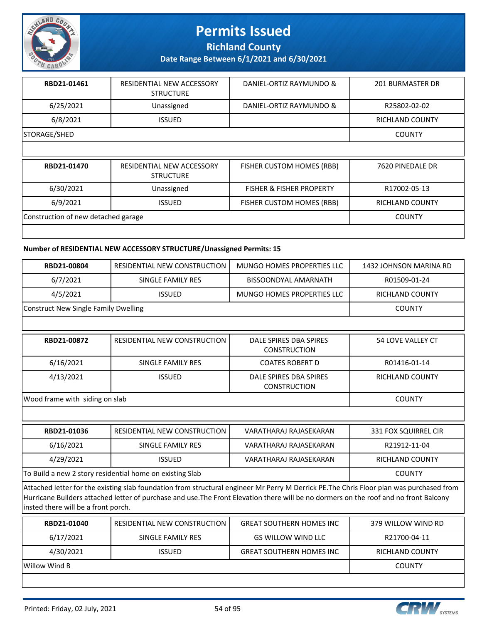

**Richland County**

**Date Range Between 6/1/2021 and 6/30/2021**

| RBD21-01461  | RESIDENTIAL NEW ACCESSORY<br><b>STRUCTURE</b> | DANIEL-ORTIZ RAYMUNDO &   | <b>201 BURMASTER DR</b> |
|--------------|-----------------------------------------------|---------------------------|-------------------------|
| 6/25/2021    | Unassigned                                    | DANIEL-ORTIZ RAYMUNDO &   | R25802-02-02            |
| 6/8/2021     | <b>ISSUED</b>                                 |                           | RICHLAND COUNTY         |
| STORAGE/SHED |                                               |                           | <b>COUNTY</b>           |
|              |                                               |                           |                         |
| RBD21-01470  | RESIDENTIAL NEW ACCESSORY<br>CTN112T11DF      | FISHER CUSTOM HOMES (RBB) | 7620 PINEDALE DR        |

|                                     | <b>STRUCTURE</b> |                                     |                        |
|-------------------------------------|------------------|-------------------------------------|------------------------|
| 6/30/2021                           | Unassigned       | <b>FISHER &amp; FISHER PROPERTY</b> | R17002-05-13           |
| 6/9/2021                            | <b>ISSUED</b>    | <b>FISHER CUSTOM HOMES (RBB)</b>    | <b>RICHLAND COUNTY</b> |
| Construction of new detached garage |                  |                                     | <b>COUNTY</b>          |
|                                     |                  |                                     |                        |

#### **Number of RESIDENTIAL NEW ACCESSORY STRUCTURE/Unassigned Permits: 15**

| <b>RBD21-00804</b>                   | RESIDENTIAL NEW CONSTRUCTION | MUNGO HOMES PROPERTIES LLC | 1432 JOHNSON MARINA RD |
|--------------------------------------|------------------------------|----------------------------|------------------------|
| 6/7/2021                             | SINGLE FAMILY RES            | BISSOONDYAL AMARNATH       | R01509-01-24           |
| 4/5/2021                             | <b>ISSUED</b>                | MUNGO HOMES PROPERTIES LLC | RICHLAND COUNTY        |
| Construct New Single Family Dwelling |                              |                            | <b>COUNTY</b>          |

| RBD21-00872                    | <b>RESIDENTIAL NEW CONSTRUCTION !</b> | DALE SPIRES DBA SPIRES<br><b>CONSTRUCTION</b> | 54 LOVE VALLEY CT      |
|--------------------------------|---------------------------------------|-----------------------------------------------|------------------------|
| 6/16/2021                      | SINGLE FAMILY RES                     | <b>COATES ROBERT D</b>                        | R01416-01-14           |
| 4/13/2021                      | <b>ISSUED</b>                         | DALE SPIRES DBA SPIRES<br><b>CONSTRUCTION</b> | <b>RICHLAND COUNTY</b> |
| Wood frame with siding on slab |                                       |                                               | <b>COUNTY</b>          |

| RBD21-01036                                              | <b>RESIDENTIAL NEW CONSTRUCTION</b> | VARATHARAJ RAJASEKARAN | 331 FOX SQUIRREL CIR   |
|----------------------------------------------------------|-------------------------------------|------------------------|------------------------|
| 6/16/2021                                                | SINGLE FAMILY RES                   | VARATHARAJ RAJASEKARAN | R21912-11-04           |
| 4/29/2021                                                | <b>ISSUED</b>                       | VARATHARAJ RAJASEKARAN | <b>RICHLAND COUNTY</b> |
| To Build a new 2 story residential home on existing Slab |                                     |                        | <b>COUNTY</b>          |

Attached letter for the existing slab foundation from structural engineer Mr Perry M Derrick PE.The Chris Floor plan was purchased from Hurricane Builders attached letter of purchase and use.The Front Elevation there will be no dormers on the roof and no front Balcony insted there will be a front porch.

| RBD21-01040   | RESIDENTIAL NEW CONSTRUCTION | <b>GREAT SOUTHERN HOMES INC</b> | 379 WILLOW WIND RD     |
|---------------|------------------------------|---------------------------------|------------------------|
| 6/17/2021     | SINGLE FAMILY RES            | <b>GS WILLOW WIND LLC</b>       | R21700-04-11           |
| 4/30/2021     | <b>ISSUED</b>                | <b>GREAT SOUTHERN HOMES INC</b> | <b>RICHLAND COUNTY</b> |
| Willow Wind B |                              |                                 | <b>COUNTY</b>          |

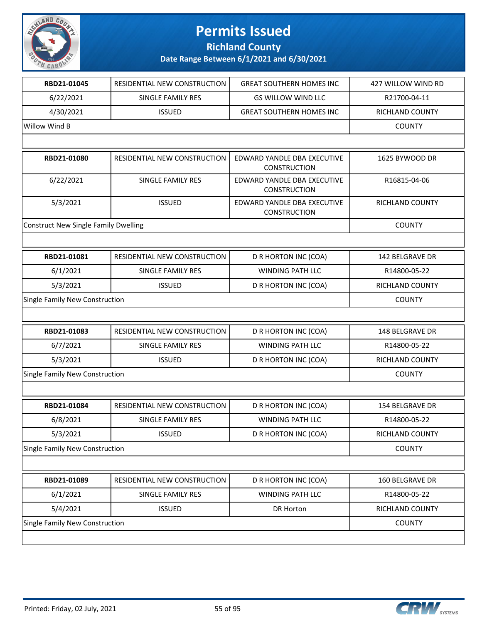

**Richland County**

| RBD21-01045                                 | RESIDENTIAL NEW CONSTRUCTION | <b>GREAT SOUTHERN HOMES INC</b>                    | 427 WILLOW WIND RD     |
|---------------------------------------------|------------------------------|----------------------------------------------------|------------------------|
| 6/22/2021                                   | SINGLE FAMILY RES            | <b>GS WILLOW WIND LLC</b>                          | R21700-04-11           |
| 4/30/2021                                   | <b>ISSUED</b>                | <b>GREAT SOUTHERN HOMES INC</b>                    | RICHLAND COUNTY        |
| Willow Wind B                               |                              |                                                    | <b>COUNTY</b>          |
|                                             |                              |                                                    |                        |
| RBD21-01080                                 | RESIDENTIAL NEW CONSTRUCTION | EDWARD YANDLE DBA EXECUTIVE<br><b>CONSTRUCTION</b> | 1625 BYWOOD DR         |
| 6/22/2021                                   | <b>SINGLE FAMILY RES</b>     | EDWARD YANDLE DBA EXECUTIVE<br><b>CONSTRUCTION</b> | R16815-04-06           |
| 5/3/2021                                    | <b>ISSUED</b>                | EDWARD YANDLE DBA EXECUTIVE<br><b>CONSTRUCTION</b> | RICHLAND COUNTY        |
| <b>Construct New Single Family Dwelling</b> |                              |                                                    | <b>COUNTY</b>          |
|                                             |                              |                                                    |                        |
| RBD21-01081                                 | RESIDENTIAL NEW CONSTRUCTION | D R HORTON INC (COA)                               | <b>142 BELGRAVE DR</b> |
| 6/1/2021                                    | <b>SINGLE FAMILY RES</b>     | WINDING PATH LLC                                   | R14800-05-22           |
| 5/3/2021                                    | <b>ISSUED</b>                | D R HORTON INC (COA)                               | RICHLAND COUNTY        |
| Single Family New Construction              |                              |                                                    | <b>COUNTY</b>          |
|                                             |                              |                                                    |                        |
| RBD21-01083                                 | RESIDENTIAL NEW CONSTRUCTION | D R HORTON INC (COA)                               | <b>148 BELGRAVE DR</b> |
| 6/7/2021                                    | SINGLE FAMILY RES            | <b>WINDING PATH LLC</b>                            | R14800-05-22           |
| 5/3/2021                                    | <b>ISSUED</b>                | D R HORTON INC (COA)                               | RICHLAND COUNTY        |
| Single Family New Construction              |                              |                                                    | <b>COUNTY</b>          |
|                                             |                              |                                                    |                        |
| RBD21-01084                                 | RESIDENTIAL NEW CONSTRUCTION | D R HORTON INC (COA)                               | 154 BELGRAVE DR        |
| 6/8/2021                                    | SINGLE FAMILY RES            | WINDING PATH LLC                                   | R14800-05-22           |
| 5/3/2021                                    | <b>ISSUED</b>                | D R HORTON INC (COA)                               | RICHLAND COUNTY        |
| Single Family New Construction              |                              |                                                    | <b>COUNTY</b>          |
|                                             |                              |                                                    |                        |
| RBD21-01089                                 | RESIDENTIAL NEW CONSTRUCTION | D R HORTON INC (COA)                               | 160 BELGRAVE DR        |
| 6/1/2021                                    | <b>SINGLE FAMILY RES</b>     | WINDING PATH LLC                                   | R14800-05-22           |
| 5/4/2021                                    | <b>ISSUED</b>                | DR Horton                                          | RICHLAND COUNTY        |
| Single Family New Construction              |                              |                                                    | <b>COUNTY</b>          |
|                                             |                              |                                                    |                        |

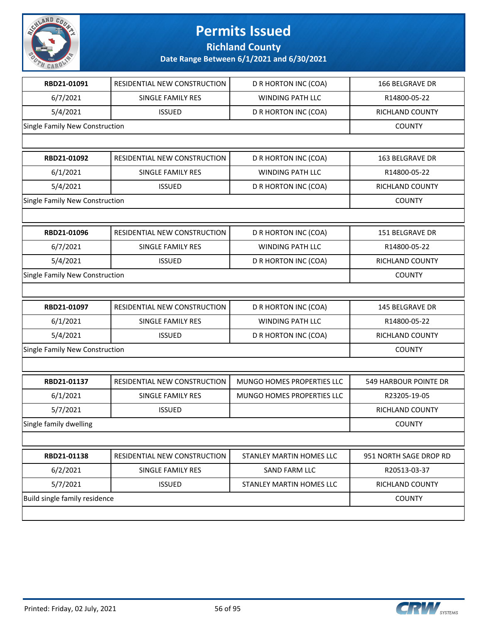

**Richland County**

| RBD21-01091                    | RESIDENTIAL NEW CONSTRUCTION | D R HORTON INC (COA)       | <b>166 BELGRAVE DR</b> |
|--------------------------------|------------------------------|----------------------------|------------------------|
| 6/7/2021                       | SINGLE FAMILY RES            | WINDING PATH LLC           | R14800-05-22           |
| 5/4/2021                       | <b>ISSUED</b>                | D R HORTON INC (COA)       | RICHLAND COUNTY        |
| Single Family New Construction |                              |                            | <b>COUNTY</b>          |
|                                |                              |                            |                        |
| RBD21-01092                    | RESIDENTIAL NEW CONSTRUCTION | D R HORTON INC (COA)       | 163 BELGRAVE DR        |
| 6/1/2021                       | SINGLE FAMILY RES            | <b>WINDING PATH LLC</b>    | R14800-05-22           |
| 5/4/2021                       | <b>ISSUED</b>                | D R HORTON INC (COA)       | RICHLAND COUNTY        |
| Single Family New Construction |                              |                            | <b>COUNTY</b>          |
|                                |                              |                            |                        |
| RBD21-01096                    | RESIDENTIAL NEW CONSTRUCTION | D R HORTON INC (COA)       | 151 BELGRAVE DR        |
| 6/7/2021                       | SINGLE FAMILY RES            | <b>WINDING PATH LLC</b>    | R14800-05-22           |
| 5/4/2021                       | <b>ISSUED</b>                | D R HORTON INC (COA)       | RICHLAND COUNTY        |
| Single Family New Construction |                              |                            | <b>COUNTY</b>          |
|                                |                              |                            |                        |
| RBD21-01097                    | RESIDENTIAL NEW CONSTRUCTION | D R HORTON INC (COA)       | 145 BELGRAVE DR        |
| 6/1/2021                       | SINGLE FAMILY RES            | WINDING PATH LLC           | R14800-05-22           |
| 5/4/2021                       | <b>ISSUED</b>                | D R HORTON INC (COA)       | RICHLAND COUNTY        |
| Single Family New Construction | <b>COUNTY</b>                |                            |                        |
|                                |                              |                            |                        |
| RBD21-01137                    | RESIDENTIAL NEW CONSTRUCTION | MUNGO HOMES PROPERTIES LLC | 549 HARBOUR POINTE DR  |
| 6/1/2021                       | SINGLE FAMILY RES            | MUNGO HOMES PROPERTIES LLC | R23205-19-05           |
| 5/7/2021                       | <b>ISSUED</b>                |                            | RICHLAND COUNTY        |
| Single family dwelling         |                              |                            | <b>COUNTY</b>          |
|                                |                              |                            |                        |
| RBD21-01138                    | RESIDENTIAL NEW CONSTRUCTION | STANLEY MARTIN HOMES LLC   | 951 NORTH SAGE DROP RD |
| 6/2/2021                       | SINGLE FAMILY RES            | <b>SAND FARM LLC</b>       | R20513-03-37           |
| 5/7/2021                       | <b>ISSUED</b>                | STANLEY MARTIN HOMES LLC   | RICHLAND COUNTY        |
| Build single family residence  |                              |                            | <b>COUNTY</b>          |
|                                |                              |                            |                        |

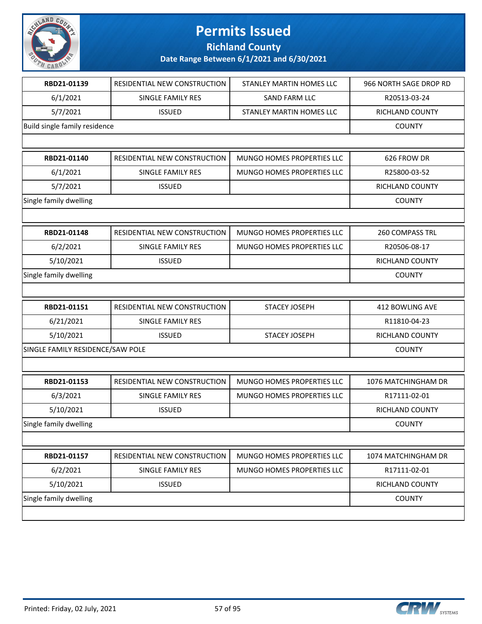

**Richland County**

| RBD21-01139                      | RESIDENTIAL NEW CONSTRUCTION | STANLEY MARTIN HOMES LLC          | 966 NORTH SAGE DROP RD |
|----------------------------------|------------------------------|-----------------------------------|------------------------|
| 6/1/2021                         | SINGLE FAMILY RES            | SAND FARM LLC                     | R20513-03-24           |
| 5/7/2021                         | <b>ISSUED</b>                | STANLEY MARTIN HOMES LLC          | RICHLAND COUNTY        |
| Build single family residence    |                              |                                   | <b>COUNTY</b>          |
|                                  |                              |                                   |                        |
| RBD21-01140                      | RESIDENTIAL NEW CONSTRUCTION | MUNGO HOMES PROPERTIES LLC        | 626 FROW DR            |
| 6/1/2021                         | SINGLE FAMILY RES            | MUNGO HOMES PROPERTIES LLC        | R25800-03-52           |
| 5/7/2021                         | <b>ISSUED</b>                |                                   | RICHLAND COUNTY        |
| Single family dwelling           |                              |                                   | <b>COUNTY</b>          |
|                                  |                              |                                   |                        |
| RBD21-01148                      | RESIDENTIAL NEW CONSTRUCTION | MUNGO HOMES PROPERTIES LLC        | <b>260 COMPASS TRL</b> |
| 6/2/2021                         | <b>SINGLE FAMILY RES</b>     | MUNGO HOMES PROPERTIES LLC        | R20506-08-17           |
| 5/10/2021                        | <b>ISSUED</b>                |                                   | RICHLAND COUNTY        |
| Single family dwelling           |                              |                                   | <b>COUNTY</b>          |
|                                  |                              |                                   |                        |
| RBD21-01151                      | RESIDENTIAL NEW CONSTRUCTION | STACEY JOSEPH                     | 412 BOWLING AVE        |
| 6/21/2021                        | SINGLE FAMILY RES            |                                   | R11810-04-23           |
| 5/10/2021                        | <b>ISSUED</b>                | <b>STACEY JOSEPH</b>              | RICHLAND COUNTY        |
| SINGLE FAMILY RESIDENCE/SAW POLE |                              |                                   | <b>COUNTY</b>          |
|                                  |                              |                                   |                        |
| RBD21-01153                      | RESIDENTIAL NEW CONSTRUCTION | <b>MUNGO HOMES PROPERTIES LLC</b> | 1076 MATCHINGHAM DR    |
| 6/3/2021                         | <b>SINGLE FAMILY RES</b>     | MUNGO HOMES PROPERTIES LLC        | R17111-02-01           |
| 5/10/2021                        | <b>ISSUED</b>                |                                   | RICHLAND COUNTY        |
| Single family dwelling           |                              |                                   | <b>COUNTY</b>          |
|                                  |                              |                                   |                        |
| RBD21-01157                      | RESIDENTIAL NEW CONSTRUCTION | MUNGO HOMES PROPERTIES LLC        | 1074 MATCHINGHAM DR    |
| 6/2/2021                         | SINGLE FAMILY RES            | MUNGO HOMES PROPERTIES LLC        | R17111-02-01           |
| 5/10/2021                        | <b>ISSUED</b>                |                                   | RICHLAND COUNTY        |
| Single family dwelling           |                              |                                   | <b>COUNTY</b>          |
|                                  |                              |                                   |                        |

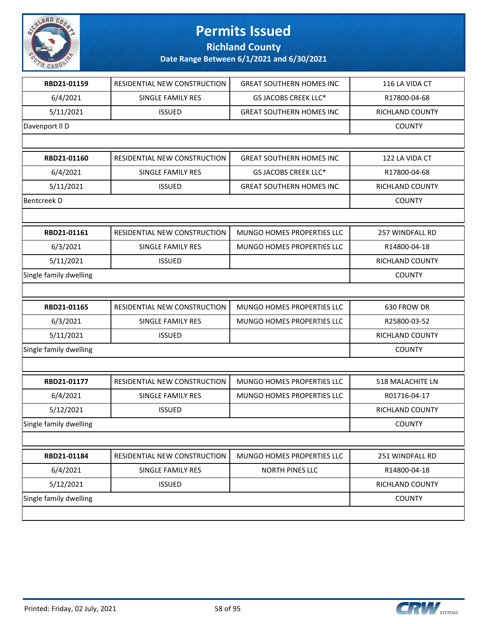

**Richland County**

| RBD21-01159            | RESIDENTIAL NEW CONSTRUCTION | <b>GREAT SOUTHERN HOMES INC</b> | 116 LA VIDA CT         |
|------------------------|------------------------------|---------------------------------|------------------------|
| 6/4/2021               | SINGLE FAMILY RES            | <b>GS JACOBS CREEK LLC*</b>     | R17800-04-68           |
| 5/11/2021              | <b>ISSUED</b>                | <b>GREAT SOUTHERN HOMES INC</b> | RICHLAND COUNTY        |
| Davenport II D         |                              |                                 | <b>COUNTY</b>          |
|                        |                              |                                 |                        |
| RBD21-01160            | RESIDENTIAL NEW CONSTRUCTION | <b>GREAT SOUTHERN HOMES INC</b> | 122 LA VIDA CT         |
| 6/4/2021               | SINGLE FAMILY RES            | <b>GS JACOBS CREEK LLC*</b>     | R17800-04-68           |
| 5/11/2021              | <b>ISSUED</b>                | <b>GREAT SOUTHERN HOMES INC</b> | <b>RICHLAND COUNTY</b> |
| <b>Bentcreek D</b>     |                              |                                 | <b>COUNTY</b>          |
|                        |                              |                                 |                        |
| RBD21-01161            | RESIDENTIAL NEW CONSTRUCTION | MUNGO HOMES PROPERTIES LLC      | 257 WINDFALL RD        |
| 6/3/2021               | SINGLE FAMILY RES            | MUNGO HOMES PROPERTIES LLC      | R14800-04-18           |
| 5/11/2021              | <b>ISSUED</b>                |                                 | RICHLAND COUNTY        |
| Single family dwelling |                              |                                 | <b>COUNTY</b>          |
|                        |                              |                                 |                        |
| RBD21-01165            | RESIDENTIAL NEW CONSTRUCTION | MUNGO HOMES PROPERTIES LLC      | 630 FROW DR            |
| 6/3/2021               | SINGLE FAMILY RES            | MUNGO HOMES PROPERTIES LLC      | R25800-03-52           |
| 5/11/2021              | <b>ISSUED</b>                |                                 | RICHLAND COUNTY        |
| Single family dwelling |                              |                                 | <b>COUNTY</b>          |
|                        |                              |                                 |                        |
| RBD21-01177            | RESIDENTIAL NEW CONSTRUCTION | MUNGO HOMES PROPERTIES LLC      | 518 MALACHITE LN       |
| 6/4/2021               | SINGLE FAMILY RES            | MUNGO HOMES PROPERTIES LLC      | R01716-04-17           |
| 5/12/2021              | <b>ISSUED</b>                |                                 | <b>RICHLAND COUNTY</b> |
| Single family dwelling |                              |                                 | <b>COUNTY</b>          |
|                        |                              |                                 |                        |
| RBD21-01184            | RESIDENTIAL NEW CONSTRUCTION | MUNGO HOMES PROPERTIES LLC      | 251 WINDFALL RD        |
| 6/4/2021               | SINGLE FAMILY RES            | NORTH PINES LLC                 | R14800-04-18           |
| 5/12/2021              | <b>ISSUED</b>                |                                 | RICHLAND COUNTY        |
| Single family dwelling |                              |                                 | <b>COUNTY</b>          |
|                        |                              |                                 |                        |
|                        |                              |                                 |                        |

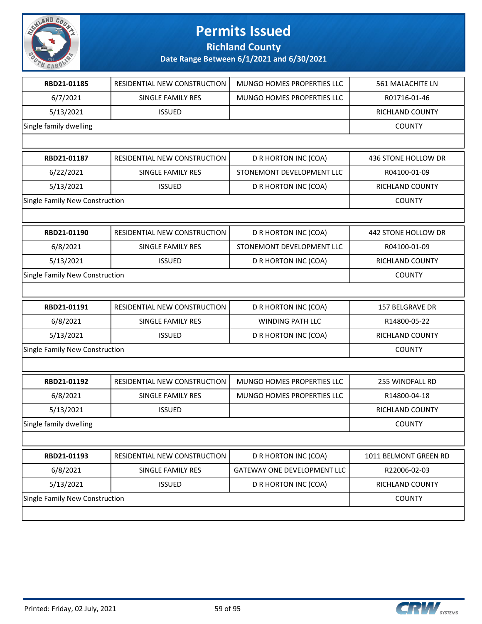

**Richland County**

| RBD21-01185                    | RESIDENTIAL NEW CONSTRUCTION | MUNGO HOMES PROPERTIES LLC        | 561 MALACHITE LN      |
|--------------------------------|------------------------------|-----------------------------------|-----------------------|
| 6/7/2021                       | SINGLE FAMILY RES            | <b>MUNGO HOMES PROPERTIES LLC</b> | R01716-01-46          |
| 5/13/2021                      | <b>ISSUED</b>                |                                   | RICHLAND COUNTY       |
| Single family dwelling         |                              |                                   | <b>COUNTY</b>         |
|                                |                              |                                   |                       |
| RBD21-01187                    | RESIDENTIAL NEW CONSTRUCTION | D R HORTON INC (COA)              | 436 STONE HOLLOW DR   |
| 6/22/2021                      | SINGLE FAMILY RES            | STONEMONT DEVELOPMENT LLC         | R04100-01-09          |
| 5/13/2021                      | <b>ISSUED</b>                | D R HORTON INC (COA)              | RICHLAND COUNTY       |
| Single Family New Construction |                              |                                   | <b>COUNTY</b>         |
|                                |                              |                                   |                       |
| RBD21-01190                    | RESIDENTIAL NEW CONSTRUCTION | D R HORTON INC (COA)              | 442 STONE HOLLOW DR   |
| 6/8/2021                       | <b>SINGLE FAMILY RES</b>     | STONEMONT DEVELOPMENT LLC         | R04100-01-09          |
| 5/13/2021                      | <b>ISSUED</b>                | D R HORTON INC (COA)              | RICHLAND COUNTY       |
| Single Family New Construction |                              |                                   | <b>COUNTY</b>         |
|                                |                              |                                   |                       |
| RBD21-01191                    | RESIDENTIAL NEW CONSTRUCTION | D R HORTON INC (COA)              | 157 BELGRAVE DR       |
| 6/8/2021                       | SINGLE FAMILY RES            | <b>WINDING PATH LLC</b>           | R14800-05-22          |
| 5/13/2021                      | <b>ISSUED</b>                | D R HORTON INC (COA)              | RICHLAND COUNTY       |
| Single Family New Construction |                              |                                   | <b>COUNTY</b>         |
|                                |                              |                                   |                       |
| RBD21-01192                    | RESIDENTIAL NEW CONSTRUCTION | MUNGO HOMES PROPERTIES LLC        | 255 WINDFALL RD       |
| 6/8/2021                       | SINGLE FAMILY RES            | MUNGO HOMES PROPERTIES LLC        | R14800-04-18          |
| 5/13/2021                      | <b>ISSUED</b>                |                                   | RICHLAND COUNTY       |
| Single family dwelling         |                              |                                   | <b>COUNTY</b>         |
|                                |                              |                                   |                       |
| RBD21-01193                    | RESIDENTIAL NEW CONSTRUCTION | D R HORTON INC (COA)              | 1011 BELMONT GREEN RD |
| 6/8/2021                       | <b>SINGLE FAMILY RES</b>     | GATEWAY ONE DEVELOPMENT LLC       | R22006-02-03          |
| 5/13/2021                      | <b>ISSUED</b>                | D R HORTON INC (COA)              | RICHLAND COUNTY       |
| Single Family New Construction |                              |                                   | <b>COUNTY</b>         |
|                                |                              |                                   |                       |

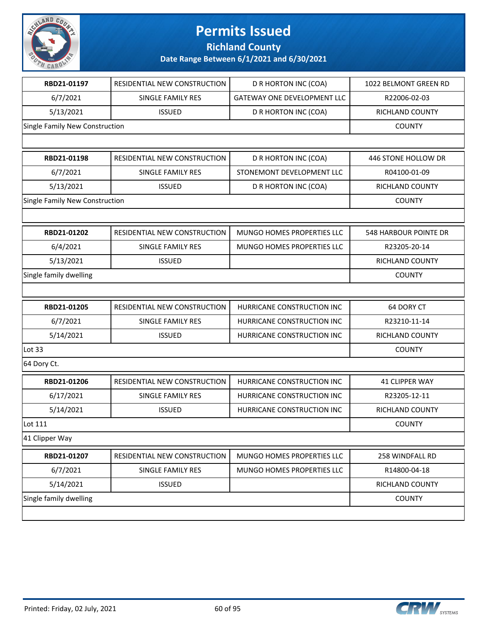

**Richland County**

| RBD21-01197                    | RESIDENTIAL NEW CONSTRUCTION | D R HORTON INC (COA)               | 1022 BELMONT GREEN RD  |
|--------------------------------|------------------------------|------------------------------------|------------------------|
| 6/7/2021                       | <b>SINGLE FAMILY RES</b>     | <b>GATEWAY ONE DEVELOPMENT LLC</b> | R22006-02-03           |
| 5/13/2021                      | <b>ISSUED</b>                | D R HORTON INC (COA)               | <b>RICHLAND COUNTY</b> |
| Single Family New Construction |                              |                                    | <b>COUNTY</b>          |
|                                |                              |                                    |                        |
| RBD21-01198                    | RESIDENTIAL NEW CONSTRUCTION | D R HORTON INC (COA)               | 446 STONE HOLLOW DR    |
| 6/7/2021                       | SINGLE FAMILY RES            | STONEMONT DEVELOPMENT LLC          | R04100-01-09           |
| 5/13/2021                      | <b>ISSUED</b>                | D R HORTON INC (COA)               | RICHLAND COUNTY        |
| Single Family New Construction |                              |                                    | <b>COUNTY</b>          |
|                                |                              |                                    |                        |
| RBD21-01202                    | RESIDENTIAL NEW CONSTRUCTION | MUNGO HOMES PROPERTIES LLC         | 548 HARBOUR POINTE DR  |
| 6/4/2021                       | <b>SINGLE FAMILY RES</b>     | MUNGO HOMES PROPERTIES LLC         | R23205-20-14           |
| 5/13/2021                      | <b>ISSUED</b>                |                                    | <b>RICHLAND COUNTY</b> |
| Single family dwelling         |                              |                                    | <b>COUNTY</b>          |
|                                |                              |                                    |                        |
| RBD21-01205                    | RESIDENTIAL NEW CONSTRUCTION | HURRICANE CONSTRUCTION INC         | 64 DORY CT             |
| 6/7/2021                       | SINGLE FAMILY RES            | HURRICANE CONSTRUCTION INC         | R23210-11-14           |
| 5/14/2021                      | <b>ISSUED</b>                | HURRICANE CONSTRUCTION INC         | RICHLAND COUNTY        |
| Lot 33                         |                              |                                    | <b>COUNTY</b>          |
| 64 Dory Ct.                    |                              |                                    |                        |
| RBD21-01206                    | RESIDENTIAL NEW CONSTRUCTION | HURRICANE CONSTRUCTION INC         | 41 CLIPPER WAY         |
| 6/17/2021                      | <b>SINGLE FAMILY RES</b>     | HURRICANE CONSTRUCTION INC         | R23205-12-11           |
| 5/14/2021                      | <b>ISSUED</b>                | HURRICANE CONSTRUCTION INC         | RICHLAND COUNTY        |
| Lot 111                        |                              |                                    | <b>COUNTY</b>          |
| 41 Clipper Way                 |                              |                                    |                        |
| RBD21-01207                    | RESIDENTIAL NEW CONSTRUCTION | MUNGO HOMES PROPERTIES LLC         | 258 WINDFALL RD        |
| 6/7/2021                       | SINGLE FAMILY RES            | MUNGO HOMES PROPERTIES LLC         | R14800-04-18           |
| 5/14/2021                      | <b>ISSUED</b>                |                                    | RICHLAND COUNTY        |
| Single family dwelling         |                              |                                    | <b>COUNTY</b>          |
|                                |                              |                                    |                        |

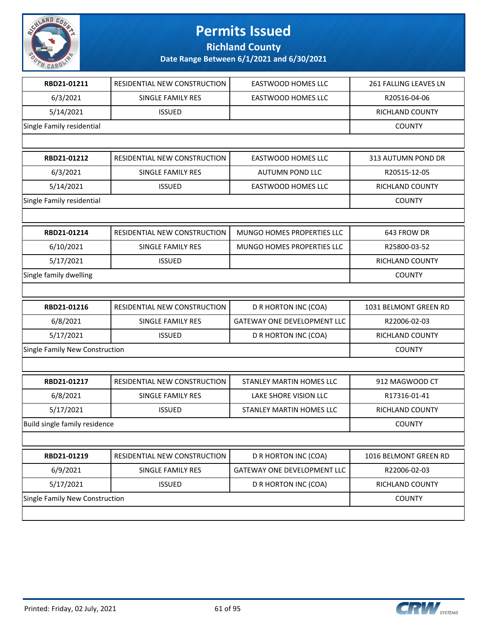

**Richland County**

| RBD21-01211                    | RESIDENTIAL NEW CONSTRUCTION | <b>EASTWOOD HOMES LLC</b>   | 261 FALLING LEAVES LN |
|--------------------------------|------------------------------|-----------------------------|-----------------------|
| 6/3/2021                       | SINGLE FAMILY RES            | <b>EASTWOOD HOMES LLC</b>   | R20516-04-06          |
| 5/14/2021                      | <b>ISSUED</b>                |                             | RICHLAND COUNTY       |
| Single Family residential      |                              |                             | <b>COUNTY</b>         |
|                                |                              |                             |                       |
| RBD21-01212                    | RESIDENTIAL NEW CONSTRUCTION | <b>EASTWOOD HOMES LLC</b>   | 313 AUTUMN POND DR    |
| 6/3/2021                       | SINGLE FAMILY RES            | <b>AUTUMN POND LLC</b>      | R20515-12-05          |
| 5/14/2021                      | <b>ISSUED</b>                | <b>EASTWOOD HOMES LLC</b>   | RICHLAND COUNTY       |
| Single Family residential      |                              |                             | <b>COUNTY</b>         |
|                                |                              |                             |                       |
| RBD21-01214                    | RESIDENTIAL NEW CONSTRUCTION | MUNGO HOMES PROPERTIES LLC  | 643 FROW DR           |
| 6/10/2021                      | SINGLE FAMILY RES            | MUNGO HOMES PROPERTIES LLC  | R25800-03-52          |
| 5/17/2021                      | <b>ISSUED</b>                |                             | RICHLAND COUNTY       |
| Single family dwelling         |                              |                             | <b>COUNTY</b>         |
|                                |                              |                             |                       |
| RBD21-01216                    | RESIDENTIAL NEW CONSTRUCTION | D R HORTON INC (COA)        | 1031 BELMONT GREEN RD |
| 6/8/2021                       | SINGLE FAMILY RES            | GATEWAY ONE DEVELOPMENT LLC | R22006-02-03          |
| 5/17/2021                      | <b>ISSUED</b>                | D R HORTON INC (COA)        | RICHLAND COUNTY       |
| Single Family New Construction |                              |                             | <b>COUNTY</b>         |
|                                |                              |                             |                       |
| RBD21-01217                    | RESIDENTIAL NEW CONSTRUCTION | STANLEY MARTIN HOMES LLC    | 912 MAGWOOD CT        |
| 6/8/2021                       | SINGLE FAMILY RES            | LAKE SHORE VISION LLC       | R17316-01-41          |
| 5/17/2021                      | <b>ISSUED</b>                | STANLEY MARTIN HOMES LLC    | RICHLAND COUNTY       |
| Build single family residence  |                              |                             | <b>COUNTY</b>         |
|                                |                              |                             |                       |
| RBD21-01219                    | RESIDENTIAL NEW CONSTRUCTION | D R HORTON INC (COA)        | 1016 BELMONT GREEN RD |
| 6/9/2021                       | SINGLE FAMILY RES            | GATEWAY ONE DEVELOPMENT LLC | R22006-02-03          |
| 5/17/2021                      | <b>ISSUED</b>                | D R HORTON INC (COA)        | RICHLAND COUNTY       |
| Single Family New Construction |                              |                             | <b>COUNTY</b>         |
|                                |                              |                             |                       |

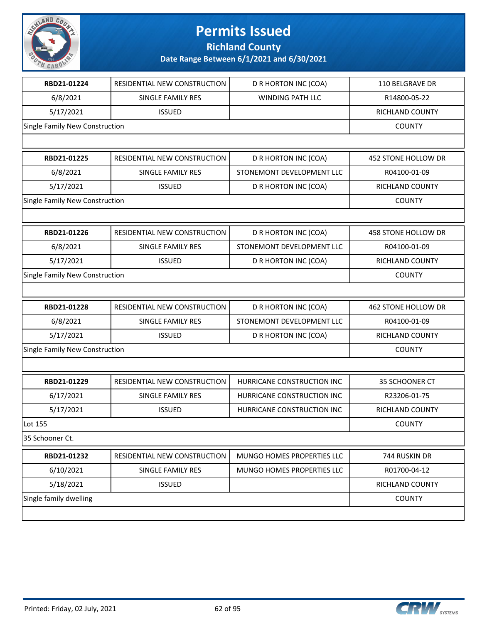

**Richland County**

| RBD21-01224                    | RESIDENTIAL NEW CONSTRUCTION | D R HORTON INC (COA)       | 110 BELGRAVE DR     |
|--------------------------------|------------------------------|----------------------------|---------------------|
| 6/8/2021                       | SINGLE FAMILY RES            | WINDING PATH LLC           | R14800-05-22        |
| 5/17/2021                      | <b>ISSUED</b>                |                            | RICHLAND COUNTY     |
| Single Family New Construction |                              |                            | <b>COUNTY</b>       |
|                                |                              |                            |                     |
| RBD21-01225                    | RESIDENTIAL NEW CONSTRUCTION | D R HORTON INC (COA)       | 452 STONE HOLLOW DR |
| 6/8/2021                       | SINGLE FAMILY RES            | STONEMONT DEVELOPMENT LLC  | R04100-01-09        |
| 5/17/2021                      | <b>ISSUED</b>                | D R HORTON INC (COA)       | RICHLAND COUNTY     |
| Single Family New Construction |                              |                            | <b>COUNTY</b>       |
|                                |                              |                            |                     |
| RBD21-01226                    | RESIDENTIAL NEW CONSTRUCTION | D R HORTON INC (COA)       | 458 STONE HOLLOW DR |
| 6/8/2021                       | SINGLE FAMILY RES            | STONEMONT DEVELOPMENT LLC  | R04100-01-09        |
| 5/17/2021                      | <b>ISSUED</b>                | D R HORTON INC (COA)       | RICHLAND COUNTY     |
| Single Family New Construction |                              |                            | <b>COUNTY</b>       |
|                                |                              |                            |                     |
| RBD21-01228                    | RESIDENTIAL NEW CONSTRUCTION | D R HORTON INC (COA)       | 462 STONE HOLLOW DR |
| 6/8/2021                       | SINGLE FAMILY RES            | STONEMONT DEVELOPMENT LLC  | R04100-01-09        |
| 5/17/2021                      | <b>ISSUED</b>                | D R HORTON INC (COA)       | RICHLAND COUNTY     |
| Single Family New Construction |                              |                            | <b>COUNTY</b>       |
|                                |                              |                            |                     |
| RBD21-01229                    |                              |                            |                     |
|                                | RESIDENTIAL NEW CONSTRUCTION | HURRICANE CONSTRUCTION INC | 35 SCHOONER CT      |
| 6/17/2021                      | SINGLE FAMILY RES            | HURRICANE CONSTRUCTION INC | R23206-01-75        |
| 5/17/2021                      | <b>ISSUED</b>                | HURRICANE CONSTRUCTION INC | RICHLAND COUNTY     |
| Lot 155                        |                              |                            | <b>COUNTY</b>       |
| 35 Schooner Ct.                |                              |                            |                     |
| RBD21-01232                    | RESIDENTIAL NEW CONSTRUCTION | MUNGO HOMES PROPERTIES LLC | 744 RUSKIN DR       |
| 6/10/2021                      | SINGLE FAMILY RES            | MUNGO HOMES PROPERTIES LLC | R01700-04-12        |
| 5/18/2021                      | <b>ISSUED</b>                |                            | RICHLAND COUNTY     |
| Single family dwelling         |                              |                            | <b>COUNTY</b>       |

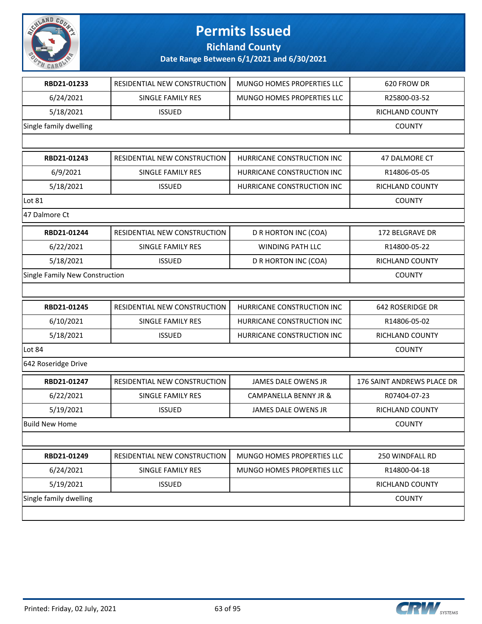

**Richland County**

| RBD21-01233                    | <b>RESIDENTIAL NEW CONSTRUCTION</b> | MUNGO HOMES PROPERTIES LLC | 620 FROW DR                       |
|--------------------------------|-------------------------------------|----------------------------|-----------------------------------|
| 6/24/2021                      | SINGLE FAMILY RES                   | MUNGO HOMES PROPERTIES LLC | R25800-03-52                      |
| 5/18/2021                      | <b>ISSUED</b>                       |                            | RICHLAND COUNTY                   |
| Single family dwelling         |                                     |                            | <b>COUNTY</b>                     |
|                                |                                     |                            |                                   |
| RBD21-01243                    | RESIDENTIAL NEW CONSTRUCTION        | HURRICANE CONSTRUCTION INC | 47 DALMORE CT                     |
| 6/9/2021                       | <b>SINGLE FAMILY RES</b>            | HURRICANE CONSTRUCTION INC | R14806-05-05                      |
| 5/18/2021                      | <b>ISSUED</b>                       | HURRICANE CONSTRUCTION INC | RICHLAND COUNTY                   |
| Lot 81                         |                                     |                            | <b>COUNTY</b>                     |
| 47 Dalmore Ct                  |                                     |                            |                                   |
| RBD21-01244                    | RESIDENTIAL NEW CONSTRUCTION        | D R HORTON INC (COA)       | 172 BELGRAVE DR                   |
| 6/22/2021                      | SINGLE FAMILY RES                   | <b>WINDING PATH LLC</b>    | R14800-05-22                      |
| 5/18/2021                      | <b>ISSUED</b>                       | D R HORTON INC (COA)       | RICHLAND COUNTY                   |
| Single Family New Construction |                                     |                            | <b>COUNTY</b>                     |
|                                |                                     |                            |                                   |
| RBD21-01245                    | RESIDENTIAL NEW CONSTRUCTION        | HURRICANE CONSTRUCTION INC | 642 ROSERIDGE DR                  |
| 6/10/2021                      | SINGLE FAMILY RES                   | HURRICANE CONSTRUCTION INC | R14806-05-02                      |
| 5/18/2021                      | <b>ISSUED</b>                       | HURRICANE CONSTRUCTION INC | RICHLAND COUNTY                   |
| Lot 84                         | <b>COUNTY</b>                       |                            |                                   |
| 642 Roseridge Drive            |                                     |                            |                                   |
| RBD21-01247                    | RESIDENTIAL NEW CONSTRUCTION        | <b>JAMES DALE OWENS JR</b> | <b>176 SAINT ANDREWS PLACE DR</b> |
| 6/22/2021                      | <b>SINGLE FAMILY RES</b>            | CAMPANELLA BENNY JR &      | R07404-07-23                      |
| 5/19/2021                      | <b>ISSUED</b>                       | JAMES DALE OWENS JR        | RICHLAND COUNTY                   |
| Build New Home                 |                                     |                            | <b>COUNTY</b>                     |
|                                |                                     |                            |                                   |
| RBD21-01249                    | RESIDENTIAL NEW CONSTRUCTION        | MUNGO HOMES PROPERTIES LLC | 250 WINDFALL RD                   |
| 6/24/2021                      | SINGLE FAMILY RES                   | MUNGO HOMES PROPERTIES LLC | R14800-04-18                      |
| 5/19/2021                      | <b>ISSUED</b>                       |                            | RICHLAND COUNTY                   |
| Single family dwelling         |                                     |                            | <b>COUNTY</b>                     |
|                                |                                     |                            |                                   |
|                                |                                     |                            |                                   |

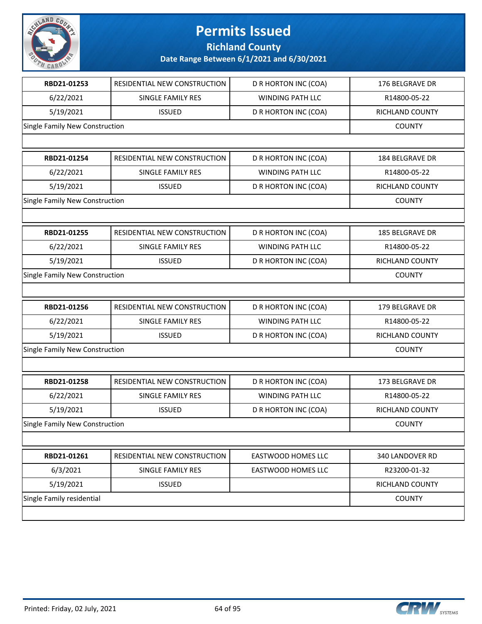

**Richland County**

| RBD21-01253                    | RESIDENTIAL NEW CONSTRUCTION | <b>D R HORTON INC (COA)</b> | 176 BELGRAVE DR |
|--------------------------------|------------------------------|-----------------------------|-----------------|
| 6/22/2021                      | <b>SINGLE FAMILY RES</b>     | <b>WINDING PATH LLC</b>     | R14800-05-22    |
| 5/19/2021                      | <b>ISSUED</b>                | D R HORTON INC (COA)        | RICHLAND COUNTY |
| Single Family New Construction |                              |                             | <b>COUNTY</b>   |
|                                |                              |                             |                 |
| RBD21-01254                    | RESIDENTIAL NEW CONSTRUCTION | D R HORTON INC (COA)        | 184 BELGRAVE DR |
| 6/22/2021                      | <b>SINGLE FAMILY RES</b>     | WINDING PATH LLC            | R14800-05-22    |
| 5/19/2021                      | <b>ISSUED</b>                | D R HORTON INC (COA)        | RICHLAND COUNTY |
| Single Family New Construction |                              |                             | <b>COUNTY</b>   |
|                                |                              |                             |                 |
| RBD21-01255                    | RESIDENTIAL NEW CONSTRUCTION | D R HORTON INC (COA)        | 185 BELGRAVE DR |
| 6/22/2021                      | SINGLE FAMILY RES            | <b>WINDING PATH LLC</b>     | R14800-05-22    |
| 5/19/2021                      | <b>ISSUED</b>                | D R HORTON INC (COA)        | RICHLAND COUNTY |
| Single Family New Construction |                              |                             | <b>COUNTY</b>   |
|                                |                              |                             |                 |
| RBD21-01256                    | RESIDENTIAL NEW CONSTRUCTION | D R HORTON INC (COA)        | 179 BELGRAVE DR |
| 6/22/2021                      | SINGLE FAMILY RES            | WINDING PATH LLC            | R14800-05-22    |
| 5/19/2021                      | <b>ISSUED</b>                | D R HORTON INC (COA)        | RICHLAND COUNTY |
| Single Family New Construction |                              |                             | <b>COUNTY</b>   |
|                                |                              |                             |                 |
| RBD21-01258                    | RESIDENTIAL NEW CONSTRUCTION | D R HORTON INC (COA)        | 173 BELGRAVE DR |
| 6/22/2021                      | SINGLE FAMILY RES            | WINDING PATH LLC            | R14800-05-22    |
| 5/19/2021                      | <b>ISSUED</b>                | <b>D R HORTON INC (COA)</b> | RICHLAND COUNTY |
| Single Family New Construction |                              |                             | <b>COUNTY</b>   |
|                                |                              |                             |                 |
| RBD21-01261                    | RESIDENTIAL NEW CONSTRUCTION | <b>EASTWOOD HOMES LLC</b>   | 340 LANDOVER RD |
| 6/3/2021                       | SINGLE FAMILY RES            | EASTWOOD HOMES LLC          | R23200-01-32    |
| 5/19/2021                      | <b>ISSUED</b>                |                             | RICHLAND COUNTY |
| Single Family residential      |                              |                             | <b>COUNTY</b>   |
|                                |                              |                             |                 |

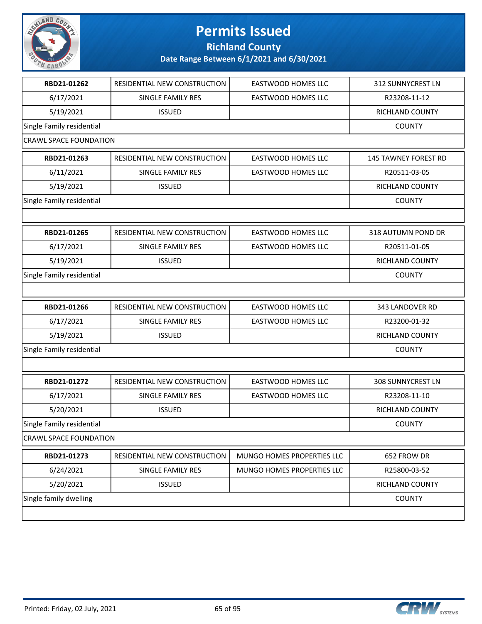

**Richland County**

| RBD21-01262                   | RESIDENTIAL NEW CONSTRUCTION | <b>EASTWOOD HOMES LLC</b>  | 312 SUNNYCREST LN           |
|-------------------------------|------------------------------|----------------------------|-----------------------------|
| 6/17/2021                     | <b>SINGLE FAMILY RES</b>     | <b>EASTWOOD HOMES LLC</b>  | R23208-11-12                |
| 5/19/2021                     | <b>ISSUED</b>                |                            | RICHLAND COUNTY             |
| Single Family residential     |                              |                            | <b>COUNTY</b>               |
| <b>CRAWL SPACE FOUNDATION</b> |                              |                            |                             |
| RBD21-01263                   | RESIDENTIAL NEW CONSTRUCTION | <b>EASTWOOD HOMES LLC</b>  | <b>145 TAWNEY FOREST RD</b> |
| 6/11/2021                     | SINGLE FAMILY RES            | <b>EASTWOOD HOMES LLC</b>  | R20511-03-05                |
| 5/19/2021                     | <b>ISSUED</b>                |                            | RICHLAND COUNTY             |
| Single Family residential     |                              |                            | <b>COUNTY</b>               |
|                               |                              |                            |                             |
| RBD21-01265                   | RESIDENTIAL NEW CONSTRUCTION | EASTWOOD HOMES LLC         | 318 AUTUMN POND DR          |
| 6/17/2021                     | <b>SINGLE FAMILY RES</b>     | <b>EASTWOOD HOMES LLC</b>  | R20511-01-05                |
| 5/19/2021                     | <b>ISSUED</b>                |                            | RICHLAND COUNTY             |
| Single Family residential     |                              |                            | <b>COUNTY</b>               |
|                               |                              |                            |                             |
| RBD21-01266                   | RESIDENTIAL NEW CONSTRUCTION | <b>EASTWOOD HOMES LLC</b>  | 343 LANDOVER RD             |
| 6/17/2021                     | SINGLE FAMILY RES            | <b>EASTWOOD HOMES LLC</b>  | R23200-01-32                |
| 5/19/2021                     | <b>ISSUED</b>                |                            | RICHLAND COUNTY             |
| Single Family residential     |                              |                            | <b>COUNTY</b>               |
|                               |                              |                            |                             |
| RBD21-01272                   | RESIDENTIAL NEW CONSTRUCTION | <b>EASTWOOD HOMES LLC</b>  | <b>308 SUNNYCREST LN</b>    |
| 6/17/2021                     | <b>SINGLE FAMILY RES</b>     | <b>EASTWOOD HOMES LLC</b>  | R23208-11-10                |
| 5/20/2021                     | <b>ISSUED</b>                |                            | RICHLAND COUNTY             |
| Single Family residential     |                              |                            | <b>COUNTY</b>               |
| <b>CRAWL SPACE FOUNDATION</b> |                              |                            |                             |
| RBD21-01273                   | RESIDENTIAL NEW CONSTRUCTION | MUNGO HOMES PROPERTIES LLC | 652 FROW DR                 |
| 6/24/2021                     | SINGLE FAMILY RES            | MUNGO HOMES PROPERTIES LLC | R25800-03-52                |
| 5/20/2021                     | <b>ISSUED</b>                |                            | RICHLAND COUNTY             |
| Single family dwelling        |                              |                            | <b>COUNTY</b>               |
|                               |                              |                            |                             |

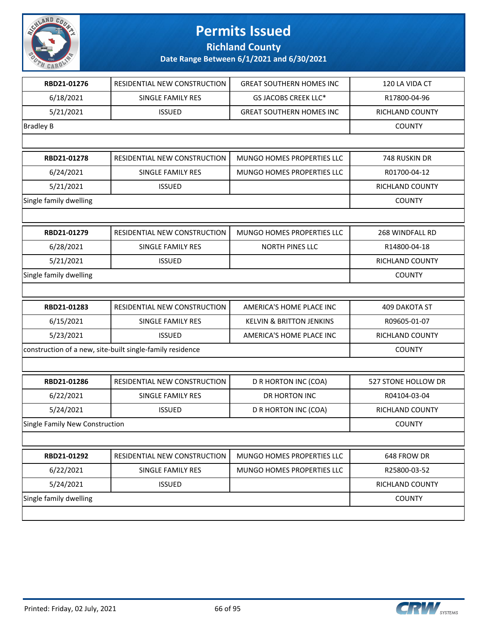

**Richland County**

| RBD21-01276                                               | RESIDENTIAL NEW CONSTRUCTION | <b>GREAT SOUTHERN HOMES INC</b>     | 120 LA VIDA CT       |
|-----------------------------------------------------------|------------------------------|-------------------------------------|----------------------|
| 6/18/2021                                                 | SINGLE FAMILY RES            | <b>GS JACOBS CREEK LLC*</b>         | R17800-04-96         |
| 5/21/2021                                                 | <b>ISSUED</b>                | <b>GREAT SOUTHERN HOMES INC</b>     | RICHLAND COUNTY      |
| <b>Bradley B</b>                                          |                              |                                     | <b>COUNTY</b>        |
|                                                           |                              |                                     |                      |
| RBD21-01278                                               | RESIDENTIAL NEW CONSTRUCTION | MUNGO HOMES PROPERTIES LLC          | 748 RUSKIN DR        |
| 6/24/2021                                                 | SINGLE FAMILY RES            | MUNGO HOMES PROPERTIES LLC          | R01700-04-12         |
| 5/21/2021                                                 | <b>ISSUED</b>                |                                     | RICHLAND COUNTY      |
| Single family dwelling                                    |                              |                                     | <b>COUNTY</b>        |
|                                                           |                              |                                     |                      |
| RBD21-01279                                               | RESIDENTIAL NEW CONSTRUCTION | MUNGO HOMES PROPERTIES LLC          | 268 WINDFALL RD      |
| 6/28/2021                                                 | <b>SINGLE FAMILY RES</b>     | <b>NORTH PINES LLC</b>              | R14800-04-18         |
| 5/21/2021                                                 | <b>ISSUED</b>                |                                     | RICHLAND COUNTY      |
| Single family dwelling                                    |                              |                                     | <b>COUNTY</b>        |
|                                                           |                              |                                     |                      |
| RBD21-01283                                               | RESIDENTIAL NEW CONSTRUCTION | AMERICA'S HOME PLACE INC            | <b>409 DAKOTA ST</b> |
| 6/15/2021                                                 | SINGLE FAMILY RES            | <b>KELVIN &amp; BRITTON JENKINS</b> | R09605-01-07         |
| 5/23/2021                                                 | <b>ISSUED</b>                | AMERICA'S HOME PLACE INC            | RICHLAND COUNTY      |
| construction of a new, site-built single-family residence |                              |                                     | <b>COUNTY</b>        |
|                                                           |                              |                                     |                      |
| RBD21-01286                                               | RESIDENTIAL NEW CONSTRUCTION | D R HORTON INC (COA)                | 527 STONE HOLLOW DR  |
| 6/22/2021                                                 | SINGLE FAMILY RES            | DR HORTON INC                       | R04104-03-04         |
| 5/24/2021                                                 | <b>ISSUED</b>                | D R HORTON INC (COA)                | RICHLAND COUNTY      |
| Single Family New Construction                            |                              |                                     | <b>COUNTY</b>        |
|                                                           |                              |                                     |                      |
| RBD21-01292                                               | RESIDENTIAL NEW CONSTRUCTION | MUNGO HOMES PROPERTIES LLC          | 648 FROW DR          |
| 6/22/2021                                                 | SINGLE FAMILY RES            | MUNGO HOMES PROPERTIES LLC          | R25800-03-52         |
| 5/24/2021                                                 | <b>ISSUED</b>                |                                     | RICHLAND COUNTY      |
| Single family dwelling                                    |                              |                                     | <b>COUNTY</b>        |
|                                                           |                              |                                     |                      |

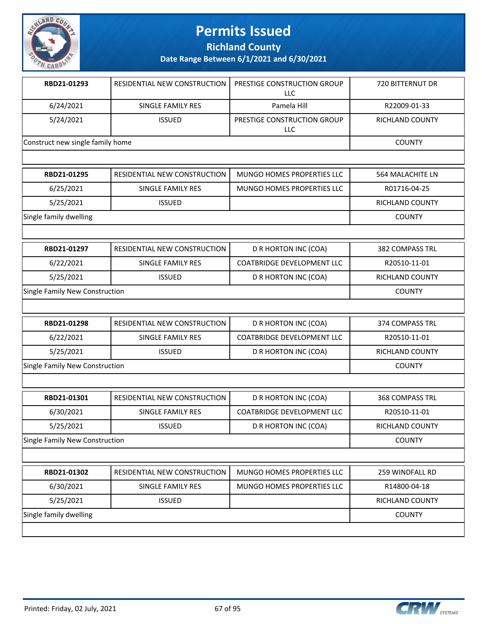

**Richland County**

| RBD21-01293                      | RESIDENTIAL NEW CONSTRUCTION | PRESTIGE CONSTRUCTION GROUP<br><b>LLC</b> | <b>720 BITTERNUT DR</b> |
|----------------------------------|------------------------------|-------------------------------------------|-------------------------|
| 6/24/2021                        | <b>SINGLE FAMILY RES</b>     | Pamela Hill                               | R22009-01-33            |
| 5/24/2021                        | <b>ISSUED</b>                | PRESTIGE CONSTRUCTION GROUP<br><b>LLC</b> | <b>RICHLAND COUNTY</b>  |
| Construct new single family home |                              |                                           | <b>COUNTY</b>           |
|                                  |                              |                                           |                         |
| RBD21-01295                      | RESIDENTIAL NEW CONSTRUCTION | <b>MUNGO HOMES PROPERTIES LLC</b>         | <b>564 MALACHITE LN</b> |
| 6/25/2021                        | <b>SINGLE FAMILY RES</b>     | MUNGO HOMES PROPERTIES LLC                | R01716-04-25            |
| 5/25/2021                        | <b>ISSUED</b>                |                                           | RICHLAND COUNTY         |
| Single family dwelling           |                              |                                           | <b>COUNTY</b>           |
|                                  |                              |                                           |                         |
| RBD21-01297                      | RESIDENTIAL NEW CONSTRUCTION | D R HORTON INC (COA)                      | <b>382 COMPASS TRL</b>  |
| 6/22/2021                        | SINGLE FAMILY RES            | <b>COATBRIDGE DEVELOPMENT LLC</b>         | R20510-11-01            |
| 5/25/2021                        | <b>ISSUED</b>                | D R HORTON INC (COA)                      | <b>RICHLAND COUNTY</b>  |
| Single Family New Construction   |                              |                                           | <b>COUNTY</b>           |
|                                  |                              |                                           |                         |
| RBD21-01298                      | RESIDENTIAL NEW CONSTRUCTION | D R HORTON INC (COA)                      | <b>374 COMPASS TRL</b>  |
| 6/22/2021                        | SINGLE FAMILY RES            | <b>COATBRIDGE DEVELOPMENT LLC</b>         | R20510-11-01            |
| 5/25/2021                        | <b>ISSUED</b>                | D R HORTON INC (COA)                      | <b>RICHLAND COUNTY</b>  |
| Single Family New Construction   |                              |                                           | <b>COUNTY</b>           |
|                                  |                              |                                           |                         |
| RBD21-01301                      | RESIDENTIAL NEW CONSTRUCTION | D R HORTON INC (COA)                      | <b>368 COMPASS TRL</b>  |
| 6/30/2021                        | SINGLE FAMILY RES            | <b>COATBRIDGE DEVELOPMENT LLC</b>         | R20510-11-01            |
| 5/25/2021                        | <b>ISSUED</b>                | D R HORTON INC (COA)                      | <b>RICHLAND COUNTY</b>  |
| Single Family New Construction   |                              |                                           | <b>COUNTY</b>           |
|                                  |                              |                                           |                         |

| RBD21-01302            | RESIDENTIAL NEW CONSTRUCTION | MUNGO HOMES PROPERTIES LLC | 259 WINDFALL RD |
|------------------------|------------------------------|----------------------------|-----------------|
| 6/30/2021              | SINGLE FAMILY RES            | MUNGO HOMES PROPERTIES LLC | R14800-04-18    |
| 5/25/2021              | <b>ISSUED</b>                |                            | RICHLAND COUNTY |
| Single family dwelling |                              |                            | <b>COUNTY</b>   |
|                        |                              |                            |                 |

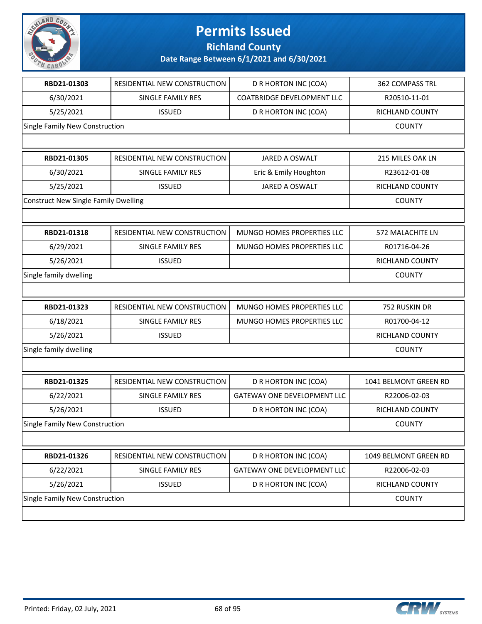

**Richland County**

| RBD21-01303                                 | RESIDENTIAL NEW CONSTRUCTION | D R HORTON INC (COA)               | 362 COMPASS TRL       |
|---------------------------------------------|------------------------------|------------------------------------|-----------------------|
| 6/30/2021                                   | SINGLE FAMILY RES            | <b>COATBRIDGE DEVELOPMENT LLC</b>  | R20510-11-01          |
| 5/25/2021                                   | <b>ISSUED</b>                | D R HORTON INC (COA)               | RICHLAND COUNTY       |
| Single Family New Construction              |                              |                                    | <b>COUNTY</b>         |
|                                             |                              |                                    |                       |
| RBD21-01305                                 | RESIDENTIAL NEW CONSTRUCTION | JARED A OSWALT                     | 215 MILES OAK LN      |
| 6/30/2021                                   | SINGLE FAMILY RES            | Eric & Emily Houghton              | R23612-01-08          |
| 5/25/2021                                   | <b>ISSUED</b>                | JARED A OSWALT                     | RICHLAND COUNTY       |
| <b>Construct New Single Family Dwelling</b> |                              |                                    | <b>COUNTY</b>         |
|                                             |                              |                                    |                       |
| RBD21-01318                                 | RESIDENTIAL NEW CONSTRUCTION | MUNGO HOMES PROPERTIES LLC         | 572 MALACHITE LN      |
| 6/29/2021                                   | SINGLE FAMILY RES            | MUNGO HOMES PROPERTIES LLC         | R01716-04-26          |
| 5/26/2021                                   | <b>ISSUED</b>                |                                    | RICHLAND COUNTY       |
| Single family dwelling                      |                              |                                    | <b>COUNTY</b>         |
|                                             |                              |                                    |                       |
| RBD21-01323                                 | RESIDENTIAL NEW CONSTRUCTION | MUNGO HOMES PROPERTIES LLC         | 752 RUSKIN DR         |
| 6/18/2021                                   | SINGLE FAMILY RES            | MUNGO HOMES PROPERTIES LLC         | R01700-04-12          |
| 5/26/2021                                   | <b>ISSUED</b>                |                                    | RICHLAND COUNTY       |
| Single family dwelling                      |                              |                                    | <b>COUNTY</b>         |
|                                             |                              |                                    |                       |
| RBD21-01325                                 | RESIDENTIAL NEW CONSTRUCTION | D R HORTON INC (COA)               | 1041 BELMONT GREEN RD |
| 6/22/2021                                   | SINGLE FAMILY RES            | <b>GATEWAY ONE DEVELOPMENT LLC</b> | R22006-02-03          |
| 5/26/2021                                   | <b>ISSUED</b>                | D R HORTON INC (COA)               | RICHLAND COUNTY       |
| Single Family New Construction              |                              |                                    | <b>COUNTY</b>         |
|                                             |                              |                                    |                       |
| RBD21-01326                                 | RESIDENTIAL NEW CONSTRUCTION | D R HORTON INC (COA)               | 1049 BELMONT GREEN RD |
| 6/22/2021                                   | SINGLE FAMILY RES            | GATEWAY ONE DEVELOPMENT LLC        | R22006-02-03          |
| 5/26/2021                                   | <b>ISSUED</b>                | D R HORTON INC (COA)               | RICHLAND COUNTY       |
| Single Family New Construction              |                              |                                    | <b>COUNTY</b>         |
|                                             |                              |                                    |                       |

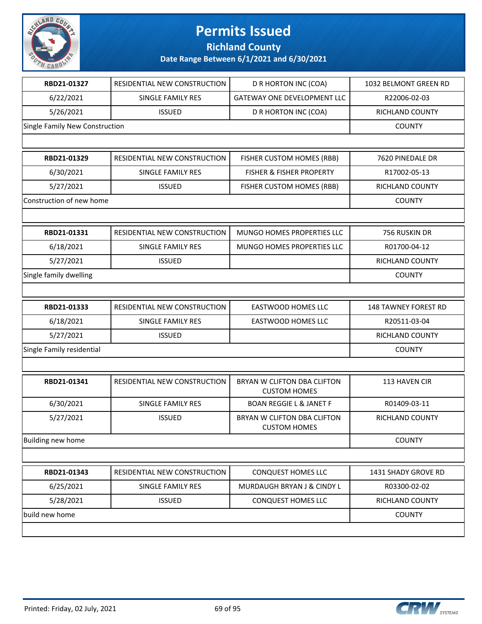

**Richland County**

| RBD21-01327                    | RESIDENTIAL NEW CONSTRUCTION | D R HORTON INC (COA)                               | 1032 BELMONT GREEN RD       |
|--------------------------------|------------------------------|----------------------------------------------------|-----------------------------|
| 6/22/2021                      | SINGLE FAMILY RES            | <b>GATEWAY ONE DEVELOPMENT LLC</b>                 | R22006-02-03                |
| 5/26/2021                      | <b>ISSUED</b>                | D R HORTON INC (COA)                               | RICHLAND COUNTY             |
| Single Family New Construction |                              |                                                    | <b>COUNTY</b>               |
|                                |                              |                                                    |                             |
| RBD21-01329                    | RESIDENTIAL NEW CONSTRUCTION | FISHER CUSTOM HOMES (RBB)                          | 7620 PINEDALE DR            |
| 6/30/2021                      | <b>SINGLE FAMILY RES</b>     | <b>FISHER &amp; FISHER PROPERTY</b>                | R17002-05-13                |
| 5/27/2021                      | <b>ISSUED</b>                | FISHER CUSTOM HOMES (RBB)                          | <b>RICHLAND COUNTY</b>      |
| Construction of new home       |                              |                                                    | <b>COUNTY</b>               |
|                                |                              |                                                    |                             |
| RBD21-01331                    | RESIDENTIAL NEW CONSTRUCTION | MUNGO HOMES PROPERTIES LLC                         | 756 RUSKIN DR               |
| 6/18/2021                      | SINGLE FAMILY RES            | MUNGO HOMES PROPERTIES LLC                         | R01700-04-12                |
| 5/27/2021                      | <b>ISSUED</b>                |                                                    | RICHLAND COUNTY             |
| Single family dwelling         |                              |                                                    | <b>COUNTY</b>               |
|                                |                              |                                                    |                             |
| RBD21-01333                    | RESIDENTIAL NEW CONSTRUCTION | <b>EASTWOOD HOMES LLC</b>                          | <b>148 TAWNEY FOREST RD</b> |
| 6/18/2021                      | SINGLE FAMILY RES            | EASTWOOD HOMES LLC                                 | R20511-03-04                |
| 5/27/2021                      | <b>ISSUED</b>                |                                                    | RICHLAND COUNTY             |
| Single Family residential      |                              |                                                    | <b>COUNTY</b>               |
|                                |                              |                                                    |                             |
| RBD21-01341                    | RESIDENTIAL NEW CONSTRUCTION | BRYAN W CLIFTON DBA CLIFTON<br><b>CUSTOM HOMES</b> | 113 HAVEN CIR               |
| 6/30/2021                      | SINGLE FAMILY RES            | <b>BOAN REGGIE L &amp; JANET F</b>                 | R01409-03-11                |
| 5/27/2021                      | <b>ISSUED</b>                | BRYAN W CLIFTON DBA CLIFTON<br><b>CUSTOM HOMES</b> | RICHLAND COUNTY             |
| Building new home              |                              |                                                    | <b>COUNTY</b>               |
|                                |                              |                                                    |                             |
| RBD21-01343                    | RESIDENTIAL NEW CONSTRUCTION | CONQUEST HOMES LLC                                 | 1431 SHADY GROVE RD         |
| 6/25/2021                      | SINGLE FAMILY RES            | MURDAUGH BRYAN J & CINDY L                         | R03300-02-02                |
| 5/28/2021                      | <b>ISSUED</b>                | CONQUEST HOMES LLC                                 | RICHLAND COUNTY             |
| build new home                 |                              |                                                    | <b>COUNTY</b>               |
|                                |                              |                                                    |                             |

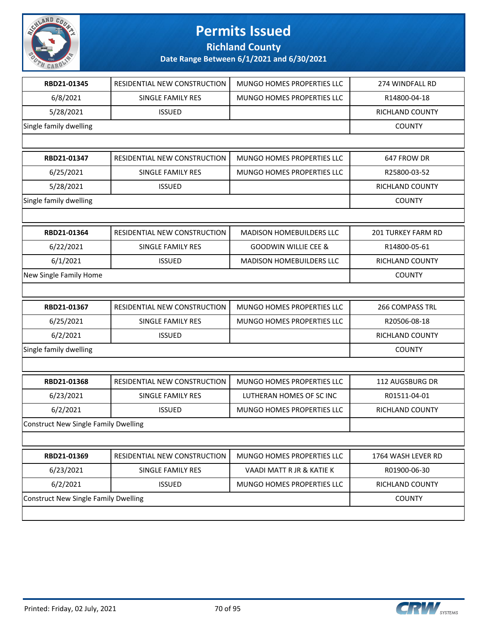

**Richland County**

| RBD21-01345                                 | RESIDENTIAL NEW CONSTRUCTION                | MUNGO HOMES PROPERTIES LLC      | 274 WINDFALL RD    |  |
|---------------------------------------------|---------------------------------------------|---------------------------------|--------------------|--|
| 6/8/2021                                    | SINGLE FAMILY RES                           | MUNGO HOMES PROPERTIES LLC      | R14800-04-18       |  |
| 5/28/2021                                   | <b>ISSUED</b>                               |                                 | RICHLAND COUNTY    |  |
| Single family dwelling                      |                                             |                                 | <b>COUNTY</b>      |  |
|                                             |                                             |                                 |                    |  |
| RBD21-01347                                 | RESIDENTIAL NEW CONSTRUCTION                | MUNGO HOMES PROPERTIES LLC      | 647 FROW DR        |  |
| 6/25/2021                                   | SINGLE FAMILY RES                           | MUNGO HOMES PROPERTIES LLC      | R25800-03-52       |  |
| 5/28/2021                                   | <b>ISSUED</b>                               |                                 | RICHLAND COUNTY    |  |
| Single family dwelling                      |                                             |                                 | <b>COUNTY</b>      |  |
|                                             |                                             |                                 |                    |  |
| RBD21-01364                                 | RESIDENTIAL NEW CONSTRUCTION                | <b>MADISON HOMEBUILDERS LLC</b> | 201 TURKEY FARM RD |  |
| 6/22/2021                                   | SINGLE FAMILY RES                           | <b>GOODWIN WILLIE CEE &amp;</b> | R14800-05-61       |  |
| 6/1/2021                                    | <b>ISSUED</b>                               | <b>MADISON HOMEBUILDERS LLC</b> | RICHLAND COUNTY    |  |
| New Single Family Home                      |                                             |                                 | <b>COUNTY</b>      |  |
|                                             |                                             |                                 |                    |  |
| RBD21-01367                                 | RESIDENTIAL NEW CONSTRUCTION                | MUNGO HOMES PROPERTIES LLC      | 266 COMPASS TRL    |  |
| 6/25/2021                                   | SINGLE FAMILY RES                           | MUNGO HOMES PROPERTIES LLC      | R20506-08-18       |  |
| 6/2/2021                                    | <b>ISSUED</b>                               |                                 | RICHLAND COUNTY    |  |
| Single family dwelling                      |                                             |                                 | <b>COUNTY</b>      |  |
|                                             |                                             |                                 |                    |  |
| RBD21-01368                                 | RESIDENTIAL NEW CONSTRUCTION                | MUNGO HOMES PROPERTIES LLC      | 112 AUGSBURG DR    |  |
| 6/23/2021                                   | SINGLE FAMILY RES                           | LUTHERAN HOMES OF SC INC        | R01511-04-01       |  |
| 6/2/2021                                    | <b>ISSUED</b>                               | MUNGO HOMES PROPERTIES LLC      | RICHLAND COUNTY    |  |
|                                             | <b>Construct New Single Family Dwelling</b> |                                 |                    |  |
|                                             |                                             |                                 |                    |  |
| RBD21-01369                                 | RESIDENTIAL NEW CONSTRUCTION                | MUNGO HOMES PROPERTIES LLC      | 1764 WASH LEVER RD |  |
| 6/23/2021                                   | SINGLE FAMILY RES                           | VAADI MATT R JR & KATIE K       | R01900-06-30       |  |
| 6/2/2021                                    | <b>ISSUED</b>                               | MUNGO HOMES PROPERTIES LLC      | RICHLAND COUNTY    |  |
| <b>Construct New Single Family Dwelling</b> |                                             |                                 | <b>COUNTY</b>      |  |
|                                             |                                             |                                 |                    |  |

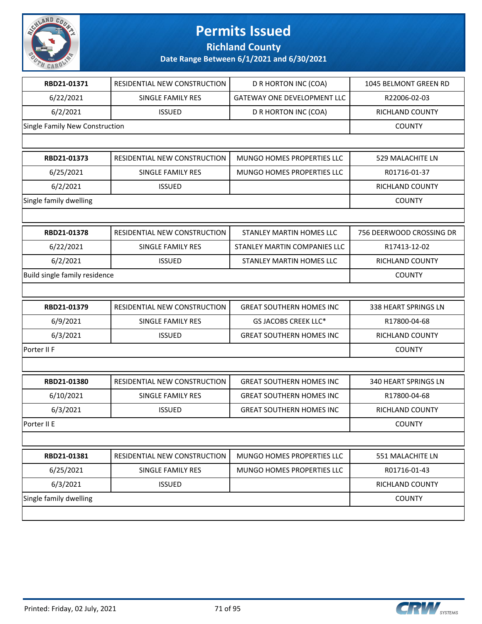

**Richland County**

| RBD21-01371                    | RESIDENTIAL NEW CONSTRUCTION | D R HORTON INC (COA)               | 1045 BELMONT GREEN RD    |
|--------------------------------|------------------------------|------------------------------------|--------------------------|
| 6/22/2021                      | SINGLE FAMILY RES            | <b>GATEWAY ONE DEVELOPMENT LLC</b> | R22006-02-03             |
| 6/2/2021                       | <b>ISSUED</b>                | D R HORTON INC (COA)               | RICHLAND COUNTY          |
| Single Family New Construction |                              |                                    | <b>COUNTY</b>            |
|                                |                              |                                    |                          |
| RBD21-01373                    | RESIDENTIAL NEW CONSTRUCTION | MUNGO HOMES PROPERTIES LLC         | 529 MALACHITE LN         |
| 6/25/2021                      | SINGLE FAMILY RES            | MUNGO HOMES PROPERTIES LLC         | R01716-01-37             |
| 6/2/2021                       | <b>ISSUED</b>                |                                    | <b>RICHLAND COUNTY</b>   |
| Single family dwelling         |                              |                                    | <b>COUNTY</b>            |
|                                |                              |                                    |                          |
| RBD21-01378                    | RESIDENTIAL NEW CONSTRUCTION | <b>STANLEY MARTIN HOMES LLC</b>    | 756 DEERWOOD CROSSING DR |
| 6/22/2021                      | SINGLE FAMILY RES            | STANLEY MARTIN COMPANIES LLC       | R17413-12-02             |
| 6/2/2021                       | <b>ISSUED</b>                | STANLEY MARTIN HOMES LLC           | <b>RICHLAND COUNTY</b>   |
| Build single family residence  |                              |                                    | <b>COUNTY</b>            |
|                                |                              |                                    |                          |
| RBD21-01379                    | RESIDENTIAL NEW CONSTRUCTION | <b>GREAT SOUTHERN HOMES INC</b>    | 338 HEART SPRINGS LN     |
| 6/9/2021                       | SINGLE FAMILY RES            | GS JACOBS CREEK LLC*               | R17800-04-68             |
| 6/3/2021                       | <b>ISSUED</b>                | <b>GREAT SOUTHERN HOMES INC</b>    | RICHLAND COUNTY          |
| Porter II F                    |                              |                                    | <b>COUNTY</b>            |
|                                |                              |                                    |                          |
| RBD21-01380                    | RESIDENTIAL NEW CONSTRUCTION | <b>GREAT SOUTHERN HOMES INC</b>    | 340 HEART SPRINGS LN     |
| 6/10/2021                      | SINGLE FAMILY RES            | <b>GREAT SOUTHERN HOMES INC</b>    | R17800-04-68             |
| 6/3/2021                       | <b>ISSUED</b>                | <b>GREAT SOUTHERN HOMES INC</b>    | <b>RICHLAND COUNTY</b>   |
| Porter II E                    |                              |                                    | <b>COUNTY</b>            |
|                                |                              |                                    |                          |
| RBD21-01381                    | RESIDENTIAL NEW CONSTRUCTION | MUNGO HOMES PROPERTIES LLC         | 551 MALACHITE LN         |
| 6/25/2021                      | SINGLE FAMILY RES            | MUNGO HOMES PROPERTIES LLC         | R01716-01-43             |
| 6/3/2021                       | <b>ISSUED</b>                |                                    | RICHLAND COUNTY          |
| Single family dwelling         |                              |                                    | <b>COUNTY</b>            |
|                                |                              |                                    |                          |
|                                |                              |                                    |                          |

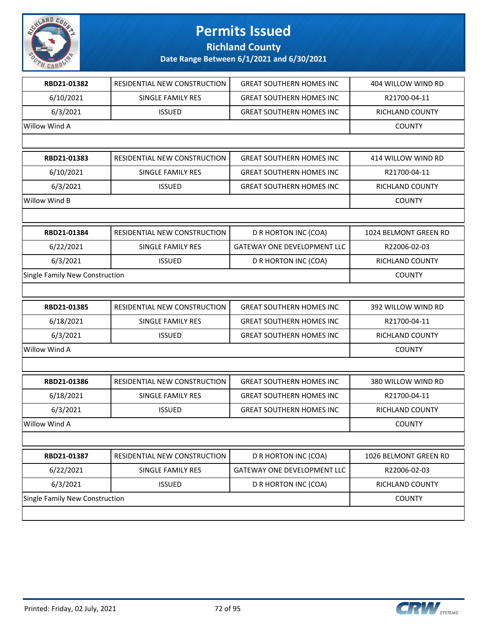

**Richland County**

| RBD21-01382                    | RESIDENTIAL NEW CONSTRUCTION | <b>GREAT SOUTHERN HOMES INC</b>    | 404 WILLOW WIND RD    |
|--------------------------------|------------------------------|------------------------------------|-----------------------|
| 6/10/2021                      | SINGLE FAMILY RES            | <b>GREAT SOUTHERN HOMES INC</b>    | R21700-04-11          |
| 6/3/2021                       | <b>ISSUED</b>                | <b>GREAT SOUTHERN HOMES INC</b>    | RICHLAND COUNTY       |
| Willow Wind A                  |                              |                                    | <b>COUNTY</b>         |
|                                |                              |                                    |                       |
| RBD21-01383                    | RESIDENTIAL NEW CONSTRUCTION | <b>GREAT SOUTHERN HOMES INC</b>    | 414 WILLOW WIND RD    |
| 6/10/2021                      | SINGLE FAMILY RES            | <b>GREAT SOUTHERN HOMES INC</b>    | R21700-04-11          |
| 6/3/2021                       | <b>ISSUED</b>                | <b>GREAT SOUTHERN HOMES INC</b>    | RICHLAND COUNTY       |
| Willow Wind B                  |                              |                                    | <b>COUNTY</b>         |
|                                |                              |                                    |                       |
| RBD21-01384                    | RESIDENTIAL NEW CONSTRUCTION | D R HORTON INC (COA)               | 1024 BELMONT GREEN RD |
| 6/22/2021                      | SINGLE FAMILY RES            | <b>GATEWAY ONE DEVELOPMENT LLC</b> | R22006-02-03          |
| 6/3/2021                       | <b>ISSUED</b>                | D R HORTON INC (COA)               | RICHLAND COUNTY       |
| Single Family New Construction |                              |                                    | <b>COUNTY</b>         |
|                                |                              |                                    |                       |
| RBD21-01385                    | RESIDENTIAL NEW CONSTRUCTION | <b>GREAT SOUTHERN HOMES INC</b>    | 392 WILLOW WIND RD    |
| 6/18/2021                      | SINGLE FAMILY RES            | <b>GREAT SOUTHERN HOMES INC</b>    | R21700-04-11          |
| 6/3/2021                       | <b>ISSUED</b>                | <b>GREAT SOUTHERN HOMES INC</b>    | RICHLAND COUNTY       |
| Willow Wind A                  |                              |                                    | <b>COUNTY</b>         |
|                                |                              |                                    |                       |
| RBD21-01386                    | RESIDENTIAL NEW CONSTRUCTION | <b>GREAT SOUTHERN HOMES INC</b>    | 380 WILLOW WIND RD    |
| 6/18/2021                      | <b>SINGLE FAMILY RES</b>     | <b>GREAT SOUTHERN HOMES INC</b>    | R21700-04-11          |
| 6/3/2021                       | <b>ISSUED</b>                | <b>GREAT SOUTHERN HOMES INC</b>    | RICHLAND COUNTY       |
| Willow Wind A                  |                              |                                    | <b>COUNTY</b>         |
|                                |                              |                                    |                       |
| RBD21-01387                    | RESIDENTIAL NEW CONSTRUCTION | D R HORTON INC (COA)               | 1026 BELMONT GREEN RD |
| 6/22/2021                      | SINGLE FAMILY RES            | GATEWAY ONE DEVELOPMENT LLC        | R22006-02-03          |
| 6/3/2021                       | <b>ISSUED</b>                | D R HORTON INC (COA)               | RICHLAND COUNTY       |
| Single Family New Construction |                              |                                    | <b>COUNTY</b>         |
|                                |                              |                                    |                       |

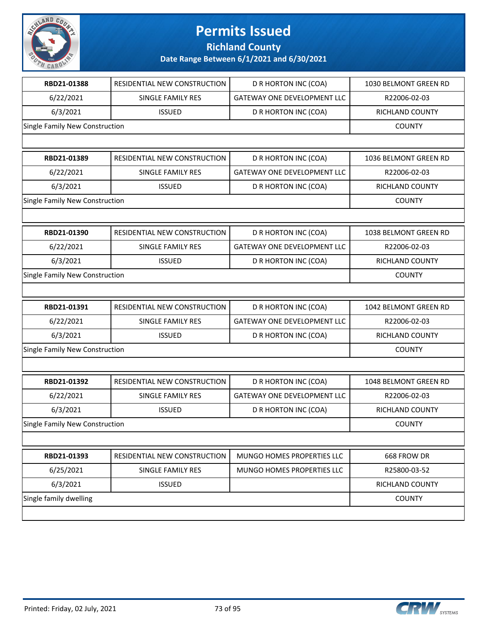

**Richland County**

| RESIDENTIAL NEW CONSTRUCTION   | D R HORTON INC (COA)               | 1030 BELMONT GREEN RD  |
|--------------------------------|------------------------------------|------------------------|
| SINGLE FAMILY RES              | <b>GATEWAY ONE DEVELOPMENT LLC</b> | R22006-02-03           |
| <b>ISSUED</b>                  | D R HORTON INC (COA)               | RICHLAND COUNTY        |
| Single Family New Construction |                                    | <b>COUNTY</b>          |
|                                |                                    |                        |
| RESIDENTIAL NEW CONSTRUCTION   | D R HORTON INC (COA)               | 1036 BELMONT GREEN RD  |
| SINGLE FAMILY RES              | <b>GATEWAY ONE DEVELOPMENT LLC</b> | R22006-02-03           |
| <b>ISSUED</b>                  | D R HORTON INC (COA)               | <b>RICHLAND COUNTY</b> |
| Single Family New Construction |                                    | <b>COUNTY</b>          |
|                                |                                    |                        |
| RESIDENTIAL NEW CONSTRUCTION   | D R HORTON INC (COA)               | 1038 BELMONT GREEN RD  |
| SINGLE FAMILY RES              | <b>GATEWAY ONE DEVELOPMENT LLC</b> | R22006-02-03           |
| <b>ISSUED</b>                  | D R HORTON INC (COA)               | RICHLAND COUNTY        |
| Single Family New Construction |                                    | <b>COUNTY</b>          |
|                                |                                    |                        |
| RESIDENTIAL NEW CONSTRUCTION   | D R HORTON INC (COA)               | 1042 BELMONT GREEN RD  |
| SINGLE FAMILY RES              | <b>GATEWAY ONE DEVELOPMENT LLC</b> | R22006-02-03           |
| <b>ISSUED</b>                  | D R HORTON INC (COA)               | RICHLAND COUNTY        |
| Single Family New Construction |                                    | <b>COUNTY</b>          |
|                                |                                    |                        |
|                                |                                    |                        |
| RESIDENTIAL NEW CONSTRUCTION   | D R HORTON INC (COA)               | 1048 BELMONT GREEN RD  |
| SINGLE FAMILY RES              | <b>GATEWAY ONE DEVELOPMENT LLC</b> | R22006-02-03           |
| <b>ISSUED</b>                  | D R HORTON INC (COA)               | <b>RICHLAND COUNTY</b> |
| Single Family New Construction |                                    | <b>COUNTY</b>          |
|                                |                                    |                        |
| RESIDENTIAL NEW CONSTRUCTION   | MUNGO HOMES PROPERTIES LLC         | 668 FROW DR            |
| SINGLE FAMILY RES              | MUNGO HOMES PROPERTIES LLC         | R25800-03-52           |
| <b>ISSUED</b>                  |                                    | RICHLAND COUNTY        |
|                                |                                    | <b>COUNTY</b>          |
|                                |                                    |                        |

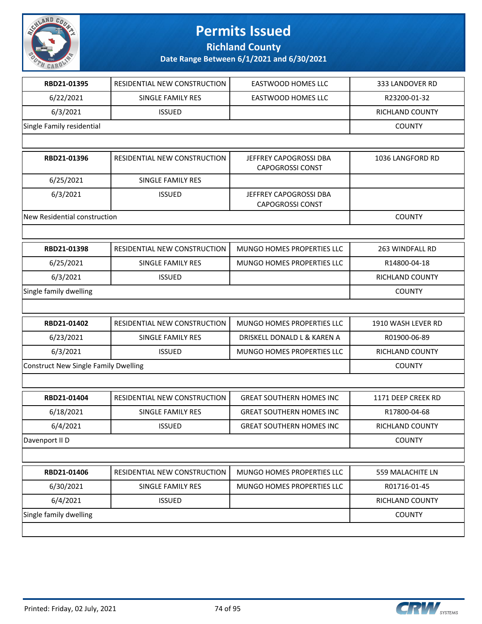

**Richland County**

| RBD21-01395                                 | RESIDENTIAL NEW CONSTRUCTION | <b>EASTWOOD HOMES LLC</b>                         | 333 LANDOVER RD        |
|---------------------------------------------|------------------------------|---------------------------------------------------|------------------------|
| 6/22/2021                                   | SINGLE FAMILY RES            | <b>EASTWOOD HOMES LLC</b>                         | R23200-01-32           |
| 6/3/2021                                    | <b>ISSUED</b>                |                                                   | RICHLAND COUNTY        |
| Single Family residential                   |                              |                                                   | <b>COUNTY</b>          |
|                                             |                              |                                                   |                        |
| RBD21-01396                                 | RESIDENTIAL NEW CONSTRUCTION | JEFFREY CAPOGROSSI DBA<br><b>CAPOGROSSI CONST</b> | 1036 LANGFORD RD       |
| 6/25/2021                                   | <b>SINGLE FAMILY RES</b>     |                                                   |                        |
| 6/3/2021                                    | <b>ISSUED</b>                | JEFFREY CAPOGROSSI DBA<br><b>CAPOGROSSI CONST</b> |                        |
| New Residential construction                |                              |                                                   | <b>COUNTY</b>          |
|                                             |                              |                                                   |                        |
| RBD21-01398                                 | RESIDENTIAL NEW CONSTRUCTION | MUNGO HOMES PROPERTIES LLC                        | 263 WINDFALL RD        |
| 6/25/2021                                   | SINGLE FAMILY RES            | MUNGO HOMES PROPERTIES LLC                        | R14800-04-18           |
| 6/3/2021                                    | <b>ISSUED</b>                |                                                   | RICHLAND COUNTY        |
| Single family dwelling                      |                              |                                                   | <b>COUNTY</b>          |
|                                             |                              |                                                   |                        |
| RBD21-01402                                 | RESIDENTIAL NEW CONSTRUCTION | MUNGO HOMES PROPERTIES LLC                        | 1910 WASH LEVER RD     |
| 6/23/2021                                   | SINGLE FAMILY RES            | DRISKELL DONALD L & KAREN A                       | R01900-06-89           |
| 6/3/2021                                    | <b>ISSUED</b>                | MUNGO HOMES PROPERTIES LLC                        | RICHLAND COUNTY        |
| <b>Construct New Single Family Dwelling</b> |                              | <b>COUNTY</b>                                     |                        |
|                                             |                              |                                                   |                        |
| RBD21-01404                                 | RESIDENTIAL NEW CONSTRUCTION | <b>GREAT SOUTHERN HOMES INC</b>                   | 1171 DEEP CREEK RD     |
| 6/18/2021                                   | SINGLE FAMILY RES            | <b>GREAT SOUTHERN HOMES INC</b>                   | R17800-04-68           |
| 6/4/2021                                    | <b>ISSUED</b>                | <b>GREAT SOUTHERN HOMES INC</b>                   | RICHLAND COUNTY        |
| Davenport II D                              |                              |                                                   | <b>COUNTY</b>          |
|                                             |                              |                                                   |                        |
| RBD21-01406                                 | RESIDENTIAL NEW CONSTRUCTION | MUNGO HOMES PROPERTIES LLC                        | 559 MALACHITE LN       |
| 6/30/2021                                   | <b>SINGLE FAMILY RES</b>     | MUNGO HOMES PROPERTIES LLC                        | R01716-01-45           |
| 6/4/2021                                    | <b>ISSUED</b>                |                                                   | <b>RICHLAND COUNTY</b> |
| Single family dwelling                      |                              |                                                   | <b>COUNTY</b>          |
|                                             |                              |                                                   |                        |

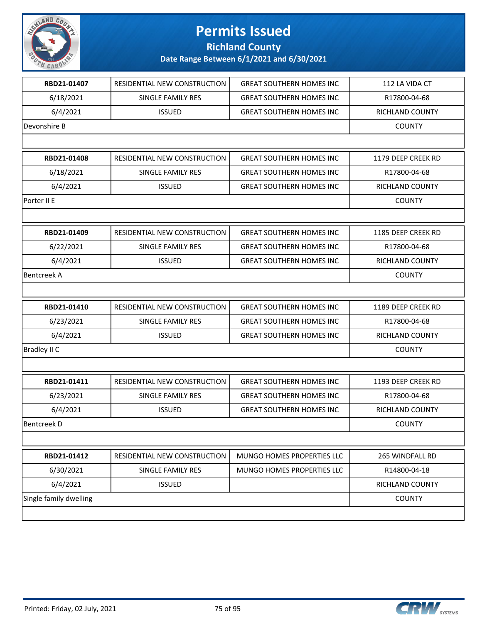

**Richland County**

| RBD21-01407            | RESIDENTIAL NEW CONSTRUCTION | <b>GREAT SOUTHERN HOMES INC</b> | 112 LA VIDA CT         |
|------------------------|------------------------------|---------------------------------|------------------------|
| 6/18/2021              | <b>SINGLE FAMILY RES</b>     | <b>GREAT SOUTHERN HOMES INC</b> | R17800-04-68           |
| 6/4/2021               | <b>ISSUED</b>                | <b>GREAT SOUTHERN HOMES INC</b> | <b>RICHLAND COUNTY</b> |
| Devonshire B           |                              |                                 | <b>COUNTY</b>          |
|                        |                              |                                 |                        |
| RBD21-01408            | RESIDENTIAL NEW CONSTRUCTION | <b>GREAT SOUTHERN HOMES INC</b> | 1179 DEEP CREEK RD     |
| 6/18/2021              | <b>SINGLE FAMILY RES</b>     | <b>GREAT SOUTHERN HOMES INC</b> | R17800-04-68           |
| 6/4/2021               | <b>ISSUED</b>                | <b>GREAT SOUTHERN HOMES INC</b> | <b>RICHLAND COUNTY</b> |
| Porter II E            |                              |                                 | <b>COUNTY</b>          |
|                        |                              |                                 |                        |
| RBD21-01409            | RESIDENTIAL NEW CONSTRUCTION | <b>GREAT SOUTHERN HOMES INC</b> | 1185 DEEP CREEK RD     |
| 6/22/2021              | SINGLE FAMILY RES            | <b>GREAT SOUTHERN HOMES INC</b> | R17800-04-68           |
| 6/4/2021               | <b>ISSUED</b>                | <b>GREAT SOUTHERN HOMES INC</b> | <b>RICHLAND COUNTY</b> |
| <b>Bentcreek A</b>     |                              |                                 | <b>COUNTY</b>          |
|                        |                              |                                 |                        |
| RBD21-01410            | RESIDENTIAL NEW CONSTRUCTION | <b>GREAT SOUTHERN HOMES INC</b> | 1189 DEEP CREEK RD     |
| 6/23/2021              | SINGLE FAMILY RES            | <b>GREAT SOUTHERN HOMES INC</b> | R17800-04-68           |
| 6/4/2021               | <b>ISSUED</b>                | <b>GREAT SOUTHERN HOMES INC</b> | RICHLAND COUNTY        |
| Bradley II C           |                              |                                 | <b>COUNTY</b>          |
|                        |                              |                                 |                        |
| RBD21-01411            | RESIDENTIAL NEW CONSTRUCTION | <b>GREAT SOUTHERN HOMES INC</b> | 1193 DEEP CREEK RD     |
| 6/23/2021              | SINGLE FAMILY RES            | <b>GREAT SOUTHERN HOMES INC</b> | R17800-04-68           |
| 6/4/2021               | <b>ISSUED</b>                | <b>GREAT SOUTHERN HOMES INC</b> | <b>RICHLAND COUNTY</b> |
| Bentcreek D            |                              |                                 | <b>COUNTY</b>          |
|                        |                              |                                 |                        |
| RBD21-01412            | RESIDENTIAL NEW CONSTRUCTION | MUNGO HOMES PROPERTIES LLC      | 265 WINDFALL RD        |
| 6/30/2021              | <b>SINGLE FAMILY RES</b>     | MUNGO HOMES PROPERTIES LLC      | R14800-04-18           |
| 6/4/2021               | <b>ISSUED</b>                |                                 | RICHLAND COUNTY        |
| Single family dwelling |                              |                                 | <b>COUNTY</b>          |
|                        |                              |                                 |                        |
|                        |                              |                                 |                        |

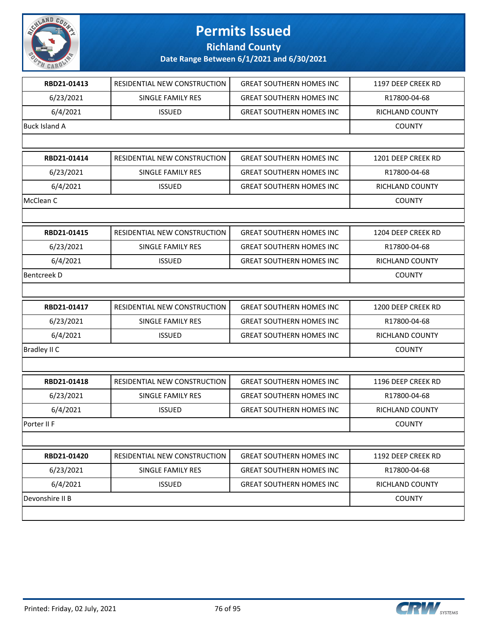

#### **Richland County**

| RBD21-01413          | RESIDENTIAL NEW CONSTRUCTION | <b>GREAT SOUTHERN HOMES INC</b> | 1197 DEEP CREEK RD     |
|----------------------|------------------------------|---------------------------------|------------------------|
| 6/23/2021            | SINGLE FAMILY RES            | <b>GREAT SOUTHERN HOMES INC</b> | R17800-04-68           |
| 6/4/2021             | <b>ISSUED</b>                | <b>GREAT SOUTHERN HOMES INC</b> | RICHLAND COUNTY        |
| <b>Buck Island A</b> |                              |                                 | <b>COUNTY</b>          |
|                      |                              |                                 |                        |
| RBD21-01414          | RESIDENTIAL NEW CONSTRUCTION | <b>GREAT SOUTHERN HOMES INC</b> | 1201 DEEP CREEK RD     |
| 6/23/2021            | SINGLE FAMILY RES            | <b>GREAT SOUTHERN HOMES INC</b> | R17800-04-68           |
| 6/4/2021             | <b>ISSUED</b>                | <b>GREAT SOUTHERN HOMES INC</b> | RICHLAND COUNTY        |
| McClean C            |                              |                                 | <b>COUNTY</b>          |
|                      |                              |                                 |                        |
| RBD21-01415          | RESIDENTIAL NEW CONSTRUCTION | <b>GREAT SOUTHERN HOMES INC</b> | 1204 DEEP CREEK RD     |
| 6/23/2021            | SINGLE FAMILY RES            | <b>GREAT SOUTHERN HOMES INC</b> | R17800-04-68           |
| 6/4/2021             | <b>ISSUED</b>                | <b>GREAT SOUTHERN HOMES INC</b> | <b>RICHLAND COUNTY</b> |
| <b>Bentcreek D</b>   |                              |                                 | <b>COUNTY</b>          |
|                      |                              |                                 |                        |
| RBD21-01417          | RESIDENTIAL NEW CONSTRUCTION | <b>GREAT SOUTHERN HOMES INC</b> | 1200 DEEP CREEK RD     |
| 6/23/2021            | SINGLE FAMILY RES            | <b>GREAT SOUTHERN HOMES INC</b> | R17800-04-68           |
| 6/4/2021             | <b>ISSUED</b>                | <b>GREAT SOUTHERN HOMES INC</b> | RICHLAND COUNTY        |
| <b>Bradley II C</b>  |                              |                                 | <b>COUNTY</b>          |
|                      |                              |                                 |                        |
| RBD21-01418          | RESIDENTIAL NEW CONSTRUCTION | <b>GREAT SOUTHERN HOMES INC</b> | 1196 DEEP CREEK RD     |
| 6/23/2021            | SINGLE FAMILY RES            | <b>GREAT SOUTHERN HOMES INC</b> | R17800-04-68           |
| 6/4/2021             | <b>ISSUED</b>                | <b>GREAT SOUTHERN HOMES INC</b> | RICHLAND COUNTY        |
| Porter II F          |                              |                                 | <b>COUNTY</b>          |
|                      |                              |                                 |                        |
| RBD21-01420          | RESIDENTIAL NEW CONSTRUCTION | <b>GREAT SOUTHERN HOMES INC</b> | 1192 DEEP CREEK RD     |
| 6/23/2021            | SINGLE FAMILY RES            | <b>GREAT SOUTHERN HOMES INC</b> | R17800-04-68           |
| 6/4/2021             | <b>ISSUED</b>                | <b>GREAT SOUTHERN HOMES INC</b> | <b>RICHLAND COUNTY</b> |
| Devonshire II B      |                              |                                 | <b>COUNTY</b>          |
|                      |                              |                                 |                        |
|                      |                              |                                 |                        |

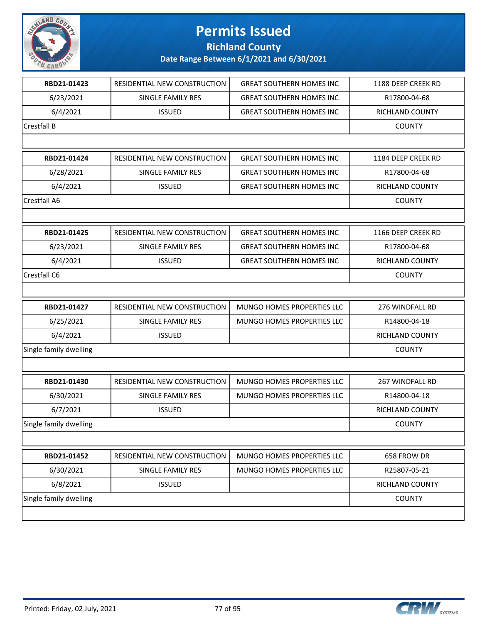

**Richland County**

| RBD21-01423            | RESIDENTIAL NEW CONSTRUCTION        | <b>GREAT SOUTHERN HOMES INC</b> | 1188 DEEP CREEK RD     |
|------------------------|-------------------------------------|---------------------------------|------------------------|
| 6/23/2021              | SINGLE FAMILY RES                   | <b>GREAT SOUTHERN HOMES INC</b> | R17800-04-68           |
| 6/4/2021               | <b>ISSUED</b>                       | <b>GREAT SOUTHERN HOMES INC</b> | RICHLAND COUNTY        |
| Crestfall B            |                                     |                                 | <b>COUNTY</b>          |
|                        |                                     |                                 |                        |
| RBD21-01424            | <b>RESIDENTIAL NEW CONSTRUCTION</b> | <b>GREAT SOUTHERN HOMES INC</b> | 1184 DEEP CREEK RD     |
| 6/28/2021              | SINGLE FAMILY RES                   | <b>GREAT SOUTHERN HOMES INC</b> | R17800-04-68           |
| 6/4/2021               | <b>ISSUED</b>                       | <b>GREAT SOUTHERN HOMES INC</b> | <b>RICHLAND COUNTY</b> |
| Crestfall A6           |                                     |                                 | <b>COUNTY</b>          |
|                        |                                     |                                 |                        |
| RBD21-01425            | RESIDENTIAL NEW CONSTRUCTION        | <b>GREAT SOUTHERN HOMES INC</b> | 1166 DEEP CREEK RD     |
| 6/23/2021              | SINGLE FAMILY RES                   | <b>GREAT SOUTHERN HOMES INC</b> | R17800-04-68           |
| 6/4/2021               | <b>ISSUED</b>                       | <b>GREAT SOUTHERN HOMES INC</b> | RICHLAND COUNTY        |
| Crestfall C6           |                                     |                                 | <b>COUNTY</b>          |
|                        |                                     |                                 |                        |
| RBD21-01427            | RESIDENTIAL NEW CONSTRUCTION        | MUNGO HOMES PROPERTIES LLC      | 276 WINDFALL RD        |
| 6/25/2021              | SINGLE FAMILY RES                   | MUNGO HOMES PROPERTIES LLC      | R14800-04-18           |
| 6/4/2021               | <b>ISSUED</b>                       |                                 | RICHLAND COUNTY        |
| Single family dwelling |                                     |                                 | <b>COUNTY</b>          |
|                        |                                     |                                 |                        |
| RBD21-01430            | RESIDENTIAL NEW CONSTRUCTION        | MUNGO HOMES PROPERTIES LLC      | 267 WINDFALL RD        |
| 6/30/2021              | SINGLE FAMILY RES                   | MUNGO HOMES PROPERTIES LLC      | R14800-04-18           |
| 6/7/2021               | <b>ISSUED</b>                       |                                 | <b>RICHLAND COUNTY</b> |
| Single family dwelling |                                     |                                 | <b>COUNTY</b>          |
|                        |                                     |                                 |                        |
| RBD21-01452            | RESIDENTIAL NEW CONSTRUCTION        | MUNGO HOMES PROPERTIES LLC      | 658 FROW DR            |
| 6/30/2021              | <b>SINGLE FAMILY RES</b>            | MUNGO HOMES PROPERTIES LLC      | R25807-05-21           |
| 6/8/2021               | <b>ISSUED</b>                       |                                 | <b>RICHLAND COUNTY</b> |
| Single family dwelling |                                     |                                 | <b>COUNTY</b>          |
|                        |                                     |                                 |                        |
|                        |                                     |                                 |                        |

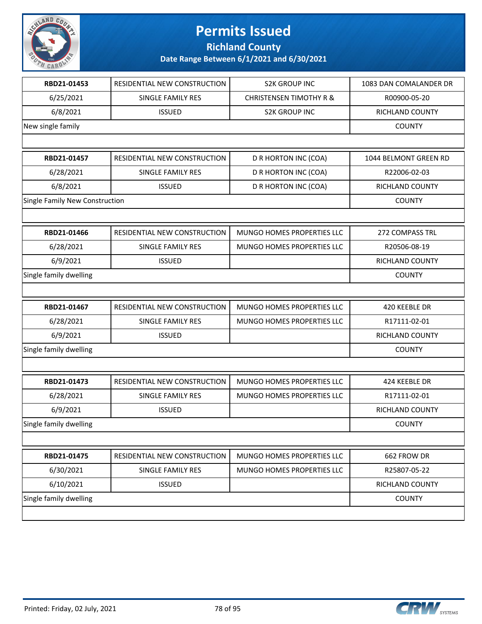

**Richland County**

| RBD21-01453                    | RESIDENTIAL NEW CONSTRUCTION | <b>S2K GROUP INC</b>               | 1083 DAN COMALANDER DR |
|--------------------------------|------------------------------|------------------------------------|------------------------|
| 6/25/2021                      | SINGLE FAMILY RES            | <b>CHRISTENSEN TIMOTHY R &amp;</b> | R00900-05-20           |
| 6/8/2021                       | <b>ISSUED</b>                | <b>S2K GROUP INC</b>               | RICHLAND COUNTY        |
| New single family              |                              |                                    | <b>COUNTY</b>          |
|                                |                              |                                    |                        |
| RBD21-01457                    | RESIDENTIAL NEW CONSTRUCTION | D R HORTON INC (COA)               | 1044 BELMONT GREEN RD  |
| 6/28/2021                      | SINGLE FAMILY RES            | D R HORTON INC (COA)               | R22006-02-03           |
| 6/8/2021                       | <b>ISSUED</b>                | D R HORTON INC (COA)               | RICHLAND COUNTY        |
| Single Family New Construction |                              |                                    | <b>COUNTY</b>          |
|                                |                              |                                    |                        |
| RBD21-01466                    | RESIDENTIAL NEW CONSTRUCTION | MUNGO HOMES PROPERTIES LLC         | 272 COMPASS TRL        |
| 6/28/2021                      | SINGLE FAMILY RES            | MUNGO HOMES PROPERTIES LLC         | R20506-08-19           |
| 6/9/2021                       | <b>ISSUED</b>                |                                    | RICHLAND COUNTY        |
| Single family dwelling         |                              |                                    | <b>COUNTY</b>          |
|                                |                              |                                    |                        |
| RBD21-01467                    | RESIDENTIAL NEW CONSTRUCTION | MUNGO HOMES PROPERTIES LLC         | 420 KEEBLE DR          |
| 6/28/2021                      | SINGLE FAMILY RES            | MUNGO HOMES PROPERTIES LLC         | R17111-02-01           |
| 6/9/2021                       | <b>ISSUED</b>                |                                    | RICHLAND COUNTY        |
| Single family dwelling         |                              |                                    | <b>COUNTY</b>          |
|                                |                              |                                    |                        |
| RBD21-01473                    | RESIDENTIAL NEW CONSTRUCTION | MUNGO HOMES PROPERTIES LLC         | 424 KEEBLE DR          |
| 6/28/2021                      | SINGLE FAMILY RES            | MUNGO HOMES PROPERTIES LLC         | R17111-02-01           |
| 6/9/2021                       | <b>ISSUED</b>                |                                    | RICHLAND COUNTY        |
| Single family dwelling         |                              |                                    | <b>COUNTY</b>          |
|                                |                              |                                    |                        |
| RBD21-01475                    | RESIDENTIAL NEW CONSTRUCTION | MUNGO HOMES PROPERTIES LLC         | 662 FROW DR            |
| 6/30/2021                      | SINGLE FAMILY RES            | MUNGO HOMES PROPERTIES LLC         | R25807-05-22           |
| 6/10/2021                      | <b>ISSUED</b>                |                                    | RICHLAND COUNTY        |
| Single family dwelling         |                              |                                    | <b>COUNTY</b>          |
|                                |                              |                                    |                        |

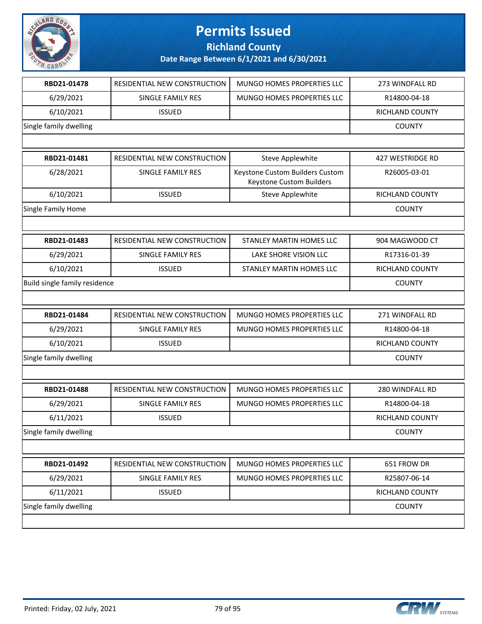

**Richland County**

| RBD21-01478                   | RESIDENTIAL NEW CONSTRUCTION | MUNGO HOMES PROPERTIES LLC                                  | 273 WINDFALL RD         |
|-------------------------------|------------------------------|-------------------------------------------------------------|-------------------------|
| 6/29/2021                     | SINGLE FAMILY RES            | MUNGO HOMES PROPERTIES LLC                                  | R14800-04-18            |
| 6/10/2021                     | <b>ISSUED</b>                |                                                             | RICHLAND COUNTY         |
| Single family dwelling        |                              |                                                             | <b>COUNTY</b>           |
|                               |                              |                                                             |                         |
| RBD21-01481                   | RESIDENTIAL NEW CONSTRUCTION | Steve Applewhite                                            | <b>427 WESTRIDGE RD</b> |
| 6/28/2021                     | SINGLE FAMILY RES            | Keystone Custom Builders Custom<br>Keystone Custom Builders | R26005-03-01            |
| 6/10/2021                     | <b>ISSUED</b>                | Steve Applewhite                                            | RICHLAND COUNTY         |
| Single Family Home            |                              |                                                             | <b>COUNTY</b>           |
|                               |                              |                                                             |                         |
| RBD21-01483                   | RESIDENTIAL NEW CONSTRUCTION | STANLEY MARTIN HOMES LLC                                    | 904 MAGWOOD CT          |
| 6/29/2021                     | SINGLE FAMILY RES            | LAKE SHORE VISION LLC                                       | R17316-01-39            |
| 6/10/2021                     | <b>ISSUED</b>                | STANLEY MARTIN HOMES LLC                                    | RICHLAND COUNTY         |
| Build single family residence |                              |                                                             | <b>COUNTY</b>           |
|                               |                              |                                                             |                         |
| RBD21-01484                   | RESIDENTIAL NEW CONSTRUCTION | MUNGO HOMES PROPERTIES LLC                                  | 271 WINDFALL RD         |
| 6/29/2021                     | SINGLE FAMILY RES            | MUNGO HOMES PROPERTIES LLC                                  | R14800-04-18            |
| 6/10/2021                     | <b>ISSUED</b>                |                                                             | RICHLAND COUNTY         |
| Single family dwelling        |                              |                                                             | <b>COUNTY</b>           |
|                               |                              |                                                             |                         |
| RBD21-01488                   | RESIDENTIAL NEW CONSTRUCTION | MUNGO HOMES PROPERTIES LLC                                  | 280 WINDFALL RD         |
| 6/29/2021                     | <b>SINGLE FAMILY RES</b>     | MUNGO HOMES PROPERTIES LLC                                  | R14800-04-18            |
| 6/11/2021                     | <b>ISSUED</b>                |                                                             | RICHLAND COUNTY         |
| Single family dwelling        |                              |                                                             | <b>COUNTY</b>           |
|                               |                              |                                                             |                         |
| RBD21-01492                   | RESIDENTIAL NEW CONSTRUCTION | MUNGO HOMES PROPERTIES LLC                                  | 651 FROW DR             |
| 6/29/2021                     | <b>SINGLE FAMILY RES</b>     | MUNGO HOMES PROPERTIES LLC                                  | R25807-06-14            |
| 6/11/2021                     | <b>ISSUED</b>                |                                                             | <b>RICHLAND COUNTY</b>  |
| Single family dwelling        |                              |                                                             | <b>COUNTY</b>           |
|                               |                              |                                                             |                         |

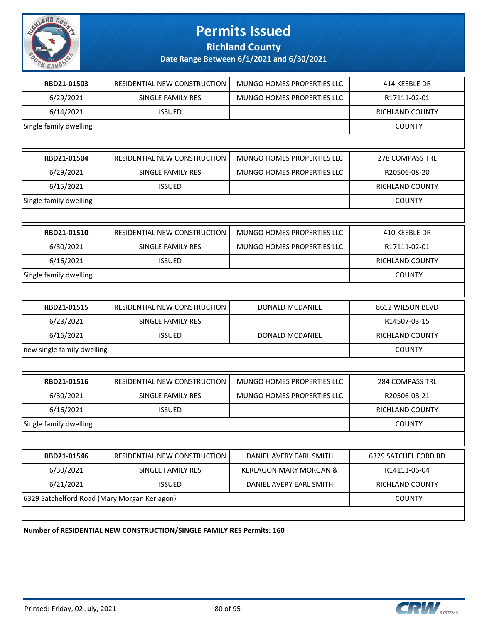

**Richland County**

**Date Range Between 6/1/2021 and 6/30/2021**

| RBD21-01503                                  | RESIDENTIAL NEW CONSTRUCTION | MUNGO HOMES PROPERTIES LLC        | 414 KEEBLE DR        |
|----------------------------------------------|------------------------------|-----------------------------------|----------------------|
| 6/29/2021                                    | <b>SINGLE FAMILY RES</b>     | MUNGO HOMES PROPERTIES LLC        | R17111-02-01         |
| 6/14/2021                                    | <b>ISSUED</b>                |                                   | RICHLAND COUNTY      |
| Single family dwelling                       |                              |                                   | <b>COUNTY</b>        |
|                                              |                              |                                   |                      |
| RBD21-01504                                  | RESIDENTIAL NEW CONSTRUCTION | MUNGO HOMES PROPERTIES LLC        | 278 COMPASS TRL      |
| 6/29/2021                                    | SINGLE FAMILY RES            | MUNGO HOMES PROPERTIES LLC        | R20506-08-20         |
| 6/15/2021                                    | <b>ISSUED</b>                |                                   | RICHLAND COUNTY      |
| Single family dwelling                       |                              |                                   | <b>COUNTY</b>        |
|                                              |                              |                                   |                      |
| RBD21-01510                                  | RESIDENTIAL NEW CONSTRUCTION | MUNGO HOMES PROPERTIES LLC        | 410 KEEBLE DR        |
| 6/30/2021                                    | SINGLE FAMILY RES            | MUNGO HOMES PROPERTIES LLC        | R17111-02-01         |
| 6/16/2021                                    | <b>ISSUED</b>                |                                   | RICHLAND COUNTY      |
| Single family dwelling                       |                              |                                   | <b>COUNTY</b>        |
|                                              |                              |                                   |                      |
| RBD21-01515                                  | RESIDENTIAL NEW CONSTRUCTION | DONALD MCDANIEL                   | 8612 WILSON BLVD     |
| 6/23/2021                                    | SINGLE FAMILY RES            |                                   | R14507-03-15         |
| 6/16/2021                                    | <b>ISSUED</b>                | DONALD MCDANIEL                   | RICHLAND COUNTY      |
| new single family dwelling                   |                              |                                   | <b>COUNTY</b>        |
|                                              |                              |                                   |                      |
| RBD21-01516                                  | RESIDENTIAL NEW CONSTRUCTION | MUNGO HOMES PROPERTIES LLC        | 284 COMPASS TRL      |
| 6/30/2021                                    | <b>SINGLE FAMILY RES</b>     | MUNGO HOMES PROPERTIES LLC        | R20506-08-21         |
| 6/16/2021                                    | <b>ISSUED</b>                |                                   | RICHLAND COUNTY      |
| Single family dwelling                       |                              |                                   | <b>COUNTY</b>        |
|                                              |                              |                                   |                      |
| RBD21-01546                                  | RESIDENTIAL NEW CONSTRUCTION | DANIEL AVERY EARL SMITH           | 6329 SATCHEL FORD RD |
| 6/30/2021                                    | SINGLE FAMILY RES            | <b>KERLAGON MARY MORGAN &amp;</b> | R14111-06-04         |
| 6/21/2021                                    | <b>ISSUED</b>                | DANIEL AVERY EARL SMITH           | RICHLAND COUNTY      |
| 6329 Satchelford Road (Mary Morgan Kerlagon) |                              |                                   | <b>COUNTY</b>        |
|                                              |                              |                                   |                      |
|                                              |                              |                                   |                      |

**Number of RESIDENTIAL NEW CONSTRUCTION/SINGLE FAMILY RES Permits: 160**

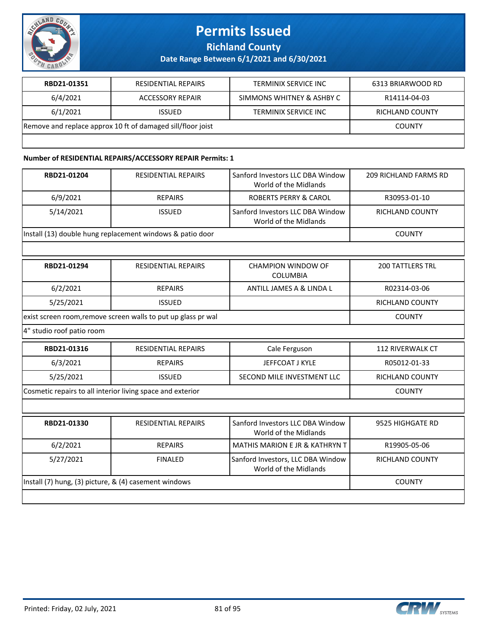

**Richland County**

**Date Range Between 6/1/2021 and 6/30/2021**

| RBD21-01351                                                 | RESIDENTIAL REPAIRS     | TERMINIX SERVICE INC        | 6313 BRIARWOOD RD |
|-------------------------------------------------------------|-------------------------|-----------------------------|-------------------|
| 6/4/2021                                                    | <b>ACCESSORY REPAIR</b> | SIMMONS WHITNEY & ASHBY C   | R14114-04-03      |
| 6/1/2021                                                    | <b>ISSUED</b>           | <b>TERMINIX SERVICE INC</b> | RICHLAND COUNTY   |
| Remove and replace approx 10 ft of damaged sill/floor joist |                         |                             | <b>COUNTY</b>     |
|                                                             |                         |                             |                   |

#### **Number of RESIDENTIAL REPAIRS/ACCESSORY REPAIR Permits: 1**

| RBD21-01204                                                | <b>RESIDENTIAL REPAIRS</b>                                    | Sanford Investors LLC DBA Window<br>World of the Midlands  | <b>209 RICHLAND FARMS RD</b> |
|------------------------------------------------------------|---------------------------------------------------------------|------------------------------------------------------------|------------------------------|
| 6/9/2021                                                   | <b>REPAIRS</b>                                                | <b>ROBERTS PERRY &amp; CAROL</b>                           | R30953-01-10                 |
| 5/14/2021                                                  | <b>ISSUED</b>                                                 | Sanford Investors LLC DBA Window<br>World of the Midlands  | RICHLAND COUNTY              |
|                                                            | Install (13) double hung replacement windows & patio door     |                                                            | <b>COUNTY</b>                |
|                                                            |                                                               |                                                            |                              |
| RBD21-01294                                                | <b>RESIDENTIAL REPAIRS</b>                                    | <b>CHAMPION WINDOW OF</b><br><b>COLUMBIA</b>               | <b>200 TATTLERS TRL</b>      |
| 6/2/2021                                                   | <b>REPAIRS</b>                                                | ANTILL JAMES A & LINDA L                                   | R02314-03-06                 |
| 5/25/2021                                                  | <b>ISSUED</b>                                                 |                                                            | <b>RICHLAND COUNTY</b>       |
|                                                            | exist screen room, remove screen walls to put up glass pr wal |                                                            | <b>COUNTY</b>                |
| 4" studio roof patio room                                  |                                                               |                                                            |                              |
| RBD21-01316                                                | <b>RESIDENTIAL REPAIRS</b>                                    | Cale Ferguson                                              | 112 RIVERWALK CT             |
| 6/3/2021                                                   | <b>REPAIRS</b>                                                | JEFFCOAT J KYLE                                            | R05012-01-33                 |
| 5/25/2021                                                  | <b>ISSUED</b>                                                 | SECOND MILE INVESTMENT LLC                                 | RICHLAND COUNTY              |
| Cosmetic repairs to all interior living space and exterior |                                                               |                                                            | <b>COUNTY</b>                |
|                                                            |                                                               |                                                            |                              |
| RBD21-01330                                                | <b>RESIDENTIAL REPAIRS</b>                                    | Sanford Investors LLC DBA Window<br>World of the Midlands  | 9525 HIGHGATE RD             |
| 6/2/2021                                                   | <b>REPAIRS</b>                                                | <b>MATHIS MARION E JR &amp; KATHRYN T</b>                  | R19905-05-06                 |
| 5/27/2021                                                  | <b>FINALED</b>                                                | Sanford Investors, LLC DBA Window<br>World of the Midlands | RICHLAND COUNTY              |
| Install (7) hung, (3) picture, & (4) casement windows      |                                                               |                                                            | <b>COUNTY</b>                |
|                                                            |                                                               |                                                            |                              |

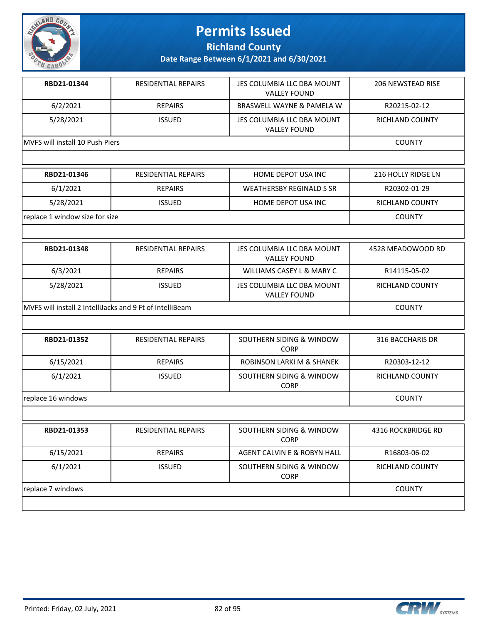

**Richland County**

| RBD21-01344                     | <b>RESIDENTIAL REPAIRS</b> | JES COLUMBIA LLC DBA MOUNT<br><b>VALLEY FOUND</b> | 206 NEWSTEAD RISE |
|---------------------------------|----------------------------|---------------------------------------------------|-------------------|
| 6/2/2021                        | <b>REPAIRS</b>             | BRASWELL WAYNE & PAMELA W                         | R20215-02-12      |
| 5/28/2021                       | <b>ISSUED</b>              | JES COLUMBIA LLC DBA MOUNT<br><b>VALLEY FOUND</b> | RICHLAND COUNTY   |
| MVFS will install 10 Push Piers |                            |                                                   | <b>COUNTY</b>     |

| RBD21-01346                    | RESIDENTIAL REPAIRS | HOME DEPOT USA INC       | 216 HOLLY RIDGE LN |
|--------------------------------|---------------------|--------------------------|--------------------|
| 6/1/2021                       | <b>REPAIRS</b>      | WEATHERSBY REGINALD S SR | R20302-01-29       |
| 5/28/2021                      | <b>ISSUED</b>       | HOME DEPOT USA INC       | RICHLAND COUNTY    |
| replace 1 window size for size |                     |                          | <b>COUNTY</b>      |

| RBD21-01348                                              | <b>RESIDENTIAL REPAIRS</b> | JES COLUMBIA LLC DBA MOUNT<br><b>VALLEY FOUND</b> | 4528 MEADOWOOD RD |
|----------------------------------------------------------|----------------------------|---------------------------------------------------|-------------------|
| 6/3/2021                                                 | <b>REPAIRS</b>             | WILLIAMS CASEY L & MARY C                         | R14115-05-02      |
| 5/28/2021                                                | <b>ISSUED</b>              | JES COLUMBIA LLC DBA MOUNT<br><b>VALLEY FOUND</b> | RICHLAND COUNTY   |
| MVFS will install 2 IntelliJacks and 9 Ft of IntelliBeam |                            |                                                   | <b>COUNTY</b>     |

| RBD21-01352        | <b>RESIDENTIAL REPAIRS</b> | SOUTHERN SIDING & WINDOW<br><b>CORP</b> | 316 BACCHARIS DR       |
|--------------------|----------------------------|-----------------------------------------|------------------------|
| 6/15/2021          | <b>REPAIRS</b>             | ROBINSON LARKI M & SHANEK               | R20303-12-12           |
| 6/1/2021           | <b>ISSUED</b>              | SOUTHERN SIDING & WINDOW<br><b>CORP</b> | <b>RICHLAND COUNTY</b> |
| replace 16 windows |                            |                                         | <b>COUNTY</b>          |
|                    |                            |                                         |                        |

| RBD21-01353       | <b>RESIDENTIAL REPAIRS</b> | SOUTHERN SIDING & WINDOW<br><b>CORP</b> | 4316 ROCKBRIDGE RD     |
|-------------------|----------------------------|-----------------------------------------|------------------------|
| 6/15/2021         | <b>REPAIRS</b>             | AGENT CALVIN E & ROBYN HALL             | R16803-06-02           |
| 6/1/2021          | <b>ISSUED</b>              | SOUTHERN SIDING & WINDOW<br><b>CORP</b> | <b>RICHLAND COUNTY</b> |
| replace 7 windows |                            |                                         | <b>COUNTY</b>          |
|                   |                            |                                         |                        |

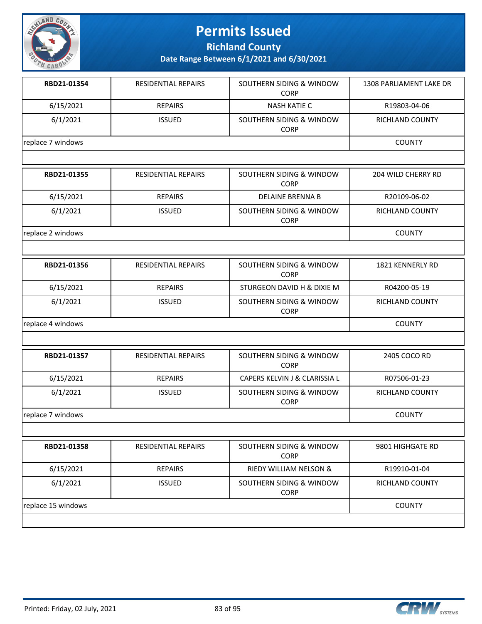

**Richland County**

| RBD21-01354        | <b>RESIDENTIAL REPAIRS</b> | SOUTHERN SIDING & WINDOW<br><b>CORP</b>            | <b>1308 PARLIAMENT LAKE DR</b> |  |  |  |
|--------------------|----------------------------|----------------------------------------------------|--------------------------------|--|--|--|
| 6/15/2021          | <b>REPAIRS</b>             | <b>NASH KATIE C</b>                                | R19803-04-06                   |  |  |  |
| 6/1/2021           | <b>ISSUED</b>              | SOUTHERN SIDING & WINDOW<br><b>CORP</b>            | RICHLAND COUNTY                |  |  |  |
| replace 7 windows  |                            |                                                    |                                |  |  |  |
|                    |                            |                                                    |                                |  |  |  |
| RBD21-01355        | <b>RESIDENTIAL REPAIRS</b> | SOUTHERN SIDING & WINDOW<br><b>CORP</b>            | 204 WILD CHERRY RD             |  |  |  |
| 6/15/2021          | <b>REPAIRS</b>             | <b>DELAINE BRENNA B</b>                            | R20109-06-02                   |  |  |  |
| 6/1/2021           | <b>ISSUED</b>              | SOUTHERN SIDING & WINDOW<br><b>CORP</b>            | RICHLAND COUNTY                |  |  |  |
| replace 2 windows  |                            |                                                    | <b>COUNTY</b>                  |  |  |  |
|                    |                            |                                                    |                                |  |  |  |
| RBD21-01356        | RESIDENTIAL REPAIRS        | SOUTHERN SIDING & WINDOW<br><b>CORP</b>            | 1821 KENNERLY RD               |  |  |  |
| 6/15/2021          | <b>REPAIRS</b>             | STURGEON DAVID H & DIXIE M                         | R04200-05-19                   |  |  |  |
| 6/1/2021           | <b>ISSUED</b>              | <b>SOUTHERN SIDING &amp; WINDOW</b><br><b>CORP</b> | RICHLAND COUNTY                |  |  |  |
| replace 4 windows  |                            |                                                    | <b>COUNTY</b>                  |  |  |  |
|                    |                            |                                                    |                                |  |  |  |
| RBD21-01357        | RESIDENTIAL REPAIRS        | SOUTHERN SIDING & WINDOW<br><b>CORP</b>            | 2405 COCO RD                   |  |  |  |
| 6/15/2021          | <b>REPAIRS</b>             | CAPERS KELVIN J & CLARISSIA L                      | R07506-01-23                   |  |  |  |
| 6/1/2021           | <b>ISSUED</b>              | SOUTHERN SIDING & WINDOW<br><b>CORP</b>            | RICHLAND COUNTY                |  |  |  |
| replace 7 windows  |                            |                                                    | <b>COUNTY</b>                  |  |  |  |
|                    |                            |                                                    |                                |  |  |  |
| RBD21-01358        | <b>RESIDENTIAL REPAIRS</b> | SOUTHERN SIDING & WINDOW<br><b>CORP</b>            | 9801 HIGHGATE RD               |  |  |  |
| 6/15/2021          | <b>REPAIRS</b>             | RIEDY WILLIAM NELSON &                             | R19910-01-04                   |  |  |  |
| 6/1/2021           | <b>ISSUED</b>              | SOUTHERN SIDING & WINDOW<br><b>CORP</b>            | RICHLAND COUNTY                |  |  |  |
| replace 15 windows |                            |                                                    | <b>COUNTY</b>                  |  |  |  |

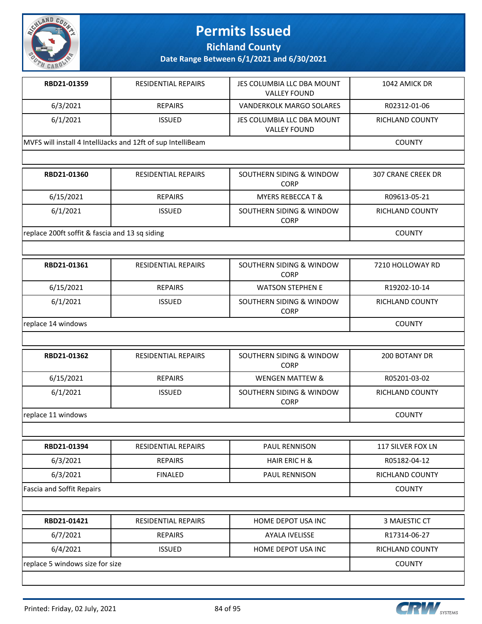

**Richland County**

**Date Range Between 6/1/2021 and 6/30/2021**

| <b>RESIDENTIAL REPAIRS</b>                                   | JES COLUMBIA LLC DBA MOUNT<br><b>VALLEY FOUND</b> | 1042 AMICK DR   |
|--------------------------------------------------------------|---------------------------------------------------|-----------------|
| <b>REPAIRS</b>                                               | VANDERKOLK MARGO SOLARES                          | R02312-01-06    |
| <b>ISSUED</b>                                                | JES COLUMBIA LLC DBA MOUNT<br><b>VALLEY FOUND</b> | RICHLAND COUNTY |
| MVFS will install 4 IntelliJacks and 12ft of sup IntelliBeam |                                                   | <b>COUNTY</b>   |
|                                                              |                                                   |                 |

| RBD21-01360                                    | <b>RESIDENTIAL REPAIRS</b> | SOUTHERN SIDING & WINDOW<br><b>CORP</b> | 307 CRANE CREEK DR |
|------------------------------------------------|----------------------------|-----------------------------------------|--------------------|
| 6/15/2021                                      | <b>REPAIRS</b>             | <b>MYERS REBECCA T &amp;</b>            | R09613-05-21       |
| 6/1/2021                                       | <b>ISSUED</b>              | SOUTHERN SIDING & WINDOW<br><b>CORP</b> | RICHLAND COUNTY    |
| replace 200ft soffit & fascia and 13 sq siding |                            |                                         | <b>COUNTY</b>      |

| RBD21-01361        | <b>RESIDENTIAL REPAIRS</b> | SOUTHERN SIDING & WINDOW<br><b>CORP</b> | 7210 HOLLOWAY RD       |
|--------------------|----------------------------|-----------------------------------------|------------------------|
| 6/15/2021          | <b>REPAIRS</b>             | <b>WATSON STEPHEN E</b>                 | R19202-10-14           |
| 6/1/2021           | <b>ISSUED</b>              | SOUTHERN SIDING & WINDOW<br><b>CORP</b> | <b>RICHLAND COUNTY</b> |
| replace 14 windows |                            |                                         | <b>COUNTY</b>          |

| RBD21-01362        | <b>RESIDENTIAL REPAIRS</b> | SOUTHERN SIDING & WINDOW<br><b>CORP</b> | 200 BOTANY DR   |
|--------------------|----------------------------|-----------------------------------------|-----------------|
| 6/15/2021          | <b>REPAIRS</b>             | <b>WENGEN MATTEW &amp;</b>              | R05201-03-02    |
| 6/1/2021           | <b>ISSUED</b>              | SOUTHERN SIDING & WINDOW<br><b>CORP</b> | RICHLAND COUNTY |
| replace 11 windows |                            |                                         | <b>COUNTY</b>   |

| RBD21-01394               | <b>RESIDENTIAL REPAIRS</b> | <b>PAUL RENNISON</b>  | 117 SILVER FOX LN      |
|---------------------------|----------------------------|-----------------------|------------------------|
| 6/3/2021                  | <b>REPAIRS</b>             | HAIR ERIC H &         | R05182-04-12           |
| 6/3/2021                  | <b>FINALED</b>             | <b>PAUL RENNISON</b>  | <b>RICHLAND COUNTY</b> |
| Fascia and Soffit Repairs |                            |                       | <b>COUNTY</b>          |
|                           |                            |                       |                        |
| RBD21-01421               | <b>RESIDENTIAL REPAIRS</b> | HOME DEPOT USA INC    | 3 MAJESTIC CT          |
| 6/7/2021                  | <b>REPAIRS</b>             | <b>AYALA IVELISSE</b> | R17314-06-27           |
| 6/4/2021                  | <b>ISSUED</b>              | HOME DEPOT USA INC    | <b>RICHLAND COUNTY</b> |

**replace 5 windows size for size** COUNTY

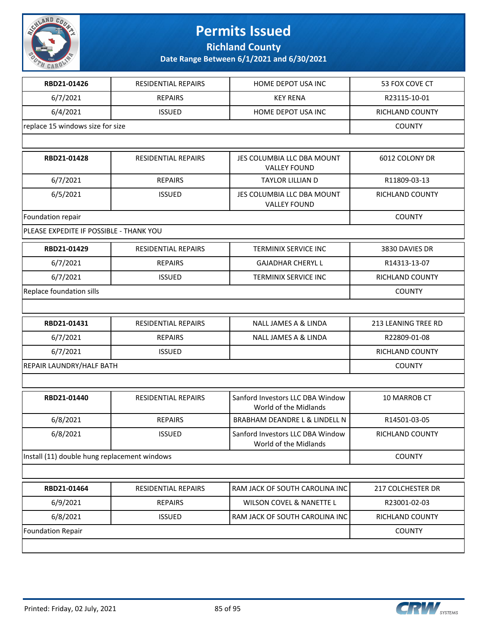

**Richland County**

| RBD21-01426                                  | <b>RESIDENTIAL REPAIRS</b> | HOME DEPOT USA INC                                        | 53 FOX COVE CT             |
|----------------------------------------------|----------------------------|-----------------------------------------------------------|----------------------------|
| 6/7/2021                                     | <b>REPAIRS</b>             | <b>KEY RENA</b>                                           | R23115-10-01               |
| 6/4/2021                                     | <b>ISSUED</b>              | HOME DEPOT USA INC                                        | RICHLAND COUNTY            |
| replace 15 windows size for size             | <b>COUNTY</b>              |                                                           |                            |
|                                              |                            |                                                           |                            |
| RBD21-01428                                  | <b>RESIDENTIAL REPAIRS</b> | JES COLUMBIA LLC DBA MOUNT<br><b>VALLEY FOUND</b>         | 6012 COLONY DR             |
| 6/7/2021                                     | <b>REPAIRS</b>             | <b>TAYLOR LILLIAN D</b>                                   | R11809-03-13               |
| 6/5/2021                                     | <b>ISSUED</b>              | JES COLUMBIA LLC DBA MOUNT<br><b>VALLEY FOUND</b>         | RICHLAND COUNTY            |
| Foundation repair                            |                            |                                                           | <b>COUNTY</b>              |
| PLEASE EXPEDITE IF POSSIBLE - THANK YOU      |                            |                                                           |                            |
| RBD21-01429                                  | RESIDENTIAL REPAIRS        | <b>TERMINIX SERVICE INC</b>                               | 3830 DAVIES DR             |
| 6/7/2021                                     | <b>REPAIRS</b>             | <b>GAJADHAR CHERYL L</b>                                  | R14313-13-07               |
| 6/7/2021                                     | <b>ISSUED</b>              | TERMINIX SERVICE INC                                      | RICHLAND COUNTY            |
| Replace foundation sills                     |                            |                                                           | <b>COUNTY</b>              |
|                                              |                            |                                                           |                            |
| RBD21-01431                                  | <b>RESIDENTIAL REPAIRS</b> | <b>NALL JAMES A &amp; LINDA</b>                           | <b>213 LEANING TREE RD</b> |
| 6/7/2021                                     | <b>REPAIRS</b>             | NALL JAMES A & LINDA                                      | R22809-01-08               |
| 6/7/2021                                     | <b>ISSUED</b>              |                                                           | RICHLAND COUNTY            |
| REPAIR LAUNDRY/HALF BATH                     |                            |                                                           | <b>COUNTY</b>              |
|                                              |                            |                                                           |                            |
| RBD21-01440                                  | RESIDENTIAL REPAIRS        | Sanford Investors LLC DBA Window<br>World of the Midlands | 10 MARROB CT               |
| 6/8/2021                                     | <b>REPAIRS</b>             | BRABHAM DEANDRE L & LINDELL N                             | R14501-03-05               |
| 6/8/2021                                     | <b>ISSUED</b>              | Sanford Investors LLC DBA Window<br>World of the Midlands | RICHLAND COUNTY            |
| Install (11) double hung replacement windows |                            |                                                           | <b>COUNTY</b>              |
|                                              |                            |                                                           |                            |
| RBD21-01464                                  | <b>RESIDENTIAL REPAIRS</b> | RAM JACK OF SOUTH CAROLINA INC                            | 217 COLCHESTER DR          |
| 6/9/2021                                     | <b>REPAIRS</b>             | WILSON COVEL & NANETTE L                                  | R23001-02-03               |
| 6/8/2021                                     | <b>ISSUED</b>              | RAM JACK OF SOUTH CAROLINA INC                            | RICHLAND COUNTY            |
| Foundation Repair                            |                            |                                                           | <b>COUNTY</b>              |
|                                              |                            |                                                           |                            |

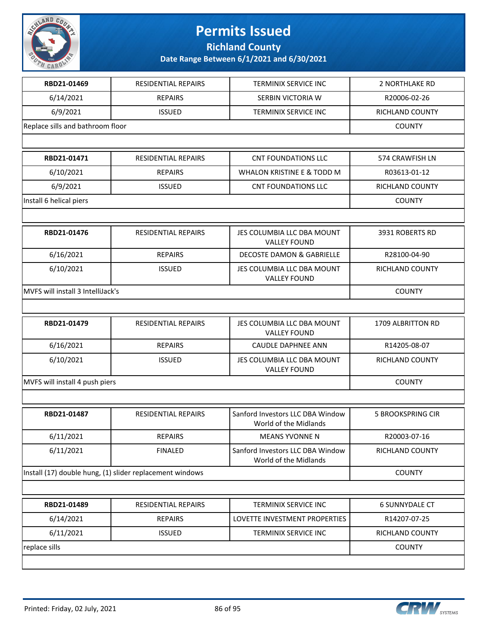

**Richland County**

|                                   | <b>RESIDENTIAL REPAIRS</b>                               | <b>TERMINIX SERVICE INC</b>                               | 2 NORTHLAKE RD           |
|-----------------------------------|----------------------------------------------------------|-----------------------------------------------------------|--------------------------|
| 6/14/2021                         | <b>REPAIRS</b>                                           | SERBIN VICTORIA W                                         | R20006-02-26             |
| 6/9/2021                          | <b>ISSUED</b>                                            | TERMINIX SERVICE INC                                      | RICHLAND COUNTY          |
| Replace sills and bathroom floor  | <b>COUNTY</b>                                            |                                                           |                          |
|                                   |                                                          |                                                           |                          |
| RBD21-01471                       | <b>RESIDENTIAL REPAIRS</b>                               | <b>CNT FOUNDATIONS LLC</b>                                | 574 CRAWFISH LN          |
| 6/10/2021                         | <b>REPAIRS</b>                                           | WHALON KRISTINE E & TODD M                                | R03613-01-12             |
| 6/9/2021                          | <b>ISSUED</b>                                            | <b>CNT FOUNDATIONS LLC</b>                                | RICHLAND COUNTY          |
| Install 6 helical piers           |                                                          |                                                           | <b>COUNTY</b>            |
|                                   |                                                          |                                                           |                          |
| RBD21-01476                       | <b>RESIDENTIAL REPAIRS</b>                               | JES COLUMBIA LLC DBA MOUNT<br><b>VALLEY FOUND</b>         | 3931 ROBERTS RD          |
| 6/16/2021                         | <b>REPAIRS</b>                                           | <b>DECOSTE DAMON &amp; GABRIELLE</b>                      | R28100-04-90             |
| 6/10/2021                         | <b>ISSUED</b>                                            | JES COLUMBIA LLC DBA MOUNT<br><b>VALLEY FOUND</b>         | RICHLAND COUNTY          |
| MVFS will install 3 IntelliJack's |                                                          |                                                           | <b>COUNTY</b>            |
|                                   |                                                          |                                                           |                          |
| RBD21-01479                       | RESIDENTIAL REPAIRS                                      | JES COLUMBIA LLC DBA MOUNT<br><b>VALLEY FOUND</b>         | <b>1709 ALBRITTON RD</b> |
|                                   |                                                          |                                                           |                          |
| 6/16/2021                         | <b>REPAIRS</b>                                           | <b>CAUDLE DAPHNEE ANN</b>                                 | R14205-08-07             |
| 6/10/2021                         | <b>ISSUED</b>                                            | JES COLUMBIA LLC DBA MOUNT<br><b>VALLEY FOUND</b>         | RICHLAND COUNTY          |
|                                   |                                                          |                                                           | <b>COUNTY</b>            |
| MVFS will install 4 push piers    |                                                          |                                                           |                          |
| RBD21-01487                       | <b>RESIDENTIAL REPAIRS</b>                               | Sanford Investors LLC DBA Window<br>World of the Midlands | <b>5 BROOKSPRING CIR</b> |
| 6/11/2021                         | <b>REPAIRS</b>                                           | <b>MEANS YVONNE N</b>                                     | R20003-07-16             |
| 6/11/2021                         | <b>FINALED</b>                                           | Sanford Investors LLC DBA Window<br>World of the Midlands | RICHLAND COUNTY          |
|                                   | Install (17) double hung, (1) slider replacement windows |                                                           | <b>COUNTY</b>            |
|                                   |                                                          |                                                           |                          |
| RBD21-01489                       | RESIDENTIAL REPAIRS                                      | TERMINIX SERVICE INC                                      | <b>6 SUNNYDALE CT</b>    |
| 6/14/2021                         | <b>REPAIRS</b>                                           | LOVETTE INVESTMENT PROPERTIES                             | R14207-07-25             |
| 6/11/2021                         | <b>ISSUED</b>                                            | TERMINIX SERVICE INC                                      | RICHLAND COUNTY          |

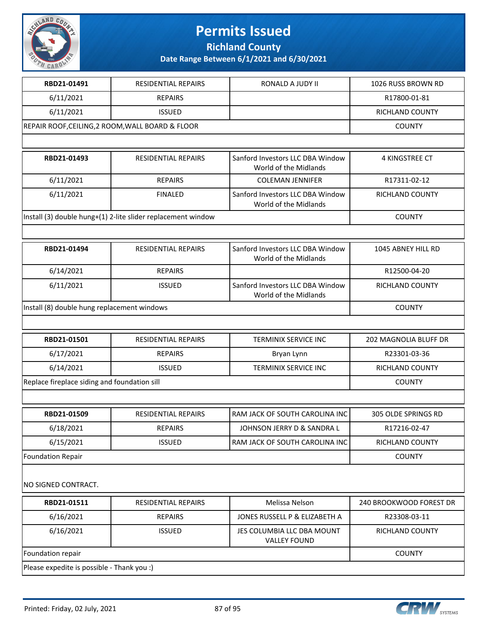

**Richland County**

| RBD21-01491                                      | <b>RESIDENTIAL REPAIRS</b>                                   | RONALD A JUDY II                                          | 1026 RUSS BROWN RD      |
|--------------------------------------------------|--------------------------------------------------------------|-----------------------------------------------------------|-------------------------|
| 6/11/2021                                        | <b>REPAIRS</b>                                               |                                                           | R17800-01-81            |
| 6/11/2021                                        | <b>ISSUED</b>                                                |                                                           | RICHLAND COUNTY         |
| REPAIR ROOF, CEILING, 2 ROOM, WALL BOARD & FLOOR | <b>COUNTY</b>                                                |                                                           |                         |
|                                                  |                                                              |                                                           |                         |
| RBD21-01493                                      | <b>RESIDENTIAL REPAIRS</b>                                   | Sanford Investors LLC DBA Window<br>World of the Midlands | 4 KINGSTREE CT          |
| 6/11/2021                                        | <b>REPAIRS</b>                                               | <b>COLEMAN JENNIFER</b>                                   | R17311-02-12            |
| 6/11/2021                                        | <b>FINALED</b>                                               | Sanford Investors LLC DBA Window<br>World of the Midlands | RICHLAND COUNTY         |
|                                                  | Install (3) double hung+(1) 2-lite slider replacement window |                                                           | <b>COUNTY</b>           |
|                                                  |                                                              |                                                           |                         |
| RBD21-01494                                      | RESIDENTIAL REPAIRS                                          | Sanford Investors LLC DBA Window<br>World of the Midlands | 1045 ABNEY HILL RD      |
| 6/14/2021                                        | <b>REPAIRS</b>                                               |                                                           | R12500-04-20            |
| 6/11/2021                                        | <b>ISSUED</b>                                                | Sanford Investors LLC DBA Window<br>World of the Midlands | <b>RICHLAND COUNTY</b>  |
| Install (8) double hung replacement windows      | <b>COUNTY</b>                                                |                                                           |                         |
|                                                  |                                                              |                                                           |                         |
| RBD21-01501                                      | RESIDENTIAL REPAIRS                                          | TERMINIX SERVICE INC                                      | 202 MAGNOLIA BLUFF DR   |
| 6/17/2021                                        | <b>REPAIRS</b>                                               | Bryan Lynn                                                | R23301-03-36            |
| 6/14/2021                                        | <b>ISSUED</b>                                                | TERMINIX SERVICE INC                                      | RICHLAND COUNTY         |
| Replace fireplace siding and foundation sill     | <b>COUNTY</b>                                                |                                                           |                         |
|                                                  |                                                              |                                                           |                         |
| RBD21-01509                                      | <b>RESIDENTIAL REPAIRS</b>                                   | RAM JACK OF SOUTH CAROLINA INC                            | 305 OLDE SPRINGS RD     |
| 6/18/2021                                        | <b>REPAIRS</b>                                               | JOHNSON JERRY D & SANDRA L                                | R17216-02-47            |
| 6/15/2021                                        | <b>ISSUED</b>                                                | RAM JACK OF SOUTH CAROLINA INC                            | <b>RICHLAND COUNTY</b>  |
| <b>Foundation Repair</b>                         |                                                              |                                                           | <b>COUNTY</b>           |
| NO SIGNED CONTRACT.                              |                                                              |                                                           |                         |
| RBD21-01511                                      | RESIDENTIAL REPAIRS                                          | Melissa Nelson                                            | 240 BROOKWOOD FOREST DR |
| 6/16/2021                                        | <b>REPAIRS</b>                                               | JONES RUSSELL P & ELIZABETH A                             | R23308-03-11            |
| 6/16/2021                                        | <b>ISSUED</b>                                                | JES COLUMBIA LLC DBA MOUNT                                | RICHLAND COUNTY         |
|                                                  |                                                              | <b>VALLEY FOUND</b>                                       |                         |
| Foundation repair                                |                                                              |                                                           | <b>COUNTY</b>           |

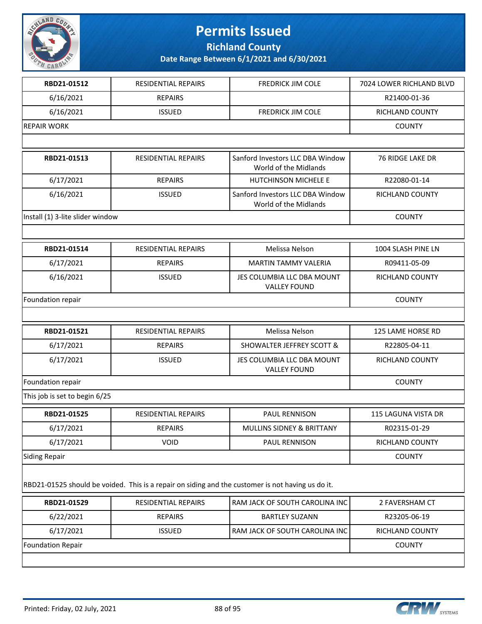

**Richland County**

| RBD21-01512                      | <b>RESIDENTIAL REPAIRS</b> | <b>FREDRICK JIM COLE</b>                                                                          | 7024 LOWER RICHLAND BLVD |
|----------------------------------|----------------------------|---------------------------------------------------------------------------------------------------|--------------------------|
| 6/16/2021                        | <b>REPAIRS</b>             |                                                                                                   | R21400-01-36             |
| 6/16/2021                        | <b>ISSUED</b>              | <b>FREDRICK JIM COLE</b>                                                                          | RICHLAND COUNTY          |
| <b>REPAIR WORK</b>               |                            |                                                                                                   | <b>COUNTY</b>            |
|                                  |                            |                                                                                                   |                          |
| RBD21-01513                      | <b>RESIDENTIAL REPAIRS</b> | Sanford Investors LLC DBA Window<br>World of the Midlands                                         | <b>76 RIDGE LAKE DR</b>  |
| 6/17/2021                        | <b>REPAIRS</b>             | <b>HUTCHINSON MICHELE E</b>                                                                       | R22080-01-14             |
| 6/16/2021                        | <b>ISSUED</b>              | Sanford Investors LLC DBA Window<br>World of the Midlands                                         | RICHLAND COUNTY          |
| Install (1) 3-lite slider window |                            |                                                                                                   | <b>COUNTY</b>            |
|                                  |                            |                                                                                                   |                          |
| RBD21-01514                      | <b>RESIDENTIAL REPAIRS</b> | Melissa Nelson                                                                                    | 1004 SLASH PINE LN       |
| 6/17/2021                        | <b>REPAIRS</b>             | <b>MARTIN TAMMY VALERIA</b>                                                                       | R09411-05-09             |
| 6/16/2021                        | <b>ISSUED</b>              | JES COLUMBIA LLC DBA MOUNT<br><b>VALLEY FOUND</b>                                                 | RICHLAND COUNTY          |
| Foundation repair                | <b>COUNTY</b>              |                                                                                                   |                          |
|                                  |                            |                                                                                                   |                          |
| RBD21-01521                      | <b>RESIDENTIAL REPAIRS</b> | Melissa Nelson                                                                                    | 125 LAME HORSE RD        |
| 6/17/2021                        | <b>REPAIRS</b>             | <b>SHOWALTER JEFFREY SCOTT &amp;</b>                                                              | R22805-04-11             |
| 6/17/2021                        | <b>ISSUED</b>              | JES COLUMBIA LLC DBA MOUNT<br><b>VALLEY FOUND</b>                                                 | RICHLAND COUNTY          |
| Foundation repair                |                            |                                                                                                   | <b>COUNTY</b>            |
| This job is set to begin 6/25    |                            |                                                                                                   |                          |
| RBD21-01525                      | RESIDENTIAL REPAIRS        | <b>PAUL RENNISON</b>                                                                              | 115 LAGUNA VISTA DR      |
| 6/17/2021                        | <b>REPAIRS</b>             | MULLINS SIDNEY & BRITTANY                                                                         | R02315-01-29             |
| 6/17/2021                        | <b>VOID</b>                | PAUL RENNISON                                                                                     | RICHLAND COUNTY          |
| Siding Repair                    |                            |                                                                                                   | <b>COUNTY</b>            |
|                                  |                            | RBD21-01525 should be voided. This is a repair on siding and the customer is not having us do it. |                          |
| RBD21-01529                      | <b>RESIDENTIAL REPAIRS</b> | RAM JACK OF SOUTH CAROLINA INC                                                                    | 2 FAVERSHAM CT           |
| 6/22/2021                        | <b>REPAIRS</b>             | <b>BARTLEY SUZANN</b>                                                                             | R23205-06-19             |
| 6/17/2021                        | <b>ISSUED</b>              | RAM JACK OF SOUTH CAROLINA INC                                                                    | RICHLAND COUNTY          |
| <b>Foundation Repair</b>         |                            |                                                                                                   | <b>COUNTY</b>            |
|                                  |                            |                                                                                                   |                          |

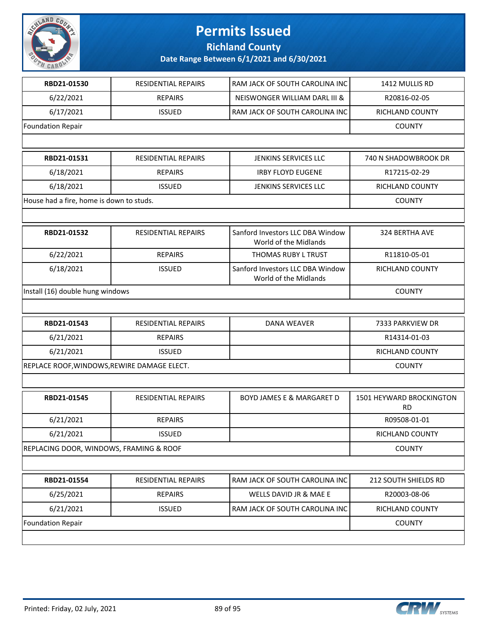

**Richland County**

| RBD21-01530                                 | RESIDENTIAL REPAIRS        | RAM JACK OF SOUTH CAROLINA INC                            | 1412 MULLIS RD                        |
|---------------------------------------------|----------------------------|-----------------------------------------------------------|---------------------------------------|
| 6/22/2021                                   | <b>REPAIRS</b>             | NEISWONGER WILLIAM DARL III &                             | R20816-02-05                          |
| 6/17/2021                                   | <b>ISSUED</b>              | RAM JACK OF SOUTH CAROLINA INC                            | RICHLAND COUNTY                       |
| <b>Foundation Repair</b>                    |                            |                                                           | <b>COUNTY</b>                         |
|                                             |                            |                                                           |                                       |
| RBD21-01531                                 | <b>RESIDENTIAL REPAIRS</b> | <b>JENKINS SERVICES LLC</b>                               | 740 N SHADOWBROOK DR                  |
| 6/18/2021                                   | <b>REPAIRS</b>             | <b>IRBY FLOYD EUGENE</b>                                  | R17215-02-29                          |
| 6/18/2021                                   | <b>ISSUED</b>              | JENKINS SERVICES LLC                                      | RICHLAND COUNTY                       |
| House had a fire, home is down to studs.    |                            |                                                           | <b>COUNTY</b>                         |
|                                             |                            |                                                           |                                       |
| RBD21-01532                                 | RESIDENTIAL REPAIRS        | Sanford Investors LLC DBA Window<br>World of the Midlands | 324 BERTHA AVE                        |
| 6/22/2021                                   | <b>REPAIRS</b>             | THOMAS RUBY L TRUST                                       | R11810-05-01                          |
| 6/18/2021                                   | <b>ISSUED</b>              | Sanford Investors LLC DBA Window<br>World of the Midlands | RICHLAND COUNTY                       |
| Install (16) double hung windows            | <b>COUNTY</b>              |                                                           |                                       |
|                                             |                            |                                                           |                                       |
| RBD21-01543                                 | <b>RESIDENTIAL REPAIRS</b> | <b>DANA WEAVER</b>                                        | 7333 PARKVIEW DR                      |
| 6/21/2021                                   | <b>REPAIRS</b>             |                                                           | R14314-01-03                          |
| 6/21/2021                                   | <b>ISSUED</b>              |                                                           | RICHLAND COUNTY                       |
| REPLACE ROOF, WINDOWS, REWIRE DAMAGE ELECT. |                            |                                                           | <b>COUNTY</b>                         |
|                                             |                            |                                                           |                                       |
| RBD21-01545                                 | <b>RESIDENTIAL REPAIRS</b> | <b>BOYD JAMES E &amp; MARGARET D</b>                      | 1501 HEYWARD BROCKINGTON<br><b>RD</b> |
| 6/21/2021                                   | <b>REPAIRS</b>             |                                                           | R09508-01-01                          |
| 6/21/2021                                   | <b>ISSUED</b>              |                                                           | RICHLAND COUNTY                       |
| REPLACING DOOR, WINDOWS, FRAMING & ROOF     |                            |                                                           | <b>COUNTY</b>                         |
|                                             |                            |                                                           |                                       |
| RBD21-01554                                 | RESIDENTIAL REPAIRS        | RAM JACK OF SOUTH CAROLINA INC                            | 212 SOUTH SHIELDS RD                  |
| 6/25/2021                                   | <b>REPAIRS</b>             | WELLS DAVID JR & MAE E                                    | R20003-08-06                          |
| 6/21/2021                                   | <b>ISSUED</b>              | RAM JACK OF SOUTH CAROLINA INC                            | RICHLAND COUNTY                       |
| <b>Foundation Repair</b>                    | <b>COUNTY</b>              |                                                           |                                       |
|                                             |                            |                                                           |                                       |

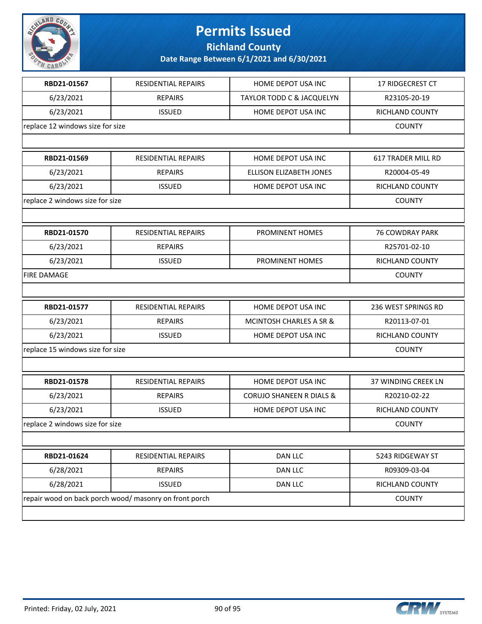

**Richland County**

| RBD21-01567                      | <b>RESIDENTIAL REPAIRS</b>                             | HOME DEPOT USA INC                   | 17 RIDGECREST CT          |
|----------------------------------|--------------------------------------------------------|--------------------------------------|---------------------------|
| 6/23/2021                        | <b>REPAIRS</b>                                         | <b>TAYLOR TODD C &amp; JACQUELYN</b> | R23105-20-19              |
| 6/23/2021                        | <b>ISSUED</b>                                          | HOME DEPOT USA INC                   | RICHLAND COUNTY           |
| replace 12 windows size for size |                                                        |                                      | <b>COUNTY</b>             |
|                                  |                                                        |                                      |                           |
| RBD21-01569                      | <b>RESIDENTIAL REPAIRS</b>                             | HOME DEPOT USA INC                   | <b>617 TRADER MILL RD</b> |
| 6/23/2021                        | <b>REPAIRS</b>                                         | ELLISON ELIZABETH JONES              | R20004-05-49              |
| 6/23/2021                        | <b>ISSUED</b>                                          | HOME DEPOT USA INC                   | RICHLAND COUNTY           |
| replace 2 windows size for size  |                                                        |                                      | <b>COUNTY</b>             |
|                                  |                                                        |                                      |                           |
| RBD21-01570                      | <b>RESIDENTIAL REPAIRS</b>                             | PROMINENT HOMES                      | <b>76 COWDRAY PARK</b>    |
| 6/23/2021                        | <b>REPAIRS</b>                                         |                                      | R25701-02-10              |
| 6/23/2021                        | <b>ISSUED</b>                                          | PROMINENT HOMES                      | RICHLAND COUNTY           |
| <b>FIRE DAMAGE</b>               |                                                        |                                      | <b>COUNTY</b>             |
|                                  |                                                        |                                      |                           |
| RBD21-01577                      | RESIDENTIAL REPAIRS                                    | HOME DEPOT USA INC                   | 236 WEST SPRINGS RD       |
| 6/23/2021                        | <b>REPAIRS</b>                                         | <b>MCINTOSH CHARLES A SR &amp;</b>   | R20113-07-01              |
| 6/23/2021                        | <b>ISSUED</b>                                          | HOME DEPOT USA INC                   | RICHLAND COUNTY           |
| replace 15 windows size for size |                                                        |                                      | <b>COUNTY</b>             |
|                                  |                                                        |                                      |                           |
| RBD21-01578                      | <b>RESIDENTIAL REPAIRS</b>                             | HOME DEPOT USA INC                   | 37 WINDING CREEK LN       |
| 6/23/2021                        | <b>REPAIRS</b>                                         | <b>CORUJO SHANEEN R DIALS &amp;</b>  | R20210-02-22              |
| 6/23/2021                        | <b>ISSUED</b>                                          | HOME DEPOT USA INC                   | RICHLAND COUNTY           |
| replace 2 windows size for size  |                                                        |                                      | <b>COUNTY</b>             |
|                                  |                                                        |                                      |                           |
| RBD21-01624                      | RESIDENTIAL REPAIRS                                    | <b>DAN LLC</b>                       | 5243 RIDGEWAY ST          |
| 6/28/2021                        | <b>REPAIRS</b>                                         | DAN LLC                              | R09309-03-04              |
| 6/28/2021                        | <b>ISSUED</b>                                          | DAN LLC                              | RICHLAND COUNTY           |
|                                  | repair wood on back porch wood/ masonry on front porch |                                      |                           |
|                                  |                                                        |                                      |                           |
|                                  |                                                        |                                      |                           |

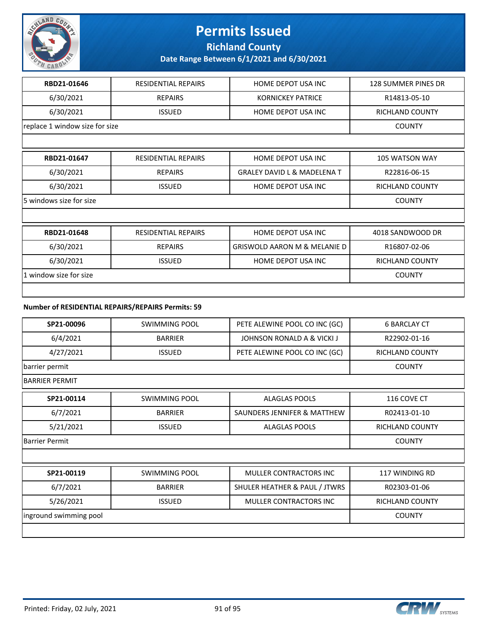

**Richland County**

| RBD21-01646                    | <b>RESIDENTIAL REPAIRS</b>                        | HOME DEPOT USA INC                      | <b>128 SUMMER PINES DR</b> |
|--------------------------------|---------------------------------------------------|-----------------------------------------|----------------------------|
| 6/30/2021                      | <b>REPAIRS</b>                                    | <b>KORNICKEY PATRICE</b>                | R14813-05-10               |
| 6/30/2021                      | <b>ISSUED</b>                                     | HOME DEPOT USA INC                      | <b>RICHLAND COUNTY</b>     |
| replace 1 window size for size |                                                   |                                         | <b>COUNTY</b>              |
|                                |                                                   |                                         |                            |
| RBD21-01647                    | <b>RESIDENTIAL REPAIRS</b>                        | HOME DEPOT USA INC                      | <b>105 WATSON WAY</b>      |
| 6/30/2021                      | <b>REPAIRS</b>                                    | <b>GRALEY DAVID L &amp; MADELENA T</b>  | R22816-06-15               |
| 6/30/2021                      | <b>ISSUED</b>                                     | HOME DEPOT USA INC                      | <b>RICHLAND COUNTY</b>     |
| 5 windows size for size        |                                                   |                                         | <b>COUNTY</b>              |
|                                |                                                   |                                         |                            |
| RBD21-01648                    | <b>RESIDENTIAL REPAIRS</b>                        | HOME DEPOT USA INC                      | 4018 SANDWOOD DR           |
| 6/30/2021                      | <b>REPAIRS</b>                                    | <b>GRISWOLD AARON M &amp; MELANIE D</b> | R16807-02-06               |
| 6/30/2021                      | <b>ISSUED</b>                                     | HOME DEPOT USA INC                      | <b>RICHLAND COUNTY</b>     |
| 1 window size for size         | <b>COUNTY</b>                                     |                                         |                            |
|                                |                                                   |                                         |                            |
|                                | Number of RESIDENTIAL REPAIRS/REPAIRS Permits: 59 |                                         |                            |
| SP21-00096                     | <b>SWIMMING POOL</b>                              | PETE ALEWINE POOL CO INC (GC)           | <b>6 BARCLAY CT</b>        |
| 6/4/2021                       | <b>BARRIER</b>                                    | JOHNSON RONALD A & VICKI J              | R22902-01-16               |

| 6/4/2021              | <b>BARRIER</b> | JOHNSON RONALD A & VICKI J    | R22902-01-16           |
|-----------------------|----------------|-------------------------------|------------------------|
| 4/27/2021             | <b>ISSUED</b>  | PETE ALEWINE POOL CO INC (GC) | <b>RICHLAND COUNTY</b> |
| barrier permit        |                |                               | <b>COUNTY</b>          |
| <b>BARRIER PERMIT</b> |                |                               |                        |
| SP21-00114            | SWIMMING POOL  | <b>ALAGLAS POOLS</b>          | 116 COVE CT            |
| 6/7/2021              | <b>BARRIER</b> | SAUNDERS JENNIFER & MATTHEW   | R02413-01-10           |
| 5/21/2021             | <b>ISSUED</b>  | <b>ALAGLAS POOLS</b>          | <b>RICHLAND COUNTY</b> |
| Barrier Permit        |                |                               | <b>COUNTY</b>          |
|                       |                |                               |                        |

| SP21-00119             | SWIMMING POOL  | MULLER CONTRACTORS INC        | 117 WINDING RD  |
|------------------------|----------------|-------------------------------|-----------------|
| 6/7/2021               | <b>BARRIER</b> | SHULER HEATHER & PAUL / JTWRS | R02303-01-06    |
| 5/26/2021              | <b>ISSUED</b>  | MULLER CONTRACTORS INC        | RICHLAND COUNTY |
| inground swimming pool |                |                               | COUNTY          |
|                        |                |                               |                 |

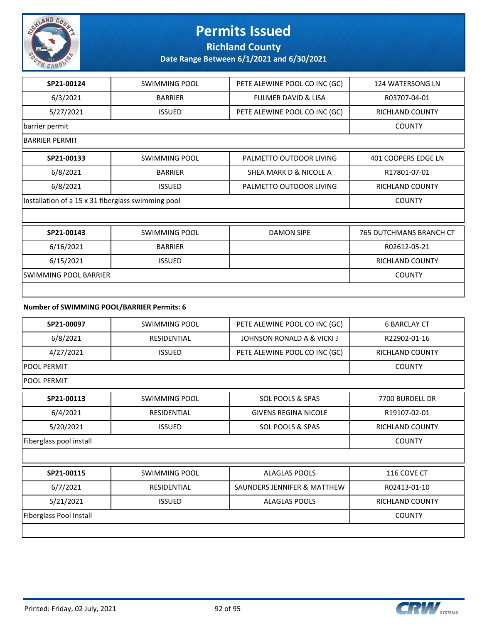

**Richland County**

**Date Range Between 6/1/2021 and 6/30/2021**

| SP21-00124                                 | <b>SWIMMING POOL</b>                               | PETE ALEWINE POOL CO INC (GC)  | 124 WATERSONG LN               |  |
|--------------------------------------------|----------------------------------------------------|--------------------------------|--------------------------------|--|
| 6/3/2021                                   | <b>BARRIER</b>                                     | <b>FULMER DAVID &amp; LISA</b> | R03707-04-01                   |  |
| 5/27/2021                                  | <b>ISSUED</b>                                      | PETE ALEWINE POOL CO INC (GC)  | <b>RICHLAND COUNTY</b>         |  |
| barrier permit                             |                                                    |                                | <b>COUNTY</b>                  |  |
| <b>BARRIER PERMIT</b>                      |                                                    |                                |                                |  |
| SP21-00133                                 | SWIMMING POOL                                      | PALMETTO OUTDOOR LIVING        | 401 COOPERS EDGE LN            |  |
| 6/8/2021                                   | <b>BARRIER</b>                                     | SHEA MARK D & NICOLE A         | R17801-07-01                   |  |
| 6/8/2021                                   | <b>ISSUED</b>                                      | PALMETTO OUTDOOR LIVING        | <b>RICHLAND COUNTY</b>         |  |
|                                            | Installation of a 15 x 31 fiberglass swimming pool |                                |                                |  |
|                                            |                                                    |                                |                                |  |
| SP21-00143                                 | <b>SWIMMING POOL</b>                               | <b>DAMON SIPE</b>              | <b>765 DUTCHMANS BRANCH CT</b> |  |
| 6/16/2021                                  | <b>BARRIER</b>                                     |                                | R02612-05-21                   |  |
| 6/15/2021                                  | <b>ISSUED</b>                                      |                                | <b>RICHLAND COUNTY</b>         |  |
| <b>SWIMMING POOL BARRIER</b>               |                                                    |                                | <b>COUNTY</b>                  |  |
|                                            |                                                    |                                |                                |  |
| Number of SWIMMING POOL/BARRIER Permits: 6 |                                                    |                                |                                |  |

| SP21-00097              | <b>SWIMMING POOL</b> | PETE ALEWINE POOL CO INC (GC) | <b>6 BARCLAY CT</b>    |
|-------------------------|----------------------|-------------------------------|------------------------|
| 6/8/2021                | <b>RESIDENTIAL</b>   | JOHNSON RONALD A & VICKI J    | R22902-01-16           |
| 4/27/2021               | <b>ISSUED</b>        | PETE ALEWINE POOL CO INC (GC) | <b>RICHLAND COUNTY</b> |
| <b>POOL PERMIT</b>      |                      |                               | <b>COUNTY</b>          |
| <b>POOL PERMIT</b>      |                      |                               |                        |
| SP21-00113              | <b>SWIMMING POOL</b> | <b>SOL POOLS &amp; SPAS</b>   | 7700 BURDELL DR        |
| 6/4/2021                | RESIDENTIAL          | <b>GIVENS REGINA NICOLE</b>   | R19107-02-01           |
| 5/20/2021               | <b>ISSUED</b>        | SOL POOLS & SPAS              | <b>RICHLAND COUNTY</b> |
| Fiberglass pool install |                      |                               | <b>COUNTY</b>          |
|                         |                      |                               |                        |
| SP21-00115              | <b>SWIMMING POOL</b> | <b>ALAGLAS POOLS</b>          | 116 COVE CT            |
| 6/7/2021                | RESIDENTIAL          | SAUNDERS JENNIFER & MATTHEW   | R02413-01-10           |
| 5/21/2021               | <b>ISSUED</b>        | <b>ALAGLAS POOLS</b>          | <b>RICHLAND COUNTY</b> |

Fiberglass Pool Install **COUNTY** 

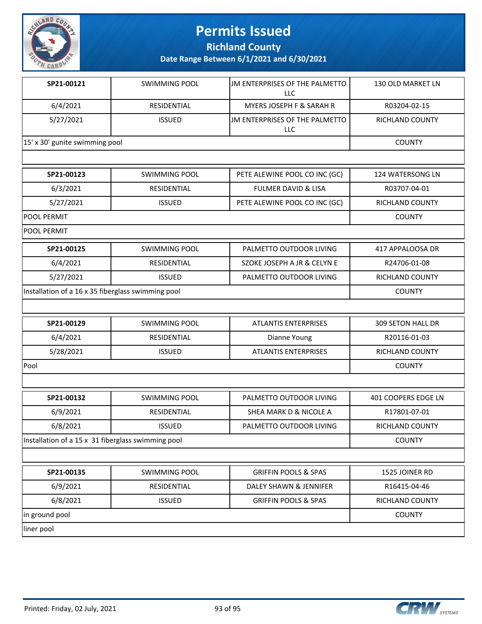

**Richland County**

| SP21-00121                                         | <b>SWIMMING POOL</b> | JM ENTERPRISES OF THE PALMETTO<br><b>LLC</b> | 130 OLD MARKET LN        |
|----------------------------------------------------|----------------------|----------------------------------------------|--------------------------|
| 6/4/2021                                           | RESIDENTIAL          | <b>MYERS JOSEPH F &amp; SARAH R</b>          | R03204-02-15             |
| 5/27/2021                                          | <b>ISSUED</b>        | JM ENTERPRISES OF THE PALMETTO<br>LLC        | RICHLAND COUNTY          |
| 15' x 30' gunite swimming pool                     | <b>COUNTY</b>        |                                              |                          |
|                                                    |                      |                                              |                          |
| SP21-00123                                         | SWIMMING POOL        | PETE ALEWINE POOL CO INC (GC)                | 124 WATERSONG LN         |
| 6/3/2021                                           | RESIDENTIAL          | <b>FULMER DAVID &amp; LISA</b>               | R03707-04-01             |
| 5/27/2021                                          | <b>ISSUED</b>        | PETE ALEWINE POOL CO INC (GC)                | RICHLAND COUNTY          |
| <b>POOL PERMIT</b>                                 |                      |                                              | <b>COUNTY</b>            |
| POOL PERMIT                                        |                      |                                              |                          |
| SP21-00125                                         | <b>SWIMMING POOL</b> | PALMETTO OUTDOOR LIVING                      | 417 APPALOOSA DR         |
| 6/4/2021                                           | RESIDENTIAL          | SZOKE JOSEPH A JR & CELYN E                  | R24706-01-08             |
| 5/27/2021                                          | <b>ISSUED</b>        | PALMETTO OUTDOOR LIVING                      | RICHLAND COUNTY          |
| Installation of a 16 x 35 fiberglass swimming pool |                      |                                              | <b>COUNTY</b>            |
|                                                    |                      |                                              |                          |
| SP21-00129                                         | <b>SWIMMING POOL</b> | <b>ATLANTIS ENTERPRISES</b>                  | <b>309 SETON HALL DR</b> |
| 6/4/2021                                           | RESIDENTIAL          | Dianne Young                                 | R20116-01-03             |
| 5/28/2021                                          | <b>ISSUED</b>        | <b>ATLANTIS ENTERPRISES</b>                  | RICHLAND COUNTY          |
| Pool                                               |                      |                                              | <b>COUNTY</b>            |
|                                                    |                      |                                              |                          |
| SP21-00132                                         | <b>SWIMMING POOL</b> | PALMETTO OUTDOOR LIVING                      | 401 COOPERS EDGE LN      |
| 6/9/2021                                           | <b>RESIDENTIAL</b>   | SHEA MARK D & NICOLE A                       | R17801-07-01             |
| 6/8/2021                                           | <b>ISSUED</b>        | PALMETTO OUTDOOR LIVING                      | RICHLAND COUNTY          |
| Installation of a 15 x 31 fiberglass swimming pool |                      |                                              | <b>COUNTY</b>            |
|                                                    |                      |                                              |                          |
| SP21-00135                                         | <b>SWIMMING POOL</b> | <b>GRIFFIN POOLS &amp; SPAS</b>              | 1525 JOINER RD           |
| 6/9/2021                                           | RESIDENTIAL          | DALEY SHAWN & JENNIFER                       | R16415-04-46             |
| 6/8/2021                                           | <b>ISSUED</b>        | <b>GRIFFIN POOLS &amp; SPAS</b>              | RICHLAND COUNTY          |
| in ground pool                                     |                      |                                              | <b>COUNTY</b>            |
| liner pool                                         |                      |                                              |                          |

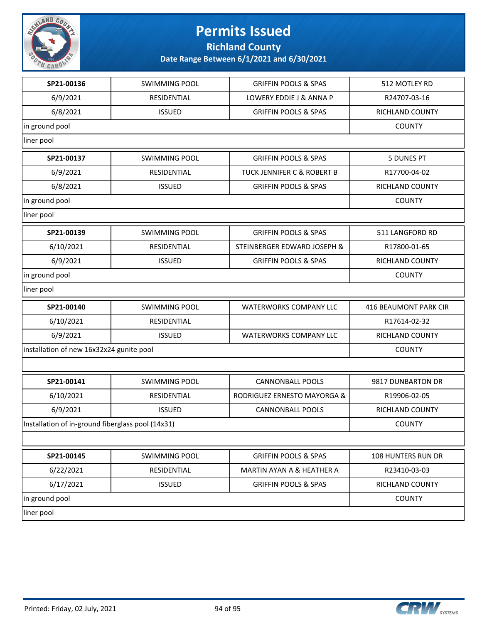

**Richland County**

| SP21-00136                                        | <b>SWIMMING POOL</b> | <b>GRIFFIN POOLS &amp; SPAS</b> | 512 MOTLEY RD         |
|---------------------------------------------------|----------------------|---------------------------------|-----------------------|
| 6/9/2021                                          | RESIDENTIAL          | LOWERY EDDIE J & ANNA P         | R24707-03-16          |
| 6/8/2021                                          | <b>ISSUED</b>        | <b>GRIFFIN POOLS &amp; SPAS</b> | RICHLAND COUNTY       |
| in ground pool                                    |                      |                                 | <b>COUNTY</b>         |
| liner pool                                        |                      |                                 |                       |
| SP21-00137                                        | <b>SWIMMING POOL</b> | <b>GRIFFIN POOLS &amp; SPAS</b> | <b>5 DUNES PT</b>     |
| 6/9/2021                                          | RESIDENTIAL          | TUCK JENNIFER C & ROBERT B      | R17700-04-02          |
| 6/8/2021                                          | <b>ISSUED</b>        | <b>GRIFFIN POOLS &amp; SPAS</b> | RICHLAND COUNTY       |
| in ground pool                                    |                      |                                 | <b>COUNTY</b>         |
| liner pool                                        |                      |                                 |                       |
| SP21-00139                                        | <b>SWIMMING POOL</b> | <b>GRIFFIN POOLS &amp; SPAS</b> | 511 LANGFORD RD       |
| 6/10/2021                                         | RESIDENTIAL          | STEINBERGER EDWARD JOSEPH &     | R17800-01-65          |
| 6/9/2021                                          | <b>ISSUED</b>        | <b>GRIFFIN POOLS &amp; SPAS</b> | RICHLAND COUNTY       |
| in ground pool                                    |                      |                                 | <b>COUNTY</b>         |
| liner pool                                        |                      |                                 |                       |
| SP21-00140                                        | <b>SWIMMING POOL</b> | <b>WATERWORKS COMPANY LLC</b>   | 416 BEAUMONT PARK CIR |
| 6/10/2021                                         | RESIDENTIAL          |                                 | R17614-02-32          |
| 6/9/2021                                          | <b>ISSUED</b>        | <b>WATERWORKS COMPANY LLC</b>   | RICHLAND COUNTY       |
| installation of new 16x32x24 gunite pool          |                      |                                 | <b>COUNTY</b>         |
|                                                   |                      |                                 |                       |
| SP21-00141                                        | <b>SWIMMING POOL</b> | <b>CANNONBALL POOLS</b>         | 9817 DUNBARTON DR     |
| 6/10/2021                                         | RESIDENTIAL          | RODRIGUEZ ERNESTO MAYORGA &     | R19906-02-05          |
| 6/9/2021                                          | <b>ISSUED</b>        | <b>CANNONBALL POOLS</b>         | RICHLAND COUNTY       |
| Installation of in-ground fiberglass pool (14x31) |                      |                                 | <b>COUNTY</b>         |
|                                                   |                      |                                 |                       |
| SP21-00145                                        | <b>SWIMMING POOL</b> | <b>GRIFFIN POOLS &amp; SPAS</b> | 108 HUNTERS RUN DR    |
| 6/22/2021                                         | RESIDENTIAL          | MARTIN AYAN A & HEATHER A       | R23410-03-03          |
| 6/17/2021                                         | <b>ISSUED</b>        | <b>GRIFFIN POOLS &amp; SPAS</b> | RICHLAND COUNTY       |
| in ground pool                                    |                      |                                 | <b>COUNTY</b>         |
| liner pool                                        |                      |                                 |                       |